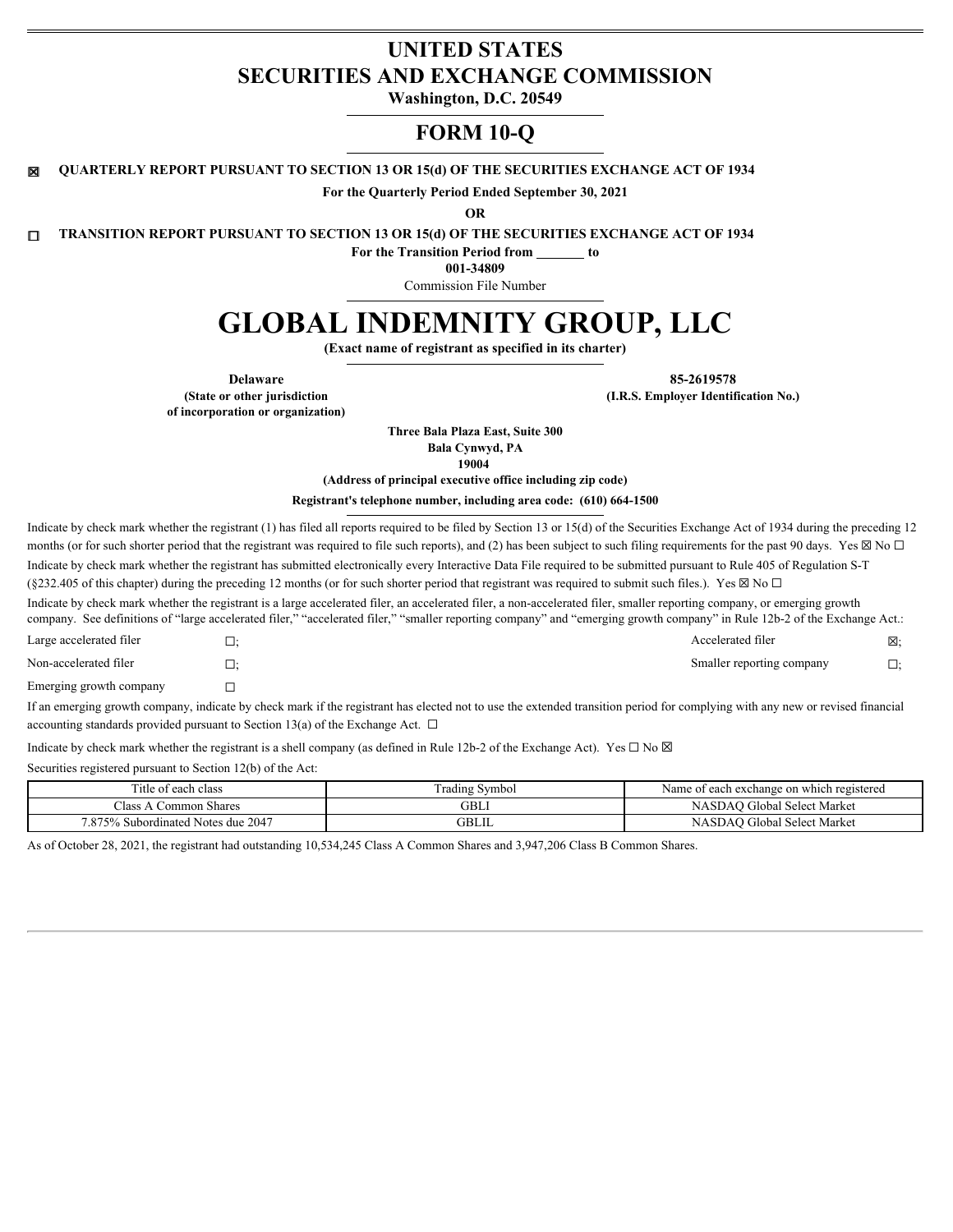# **UNITED STATES SECURITIES AND EXCHANGE COMMISSION**

**Washington, D.C. 20549**

## **FORM 10-Q**

## ☒ **QUARTERLY REPORT PURSUANT TO SECTION 13 OR 15(d) OF THE SECURITIES EXCHANGE ACT OF 1934**

**For the Quarterly Period Ended September 30, 2021**

**OR**

☐ **TRANSITION REPORT PURSUANT TO SECTION 13 OR 15(d) OF THE SECURITIES EXCHANGE ACT OF 1934**

**For the Transition Period from \_\_\_\_\_\_\_ to** 

**001-34809**

Commission File Number

# **GLOBAL INDEMNITY GROUP, LLC**

**(Exact name of registrant as specified in its charter)**

**(State or other jurisdiction of incorporation or organization)**

**Delaware 85-2619578 (I.R.S. Employer Identification No.)**

**Three Bala Plaza East, Suite 300 Bala Cynwyd, PA**

**19004**

**(Address of principal executive office including zip code)**

**Registrant's telephone number, including area code: (610) 664-1500**

Indicate by check mark whether the registrant (1) has filed all reports required to be filed by Section 13 or 15(d) of the Securities Exchange Act of 1934 during the preceding 12 months (or for such shorter period that the registrant was required to file such reports), and (2) has been subject to such filing requirements for the past 90 days. Yes  $\boxtimes$  No  $\Box$ Indicate by check mark whether the registrant has submitted electronically every Interactive Data File required to be submitted pursuant to Rule 405 of Regulation S-T (§232.405 of this chapter) during the preceding 12 months (or for such shorter period that registrant was required to submit such files.). Yes  $\boxtimes$  No  $\Box$ 

Indicate by check mark whether the registrant is a large accelerated filer, an accelerated filer, a non-accelerated filer, smaller reporting company, or emerging growth company. See definitions of "large accelerated filer," "accelerated filer," "smaller reporting company" and "emerging growth company" in Rule 12b-2 of the Exchange Act.:

Large accelerated filer  $□$ ;  $□$ ;  $□$ Non-accelerated filer □; □; □ □; Smaller reporting company □;

Emerging growth company  $\Box$ 

If an emerging growth company, indicate by check mark if the registrant has elected not to use the extended transition period for complying with any new or revised financial accounting standards provided pursuant to Section 13(a) of the Exchange Act.  $\Box$ 

Indicate by check mark whether the registrant is a shell company (as defined in Rule 12b-2 of the Exchange Act). Yes  $\Box$  No  $\boxtimes$ 

Securities registered pursuant to Section 12(b) of the Act:

| ritle of each class                        | n.<br>Frading Symbol | Name of each exchange on which registered   |  |
|--------------------------------------------|----------------------|---------------------------------------------|--|
| $\gamma$ lass $\lambda$<br>A Common Shares | GBLI                 | NASDAO Global Select Market                 |  |
| 7.875%<br>% Subordinated Notes due 2047    | <b>GBLIL</b>         | $\sim$<br>AO Global Select Market<br>NASDA( |  |

As of October 28, 2021, the registrant had outstanding 10,534,245 Class A Common Shares and 3,947,206 Class B Common Shares.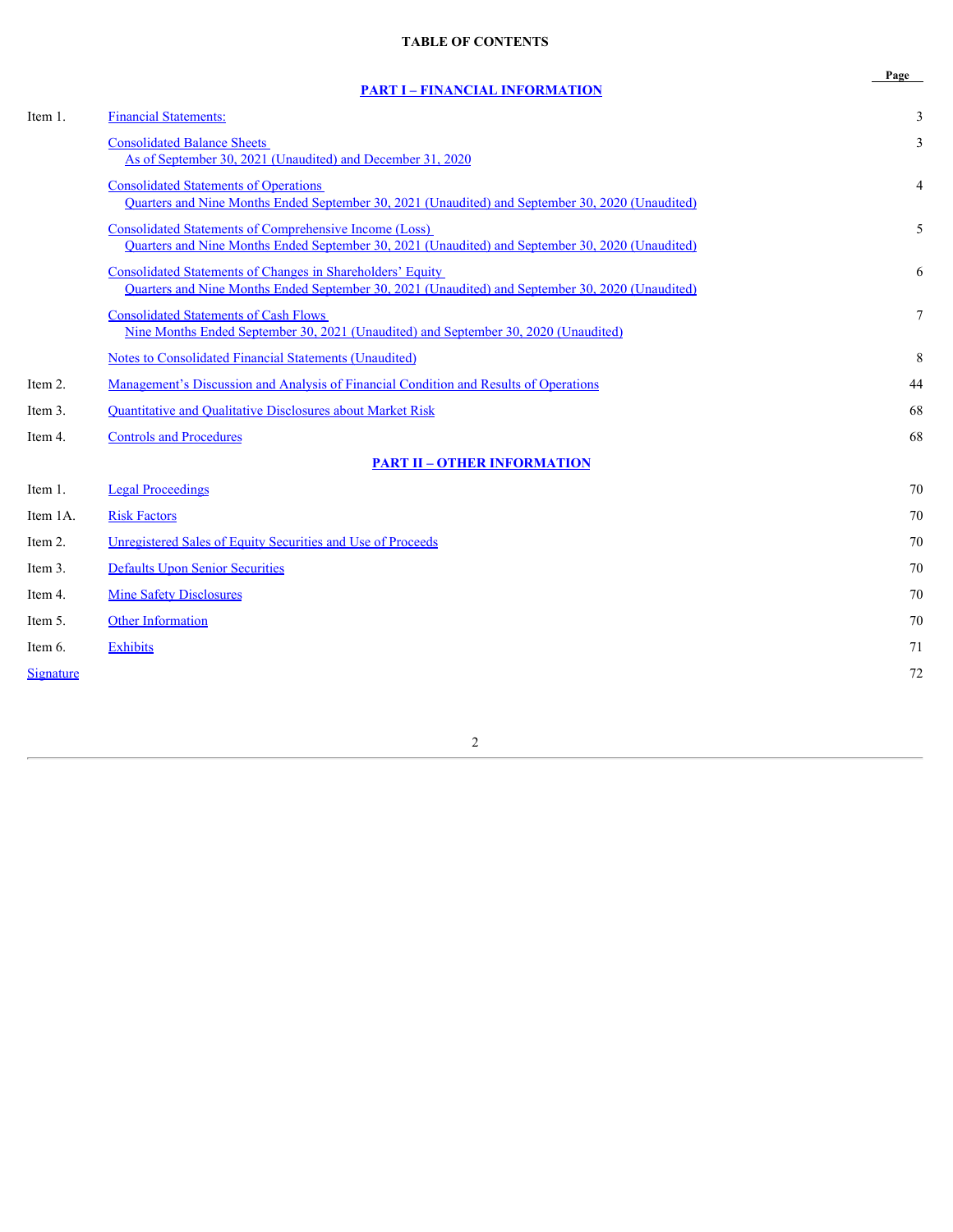## **TABLE OF CONTENTS**

|                  | <b>PART I - FINANCIAL INFORMATION</b>                                                                                                                                 | Page |
|------------------|-----------------------------------------------------------------------------------------------------------------------------------------------------------------------|------|
| Item 1.          | <b>Financial Statements:</b>                                                                                                                                          | 3    |
|                  | <b>Consolidated Balance Sheets</b><br>As of September 30, 2021 (Unaudited) and December 31, 2020                                                                      | 3    |
|                  | <b>Consolidated Statements of Operations</b><br>Quarters and Nine Months Ended September 30, 2021 (Unaudited) and September 30, 2020 (Unaudited)                      | 4    |
|                  | <b>Consolidated Statements of Comprehensive Income (Loss)</b><br>Ouarters and Nine Months Ended September 30, 2021 (Unaudited) and September 30, 2020 (Unaudited)     | 5    |
|                  | <b>Consolidated Statements of Changes in Shareholders' Equity</b><br>Quarters and Nine Months Ended September 30, 2021 (Unaudited) and September 30, 2020 (Unaudited) | 6    |
|                  | <b>Consolidated Statements of Cash Flows</b><br>Nine Months Ended September 30, 2021 (Unaudited) and September 30, 2020 (Unaudited)                                   | 7    |
|                  | <b>Notes to Consolidated Financial Statements (Unaudited)</b>                                                                                                         | 8    |
| Item 2.          | Management's Discussion and Analysis of Financial Condition and Results of Operations                                                                                 | 44   |
| Item 3.          | Quantitative and Qualitative Disclosures about Market Risk                                                                                                            | 68   |
| Item 4.          | <b>Controls and Procedures</b>                                                                                                                                        | 68   |
|                  | <b>PART II - OTHER INFORMATION</b>                                                                                                                                    |      |
| Item 1.          | <b>Legal Proceedings</b>                                                                                                                                              | 70   |
| Item 1A.         | <b>Risk Factors</b>                                                                                                                                                   | 70   |
| Item 2.          | Unregistered Sales of Equity Securities and Use of Proceeds                                                                                                           | 70   |
| Item 3.          | <b>Defaults Upon Senior Securities</b>                                                                                                                                | 70   |
| Item 4.          | <b>Mine Safety Disclosures</b>                                                                                                                                        | 70   |
| Item 5.          | <b>Other Information</b>                                                                                                                                              | 70   |
| Item 6.          | <b>Exhibits</b>                                                                                                                                                       | 71   |
| <b>Signature</b> |                                                                                                                                                                       | 72   |
|                  |                                                                                                                                                                       |      |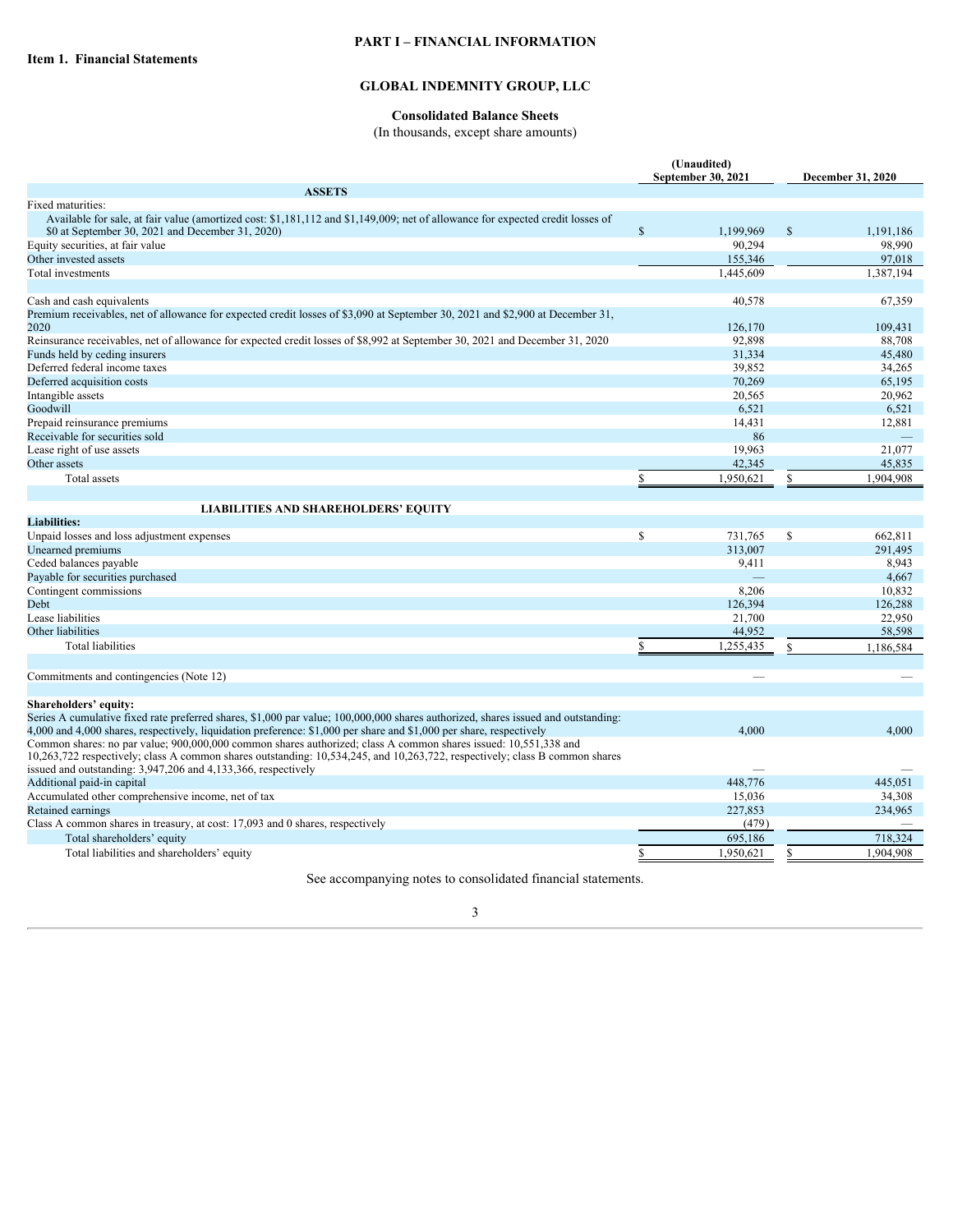## **PART I – FINANCIAL INFORMATION**

## **GLOBAL INDEMNITY GROUP, LLC**

## **Consolidated Balance Sheets**

(In thousands, except share amounts)

<span id="page-2-2"></span><span id="page-2-1"></span><span id="page-2-0"></span>

|                                                                                                                                                                                              |               | (Unaudited)<br>September 30, 2021 |    | <b>December 31, 2020</b>        |  |  |
|----------------------------------------------------------------------------------------------------------------------------------------------------------------------------------------------|---------------|-----------------------------------|----|---------------------------------|--|--|
| <b>ASSETS</b>                                                                                                                                                                                |               |                                   |    |                                 |  |  |
| <b>Fixed maturities:</b>                                                                                                                                                                     |               |                                   |    |                                 |  |  |
| Available for sale, at fair value (amortized cost: \$1,181,112 and \$1,149,009; net of allowance for expected credit losses of<br>\$0 at September 30, 2021 and December 31, 2020)           | $\mathcal{S}$ | 1.199.969                         |    | 1,191,186                       |  |  |
| Equity securities, at fair value                                                                                                                                                             |               | 90,294                            |    | 98,990                          |  |  |
| Other invested assets                                                                                                                                                                        |               | 155,346                           |    | 97.018                          |  |  |
| Total investments                                                                                                                                                                            |               | 1,445,609                         |    | 1,387,194                       |  |  |
| Cash and cash equivalents                                                                                                                                                                    |               | 40,578                            |    | 67,359                          |  |  |
| Premium receivables, net of allowance for expected credit losses of \$3,090 at September 30, 2021 and \$2,900 at December 31,<br>2020                                                        |               | 126,170                           |    | 109,431                         |  |  |
| Reinsurance receivables, net of allowance for expected credit losses of \$8,992 at September 30, 2021 and December 31, 2020                                                                  |               | 92,898                            |    | 88,708                          |  |  |
| Funds held by ceding insurers                                                                                                                                                                |               | 31,334                            |    | 45,480                          |  |  |
| Deferred federal income taxes                                                                                                                                                                |               | 39,852                            |    | 34,265                          |  |  |
| Deferred acquisition costs                                                                                                                                                                   |               | 70,269                            |    | 65,195                          |  |  |
| Intangible assets                                                                                                                                                                            |               | 20,565                            |    | 20,962                          |  |  |
| Goodwill                                                                                                                                                                                     |               | 6,521                             |    | 6,521                           |  |  |
| Prepaid reinsurance premiums                                                                                                                                                                 |               | 14,431                            |    | 12,881                          |  |  |
| Receivable for securities sold                                                                                                                                                               |               | 86                                |    | $\overline{\phantom{a}}$        |  |  |
| Lease right of use assets                                                                                                                                                                    |               | 19,963                            |    | 21.077                          |  |  |
| Other assets                                                                                                                                                                                 |               | 42.345                            |    | 45.835                          |  |  |
| Total assets                                                                                                                                                                                 |               | 1,950,621                         |    | 1,904,908                       |  |  |
|                                                                                                                                                                                              |               |                                   |    |                                 |  |  |
|                                                                                                                                                                                              |               |                                   |    |                                 |  |  |
| <b>LIABILITIES AND SHAREHOLDERS' EQUITY</b>                                                                                                                                                  |               |                                   |    |                                 |  |  |
| <b>Liabilities:</b>                                                                                                                                                                          | $\mathbf S$   | 731.765                           |    |                                 |  |  |
| Unpaid losses and loss adjustment expenses                                                                                                                                                   |               | 313,007                           | -S | 662,811<br>291,495              |  |  |
| Unearned premiums                                                                                                                                                                            |               |                                   |    |                                 |  |  |
| Ceded balances payable                                                                                                                                                                       |               | 9,411                             |    | 8,943<br>4,667                  |  |  |
| Payable for securities purchased                                                                                                                                                             |               |                                   |    |                                 |  |  |
| Contingent commissions                                                                                                                                                                       |               | 8,206                             |    | 10,832                          |  |  |
| Debt                                                                                                                                                                                         |               | 126,394                           |    | 126,288                         |  |  |
| Lease liabilities                                                                                                                                                                            |               | 21,700                            |    | 22,950                          |  |  |
| Other liabilities                                                                                                                                                                            |               | 44,952                            |    | 58,598                          |  |  |
| Total liabilities                                                                                                                                                                            |               | 1,255,435                         |    | 1,186,584                       |  |  |
| Commitments and contingencies (Note 12)                                                                                                                                                      |               |                                   |    |                                 |  |  |
|                                                                                                                                                                                              |               |                                   |    |                                 |  |  |
| Shareholders' equity:                                                                                                                                                                        |               |                                   |    |                                 |  |  |
| Series A cumulative fixed rate preferred shares, \$1,000 par value; 100,000,000 shares authorized, shares issued and outstanding:                                                            |               |                                   |    |                                 |  |  |
| 4,000 and 4,000 shares, respectively, liquidation preference: \$1,000 per share and \$1,000 per share, respectively                                                                          |               | 4,000                             |    | 4.000                           |  |  |
| Common shares: no par value; 900,000,000 common shares authorized; class A common shares issued: 10,551,338 and                                                                              |               |                                   |    |                                 |  |  |
| 10,263,722 respectively; class A common shares outstanding: 10,534,245, and 10,263,722, respectively; class B common shares<br>issued and outstanding: 3,947,206 and 4,133,366, respectively |               |                                   |    |                                 |  |  |
| Additional paid-in capital                                                                                                                                                                   |               | 448,776                           |    | 445,051                         |  |  |
| Accumulated other comprehensive income, net of tax                                                                                                                                           |               | 15,036                            |    | 34,308                          |  |  |
| Retained earnings                                                                                                                                                                            |               | 227,853                           |    | 234,965                         |  |  |
| Class A common shares in treasury, at cost: 17,093 and 0 shares, respectively                                                                                                                |               | (479)                             |    | $\overbrace{\phantom{1232211}}$ |  |  |
| Total shareholders' equity                                                                                                                                                                   |               | 695,186                           |    | 718,324                         |  |  |
| Total liabilities and shareholders' equity                                                                                                                                                   |               | 1,950,621                         |    | 1.904.908                       |  |  |
|                                                                                                                                                                                              |               |                                   |    |                                 |  |  |

See accompanying notes to consolidated financial statements.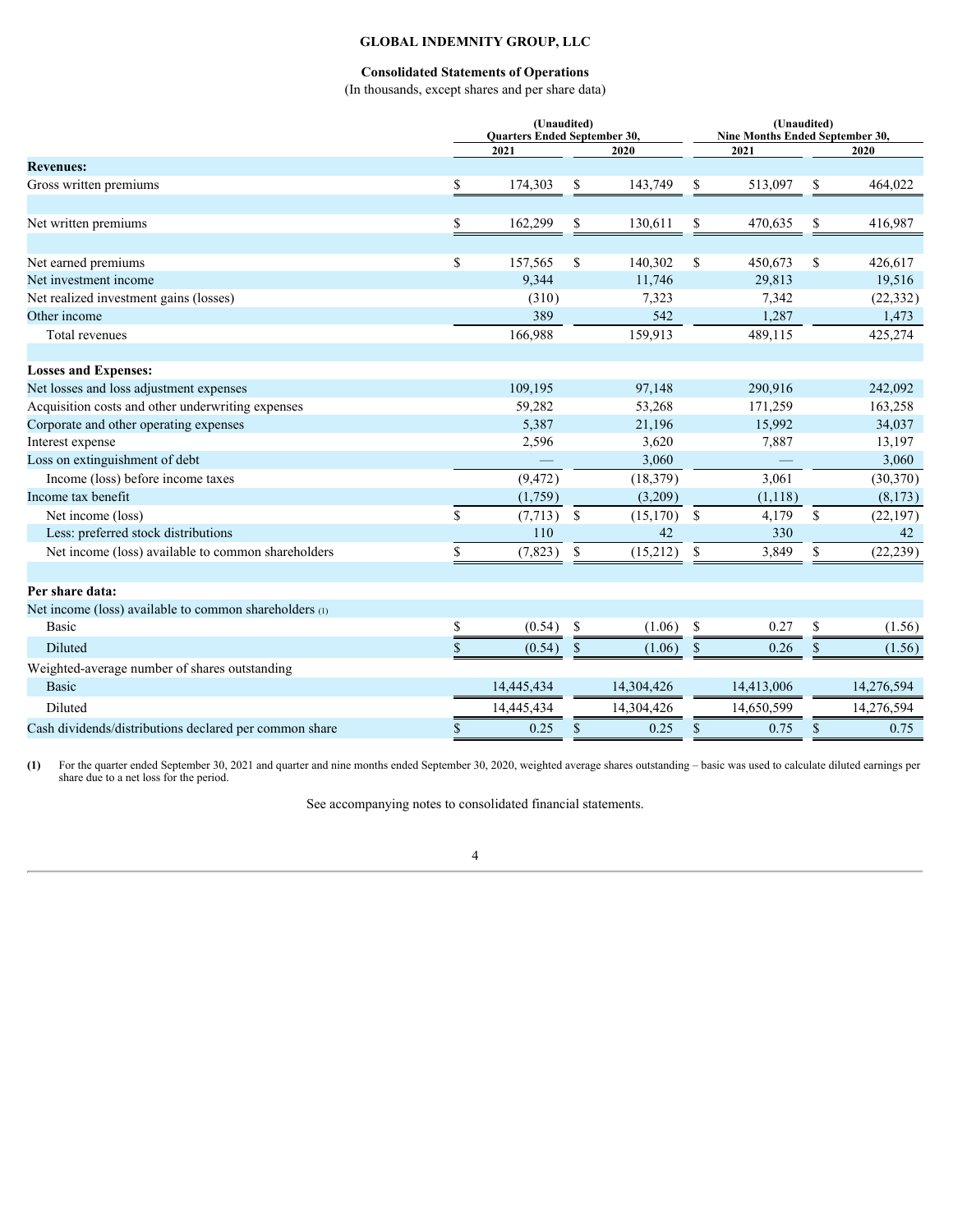## **Consolidated Statements of Operations**

(In thousands, except shares and per share data)

<span id="page-3-0"></span>

|                                                        | (Unaudited)<br>Quarters Ended September 30, |               |               |               | (Unaudited)<br>Nine Months Ended September 30, |               |            |  |  |
|--------------------------------------------------------|---------------------------------------------|---------------|---------------|---------------|------------------------------------------------|---------------|------------|--|--|
|                                                        | 2021                                        |               | 2020          |               | 2021                                           |               | 2020       |  |  |
| <b>Revenues:</b><br>S.                                 | 174,303                                     | <sup>\$</sup> | 143,749       | $\mathbf{s}$  | 513,097                                        | -S            | 464,022    |  |  |
| Gross written premiums                                 |                                             |               |               |               |                                                |               |            |  |  |
| Net written premiums                                   | 162,299                                     | -S            | 130,611       | - \$          | 470,635                                        | <sup>S</sup>  | 416,987    |  |  |
|                                                        |                                             |               |               |               |                                                |               |            |  |  |
| Net earned premiums<br>$\mathbb{S}$                    | 157,565                                     | <sup>\$</sup> | 140,302 \$    |               | 450,673                                        | <sup>S</sup>  | 426,617    |  |  |
| Net investment income                                  | 9,344                                       |               | 11,746        |               | 29,813                                         |               | 19,516     |  |  |
| Net realized investment gains (losses)                 | (310)                                       |               | 7,323         |               | 7,342                                          |               | (22, 332)  |  |  |
| Other income                                           | 389                                         |               | 542           |               | 1,287                                          |               | 1,473      |  |  |
| Total revenues                                         | 166,988                                     |               | 159,913       |               | 489,115                                        |               | 425,274    |  |  |
|                                                        |                                             |               |               |               |                                                |               |            |  |  |
| <b>Losses and Expenses:</b>                            |                                             |               |               |               |                                                |               |            |  |  |
| Net losses and loss adjustment expenses                | 109,195                                     |               | 97,148        |               | 290,916                                        |               | 242,092    |  |  |
| Acquisition costs and other underwriting expenses      | 59,282                                      |               | 53,268        |               | 171,259                                        |               | 163,258    |  |  |
| Corporate and other operating expenses                 | 5,387                                       |               | 21,196        |               | 15,992                                         |               | 34,037     |  |  |
| Interest expense                                       | 2,596                                       |               | 3,620         |               | 7,887                                          |               | 13,197     |  |  |
| Loss on extinguishment of debt                         |                                             |               | 3,060         |               | $\hspace{0.1mm}-\hspace{0.1mm}$                |               | 3,060      |  |  |
| Income (loss) before income taxes                      | (9, 472)                                    |               | (18, 379)     |               | 3,061                                          |               | (30, 370)  |  |  |
| Income tax benefit                                     | (1,759)                                     |               | (3,209)       |               | (1,118)                                        |               | (8,173)    |  |  |
| \$<br>Net income (loss)                                | $(7,713)$ \$                                |               | $(15,170)$ \$ |               | 4,179                                          | <sup>\$</sup> | (22, 197)  |  |  |
| Less: preferred stock distributions                    | 110                                         |               | 42            |               | 330                                            |               | 42         |  |  |
| Net income (loss) available to common shareholders     | (7,823)                                     | <sup>\$</sup> | $(15,212)$ \$ |               | 3,849                                          | \$            | (22, 239)  |  |  |
|                                                        |                                             |               |               |               |                                                |               |            |  |  |
| Per share data:                                        |                                             |               |               |               |                                                |               |            |  |  |
| Net income (loss) available to common shareholders (1) |                                             |               |               |               |                                                |               |            |  |  |
| <b>Basic</b>                                           | $(0.54)$ \$                                 |               | $(1.06)$ \$   |               | 0.27                                           | -S            | (1.56)     |  |  |
| Diluted                                                | $(0.54)$ \$                                 |               | $(1.06)$ \$   |               | 0.26                                           | $\mathbb{S}$  | (1.56)     |  |  |
| Weighted-average number of shares outstanding          |                                             |               |               |               |                                                |               |            |  |  |
| Basic                                                  | 14,445,434                                  |               | 14,304,426    |               | 14,413,006                                     |               | 14,276,594 |  |  |
| Diluted                                                | 14,445,434                                  |               | 14,304,426    |               | 14,650,599                                     |               | 14,276,594 |  |  |
| Cash dividends/distributions declared per common share | 0.25                                        | $\mathbb{S}$  | 0.25          | $\mathcal{S}$ | 0.75                                           | <sup>\$</sup> | 0.75       |  |  |

**(1)** For the quarter ended September 30, 2021 and quarter and nine months ended September 30, 2020, weighted average shares outstanding – basic was used to calculate diluted earnings per share due to a net loss for the period.

See accompanying notes to consolidated financial statements.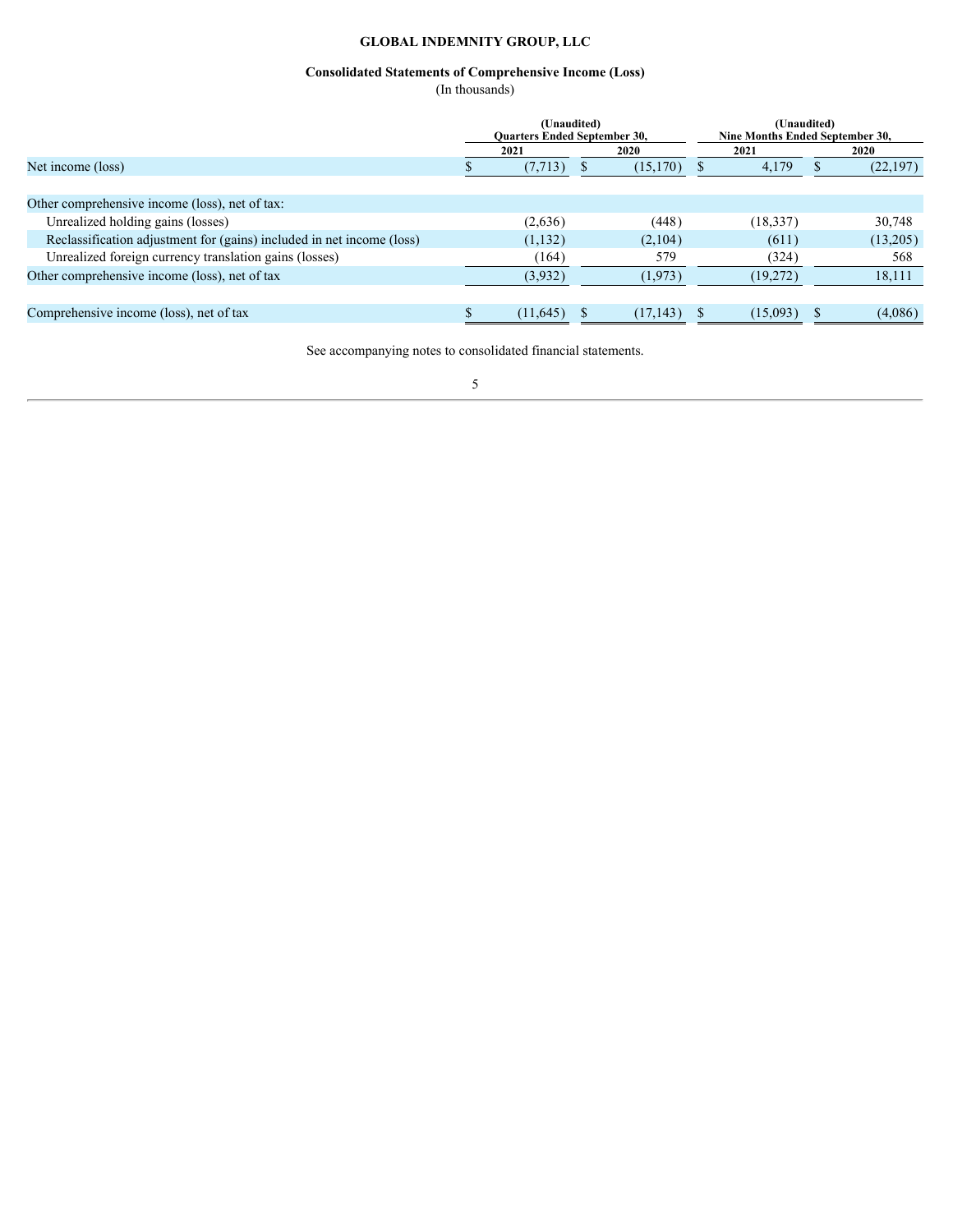## **Consolidated Statements of Comprehensive Income (Loss)**

(In thousands)

<span id="page-4-0"></span>

|                                                                       | (Unaudited)<br><b>Ouarters Ended September 30,</b> |      |                |  | (Unaudited)<br>Nine Months Ended September 30, |      |           |  |
|-----------------------------------------------------------------------|----------------------------------------------------|------|----------------|--|------------------------------------------------|------|-----------|--|
|                                                                       | 2021                                               | 2020 |                |  | 2021                                           | 2020 |           |  |
| Net income (loss)                                                     | (7,713)                                            |      | (15,170)       |  | 4,179                                          |      | (22, 197) |  |
|                                                                       |                                                    |      |                |  |                                                |      |           |  |
| Other comprehensive income (loss), net of tax:                        |                                                    |      |                |  |                                                |      |           |  |
| Unrealized holding gains (losses)                                     | (2,636)                                            |      | (448)          |  | (18, 337)                                      |      | 30,748    |  |
| Reclassification adjustment for (gains) included in net income (loss) | (1,132)                                            |      | (2,104)        |  | (611)                                          |      | (13,205)  |  |
| Unrealized foreign currency translation gains (losses)                | (164)                                              |      | 579            |  | (324)                                          |      | 568       |  |
| Other comprehensive income (loss), net of tax                         | (3,932)                                            |      | (1,973)        |  | (19,272)                                       |      | 18,111    |  |
|                                                                       |                                                    |      |                |  |                                                |      |           |  |
| Comprehensive income (loss), net of tax                               | $(11,645)$ \$                                      |      | $(17, 143)$ \$ |  | $(15,093)$ \$                                  |      | (4,086)   |  |
|                                                                       |                                                    |      |                |  |                                                |      |           |  |

See accompanying notes to consolidated financial statements.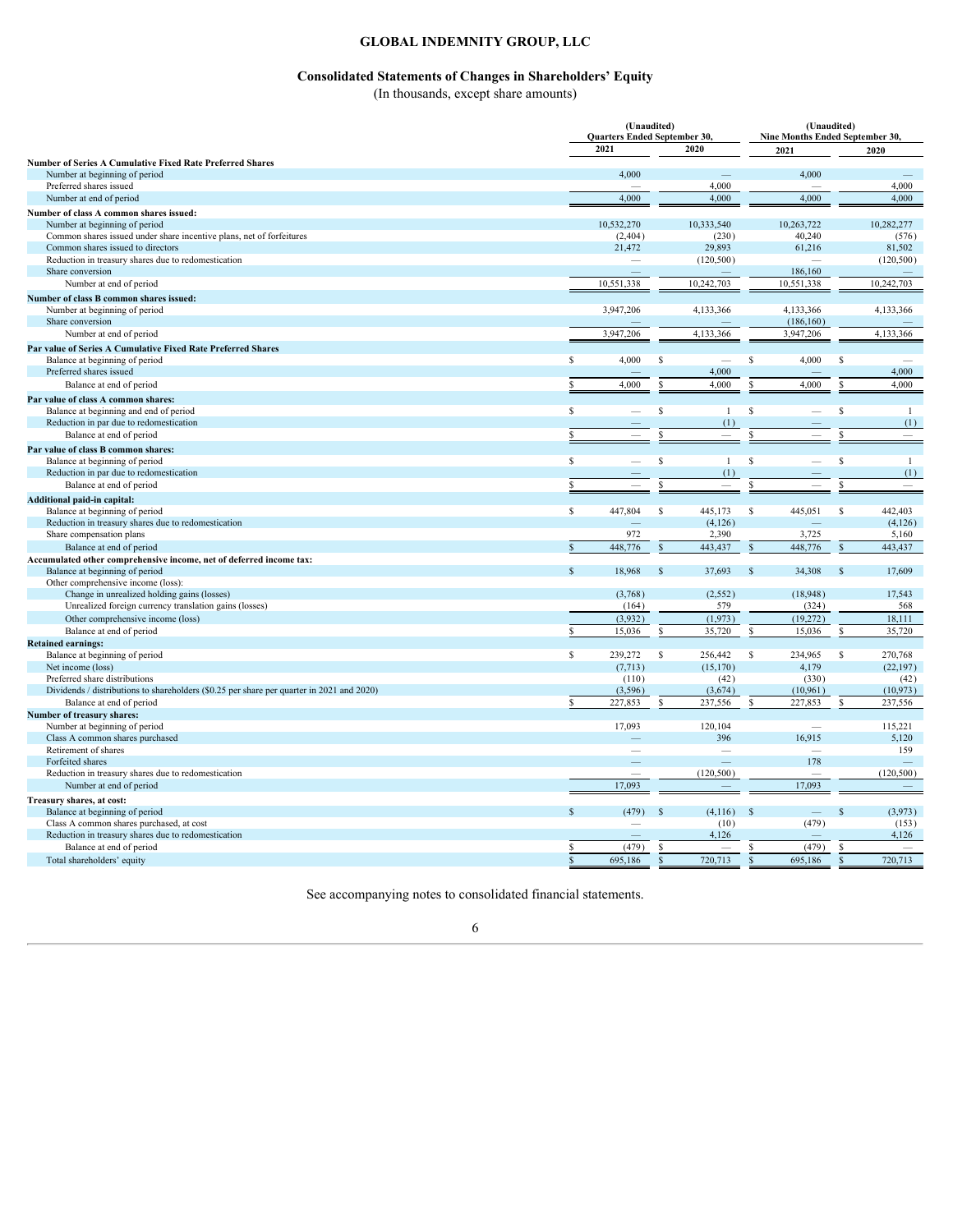#### **Consolidated Statements of Changes in Shareholders' Equity**

(In thousands, except share amounts)

<span id="page-5-0"></span>

|                                                                                           |               | (Unaudited)<br>Quarters Ended September 30, |                    |                                | (Unaudited)<br>Nine Months Ended September 30, |                                 |  |  |  |  |  |
|-------------------------------------------------------------------------------------------|---------------|---------------------------------------------|--------------------|--------------------------------|------------------------------------------------|---------------------------------|--|--|--|--|--|
|                                                                                           |               | 2021                                        | 2020               |                                | 2021                                           | 2020                            |  |  |  |  |  |
| <b>Number of Series A Cumulative Fixed Rate Preferred Shares</b>                          |               |                                             |                    |                                |                                                |                                 |  |  |  |  |  |
| Number at beginning of period                                                             |               | 4,000                                       |                    | $\overline{\phantom{a}}$       | 4,000                                          | $\overline{\phantom{a}}$        |  |  |  |  |  |
| Preferred shares issued                                                                   |               |                                             |                    | 4.000                          |                                                | 4.000                           |  |  |  |  |  |
| Number at end of period                                                                   |               | 4.000                                       |                    | 4.000                          | 4,000                                          | 4.000                           |  |  |  |  |  |
| Number of class A common shares issued:                                                   |               |                                             |                    |                                |                                                |                                 |  |  |  |  |  |
| Number at beginning of period                                                             |               | 10,532,270                                  | 10,333,540         |                                | 10,263,722                                     | 10,282,277                      |  |  |  |  |  |
| Common shares issued under share incentive plans, net of forfeitures                      |               | (2,404)                                     |                    | (230)                          | 40,240                                         | (576)                           |  |  |  |  |  |
| Common shares issued to directors                                                         |               | 21,472                                      | 29,893             |                                | 61,216                                         | 81,502                          |  |  |  |  |  |
| Reduction in treasury shares due to redomestication                                       |               |                                             | (120, 500)         |                                |                                                | (120, 500)                      |  |  |  |  |  |
| Share conversion                                                                          |               |                                             |                    |                                | 186,160                                        | $\hspace{0.1mm}-\hspace{0.1mm}$ |  |  |  |  |  |
| Number at end of period                                                                   |               | 10,551,338                                  | 10,242,703         |                                | 10,551,338                                     | 10,242,703                      |  |  |  |  |  |
| Number of class B common shares issued:                                                   |               |                                             |                    |                                |                                                |                                 |  |  |  |  |  |
| Number at beginning of period                                                             |               | 3,947,206                                   | 4,133,366          |                                | 4,133,366                                      | 4,133,366                       |  |  |  |  |  |
| Share conversion                                                                          |               |                                             |                    |                                | (186, 160)                                     |                                 |  |  |  |  |  |
| Number at end of period                                                                   |               | 3,947,206                                   | 4,133,366          |                                | 3,947,206                                      | 4,133,366                       |  |  |  |  |  |
| Par value of Series A Cumulative Fixed Rate Preferred Shares                              |               |                                             |                    |                                |                                                |                                 |  |  |  |  |  |
| Balance at beginning of period                                                            | <sup>S</sup>  | 4.000                                       | $\mathbf{\hat{S}}$ | -S<br>$\overline{\phantom{m}}$ | 4,000                                          | - S<br>$\overline{\phantom{a}}$ |  |  |  |  |  |
| Preferred shares issued                                                                   |               |                                             |                    | 4,000                          |                                                | 4.000                           |  |  |  |  |  |
| Balance at end of period                                                                  |               | 4.000                                       |                    | 4.000<br>S                     | 4.000                                          | 4.000                           |  |  |  |  |  |
| Par value of class A common shares:                                                       |               |                                             |                    |                                |                                                |                                 |  |  |  |  |  |
| Balance at beginning and end of period                                                    | $\mathbf{s}$  | $\overline{\phantom{0}}$                    | - \$               | $\mathbf{s}$<br>$\mathbf{1}$   | $-$ s                                          |                                 |  |  |  |  |  |
| Reduction in par due to redomestication                                                   |               |                                             |                    | (1)                            |                                                | (1)                             |  |  |  |  |  |
| Balance at end of period                                                                  |               | $\hspace{0.1mm}-\hspace{0.1mm}$             |                    | $\overline{\phantom{0}}$       | $\overline{\phantom{m}}$                       | $\overline{\phantom{0}}$        |  |  |  |  |  |
| Par value of class B common shares:                                                       |               |                                             |                    |                                |                                                |                                 |  |  |  |  |  |
| Balance at beginning of period                                                            | <sup>S</sup>  | $\overline{\phantom{a}}$                    | $\mathbf{S}$       | - \$<br>-1                     | $-$ s                                          | -1                              |  |  |  |  |  |
| Reduction in par due to redomestication                                                   |               |                                             |                    | (1)                            | ۳                                              | (1)                             |  |  |  |  |  |
| Balance at end of period                                                                  |               | $\overline{\phantom{0}}$                    |                    | $\overline{\phantom{0}}$<br>S  | $\overline{\phantom{0}}$                       | $\overline{\phantom{0}}$        |  |  |  |  |  |
| Additional paid-in capital:                                                               |               |                                             |                    |                                |                                                |                                 |  |  |  |  |  |
| Balance at beginning of period                                                            | <sup>S</sup>  | 447,804                                     | $\mathbf{s}$       | 445,173<br>$\mathbf{s}$        | 445,051<br>$\mathbf{s}$                        | 442,403                         |  |  |  |  |  |
| Reduction in treasury shares due to redomestication                                       |               |                                             |                    | (4,126)                        |                                                | (4,126)                         |  |  |  |  |  |
| Share compensation plans                                                                  |               | 972                                         |                    | 2,390                          | 3,725                                          | 5,160                           |  |  |  |  |  |
| Balance at end of period                                                                  |               | 448,776                                     | 443,437            | -S                             | 448,776                                        | 443,437                         |  |  |  |  |  |
| Accumulated other comprehensive income, net of deferred income tax:                       |               |                                             |                    |                                |                                                |                                 |  |  |  |  |  |
| Balance at beginning of period                                                            |               | 18,968                                      | - \$               | 37,693<br>$\mathbf{s}$         | 34,308<br>- 5                                  | 17,609                          |  |  |  |  |  |
| Other comprehensive income (loss):                                                        |               |                                             |                    |                                |                                                |                                 |  |  |  |  |  |
| Change in unrealized holding gains (losses)                                               |               | (3,768)                                     |                    | (2,552)                        | (18,948)                                       | 17,543                          |  |  |  |  |  |
| Unrealized foreign currency translation gains (losses)                                    |               | (164)                                       |                    | 579                            | (324)                                          | 568                             |  |  |  |  |  |
| Other comprehensive income (loss)                                                         |               | (3,932)                                     |                    | (1,973)                        | (19,272)                                       | 18,111                          |  |  |  |  |  |
| Balance at end of period                                                                  |               | 15.036                                      | 35,720             | -S                             | 15.036                                         | 35,720                          |  |  |  |  |  |
| <b>Retained earnings:</b>                                                                 |               |                                             |                    |                                |                                                |                                 |  |  |  |  |  |
| Balance at beginning of period                                                            | <sup>S</sup>  | 239,272 \$                                  | 256,442            | $\mathbf{s}$                   | 234,965                                        | 270,768<br><b>S</b>             |  |  |  |  |  |
| Net income (loss)                                                                         |               | (7, 713)                                    | (15,170)           |                                | 4,179                                          | (22, 197)                       |  |  |  |  |  |
| Preferred share distributions                                                             |               | (110)                                       |                    | (42)                           | (330)                                          | (42)                            |  |  |  |  |  |
| Dividends / distributions to shareholders (\$0.25 per share per quarter in 2021 and 2020) |               | (3.596)                                     |                    | (3.674)                        | (10.961)                                       | (10.973)                        |  |  |  |  |  |
| Balance at end of period                                                                  |               | 227,853                                     | 237,556            |                                | 227,853                                        | 237,556                         |  |  |  |  |  |
| Number of treasury shares:                                                                |               |                                             |                    |                                |                                                |                                 |  |  |  |  |  |
| Number at beginning of period                                                             |               | 17,093                                      | 120,104            |                                | $\overline{\phantom{a}}$                       | 115,221                         |  |  |  |  |  |
| Class A common shares purchased                                                           |               |                                             |                    | 396                            | 16,915                                         | 5,120                           |  |  |  |  |  |
| Retirement of shares                                                                      |               |                                             |                    | $\overline{\phantom{m}}$       | $\overline{\phantom{m}}$                       | 159                             |  |  |  |  |  |
| Forfeited shares                                                                          |               |                                             |                    | $\overline{\phantom{0}}$       | 178                                            | $\overline{\phantom{m}}$        |  |  |  |  |  |
| Reduction in treasury shares due to redomestication                                       |               | $\overline{\phantom{a}}$                    | (120, 500)         |                                | $\overline{\phantom{a}}$                       | (120, 500)                      |  |  |  |  |  |
| Number at end of period                                                                   |               | 17.093                                      |                    | $\overline{\phantom{a}}$       | 17,093                                         | $\overline{\phantom{a}}$        |  |  |  |  |  |
| Treasury shares, at cost:                                                                 |               |                                             |                    |                                |                                                |                                 |  |  |  |  |  |
| Balance at beginning of period                                                            | $\mathcal{L}$ | (479)                                       | - S                | $(4,116)$ \$                   | $\overline{\phantom{m}}$                       | (3,973)<br>$\mathbf{\hat{s}}$   |  |  |  |  |  |
| Class A common shares purchased, at cost                                                  |               | $\sim$                                      |                    | (10)                           | (479)                                          | (153)                           |  |  |  |  |  |
| Reduction in treasury shares due to redomestication                                       |               |                                             |                    | 4,126                          | $\overline{\phantom{m}}$                       | 4,126                           |  |  |  |  |  |
| Balance at end of period                                                                  |               | (479)                                       |                    | S<br>$\overline{\phantom{a}}$  | (479)                                          | $\overline{\phantom{a}}$        |  |  |  |  |  |
| Total shareholders' equity                                                                |               | 695.186                                     | 720,713            | $\mathbf{\hat{S}}$             | 695,186                                        | 720.713                         |  |  |  |  |  |

See accompanying notes to consolidated financial statements.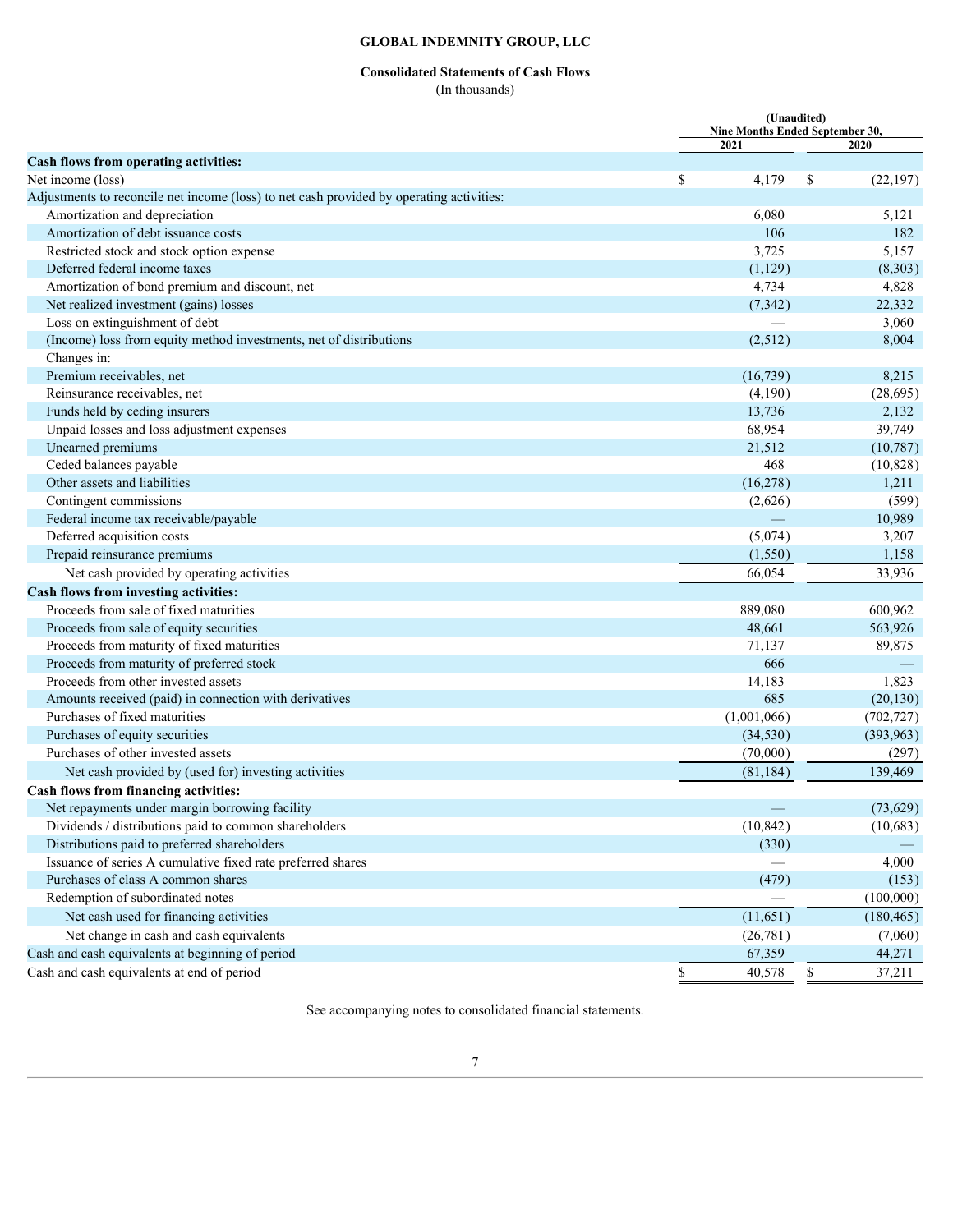## **Consolidated Statements of Cash Flows**

(In thousands)

<span id="page-6-0"></span>

|                                                                                          | Nine Months Ended September 30, | (Unaudited)  |                          |
|------------------------------------------------------------------------------------------|---------------------------------|--------------|--------------------------|
|                                                                                          | 2021                            |              | 2020                     |
| <b>Cash flows from operating activities:</b>                                             |                                 |              |                          |
| Net income (loss)                                                                        | 4,179<br>\$                     | - \$         | (22, 197)                |
| Adjustments to reconcile net income (loss) to net cash provided by operating activities: |                                 |              |                          |
| Amortization and depreciation                                                            | 6,080                           |              | 5,121                    |
| Amortization of debt issuance costs                                                      | 106                             |              | 182                      |
| Restricted stock and stock option expense                                                | 3,725                           |              | 5,157                    |
| Deferred federal income taxes                                                            | (1,129)                         |              | (8,303)                  |
| Amortization of bond premium and discount, net                                           | 4,734                           |              | 4,828                    |
| Net realized investment (gains) losses                                                   | (7, 342)                        |              | 22,332                   |
| Loss on extinguishment of debt                                                           | $\overline{\phantom{m}}$        |              | 3,060                    |
| (Income) loss from equity method investments, net of distributions                       | (2,512)                         |              | 8,004                    |
| Changes in:                                                                              |                                 |              |                          |
| Premium receivables, net                                                                 | (16, 739)                       |              | 8,215                    |
|                                                                                          |                                 |              |                          |
| Reinsurance receivables, net                                                             | (4,190)                         |              | (28, 695)                |
| Funds held by ceding insurers                                                            | 13,736                          |              | 2,132                    |
| Unpaid losses and loss adjustment expenses                                               | 68,954                          |              | 39,749                   |
| Unearned premiums                                                                        | 21,512                          |              | (10, 787)                |
| Ceded balances payable                                                                   | 468                             |              | (10, 828)                |
| Other assets and liabilities                                                             | (16,278)                        |              | 1,211                    |
| Contingent commissions                                                                   | (2,626)                         |              | (599)                    |
| Federal income tax receivable/payable                                                    |                                 |              | 10,989                   |
| Deferred acquisition costs                                                               | (5,074)                         |              | 3,207                    |
| Prepaid reinsurance premiums                                                             | (1,550)                         |              | 1,158                    |
| Net cash provided by operating activities                                                | 66,054                          |              | 33,936                   |
| Cash flows from investing activities:                                                    |                                 |              |                          |
| Proceeds from sale of fixed maturities                                                   | 889,080                         |              | 600,962                  |
| Proceeds from sale of equity securities                                                  | 48,661                          |              | 563,926                  |
| Proceeds from maturity of fixed maturities                                               | 71,137                          |              | 89,875                   |
| Proceeds from maturity of preferred stock                                                | 666                             |              | $\overline{\phantom{m}}$ |
| Proceeds from other invested assets                                                      | 14,183                          |              | 1,823                    |
|                                                                                          | 685                             |              | (20, 130)                |
| Amounts received (paid) in connection with derivatives<br>Purchases of fixed maturities  |                                 |              |                          |
|                                                                                          | (1,001,066)                     |              | (702, 727)               |
| Purchases of equity securities                                                           | (34, 530)                       |              | (393,963)                |
| Purchases of other invested assets                                                       | (70,000)                        |              | (297)                    |
| Net cash provided by (used for) investing activities                                     | (81, 184)                       |              | 139,469                  |
| Cash flows from financing activities:                                                    |                                 |              |                          |
| Net repayments under margin borrowing facility                                           |                                 |              | (73, 629)                |
| Dividends / distributions paid to common shareholders                                    | (10, 842)                       |              | (10,683)                 |
| Distributions paid to preferred shareholders                                             | (330)                           |              | $\overline{\phantom{m}}$ |
| Issuance of series A cumulative fixed rate preferred shares                              | $\qquad \qquad$                 |              | 4,000                    |
| Purchases of class A common shares                                                       | (479)                           |              | (153)                    |
| Redemption of subordinated notes                                                         |                                 |              | (100,000)                |
| Net cash used for financing activities                                                   | (11, 651)                       |              | (180, 465)               |
| Net change in cash and cash equivalents                                                  | (26, 781)                       |              | (7,060)                  |
|                                                                                          |                                 |              |                          |
| Cash and cash equivalents at beginning of period                                         | 67,359                          |              | 44,271                   |
| Cash and cash equivalents at end of period                                               | 40,578<br>S.                    | $\mathbb{S}$ | 37,211                   |

See accompanying notes to consolidated financial statements.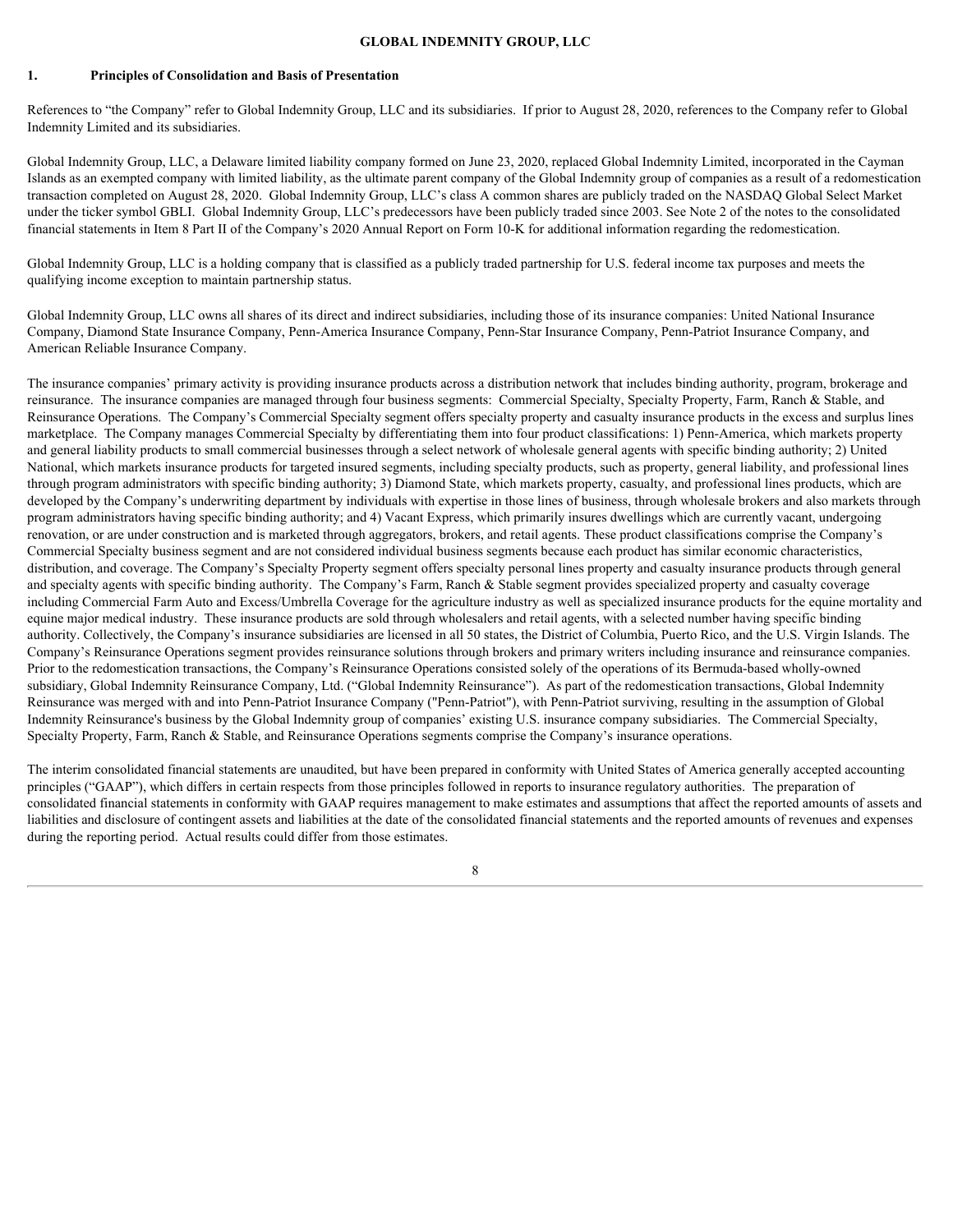## <span id="page-7-0"></span>**1. Principles of Consolidation and Basis of Presentation**

References to "the Company" refer to Global Indemnity Group, LLC and its subsidiaries. If prior to August 28, 2020, references to the Company refer to Global Indemnity Limited and its subsidiaries.

Global Indemnity Group, LLC, a Delaware limited liability company formed on June 23, 2020, replaced Global Indemnity Limited, incorporated in the Cayman Islands as an exempted company with limited liability, as the ultimate parent company of the Global Indemnity group of companies as a result of a redomestication transaction completed on August 28, 2020. Global Indemnity Group, LLC's class A common shares are publicly traded on the NASDAQ Global Select Market under the ticker symbol GBLI. Global Indemnity Group, LLC's predecessors have been publicly traded since 2003. See Note 2 of the notes to the consolidated financial statements in Item 8 Part II of the Company's 2020 Annual Report on Form 10-K for additional information regarding the redomestication.

Global Indemnity Group, LLC is a holding company that is classified as a publicly traded partnership for U.S. federal income tax purposes and meets the qualifying income exception to maintain partnership status.

Global Indemnity Group, LLC owns all shares of its direct and indirect subsidiaries, including those of its insurance companies: United National Insurance Company, Diamond State Insurance Company, Penn-America Insurance Company, Penn-Star Insurance Company, Penn-Patriot Insurance Company, and American Reliable Insurance Company.

The insurance companies' primary activity is providing insurance products across a distribution network that includes binding authority, program, brokerage and reinsurance. The insurance companies are managed through four business segments: Commercial Specialty, Specialty Property, Farm, Ranch & Stable, and Reinsurance Operations. The Company's Commercial Specialty segment offers specialty property and casualty insurance products in the excess and surplus lines marketplace. The Company manages Commercial Specialty by differentiating them into four product classifications: 1) Penn-America, which markets property and general liability products to small commercial businesses through a select network of wholesale general agents with specific binding authority; 2) United National, which markets insurance products for targeted insured segments, including specialty products, such as property, general liability, and professional lines through program administrators with specific binding authority; 3) Diamond State, which markets property, casualty, and professional lines products, which are developed by the Company's underwriting department by individuals with expertise in those lines of business, through wholesale brokers and also markets through program administrators having specific binding authority; and 4) Vacant Express, which primarily insures dwellings which are currently vacant, undergoing renovation, or are under construction and is marketed through aggregators, brokers, and retail agents. These product classifications comprise the Company's Commercial Specialty business segment and are not considered individual business segments because each product has similar economic characteristics, distribution, and coverage. The Company's Specialty Property segment offers specialty personal lines property and casualty insurance products through general and specialty agents with specific binding authority. The Company's Farm, Ranch & Stable segment provides specialized property and casualty coverage including Commercial Farm Auto and Excess/Umbrella Coverage for the agriculture industry as well as specialized insurance products for the equine mortality and equine major medical industry. These insurance products are sold through wholesalers and retail agents, with a selected number having specific binding authority. Collectively, the Company's insurance subsidiaries are licensed in all 50 states, the District of Columbia, Puerto Rico, and the U.S. Virgin Islands. The Company's Reinsurance Operations segment provides reinsurance solutions through brokers and primary writers including insurance and reinsurance companies. Prior to the redomestication transactions, the Company's Reinsurance Operations consisted solely of the operations of its Bermuda-based wholly-owned subsidiary, Global Indemnity Reinsurance Company, Ltd. ("Global Indemnity Reinsurance"). As part of the redomestication transactions, Global Indemnity Reinsurance was merged with and into Penn-Patriot Insurance Company ("Penn-Patriot"), with Penn-Patriot surviving, resulting in the assumption of Global Indemnity Reinsurance's business by the Global Indemnity group of companies' existing U.S. insurance company subsidiaries. The Commercial Specialty, Specialty Property, Farm, Ranch & Stable, and Reinsurance Operations segments comprise the Company's insurance operations.

The interim consolidated financial statements are unaudited, but have been prepared in conformity with United States of America generally accepted accounting principles ("GAAP"), which differs in certain respects from those principles followed in reports to insurance regulatory authorities. The preparation of consolidated financial statements in conformity with GAAP requires management to make estimates and assumptions that affect the reported amounts of assets and liabilities and disclosure of contingent assets and liabilities at the date of the consolidated financial statements and the reported amounts of revenues and expenses during the reporting period. Actual results could differ from those estimates.

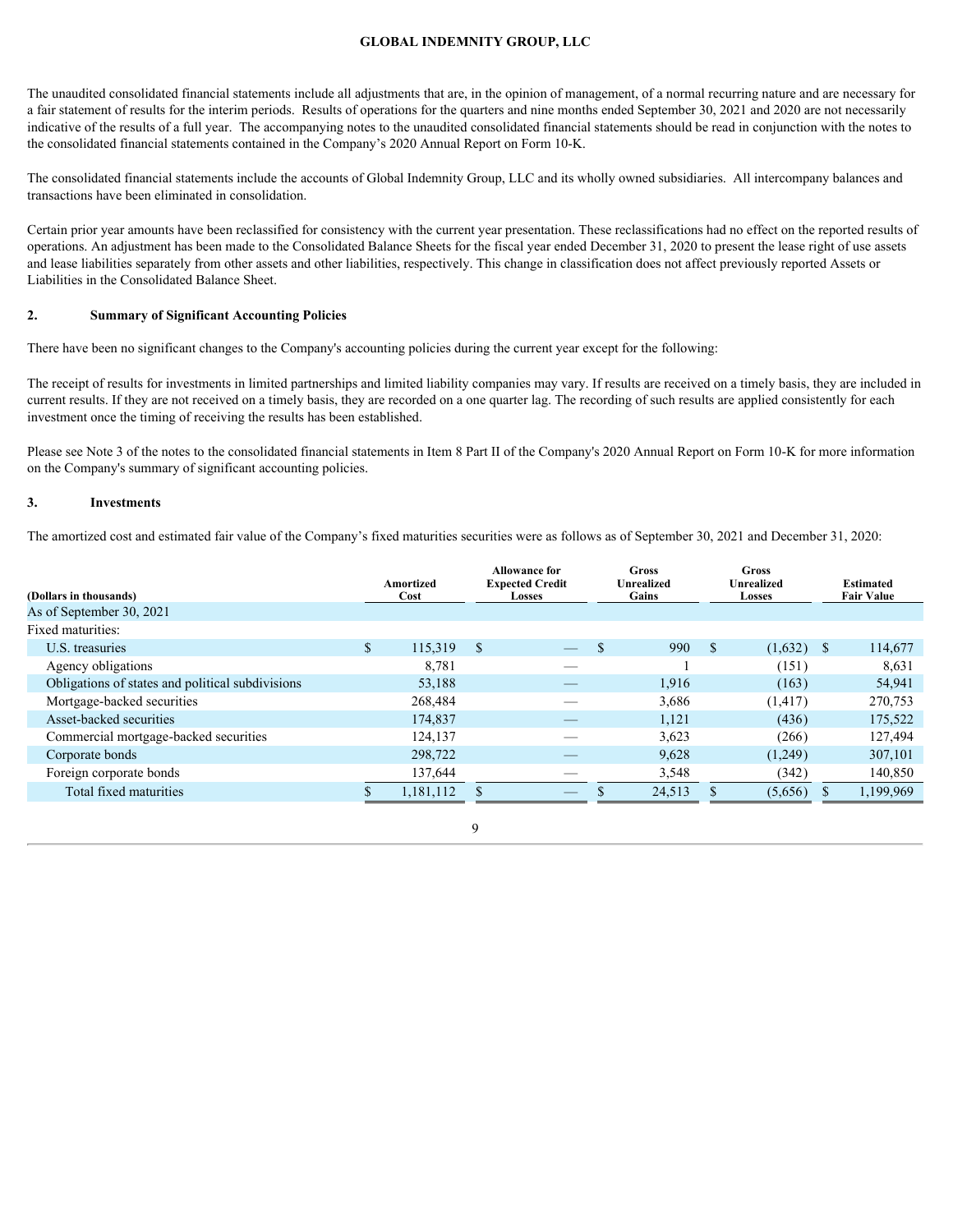The unaudited consolidated financial statements include all adjustments that are, in the opinion of management, of a normal recurring nature and are necessary for a fair statement of results for the interim periods. Results of operations for the quarters and nine months ended September 30, 2021 and 2020 are not necessarily indicative of the results of a full year. The accompanying notes to the unaudited consolidated financial statements should be read in conjunction with the notes to the consolidated financial statements contained in the Company's 2020 Annual Report on Form 10-K.

The consolidated financial statements include the accounts of Global Indemnity Group, LLC and its wholly owned subsidiaries. All intercompany balances and transactions have been eliminated in consolidation.

Certain prior year amounts have been reclassified for consistency with the current year presentation. These reclassifications had no effect on the reported results of operations. An adjustment has been made to the Consolidated Balance Sheets for the fiscal year ended December 31, 2020 to present the lease right of use assets and lease liabilities separately from other assets and other liabilities, respectively. This change in classification does not affect previously reported Assets or Liabilities in the Consolidated Balance Sheet.

## **2. Summary of Significant Accounting Policies**

There have been no significant changes to the Company's accounting policies during the current year except for the following:

The receipt of results for investments in limited partnerships and limited liability companies may vary. If results are received on a timely basis, they are included in current results. If they are not received on a timely basis, they are recorded on a one quarter lag. The recording of such results are applied consistently for each investment once the timing of receiving the results has been established.

Please see Note 3 of the notes to the consolidated financial statements in Item 8 Part II of the Company's 2020 Annual Report on Form 10-K for more information on the Company's summary of significant accounting policies.

## **3. Investments**

The amortized cost and estimated fair value of the Company's fixed maturities securities were as follows as of September 30, 2021 and December 31, 2020:

| (Dollars in thousands)                           |  | Amortized<br>Cost |   | <b>Allowance for</b><br><b>Expected Credit</b><br>Losses | <b>Gross</b><br><b>Unrealized</b><br>Gains | <b>Gross</b><br>Unrealized<br><b>Losses</b> |              | <b>Estimated</b><br><b>Fair Value</b> |           |  |
|--------------------------------------------------|--|-------------------|---|----------------------------------------------------------|--------------------------------------------|---------------------------------------------|--------------|---------------------------------------|-----------|--|
| As of September 30, 2021                         |  |                   |   |                                                          |                                            |                                             |              |                                       |           |  |
| Fixed maturities:                                |  |                   |   |                                                          |                                            |                                             |              |                                       |           |  |
| U.S. treasuries                                  |  | 115,319           | Ъ | $\overline{\phantom{m}}$                                 | 990                                        | - \$                                        | $(1,632)$ \$ |                                       | 114,677   |  |
| Agency obligations                               |  | 8,781             |   |                                                          |                                            |                                             | (151)        |                                       | 8,631     |  |
| Obligations of states and political subdivisions |  | 53,188            |   |                                                          | 1,916                                      |                                             | (163)        |                                       | 54,941    |  |
| Mortgage-backed securities                       |  | 268,484           |   |                                                          | 3,686                                      |                                             | (1, 417)     |                                       | 270,753   |  |
| Asset-backed securities                          |  | 174,837           |   | $\overline{\phantom{a}}$                                 | 1,121                                      |                                             | (436)        |                                       | 175,522   |  |
| Commercial mortgage-backed securities            |  | 124,137           |   |                                                          | 3,623                                      |                                             | (266)        |                                       | 127,494   |  |
| Corporate bonds                                  |  | 298,722           |   |                                                          | 9,628                                      |                                             | (1,249)      |                                       | 307,101   |  |
| Foreign corporate bonds                          |  | 137,644           |   |                                                          | 3,548                                      |                                             | (342)        |                                       | 140,850   |  |
| Total fixed maturities                           |  | ,181,112          |   |                                                          | 24,513                                     |                                             | (5,656)      |                                       | 1,199,969 |  |
|                                                  |  |                   |   |                                                          |                                            |                                             |              |                                       |           |  |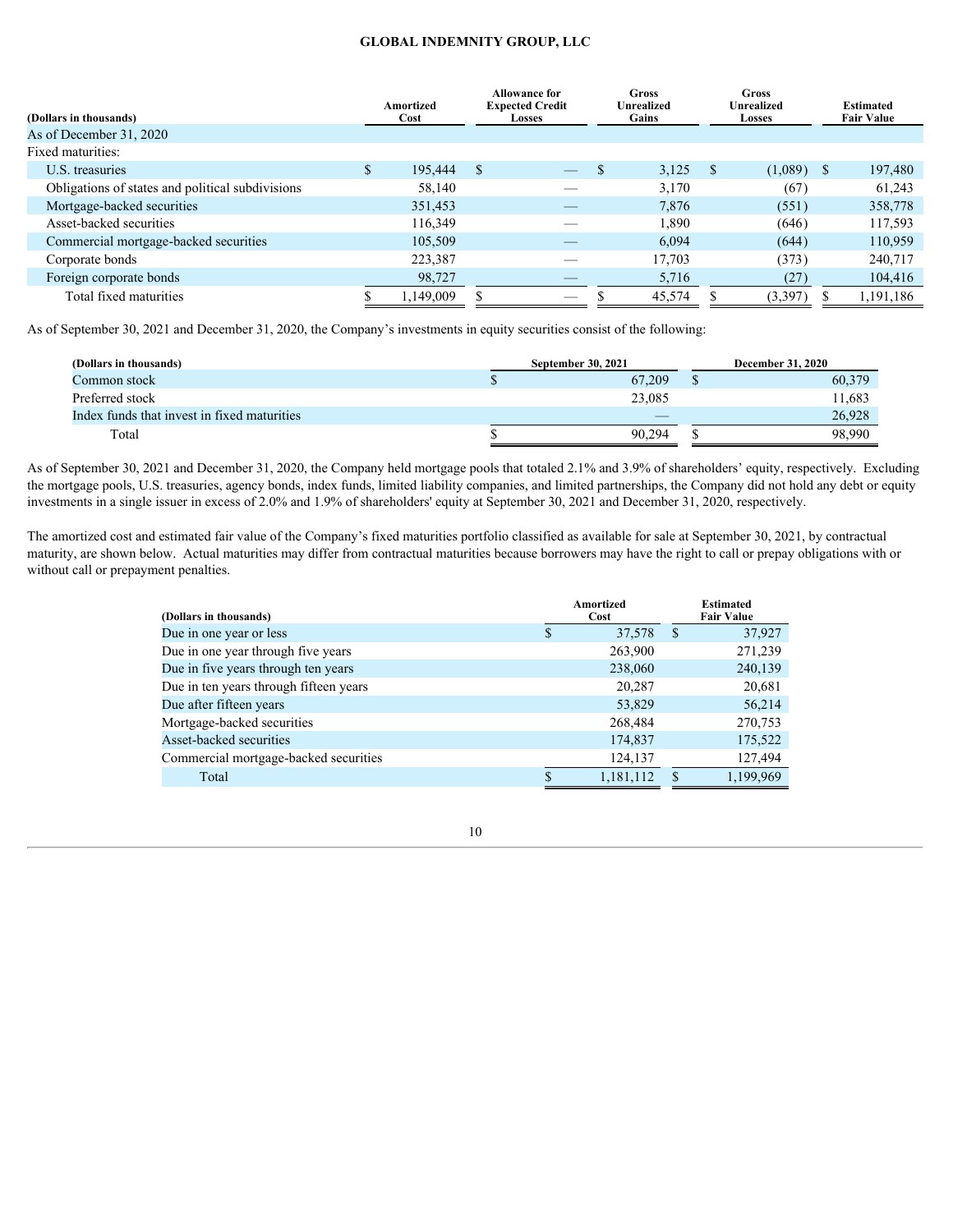| (Dollars in thousands)                           |  | Amortized<br>Cost |    | <b>Allowance for</b><br><b>Expected Credit</b><br><b>Losses</b> |      | <b>Gross</b><br><b>Unrealized</b><br>Gains | <b>Gross</b><br>Unrealized<br><b>Losses</b> |              |  | <b>Estimated</b><br><b>Fair Value</b> |  |
|--------------------------------------------------|--|-------------------|----|-----------------------------------------------------------------|------|--------------------------------------------|---------------------------------------------|--------------|--|---------------------------------------|--|
| As of December 31, 2020                          |  |                   |    |                                                                 |      |                                            |                                             |              |  |                                       |  |
| Fixed maturities:                                |  |                   |    |                                                                 |      |                                            |                                             |              |  |                                       |  |
| U.S. treasuries                                  |  | 195,444           | ΠЪ | $\hspace{0.05cm}$                                               | - 35 | 3,125                                      | - S                                         | $(1,089)$ \$ |  | 197,480                               |  |
| Obligations of states and political subdivisions |  | 58,140            |    |                                                                 |      | 3,170                                      |                                             | (67)         |  | 61,243                                |  |
| Mortgage-backed securities                       |  | 351,453           |    |                                                                 |      | 7,876                                      |                                             | (551)        |  | 358,778                               |  |
| Asset-backed securities                          |  | 116,349           |    | $\hspace{0.1mm}-\hspace{0.1mm}$                                 |      | 1,890                                      |                                             | (646)        |  | 117,593                               |  |
| Commercial mortgage-backed securities            |  | 105,509           |    | $\hspace{0.1mm}-\hspace{0.1mm}$                                 |      | 6,094                                      |                                             | (644)        |  | 110,959                               |  |
| Corporate bonds                                  |  | 223,387           |    |                                                                 |      | 17,703                                     |                                             | (373)        |  | 240,717                               |  |
| Foreign corporate bonds                          |  | 98,727            |    |                                                                 |      | 5,716                                      |                                             | (27)         |  | 104,416                               |  |
| Total fixed maturities                           |  | .149,009          |    | $\hspace{0.1mm}-\hspace{0.1mm}$                                 |      | 45,574                                     |                                             | (3,397)      |  | 1,191,186                             |  |

As of September 30, 2021 and December 31, 2020, the Company's investments in equity securities consist of the following:

| (Dollars in thousands)                      | September 30, 2021            | <b>December 31, 2020</b> |        |  |  |  |
|---------------------------------------------|-------------------------------|--------------------------|--------|--|--|--|
| Common stock                                | 67,209                        |                          | 60,379 |  |  |  |
| Preferred stock                             | 23,085                        |                          | 1,683  |  |  |  |
| Index funds that invest in fixed maturities | $\overbrace{\phantom{aaaaa}}$ |                          | 26,928 |  |  |  |
| Total                                       | 90,294                        |                          | 98,990 |  |  |  |

As of September 30, 2021 and December 31, 2020, the Company held mortgage pools that totaled 2.1% and 3.9% of shareholders' equity, respectively. Excluding the mortgage pools, U.S. treasuries, agency bonds, index funds, limited liability companies, and limited partnerships, the Company did not hold any debt or equity investments in a single issuer in excess of 2.0% and 1.9% of shareholders' equity at September 30, 2021 and December 31, 2020, respectively.

The amortized cost and estimated fair value of the Company's fixed maturities portfolio classified as available for sale at September 30, 2021, by contractual maturity, are shown below. Actual maturities may differ from contractual maturities because borrowers may have the right to call or prepay obligations with or without call or prepayment penalties.

| (Dollars in thousands)                 | Amortized<br>Cost | <b>Estimated</b><br><b>Fair Value</b> |
|----------------------------------------|-------------------|---------------------------------------|
| Due in one year or less                | 37,578            | 37,927                                |
| Due in one year through five years     | 263,900           | 271,239                               |
| Due in five years through ten years    | 238,060           | 240,139                               |
| Due in ten years through fifteen years | 20,287            | 20,681                                |
| Due after fifteen years                | 53,829            | 56,214                                |
| Mortgage-backed securities             | 268,484           | 270,753                               |
| Asset-backed securities                | 174,837           | 175,522                               |
| Commercial mortgage-backed securities  | 124,137           | 127,494                               |
| Total                                  | 1,181,112         | 1,199,969                             |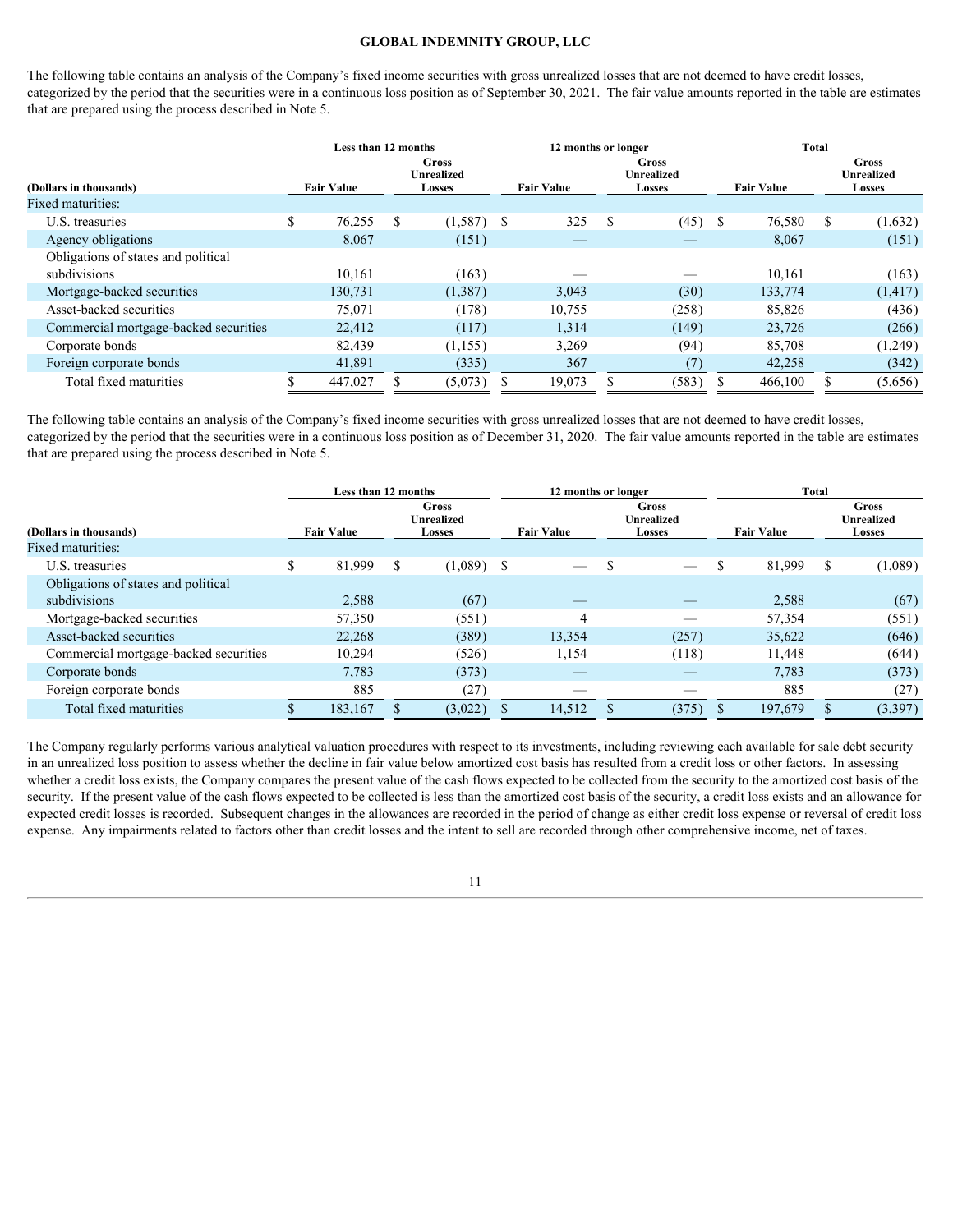The following table contains an analysis of the Company's fixed income securities with gross unrealized losses that are not deemed to have credit losses, categorized by the period that the securities were in a continuous loss position as of September 30, 2021. The fair value amounts reported in the table are estimates that are prepared using the process described in Note 5.

|                                       |  | Less than 12 months |    |                                             |  | 12 months or longer |    |                                      |  | Total             |  |                                             |  |  |  |  |
|---------------------------------------|--|---------------------|----|---------------------------------------------|--|---------------------|----|--------------------------------------|--|-------------------|--|---------------------------------------------|--|--|--|--|
| (Dollars in thousands)                |  | <b>Fair Value</b>   |    | Gross<br><b>Unrealized</b><br><b>Losses</b> |  | <b>Fair Value</b>   |    | <b>Gross</b><br>Unrealized<br>Losses |  | <b>Fair Value</b> |  | Gross<br><b>Unrealized</b><br><b>Losses</b> |  |  |  |  |
| Fixed maturities:                     |  |                     |    |                                             |  |                     |    |                                      |  |                   |  |                                             |  |  |  |  |
| U.S. treasuries                       |  | 76,255              | D. | $(1,587)$ \$                                |  | 325                 | -S | $(45)$ \$                            |  | 76,580            |  | (1,632)                                     |  |  |  |  |
| Agency obligations                    |  | 8,067               |    | (151)                                       |  |                     |    |                                      |  | 8,067             |  | (151)                                       |  |  |  |  |
| Obligations of states and political   |  |                     |    |                                             |  |                     |    |                                      |  |                   |  |                                             |  |  |  |  |
| subdivisions                          |  | 10,161              |    | (163)                                       |  |                     |    |                                      |  | 10,161            |  | (163)                                       |  |  |  |  |
| Mortgage-backed securities            |  | 130,731             |    | (1,387)                                     |  | 3,043               |    | (30)                                 |  | 133,774           |  | (1, 417)                                    |  |  |  |  |
| Asset-backed securities               |  | 75,071              |    | (178)                                       |  | 10,755              |    | (258)                                |  | 85,826            |  | (436)                                       |  |  |  |  |
| Commercial mortgage-backed securities |  | 22,412              |    | (117)                                       |  | 1,314               |    | (149)                                |  | 23,726            |  | (266)                                       |  |  |  |  |
| Corporate bonds                       |  | 82,439              |    | (1,155)                                     |  | 3,269               |    | (94)                                 |  | 85,708            |  | (1,249)                                     |  |  |  |  |
| Foreign corporate bonds               |  | 41,891              |    | (335)                                       |  | 367                 |    | (7)                                  |  | 42,258            |  | (342)                                       |  |  |  |  |
| Total fixed maturities                |  | 447,027             |    | (5,073)                                     |  | 19,073              |    | (583)                                |  | 466,100           |  | (5,656)                                     |  |  |  |  |
|                                       |  |                     |    |                                             |  |                     |    |                                      |  |                   |  |                                             |  |  |  |  |

The following table contains an analysis of the Company's fixed income securities with gross unrealized losses that are not deemed to have credit losses, categorized by the period that the securities were in a continuous loss position as of December 31, 2020. The fair value amounts reported in the table are estimates that are prepared using the process described in Note 5.

|                                       | Less than 12 months |   |                                      | 12 months or longer |                                |                                      |                                                                                                                                                                                                                                                                                                                                                                                       | Total             |         |  |                                                    |  |
|---------------------------------------|---------------------|---|--------------------------------------|---------------------|--------------------------------|--------------------------------------|---------------------------------------------------------------------------------------------------------------------------------------------------------------------------------------------------------------------------------------------------------------------------------------------------------------------------------------------------------------------------------------|-------------------|---------|--|----------------------------------------------------|--|
| (Dollars in thousands)                | <b>Fair Value</b>   |   | Gross<br>Unrealized<br><b>Losses</b> | <b>Fair Value</b>   |                                | <b>Gross</b><br>Unrealized<br>Losses |                                                                                                                                                                                                                                                                                                                                                                                       | <b>Fair Value</b> |         |  | <b>Gross</b><br><b>Unrealized</b><br><b>Losses</b> |  |
| Fixed maturities:                     |                     |   |                                      |                     |                                |                                      |                                                                                                                                                                                                                                                                                                                                                                                       |                   |         |  |                                                    |  |
| U.S. treasuries                       | 81,999              | ъ | $(1,089)$ \$                         |                     | $\overline{\phantom{a}}$       |                                      | $\overline{\phantom{0}}$                                                                                                                                                                                                                                                                                                                                                              |                   | 81,999  |  | (1,089)                                            |  |
| Obligations of states and political   |                     |   |                                      |                     |                                |                                      |                                                                                                                                                                                                                                                                                                                                                                                       |                   |         |  |                                                    |  |
| subdivisions                          | 2,588               |   | (67)                                 |                     | $\overbrace{\hspace{25mm}}^{}$ |                                      | $\hspace{1.0cm} \overline{\hspace{1.0cm} \hspace{1.0cm} \hspace{1.0cm} \hspace{1.0cm} } \hspace{1.0cm} \hspace{1.0cm} \hspace{1.0cm} \hspace{1.0cm} \hspace{1.0cm} \hspace{1.0cm} \hspace{1.0cm} \hspace{1.0cm} \hspace{1.0cm} \hspace{1.0cm} \hspace{1.0cm} \hspace{1.0cm} \hspace{1.0cm} \hspace{1.0cm} \hspace{1.0cm} \hspace{1.0cm} \hspace{1.0cm} \hspace{1.0cm} \hspace{1.0cm}$ |                   | 2,588   |  | (67)                                               |  |
| Mortgage-backed securities            | 57,350              |   | (551)                                |                     |                                |                                      |                                                                                                                                                                                                                                                                                                                                                                                       |                   | 57,354  |  | (551)                                              |  |
| Asset-backed securities               | 22,268              |   | (389)                                |                     | 13,354                         |                                      | (257)                                                                                                                                                                                                                                                                                                                                                                                 |                   | 35,622  |  | (646)                                              |  |
| Commercial mortgage-backed securities | 10,294              |   | (526)                                |                     | 1,154                          |                                      | (118)                                                                                                                                                                                                                                                                                                                                                                                 |                   | 11,448  |  | (644)                                              |  |
| Corporate bonds                       | 7,783               |   | (373)                                |                     | $\overbrace{\hspace{25mm}}^{}$ |                                      |                                                                                                                                                                                                                                                                                                                                                                                       |                   | 7,783   |  | (373)                                              |  |
| Foreign corporate bonds               | 885                 |   | (27)                                 |                     | $\overline{\phantom{a}}$       |                                      |                                                                                                                                                                                                                                                                                                                                                                                       |                   | 885     |  | (27)                                               |  |
| Total fixed maturities                | 183,167             |   | (3,022)                              |                     | 14,512                         |                                      | (375)                                                                                                                                                                                                                                                                                                                                                                                 |                   | 197,679 |  | (3, 397)                                           |  |

The Company regularly performs various analytical valuation procedures with respect to its investments, including reviewing each available for sale debt security in an unrealized loss position to assess whether the decline in fair value below amortized cost basis has resulted from a credit loss or other factors. In assessing whether a credit loss exists, the Company compares the present value of the cash flows expected to be collected from the security to the amortized cost basis of the security. If the present value of the cash flows expected to be collected is less than the amortized cost basis of the security, a credit loss exists and an allowance for expected credit losses is recorded. Subsequent changes in the allowances are recorded in the period of change as either credit loss expense or reversal of credit loss expense. Any impairments related to factors other than credit losses and the intent to sell are recorded through other comprehensive income, net of taxes.

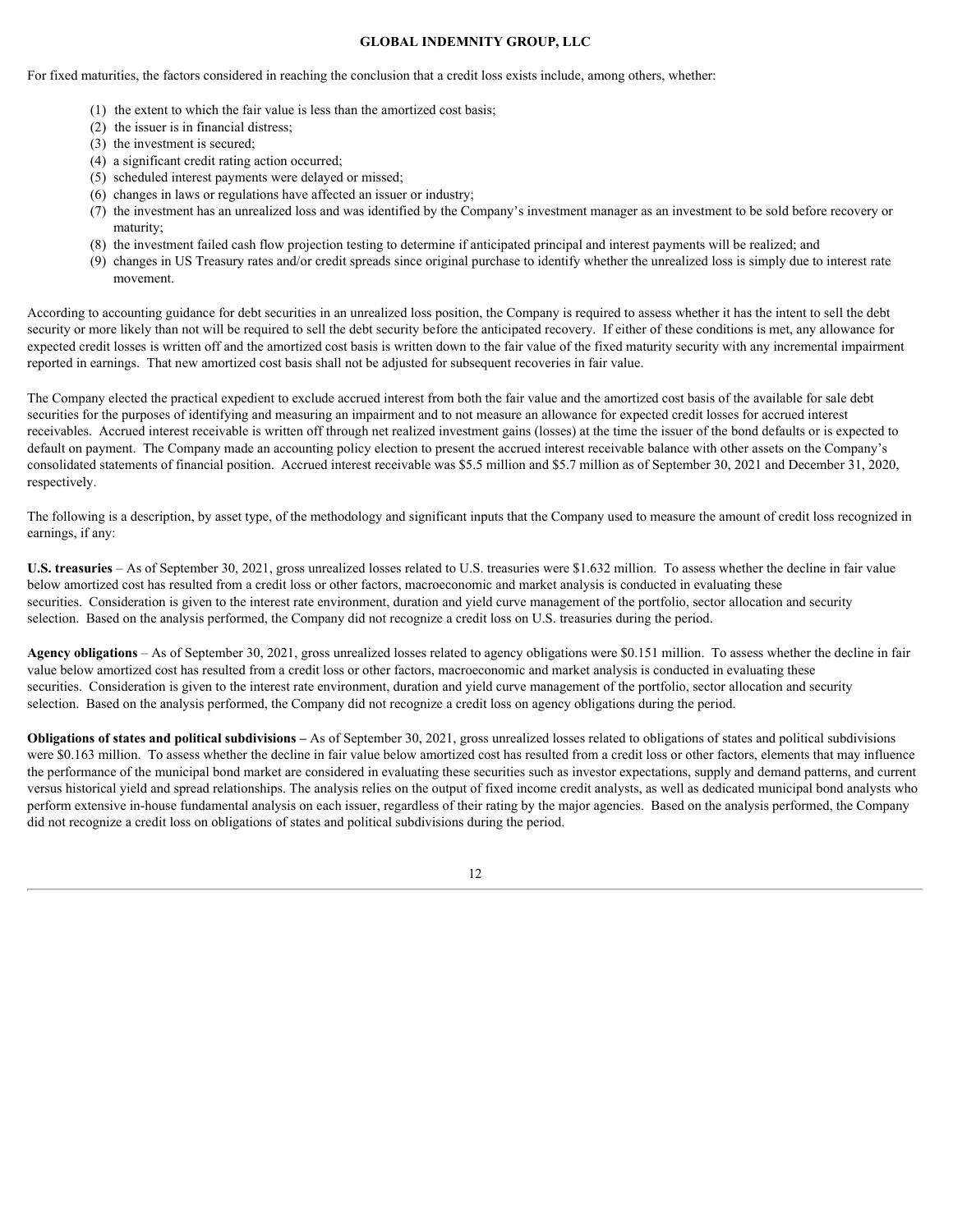For fixed maturities, the factors considered in reaching the conclusion that a credit loss exists include, among others, whether:

- (1) the extent to which the fair value is less than the amortized cost basis;
- (2) the issuer is in financial distress;
- (3) the investment is secured;
- (4) a significant credit rating action occurred;
- (5) scheduled interest payments were delayed or missed;
- (6) changes in laws or regulations have affected an issuer or industry;
- (7) the investment has an unrealized loss and was identified by the Company's investment manager as an investment to be sold before recovery or maturity;
- (8) the investment failed cash flow projection testing to determine if anticipated principal and interest payments will be realized; and
- (9) changes in US Treasury rates and/or credit spreads since original purchase to identify whether the unrealized loss is simply due to interest rate movement.

According to accounting guidance for debt securities in an unrealized loss position, the Company is required to assess whether it has the intent to sell the debt security or more likely than not will be required to sell the debt security before the anticipated recovery. If either of these conditions is met, any allowance for expected credit losses is written off and the amortized cost basis is written down to the fair value of the fixed maturity security with any incremental impairment reported in earnings. That new amortized cost basis shall not be adjusted for subsequent recoveries in fair value.

The Company elected the practical expedient to exclude accrued interest from both the fair value and the amortized cost basis of the available for sale debt securities for the purposes of identifying and measuring an impairment and to not measure an allowance for expected credit losses for accrued interest receivables. Accrued interest receivable is written off through net realized investment gains (losses) at the time the issuer of the bond defaults or is expected to default on payment. The Company made an accounting policy election to present the accrued interest receivable balance with other assets on the Company's consolidated statements of financial position. Accrued interest receivable was \$5.5 million and \$5.7 million as of September 30, 2021 and December 31, 2020, respectively.

The following is a description, by asset type, of the methodology and significant inputs that the Company used to measure the amount of credit loss recognized in earnings, if any:

**U.S. treasuries** – As of September 30, 2021, gross unrealized losses related to U.S. treasuries were \$1.632 million. To assess whether the decline in fair value below amortized cost has resulted from a credit loss or other factors, macroeconomic and market analysis is conducted in evaluating these securities. Consideration is given to the interest rate environment, duration and yield curve management of the portfolio, sector allocation and security selection. Based on the analysis performed, the Company did not recognize a credit loss on U.S. treasuries during the period.

**Agency obligations** – As of September 30, 2021, gross unrealized losses related to agency obligations were \$0.151 million. To assess whether the decline in fair value below amortized cost has resulted from a credit loss or other factors, macroeconomic and market analysis is conducted in evaluating these securities. Consideration is given to the interest rate environment, duration and yield curve management of the portfolio, sector allocation and security selection. Based on the analysis performed, the Company did not recognize a credit loss on agency obligations during the period.

**Obligations of states and political subdivisions –** As of September 30, 2021, gross unrealized losses related to obligations of states and political subdivisions were \$0.163 million. To assess whether the decline in fair value below amortized cost has resulted from a credit loss or other factors, elements that may influence the performance of the municipal bond market are considered in evaluating these securities such as investor expectations, supply and demand patterns, and current versus historical yield and spread relationships. The analysis relies on the output of fixed income credit analysts, as well as dedicated municipal bond analysts who perform extensive in-house fundamental analysis on each issuer, regardless of their rating by the major agencies. Based on the analysis performed, the Company did not recognize a credit loss on obligations of states and political subdivisions during the period.

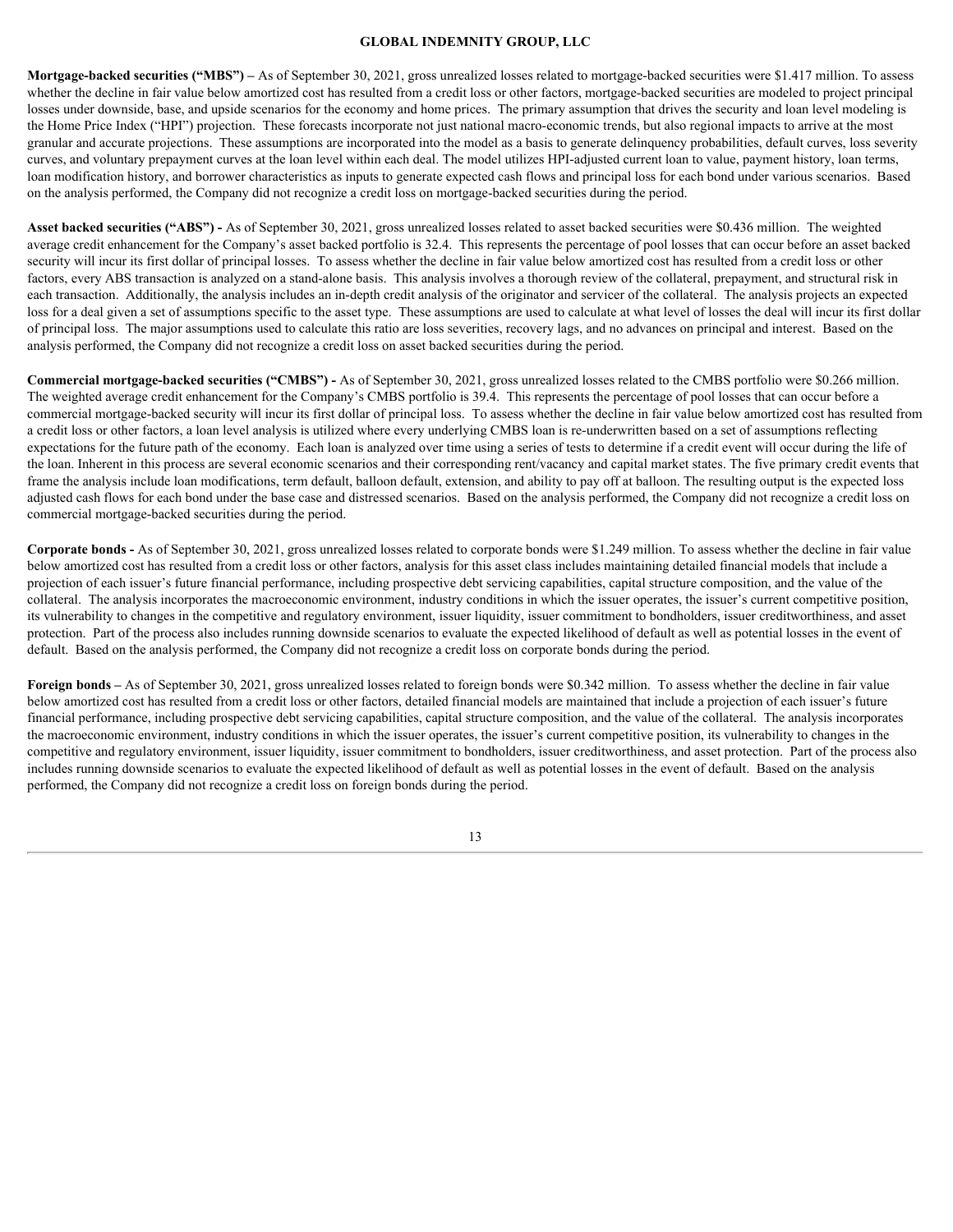**Mortgage-backed securities ("MBS") –** As of September 30, 2021, gross unrealized losses related to mortgage-backed securities were \$1.417 million. To assess whether the decline in fair value below amortized cost has resulted from a credit loss or other factors, mortgage-backed securities are modeled to project principal losses under downside, base, and upside scenarios for the economy and home prices. The primary assumption that drives the security and loan level modeling is the Home Price Index ("HPI") projection. These forecasts incorporate not just national macro-economic trends, but also regional impacts to arrive at the most granular and accurate projections. These assumptions are incorporated into the model as a basis to generate delinquency probabilities, default curves, loss severity curves, and voluntary prepayment curves at the loan level within each deal. The model utilizes HPI-adjusted current loan to value, payment history, loan terms, loan modification history, and borrower characteristics as inputs to generate expected cash flows and principal loss for each bond under various scenarios. Based on the analysis performed, the Company did not recognize a credit loss on mortgage-backed securities during the period.

**Asset backed securities ("ABS") -** As of September 30, 2021, gross unrealized losses related to asset backed securities were \$0.436 million. The weighted average credit enhancement for the Company's asset backed portfolio is 32.4. This represents the percentage of pool losses that can occur before an asset backed security will incur its first dollar of principal losses. To assess whether the decline in fair value below amortized cost has resulted from a credit loss or other factors, every ABS transaction is analyzed on a stand-alone basis. This analysis involves a thorough review of the collateral, prepayment, and structural risk in each transaction. Additionally, the analysis includes an in-depth credit analysis of the originator and servicer of the collateral. The analysis projects an expected loss for a deal given a set of assumptions specific to the asset type. These assumptions are used to calculate at what level of losses the deal will incur its first dollar of principal loss. The major assumptions used to calculate this ratio are loss severities, recovery lags, and no advances on principal and interest. Based on the analysis performed, the Company did not recognize a credit loss on asset backed securities during the period.

**Commercial mortgage-backed securities ("CMBS") -** As of September 30, 2021, gross unrealized losses related to the CMBS portfolio were \$0.266 million. The weighted average credit enhancement for the Company's CMBS portfolio is 39.4. This represents the percentage of pool losses that can occur before a commercial mortgage-backed security will incur its first dollar of principal loss. To assess whether the decline in fair value below amortized cost has resulted from a credit loss or other factors, a loan level analysis is utilized where every underlying CMBS loan is re-underwritten based on a set of assumptions reflecting expectations for the future path of the economy. Each loan is analyzed over time using a series of tests to determine if a credit event will occur during the life of the loan. Inherent in this process are several economic scenarios and their corresponding rent/vacancy and capital market states. The five primary credit events that frame the analysis include loan modifications, term default, balloon default, extension, and ability to pay off at balloon. The resulting output is the expected loss adjusted cash flows for each bond under the base case and distressed scenarios. Based on the analysis performed, the Company did not recognize a credit loss on commercial mortgage-backed securities during the period.

**Corporate bonds -** As of September 30, 2021, gross unrealized losses related to corporate bonds were \$1.249 million. To assess whether the decline in fair value below amortized cost has resulted from a credit loss or other factors, analysis for this asset class includes maintaining detailed financial models that include a projection of each issuer's future financial performance, including prospective debt servicing capabilities, capital structure composition, and the value of the collateral. The analysis incorporates the macroeconomic environment, industry conditions in which the issuer operates, the issuer's current competitive position, its vulnerability to changes in the competitive and regulatory environment, issuer liquidity, issuer commitment to bondholders, issuer creditworthiness, and asset protection. Part of the process also includes running downside scenarios to evaluate the expected likelihood of default as well as potential losses in the event of default. Based on the analysis performed, the Company did not recognize a credit loss on corporate bonds during the period.

**Foreign bonds –** As of September 30, 2021, gross unrealized losses related to foreign bonds were \$0.342 million. To assess whether the decline in fair value below amortized cost has resulted from a credit loss or other factors, detailed financial models are maintained that include a projection of each issuer's future financial performance, including prospective debt servicing capabilities, capital structure composition, and the value of the collateral. The analysis incorporates the macroeconomic environment, industry conditions in which the issuer operates, the issuer's current competitive position, its vulnerability to changes in the competitive and regulatory environment, issuer liquidity, issuer commitment to bondholders, issuer creditworthiness, and asset protection. Part of the process also includes running downside scenarios to evaluate the expected likelihood of default as well as potential losses in the event of default. Based on the analysis performed, the Company did not recognize a credit loss on foreign bonds during the period.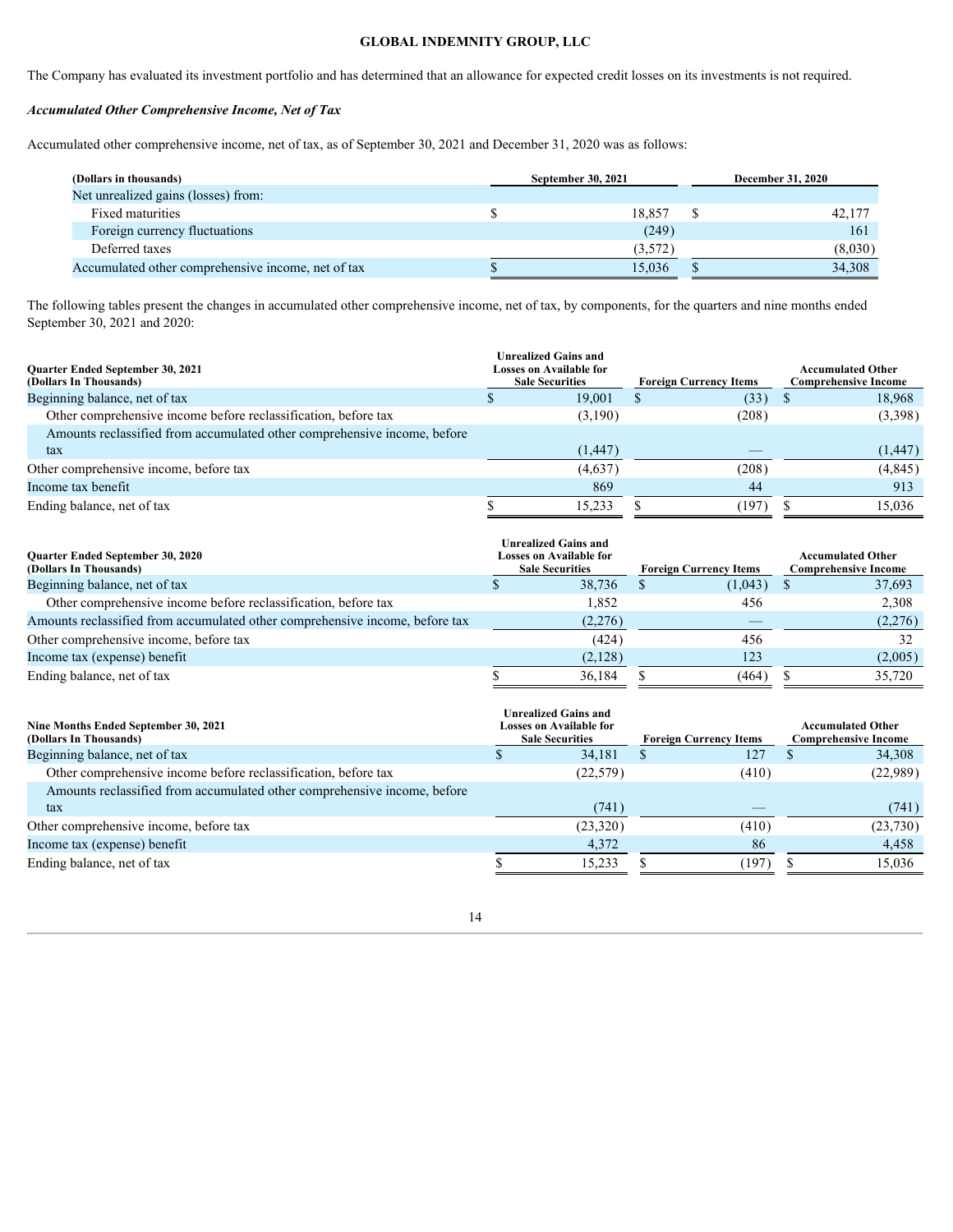The Company has evaluated its investment portfolio and has determined that an allowance for expected credit losses on its investments is not required.

## *Accumulated Other Comprehensive Income, Net of Tax*

Accumulated other comprehensive income, net of tax, as of September 30, 2021 and December 31, 2020 was as follows:

| (Dollars in thousands)                             | <b>September 30, 2021</b> | <b>December 31, 2020</b> |
|----------------------------------------------------|---------------------------|--------------------------|
| Net unrealized gains (losses) from:                |                           |                          |
| Fixed maturities                                   | 18,857                    | 42,177                   |
| Foreign currency fluctuations                      | (249)                     | 161                      |
| Deferred taxes                                     | (3.572)                   | (8,030)                  |
| Accumulated other comprehensive income, net of tax | 15,036                    | 34,308                   |

The following tables present the changes in accumulated other comprehensive income, net of tax, by components, for the quarters and nine months ended September 30, 2021 and 2020:

| Quarter Ended September 30, 2021<br>(Dollars In Thousands)               | <b>Unrealized Gains and</b><br><b>Losses on Available for</b><br><b>Sale Securities</b> |          | <b>Foreign Currency Items</b> |           | <b>Accumulated Other</b><br><b>Comprehensive Income</b> |         |  |  |
|--------------------------------------------------------------------------|-----------------------------------------------------------------------------------------|----------|-------------------------------|-----------|---------------------------------------------------------|---------|--|--|
| Beginning balance, net of tax                                            |                                                                                         | 19,001   |                               | $(33)$ \$ |                                                         | 18,968  |  |  |
| Other comprehensive income before reclassification, before tax           |                                                                                         | (3,190)  |                               | (208)     |                                                         | (3,398) |  |  |
| Amounts reclassified from accumulated other comprehensive income, before |                                                                                         |          |                               |           |                                                         |         |  |  |
| tax                                                                      |                                                                                         | (1, 447) |                               |           |                                                         | (1,447) |  |  |
| Other comprehensive income, before tax                                   |                                                                                         | (4,637)  |                               | (208)     |                                                         | (4,845) |  |  |
| Income tax benefit                                                       |                                                                                         | 869      |                               |           |                                                         | 913     |  |  |
| Ending balance, net of tax                                               |                                                                                         | 15,233   |                               | (197)     |                                                         | 15,036  |  |  |

| <b>Ouarter Ended September 30, 2020</b><br>(Dollars In Thousands)            | <b>Unrealized Gains and</b><br><b>Losses on Available for</b><br><b>Sale Securities</b> |           | <b>Foreign Currency Items</b> | <b>Accumulated Other</b><br><b>Comprehensive Income</b> |         |
|------------------------------------------------------------------------------|-----------------------------------------------------------------------------------------|-----------|-------------------------------|---------------------------------------------------------|---------|
| Beginning balance, net of tax                                                |                                                                                         | 38,736 \$ | $(1,043)$ \$                  |                                                         | 37,693  |
| Other comprehensive income before reclassification, before tax               |                                                                                         | 1,852     | 456                           |                                                         | 2,308   |
| Amounts reclassified from accumulated other comprehensive income, before tax |                                                                                         | (2,276)   |                               |                                                         | (2,276) |
| Other comprehensive income, before tax                                       |                                                                                         | (424)     | 456                           |                                                         |         |
| Income tax (expense) benefit                                                 |                                                                                         | (2,128)   | 123                           |                                                         | (2,005) |
| Ending balance, net of tax                                                   |                                                                                         | 36,184    | (464)                         |                                                         | 35,720  |

| Nine Months Ended September 30, 2021<br>(Dollars In Thousands)           | <b>Unrealized Gains and</b><br><b>Losses on Available for</b><br><b>Sale Securities</b> |           | <b>Foreign Currency Items</b> |    | <b>Accumulated Other</b><br><b>Comprehensive Income</b> |
|--------------------------------------------------------------------------|-----------------------------------------------------------------------------------------|-----------|-------------------------------|----|---------------------------------------------------------|
| Beginning balance, net of tax                                            |                                                                                         | 34,181    | 127                           |    | 34,308                                                  |
| Other comprehensive income before reclassification, before tax           |                                                                                         | (22, 579) | (410)                         |    | (22,989)                                                |
| Amounts reclassified from accumulated other comprehensive income, before |                                                                                         |           |                               |    |                                                         |
| tax                                                                      |                                                                                         | (741)     |                               |    | (741)                                                   |
| Other comprehensive income, before tax                                   |                                                                                         | (23,320)  | (410)                         |    | (23,730)                                                |
| Income tax (expense) benefit                                             |                                                                                         | 4,372     |                               | 86 | 4,458                                                   |
| Ending balance, net of tax                                               |                                                                                         | 15,233    | (197)                         |    | 15,036                                                  |
|                                                                          |                                                                                         |           |                               |    |                                                         |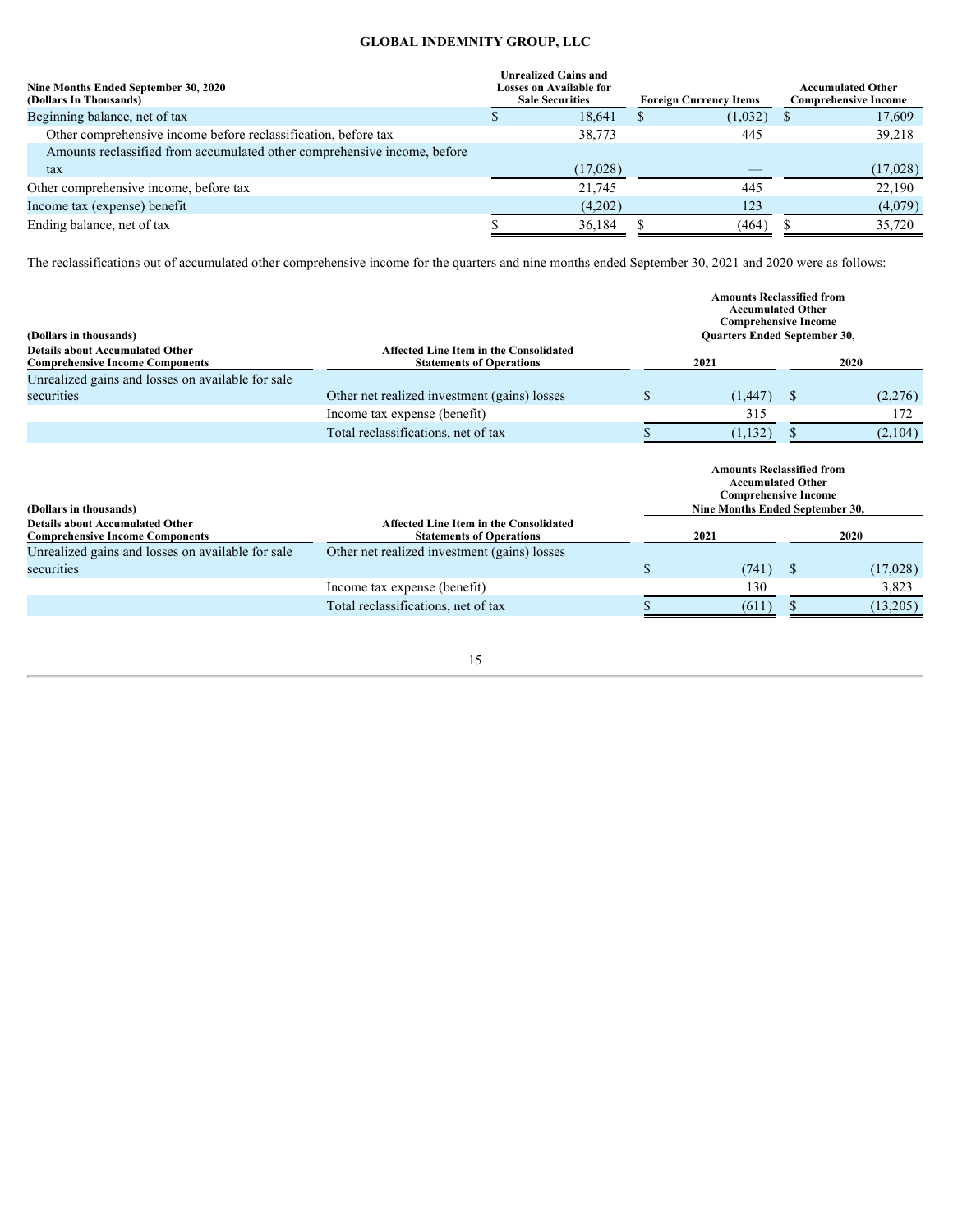| 17,609<br>$(1,032)$ \$<br>18,641<br>Other comprehensive income before reclassification, before tax<br>39,218<br>38,773<br>445<br>Amounts reclassified from accumulated other comprehensive income, before<br>(17,028)<br>(17,028)<br>tax<br>22,190<br>21,745<br>445<br>(4,079)<br>(4,202)<br>123<br>(464)<br>35,720<br>36,184 | Nine Months Ended September 30, 2020<br>(Dollars In Thousands) | <b>Unrealized Gains and</b><br><b>Losses on Available for</b><br><b>Sale Securities</b> | <b>Foreign Currency Items</b> | <b>Accumulated Other</b><br>Comprehensive Income |
|-------------------------------------------------------------------------------------------------------------------------------------------------------------------------------------------------------------------------------------------------------------------------------------------------------------------------------|----------------------------------------------------------------|-----------------------------------------------------------------------------------------|-------------------------------|--------------------------------------------------|
|                                                                                                                                                                                                                                                                                                                               | Beginning balance, net of tax                                  |                                                                                         |                               |                                                  |
|                                                                                                                                                                                                                                                                                                                               |                                                                |                                                                                         |                               |                                                  |
|                                                                                                                                                                                                                                                                                                                               |                                                                |                                                                                         |                               |                                                  |
|                                                                                                                                                                                                                                                                                                                               |                                                                |                                                                                         |                               |                                                  |
|                                                                                                                                                                                                                                                                                                                               | Other comprehensive income, before tax                         |                                                                                         |                               |                                                  |
|                                                                                                                                                                                                                                                                                                                               | Income tax (expense) benefit                                   |                                                                                         |                               |                                                  |
|                                                                                                                                                                                                                                                                                                                               | Ending balance, net of tax                                     |                                                                                         |                               |                                                  |

The reclassifications out of accumulated other comprehensive income for the quarters and nine months ended September 30, 2021 and 2020 were as follows:

| (Dollars in thousands)                                                           |                                               | <b>Amounts Reclassified from</b><br><b>Accumulated Other</b><br><b>Comprehensive Income</b><br>Quarters Ended September 30,    |      |         |  |  |  |  |  |  |  |
|----------------------------------------------------------------------------------|-----------------------------------------------|--------------------------------------------------------------------------------------------------------------------------------|------|---------|--|--|--|--|--|--|--|
| <b>Details about Accumulated Other</b><br><b>Comprehensive Income Components</b> | 2021                                          |                                                                                                                                | 2020 |         |  |  |  |  |  |  |  |
| Unrealized gains and losses on available for sale                                |                                               |                                                                                                                                |      |         |  |  |  |  |  |  |  |
| securities                                                                       | Other net realized investment (gains) losses  | $(1,447)$ \$                                                                                                                   |      | (2,276) |  |  |  |  |  |  |  |
|                                                                                  | Income tax expense (benefit)                  | 315                                                                                                                            |      | 172     |  |  |  |  |  |  |  |
|                                                                                  | Total reclassifications, net of tax           | (1, 132)                                                                                                                       |      | (2,104) |  |  |  |  |  |  |  |
| (Dollars in thousands)                                                           |                                               | <b>Amounts Reclassified from</b><br><b>Accumulated Other</b><br><b>Comprehensive Income</b><br>Nine Months Ended September 30, |      |         |  |  |  |  |  |  |  |
| <b>Details about Accumulated Other</b>                                           | <b>Affected Line Item in the Consolidated</b> |                                                                                                                                |      |         |  |  |  |  |  |  |  |
| <b>Comprehensive Income Components</b>                                           | <b>Statements of Operations</b>               | 2021                                                                                                                           |      | 2020    |  |  |  |  |  |  |  |

| Unrealized gains and losses on available for sale | Other net realized investment (gains) losses |       |          |
|---------------------------------------------------|----------------------------------------------|-------|----------|
| securities                                        |                                              | (741) | (17,028) |
|                                                   | Income tax expense (benefit)                 | 130   | 3,823    |
|                                                   | Total reclassifications, net of tax          | (611) | (13,205) |
|                                                   |                                              |       |          |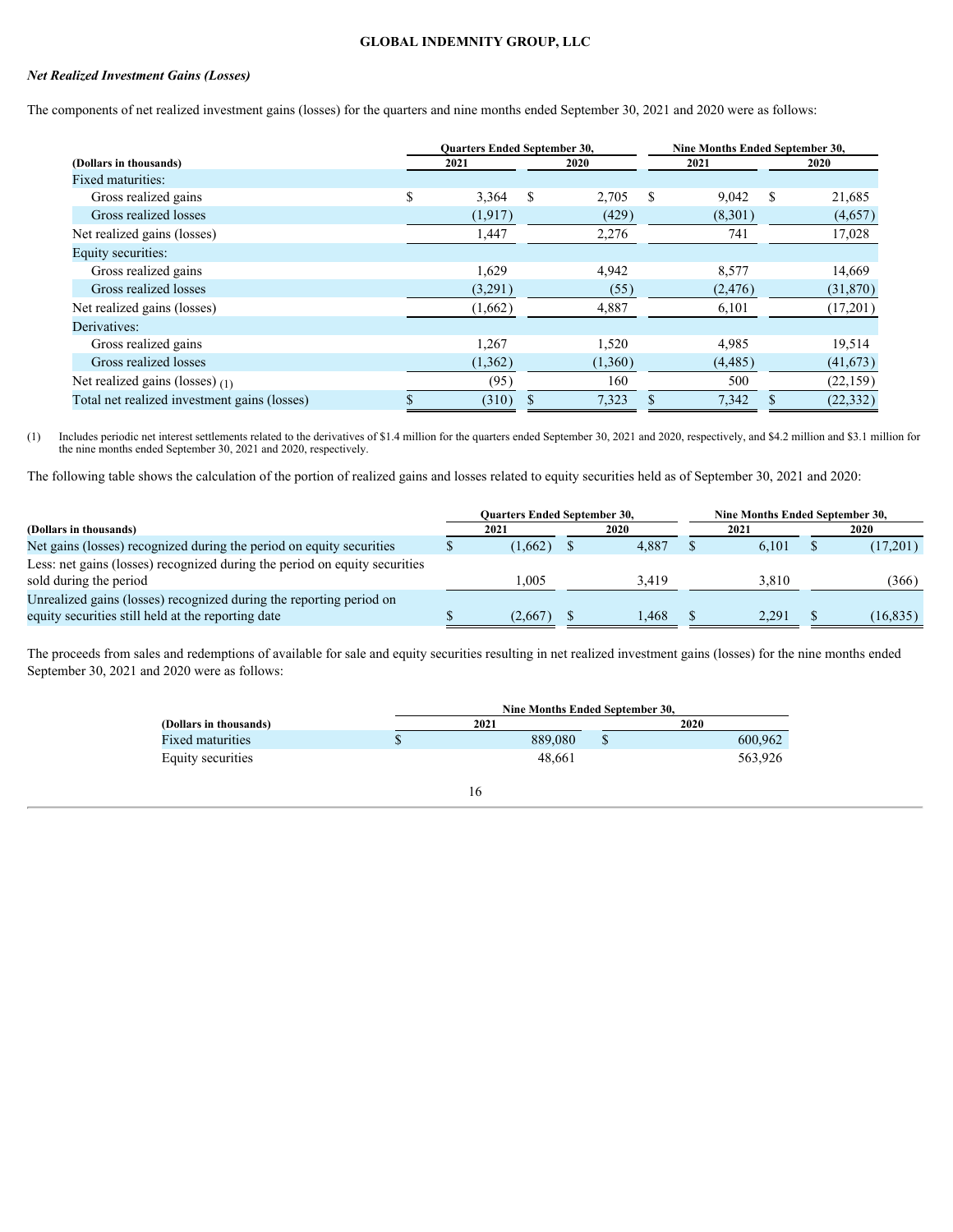## *Net Realized Investment Gains (Losses)*

The components of net realized investment gains (losses) for the quarters and nine months ended September 30, 2021 and 2020 were as follows:

|                                              | <b>Ouarters Ended September 30,</b> |   |             | Nine Months Ended September 30, |          |               |             |  |  |
|----------------------------------------------|-------------------------------------|---|-------------|---------------------------------|----------|---------------|-------------|--|--|
| (Dollars in thousands)                       | 2021                                |   | <b>2020</b> |                                 | 2021     |               | <b>2020</b> |  |  |
| Fixed maturities:                            |                                     |   |             |                                 |          |               |             |  |  |
| Gross realized gains                         | 3,364                               | S | 2,705       | <sup>\$</sup>                   | 9,042    | <sup>\$</sup> | 21,685      |  |  |
| Gross realized losses                        | (1, 917)                            |   | (429)       |                                 | (8,301)  |               | (4,657)     |  |  |
| Net realized gains (losses)                  | 1,447                               |   | 2,276       |                                 | 741      |               | 17,028      |  |  |
| Equity securities:                           |                                     |   |             |                                 |          |               |             |  |  |
| Gross realized gains                         | 1,629                               |   | 4,942       |                                 | 8,577    |               | 14,669      |  |  |
| Gross realized losses                        | (3,291)                             |   | (55)        |                                 | (2, 476) |               | (31,870)    |  |  |
| Net realized gains (losses)                  | (1,662)                             |   | 4,887       |                                 | 6,101    |               | (17,201)    |  |  |
| Derivatives:                                 |                                     |   |             |                                 |          |               |             |  |  |
| Gross realized gains                         | 1,267                               |   | 1,520       |                                 | 4,985    |               | 19,514      |  |  |
| Gross realized losses                        | (1, 362)                            |   | (1,360)     |                                 | (4, 485) |               | (41, 673)   |  |  |
| Net realized gains (losses) $(1)$            | (95)                                |   | 160         |                                 | 500      |               | (22, 159)   |  |  |
| Total net realized investment gains (losses) | (310)                               |   | 7,323       |                                 | 7,342    |               | (22, 332)   |  |  |

(1) Includes periodic net interest settlements related to the derivatives of \$1.4 million for the quarters ended September 30, 2021 and 2020, respectively, and \$4.2 million and \$3.1 million for the nine months ended September 30, 2021 and 2020, respectively.

The following table shows the calculation of the portion of realized gains and losses related to equity securities held as of September 30, 2021 and 2020:

|                                                                            | <b>Ouarters Ended September 30,</b> |       | Nine Months Ended September 30, |  |           |  |  |  |  |
|----------------------------------------------------------------------------|-------------------------------------|-------|---------------------------------|--|-----------|--|--|--|--|
| (Dollars in thousands)                                                     | 2021                                | 2020  | 2021                            |  | 2020      |  |  |  |  |
| Net gains (losses) recognized during the period on equity securities       | (1,662)                             | 4,887 | 6,101                           |  | (17,201)  |  |  |  |  |
| Less: net gains (losses) recognized during the period on equity securities |                                     |       |                                 |  |           |  |  |  |  |
| sold during the period                                                     | ,005                                | 3.419 | 3,810                           |  | (366)     |  |  |  |  |
| Unrealized gains (losses) recognized during the reporting period on        |                                     |       |                                 |  |           |  |  |  |  |
| equity securities still held at the reporting date                         | (2,667)                             | .468  | 2.291                           |  | (16, 835) |  |  |  |  |
|                                                                            |                                     |       |                                 |  |           |  |  |  |  |

The proceeds from sales and redemptions of available for sale and equity securities resulting in net realized investment gains (losses) for the nine months ended September 30, 2021 and 2020 were as follows:

|                         | Nine Months Ended September 30. |   |         |
|-------------------------|---------------------------------|---|---------|
| (Dollars in thousands)  | 2021                            |   | 2020    |
| <b>Fixed maturities</b> | 889,080                         | w | 600,962 |
| Equity securities       | 48,661                          |   | 563,926 |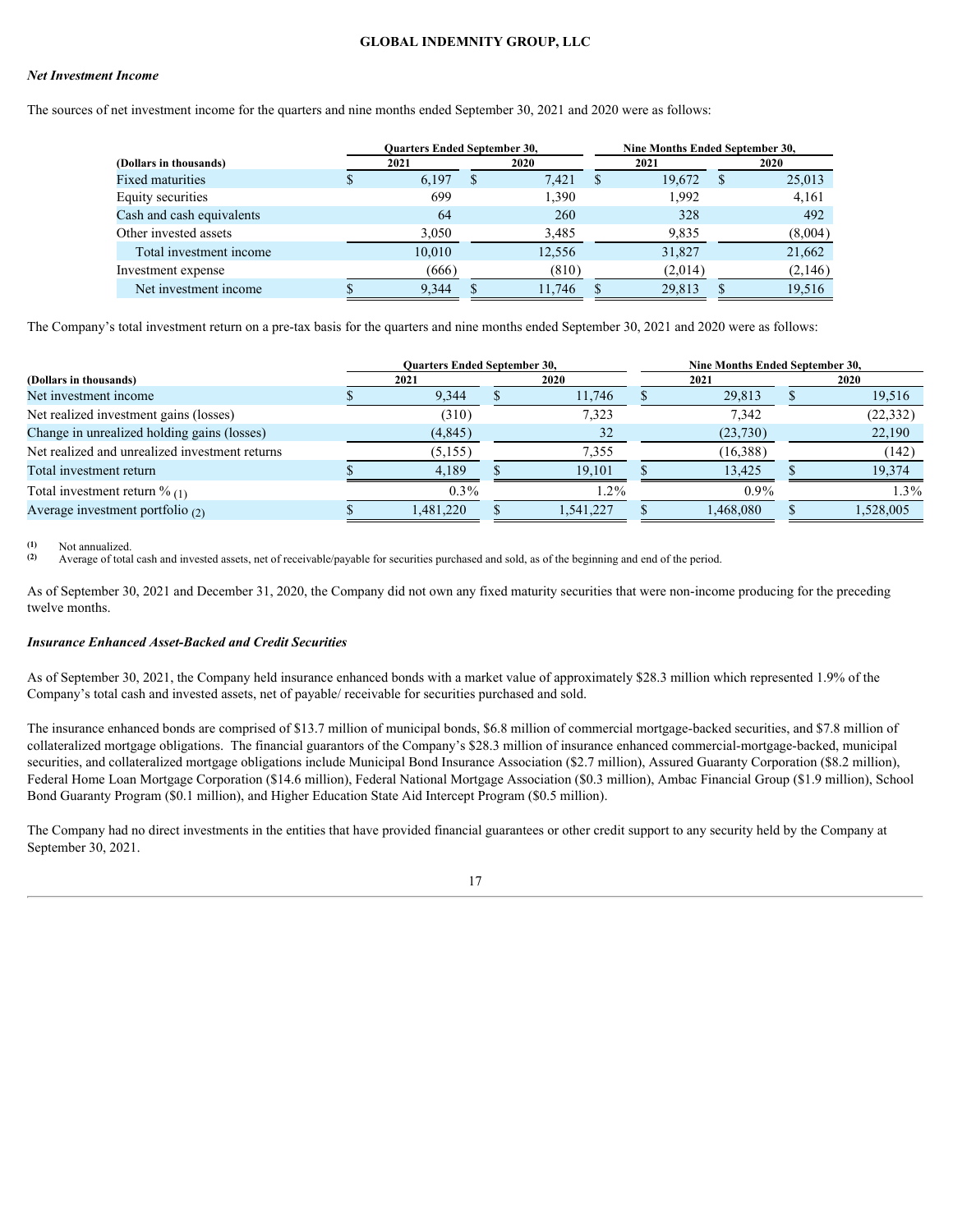#### *Net Investment Income*

The sources of net investment income for the quarters and nine months ended September 30, 2021 and 2020 were as follows:

|                           | <b>Ouarters Ended September 30,</b> |             |        | Nine Months Ended September 30, |  |         |  |  |  |  |  |
|---------------------------|-------------------------------------|-------------|--------|---------------------------------|--|---------|--|--|--|--|--|
| (Dollars in thousands)    | 2021                                | <b>2020</b> |        | 2021                            |  | 2020    |  |  |  |  |  |
| <b>Fixed maturities</b>   | 6,197                               |             | 7,421  | 19,672                          |  | 25,013  |  |  |  |  |  |
| Equity securities         | 699                                 |             | 1,390  | 1,992                           |  | 4,161   |  |  |  |  |  |
| Cash and cash equivalents | 64                                  |             | 260    | 328                             |  | 492     |  |  |  |  |  |
| Other invested assets     | 3.050                               |             | 3,485  | 9,835                           |  | (8,004) |  |  |  |  |  |
| Total investment income   | 10,010                              |             | 12,556 | 31,827                          |  | 21,662  |  |  |  |  |  |
| Investment expense        | (666)                               |             | (810)  | (2,014)                         |  | (2,146) |  |  |  |  |  |
| Net investment income     | 9,344                               |             | 11,746 | 29,813                          |  | 19,516  |  |  |  |  |  |

The Company's total investment return on a pre-tax basis for the quarters and nine months ended September 30, 2021 and 2020 were as follows:

|                                                | Quarters Ended September 30, |           | Nine Months Ended September 30, |           |
|------------------------------------------------|------------------------------|-----------|---------------------------------|-----------|
| (Dollars in thousands)                         | 2021                         | 2020      | 2021                            | 2020      |
| Net investment income                          | 9,344                        | 11,746    | 29,813                          | 19,516    |
| Net realized investment gains (losses)         | (310)                        | 7,323     | 7,342                           | (22, 332) |
| Change in unrealized holding gains (losses)    | (4, 845)                     |           | (23,730)                        | 22,190    |
| Net realized and unrealized investment returns | (5, 155)                     | 7,355     | (16,388)                        | (142)     |
| Total investment return                        | 4,189                        | 19,101    | 13,425                          | 19,374    |
| Total investment return $\%$ (1)               | $0.3\%$                      | 1.2%      | $0.9\%$                         | 1.3%      |
| Average investment portfolio $(2)$             | 1,481,220                    | 1,541,227 | 1,468,080                       | 1,528,005 |
|                                                |                              |           |                                 |           |

**(1)** Not annualized.

**(2)** Average of total cash and invested assets, net of receivable/payable for securities purchased and sold, as of the beginning and end of the period.

As of September 30, 2021 and December 31, 2020, the Company did not own any fixed maturity securities that were non-income producing for the preceding twelve months.

#### *Insurance Enhanced Asset-Backed and Credit Securities*

As of September 30, 2021, the Company held insurance enhanced bonds with a market value of approximately \$28.3 million which represented 1.9% of the Company's total cash and invested assets, net of payable/ receivable for securities purchased and sold.

The insurance enhanced bonds are comprised of \$13.7 million of municipal bonds, \$6.8 million of commercial mortgage-backed securities, and \$7.8 million of collateralized mortgage obligations. The financial guarantors of the Company's \$28.3 million of insurance enhanced commercial-mortgage-backed, municipal securities, and collateralized mortgage obligations include Municipal Bond Insurance Association (\$2.7 million), Assured Guaranty Corporation (\$8.2 million), Federal Home Loan Mortgage Corporation (\$14.6 million), Federal National Mortgage Association (\$0.3 million), Ambac Financial Group (\$1.9 million), School Bond Guaranty Program (\$0.1 million), and Higher Education State Aid Intercept Program (\$0.5 million).

The Company had no direct investments in the entities that have provided financial guarantees or other credit support to any security held by the Company at September 30, 2021.

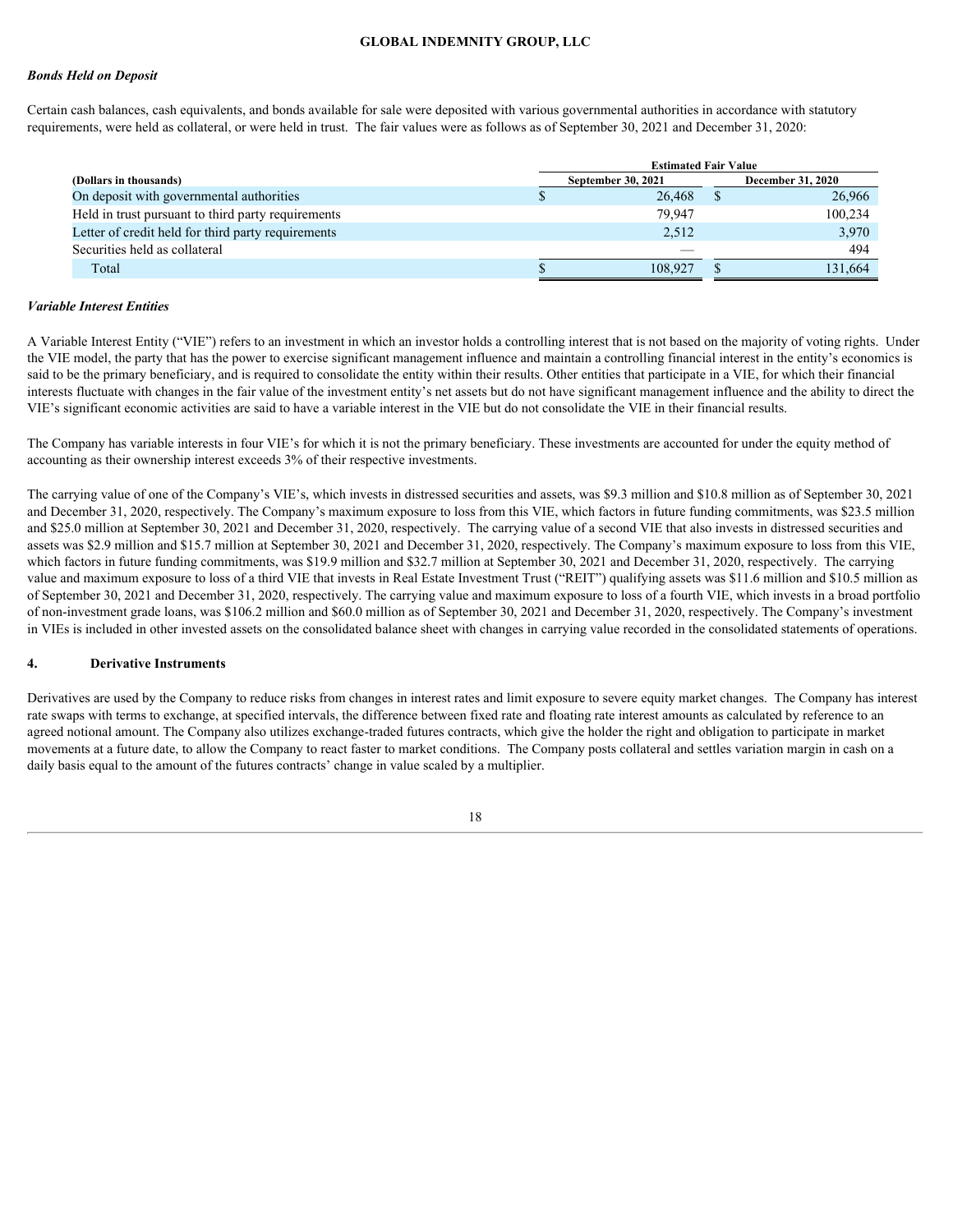## *Bonds Held on Deposit*

Certain cash balances, cash equivalents, and bonds available for sale were deposited with various governmental authorities in accordance with statutory requirements, were held as collateral, or were held in trust. The fair values were as follows as of September 30, 2021 and December 31, 2020:

|                                                    | <b>Estimated Fair Value</b> |                          |
|----------------------------------------------------|-----------------------------|--------------------------|
| (Dollars in thousands)                             | September 30, 2021          | <b>December 31, 2020</b> |
| On deposit with governmental authorities           | 26,468                      | 26,966                   |
| Held in trust pursuant to third party requirements | 79,947                      | 100,234                  |
| Letter of credit held for third party requirements | 2,512                       | 3,970                    |
| Securities held as collateral                      |                             | 494                      |
| Total                                              | 108,927                     | 131,664                  |

#### *Variable Interest Entities*

A Variable Interest Entity ("VIE") refers to an investment in which an investor holds a controlling interest that is not based on the majority of voting rights. Under the VIE model, the party that has the power to exercise significant management influence and maintain a controlling financial interest in the entity's economics is said to be the primary beneficiary, and is required to consolidate the entity within their results. Other entities that participate in a VIE, for which their financial interests fluctuate with changes in the fair value of the investment entity's net assets but do not have significant management influence and the ability to direct the VIE's significant economic activities are said to have a variable interest in the VIE but do not consolidate the VIE in their financial results.

The Company has variable interests in four VIE's for which it is not the primary beneficiary. These investments are accounted for under the equity method of accounting as their ownership interest exceeds 3% of their respective investments.

The carrying value of one of the Company's VIE's, which invests in distressed securities and assets, was \$9.3 million and \$10.8 million as of September 30, 2021 and December 31, 2020, respectively. The Company's maximum exposure to loss from this VIE, which factors in future funding commitments, was \$23.5 million and \$25.0 million at September 30, 2021 and December 31, 2020, respectively. The carrying value of a second VIE that also invests in distressed securities and assets was \$2.9 million and \$15.7 million at September 30, 2021 and December 31, 2020, respectively. The Company's maximum exposure to loss from this VIE, which factors in future funding commitments, was \$19.9 million and \$32.7 million at September 30, 2021 and December 31, 2020, respectively. The carrying value and maximum exposure to loss of a third VIE that invests in Real Estate Investment Trust ("REIT") qualifying assets was \$11.6 million and \$10.5 million as of September 30, 2021 and December 31, 2020, respectively. The carrying value and maximum exposure to loss of a fourth VIE, which invests in a broad portfolio of non-investment grade loans, was \$106.2 million and \$60.0 million as of September 30, 2021 and December 31, 2020, respectively. The Company's investment in VIEs is included in other invested assets on the consolidated balance sheet with changes in carrying value recorded in the consolidated statements of operations.

#### **4. Derivative Instruments**

Derivatives are used by the Company to reduce risks from changes in interest rates and limit exposure to severe equity market changes. The Company has interest rate swaps with terms to exchange, at specified intervals, the difference between fixed rate and floating rate interest amounts as calculated by reference to an agreed notional amount. The Company also utilizes exchange-traded futures contracts, which give the holder the right and obligation to participate in market movements at a future date, to allow the Company to react faster to market conditions. The Company posts collateral and settles variation margin in cash on a daily basis equal to the amount of the futures contracts' change in value scaled by a multiplier.

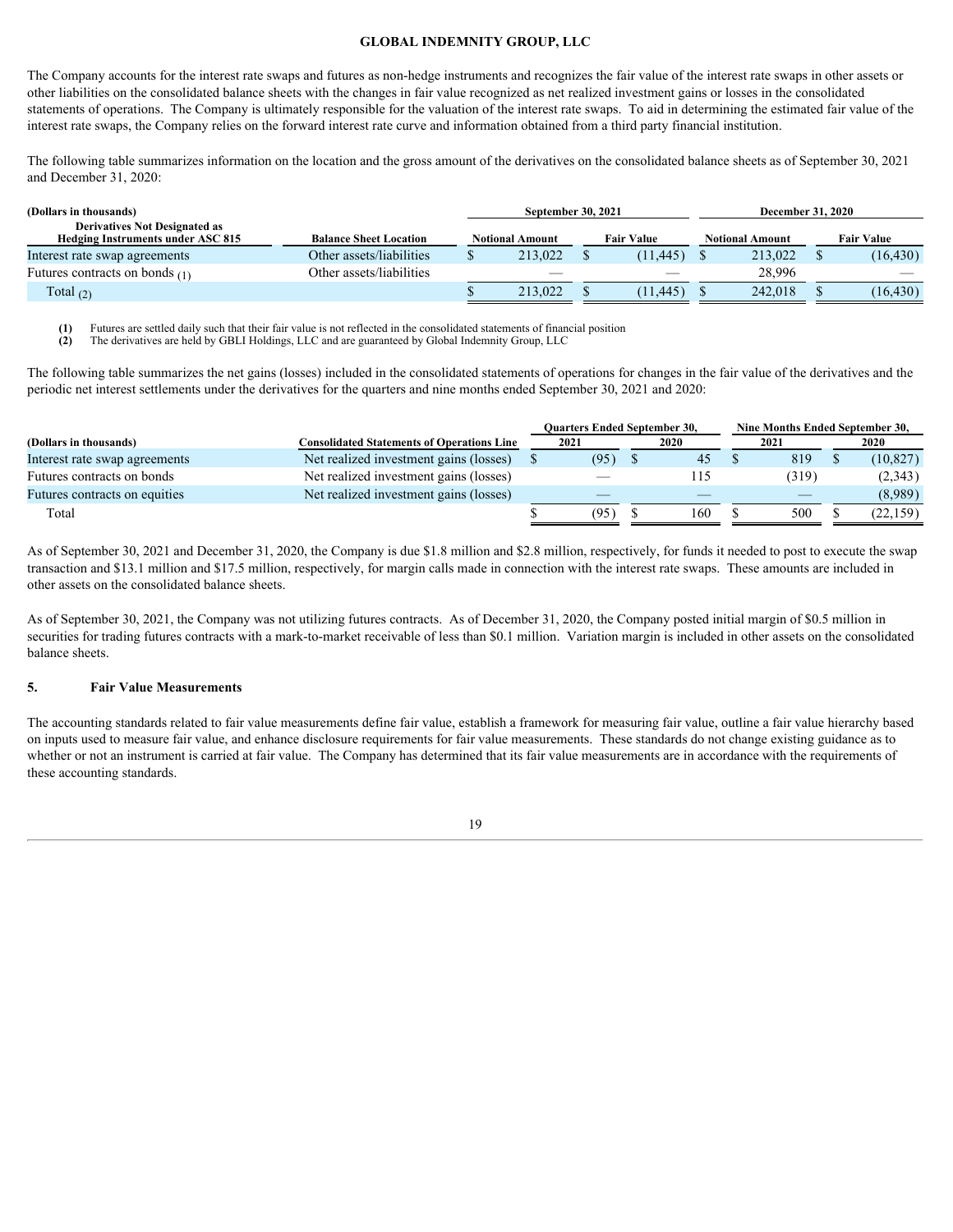The Company accounts for the interest rate swaps and futures as non-hedge instruments and recognizes the fair value of the interest rate swaps in other assets or other liabilities on the consolidated balance sheets with the changes in fair value recognized as net realized investment gains or losses in the consolidated statements of operations. The Company is ultimately responsible for the valuation of the interest rate swaps. To aid in determining the estimated fair value of the interest rate swaps, the Company relies on the forward interest rate curve and information obtained from a third party financial institution.

The following table summarizes information on the location and the gross amount of the derivatives on the consolidated balance sheets as of September 30, 2021 and December 31, 2020:

| (Dollars in thousands)<br><b>Derivatives Not Designated as</b> |                               | September 30, 2021             |                   | <b>December 31, 2020</b> |                                |
|----------------------------------------------------------------|-------------------------------|--------------------------------|-------------------|--------------------------|--------------------------------|
| <b>Hedging Instruments under ASC 815</b>                       | <b>Balance Sheet Location</b> | Notional Amount                | <b>Fair Value</b> | <b>Notional Amount</b>   | <b>Fair Value</b>              |
| Interest rate swap agreements                                  | Other assets/liabilities      | 213,022                        | (11, 445)         | 213,022                  | (16, 430)                      |
| Futures contracts on bonds $(1)$                               | Other assets/liabilities      | $\overbrace{\hspace{25mm}}^{}$ |                   | 28,996                   | $\overbrace{\hspace{25mm}}^{}$ |
| Total $(2)$                                                    |                               | 213,022                        | (11, 445)         | 242,018                  | (16, 430)                      |

**(1)** Futures are settled daily such that their fair value is not reflected in the consolidated statements of financial position

**(2)** The derivatives are held by GBLI Holdings, LLC and are guaranteed by Global Indemnity Group, LLC

The following table summarizes the net gains (losses) included in the consolidated statements of operations for changes in the fair value of the derivatives and the periodic net interest settlements under the derivatives for the quarters and nine months ended September 30, 2021 and 2020:

|                                                                                     |                          | <b>Ouarters Ended September 30,</b> | Nine Months Ended September 30, |           |
|-------------------------------------------------------------------------------------|--------------------------|-------------------------------------|---------------------------------|-----------|
| (Dollars in thousands)<br><b>Consolidated Statements of Operations Line</b><br>2021 |                          | 2020                                |                                 | 2020      |
| Net realized investment gains (losses)<br>Interest rate swap agreements             | (95)                     | 45                                  | 819                             | (10, 827) |
| Net realized investment gains (losses)<br>Futures contracts on bonds                |                          | 115                                 | (319)                           | (2,343)   |
| Futures contracts on equities<br>Net realized investment gains (losses)             | $\overline{\phantom{a}}$ |                                     | $\overbrace{\phantom{aaaaa}}$   | (8,989)   |
| Total                                                                               | (95)                     | 160                                 | 500                             | (22, 159) |

As of September 30, 2021 and December 31, 2020, the Company is due \$1.8 million and \$2.8 million, respectively, for funds it needed to post to execute the swap transaction and \$13.1 million and \$17.5 million, respectively, for margin calls made in connection with the interest rate swaps. These amounts are included in other assets on the consolidated balance sheets.

As of September 30, 2021, the Company was not utilizing futures contracts. As of December 31, 2020, the Company posted initial margin of \$0.5 million in securities for trading futures contracts with a mark-to-market receivable of less than \$0.1 million. Variation margin is included in other assets on the consolidated balance sheets.

### **5. Fair Value Measurements**

The accounting standards related to fair value measurements define fair value, establish a framework for measuring fair value, outline a fair value hierarchy based on inputs used to measure fair value, and enhance disclosure requirements for fair value measurements. These standards do not change existing guidance as to whether or not an instrument is carried at fair value. The Company has determined that its fair value measurements are in accordance with the requirements of these accounting standards.

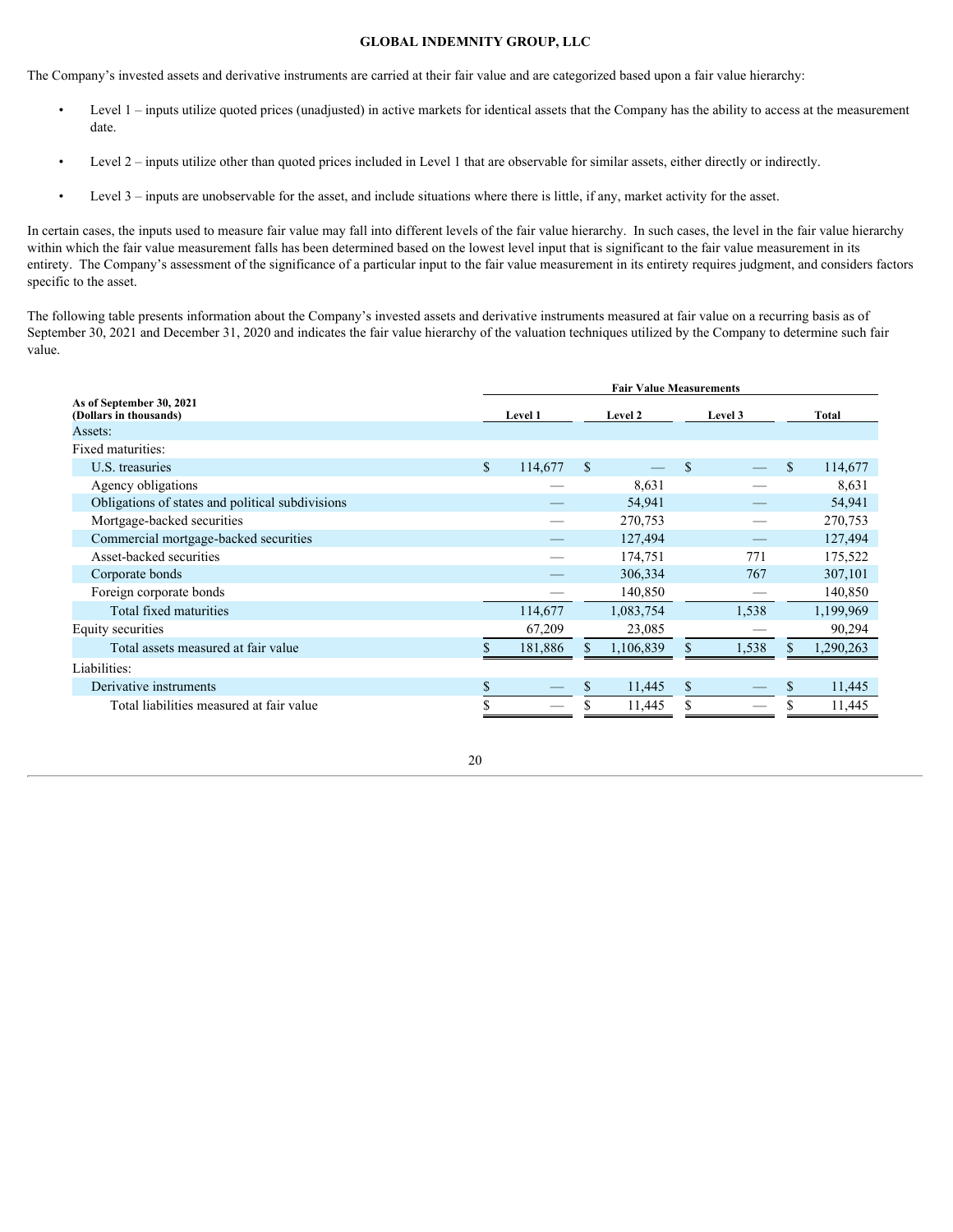The Company's invested assets and derivative instruments are carried at their fair value and are categorized based upon a fair value hierarchy:

- Level 1 inputs utilize quoted prices (unadjusted) in active markets for identical assets that the Company has the ability to access at the measurement date.
- Level 2 inputs utilize other than quoted prices included in Level 1 that are observable for similar assets, either directly or indirectly.
- Level 3 inputs are unobservable for the asset, and include situations where there is little, if any, market activity for the asset.

In certain cases, the inputs used to measure fair value may fall into different levels of the fair value hierarchy. In such cases, the level in the fair value hierarchy within which the fair value measurement falls has been determined based on the lowest level input that is significant to the fair value measurement in its entirety. The Company's assessment of the significance of a particular input to the fair value measurement in its entirety requires judgment, and considers factors specific to the asset.

The following table presents information about the Company's invested assets and derivative instruments measured at fair value on a recurring basis as of September 30, 2021 and December 31, 2020 and indicates the fair value hierarchy of the valuation techniques utilized by the Company to determine such fair value.

|                                                    |               |                                 |               | <b>Fair Value Measurements</b> |                                |    |              |
|----------------------------------------------------|---------------|---------------------------------|---------------|--------------------------------|--------------------------------|----|--------------|
| As of September 30, 2021<br>(Dollars in thousands) |               | Level 1                         |               | Level 2                        | Level 3                        |    | <b>Total</b> |
| Assets:                                            |               |                                 |               |                                |                                |    |              |
| Fixed maturities:                                  |               |                                 |               |                                |                                |    |              |
| U.S. treasuries                                    | <sup>\$</sup> | 114,677                         | $\mathcal{L}$ | $\overline{\phantom{0}}$       | $\overline{\phantom{a}}$       | -S | 114,677      |
| Agency obligations                                 |               |                                 |               | 8,631                          | $\overbrace{\phantom{13333}}$  |    | 8,631        |
| Obligations of states and political subdivisions   |               | $\hspace{0.1mm}-\hspace{0.1mm}$ |               | 54,941                         |                                |    | 54,941       |
| Mortgage-backed securities                         |               |                                 |               | 270,753                        | $\overbrace{\phantom{13333}}$  |    | 270,753      |
| Commercial mortgage-backed securities              |               | $\overline{\phantom{m}}$        |               | 127,494                        | $\hspace{0.05cm}$              |    | 127,494      |
| Asset-backed securities                            |               | $\overline{\phantom{m}}$        |               | 174,751                        | 771                            |    | 175,522      |
| Corporate bonds                                    |               | $\overline{\phantom{m}}$        |               | 306,334                        | 767                            |    | 307,101      |
| Foreign corporate bonds                            |               |                                 |               | 140,850                        | $\overbrace{\phantom{13333}}$  |    | 140,850      |
| Total fixed maturities                             |               | 114,677                         |               | 1,083,754                      | 1,538                          |    | 1,199,969    |
| Equity securities                                  |               | 67,209                          |               | 23,085                         | $\overline{\phantom{m}}$       |    | 90,294       |
| Total assets measured at fair value                |               | 181,886                         |               | ,106,839                       | 1,538                          |    | 1,290,263    |
| Liabilities:                                       |               |                                 |               |                                |                                |    |              |
| Derivative instruments                             |               | $\overline{\phantom{a}}$        |               | 11,445                         | $\overline{\phantom{a}}$       |    | 11,445       |
| Total liabilities measured at fair value           |               |                                 |               | 11,445                         | $\overbrace{\hspace{25mm}}^{}$ |    | 11,445       |
|                                                    |               |                                 |               |                                |                                |    |              |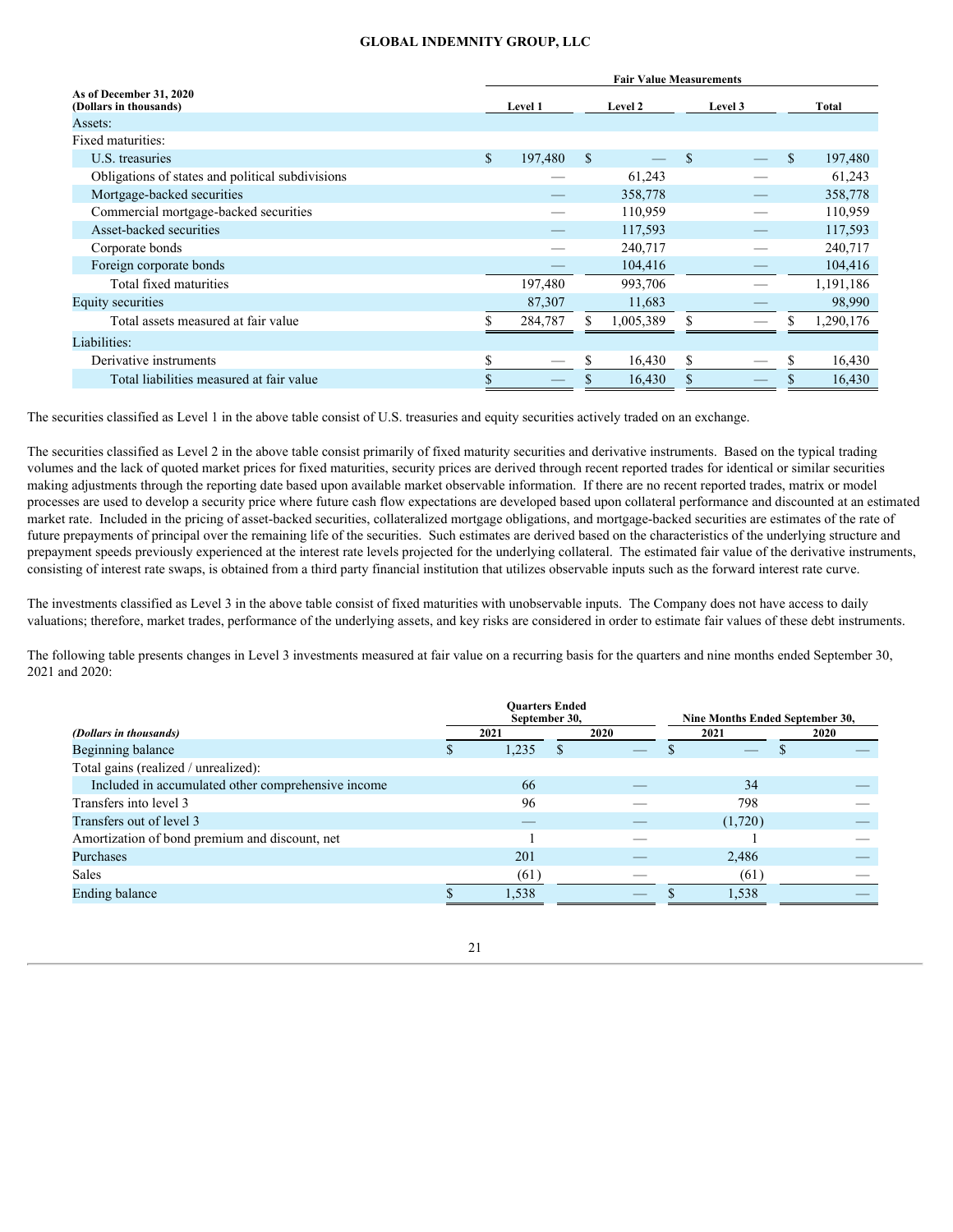|                                                   |      |                                 | <b>Fair Value Measurements</b> |                          |          |
|---------------------------------------------------|------|---------------------------------|--------------------------------|--------------------------|----------|
| As of December 31, 2020<br>(Dollars in thousands) |      | Level 1                         | Level 2                        | Level 3                  | Total    |
| Assets:                                           |      |                                 |                                |                          |          |
| Fixed maturities:                                 |      |                                 |                                |                          |          |
| U.S. treasuries                                   | - 75 | 197,480 \$                      | $\overline{\phantom{a}}$       | $\overline{\phantom{a}}$ | 197,480  |
| Obligations of states and political subdivisions  |      |                                 | 61,243                         |                          | 61,243   |
| Mortgage-backed securities                        |      | $\overbrace{\phantom{aaaaa}}$   | 358,778                        | $\overline{\phantom{m}}$ | 358,778  |
| Commercial mortgage-backed securities             |      |                                 | 110,959                        |                          | 110,959  |
| Asset-backed securities                           |      | $\overbrace{\phantom{aaaaa}}$   | 117,593                        |                          | 117,593  |
| Corporate bonds                                   |      |                                 | 240,717                        |                          | 240,717  |
| Foreign corporate bonds                           |      | __                              | 104,416                        |                          | 104,416  |
| Total fixed maturities                            |      | 197,480                         | 993,706                        |                          | ,191,186 |
| <b>Equity securities</b>                          |      | 87,307                          | 11,683                         |                          | 98,990   |
| Total assets measured at fair value               |      | 284,787                         | 1,005,389                      |                          | ,290,176 |
| Liabilities:                                      |      |                                 |                                |                          |          |
| Derivative instruments                            |      | $\hspace{0.1mm}-\hspace{0.1mm}$ | 16,430                         |                          | 16,430   |
| Total liabilities measured at fair value          |      |                                 | 16,430                         |                          | 16,430   |
|                                                   |      |                                 |                                |                          |          |

The securities classified as Level 1 in the above table consist of U.S. treasuries and equity securities actively traded on an exchange.

The securities classified as Level 2 in the above table consist primarily of fixed maturity securities and derivative instruments. Based on the typical trading volumes and the lack of quoted market prices for fixed maturities, security prices are derived through recent reported trades for identical or similar securities making adjustments through the reporting date based upon available market observable information. If there are no recent reported trades, matrix or model processes are used to develop a security price where future cash flow expectations are developed based upon collateral performance and discounted at an estimated market rate. Included in the pricing of asset-backed securities, collateralized mortgage obligations, and mortgage-backed securities are estimates of the rate of future prepayments of principal over the remaining life of the securities. Such estimates are derived based on the characteristics of the underlying structure and prepayment speeds previously experienced at the interest rate levels projected for the underlying collateral. The estimated fair value of the derivative instruments, consisting of interest rate swaps, is obtained from a third party financial institution that utilizes observable inputs such as the forward interest rate curve.

The investments classified as Level 3 in the above table consist of fixed maturities with unobservable inputs. The Company does not have access to daily valuations; therefore, market trades, performance of the underlying assets, and key risks are considered in order to estimate fair values of these debt instruments.

The following table presents changes in Level 3 investments measured at fair value on a recurring basis for the quarters and nine months ended September 30, 2021 and 2020:

|                                                    | <b>Ouarters Ended</b><br>September 30, |                                 | Nine Months Ended September 30, |                                 |
|----------------------------------------------------|----------------------------------------|---------------------------------|---------------------------------|---------------------------------|
| (Dollars in thousands)                             | 2021                                   | 2020                            | 2021                            | 2020                            |
| Beginning balance                                  | 1,235                                  |                                 | $\hspace{0.1mm}-\hspace{0.1mm}$ |                                 |
| Total gains (realized / unrealized):               |                                        |                                 |                                 |                                 |
| Included in accumulated other comprehensive income | 66                                     | $\overline{\phantom{a}}$        | 34                              | $\hspace{0.1mm}-\hspace{0.1mm}$ |
| Transfers into level 3                             | 96                                     | $\overbrace{\hspace{25mm}}^{}$  | 798                             | $\overbrace{\hspace{25mm}}^{}$  |
| Transfers out of level 3                           |                                        | $\overline{\phantom{a}}$        | (1,720)                         | $\hspace{0.1mm}-\hspace{0.1mm}$ |
| Amortization of bond premium and discount, net     |                                        | $\hspace{0.1mm}-\hspace{0.1mm}$ |                                 | $\hspace{0.05cm}$               |
| Purchases                                          | 201                                    | $\overline{\phantom{a}}$        | 2,486                           | $\hspace{0.1mm}-\hspace{0.1mm}$ |
| Sales                                              | (61)                                   | $\overbrace{\hspace{25mm}}^{}$  | (61)                            | $\overbrace{\hspace{25mm}}^{}$  |
| <b>Ending balance</b>                              | 1,538                                  | $\sim$                          | 1,538                           |                                 |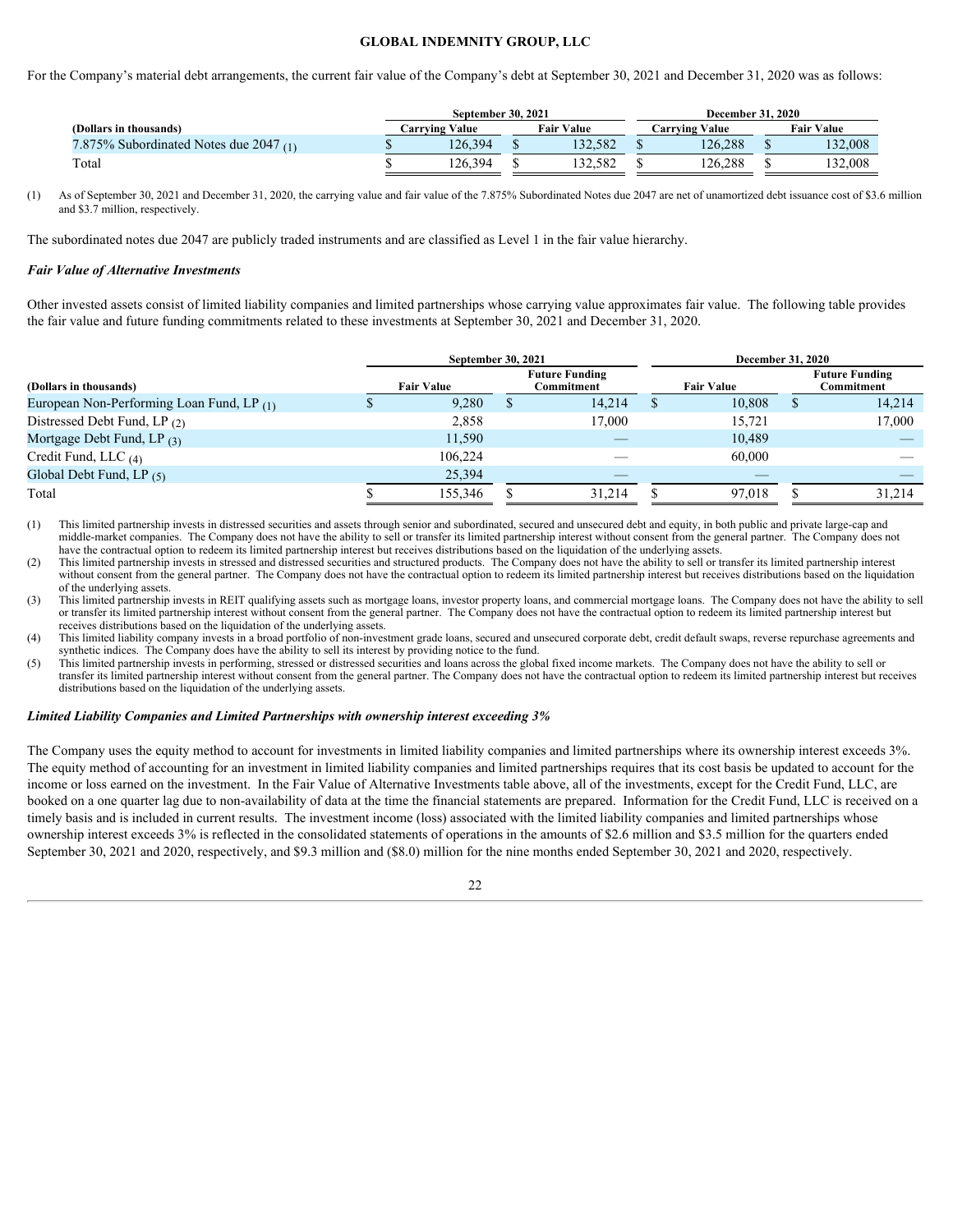For the Company's material debt arrangements, the current fair value of the Company's debt at September 30, 2021 and December 31, 2020 was as follows:

|                                          | September 30, 2021 |                   | <b>December 31, 2020</b> |                       |  |                   |  |  |  |
|------------------------------------------|--------------------|-------------------|--------------------------|-----------------------|--|-------------------|--|--|--|
| (Dollars in thousands)                   | Carrving Value     | <b>Fair Value</b> |                          | <b>Carrving Value</b> |  | <b>Fair Value</b> |  |  |  |
| 7.875% Subordinated Notes due 2047 $(1)$ | 126,394            | 132,582           |                          | 126,288               |  | 132,008           |  |  |  |
| Total                                    | 126,394            | 132,582           |                          | 126,288               |  | 132,008           |  |  |  |

(1) As of September 30, 2021 and December 31, 2020, the carrying value and fair value of the 7.875% Subordinated Notes due 2047 are net of unamortized debt issuance cost of \$3.6 million and \$3.7 million, respectively.

The subordinated notes due 2047 are publicly traded instruments and are classified as Level 1 in the fair value hierarchy.

#### *Fair Value of Alternative Investments*

Other invested assets consist of limited liability companies and limited partnerships whose carrying value approximates fair value. The following table provides the fair value and future funding commitments related to these investments at September 30, 2021 and December 31, 2020.

|                                           |                   | September 30, 2021                  |                   | <b>December 31, 2020</b>            |
|-------------------------------------------|-------------------|-------------------------------------|-------------------|-------------------------------------|
| (Dollars in thousands)                    | <b>Fair Value</b> | <b>Future Funding</b><br>Commitment | <b>Fair Value</b> | <b>Future Funding</b><br>Commitment |
| European Non-Performing Loan Fund, LP (1) | 9,280             | 14,214                              | 10,808            | 14,214                              |
| Distressed Debt Fund, LP $(2)$            | 2,858             | 17,000                              | 15,721            | 17,000                              |
| Mortgage Debt Fund, LP $(3)$              | 11,590            | $\overbrace{\hspace{25mm}}^{}$      | 10,489            |                                     |
| Credit Fund, LLC $(4)$                    | 106,224           | $\hspace{0.05cm}$                   | 60,000            | $\hspace{0.05cm}$                   |
| Global Debt Fund, LP $(5)$                | 25,394            | $\overbrace{\hspace{25mm}}^{}$      |                   |                                     |
| Total                                     | 155,346           | 31,214                              | 97,018            | 31,214                              |

(1) This limited partnership invests in distressed securities and assets through senior and subordinated, secured and unsecured debt and equity, in both public and private large-cap and middle-market companies. The Company does not have the ability to sell or transfer its limited partnership interest without consent from the general partner. The Company does not have the contractual option to redeem its limited partnership interest but receives distributions based on the liquidation of the underlying assets.

(2) This limited partnership invests in stressed and distressed securities and structured products. The Company does not have the ability to sell or transfer its limited partnership interest without consent from the general partner. The Company does not have the contractual option to redeem its limited partnership interest but receives distributions based on the liquidation of the underlying assets.

This limited partnership invests in REIT qualifying assets such as mortgage loans, investor property loans, and commercial mortgage loans. The Company does not have the ability to sell or transfer its limited partnership interest without consent from the general partner. The Company does not have the contractual option to redeem its limited partnership interest but receives distributions based on the liquidation of the underlying assets.

(4) This limited liability company invests in a broad portfolio of non-investment grade loans, secured and unsecured corporate debt, credit default swaps, reverse repurchase agreements and synthetic indices. The Company does have the ability to sell its interest by providing notice to the fund.

(5) This limited partnership invests in performing, stressed or distressed securities and loans across the global fixed income markets. The Company does not have the ability to sell or transfer its limited partnership interest without consent from the general partner. The Company does not have the contractual option to redeem its limited partnership interest but receives distributions based on the liquidation of the underlying assets.

#### *Limited Liability Companies and Limited Partnerships with ownership interest exceeding 3%*

The Company uses the equity method to account for investments in limited liability companies and limited partnerships where its ownership interest exceeds 3%. The equity method of accounting for an investment in limited liability companies and limited partnerships requires that its cost basis be updated to account for the income or loss earned on the investment. In the Fair Value of Alternative Investments table above, all of the investments, except for the Credit Fund, LLC, are booked on a one quarter lag due to non-availability of data at the time the financial statements are prepared. Information for the Credit Fund, LLC is received on a timely basis and is included in current results. The investment income (loss) associated with the limited liability companies and limited partnerships whose ownership interest exceeds 3% is reflected in the consolidated statements of operations in the amounts of \$2.6 million and \$3.5 million for the quarters ended September 30, 2021 and 2020, respectively, and \$9.3 million and (\$8.0) million for the nine months ended September 30, 2021 and 2020, respectively.

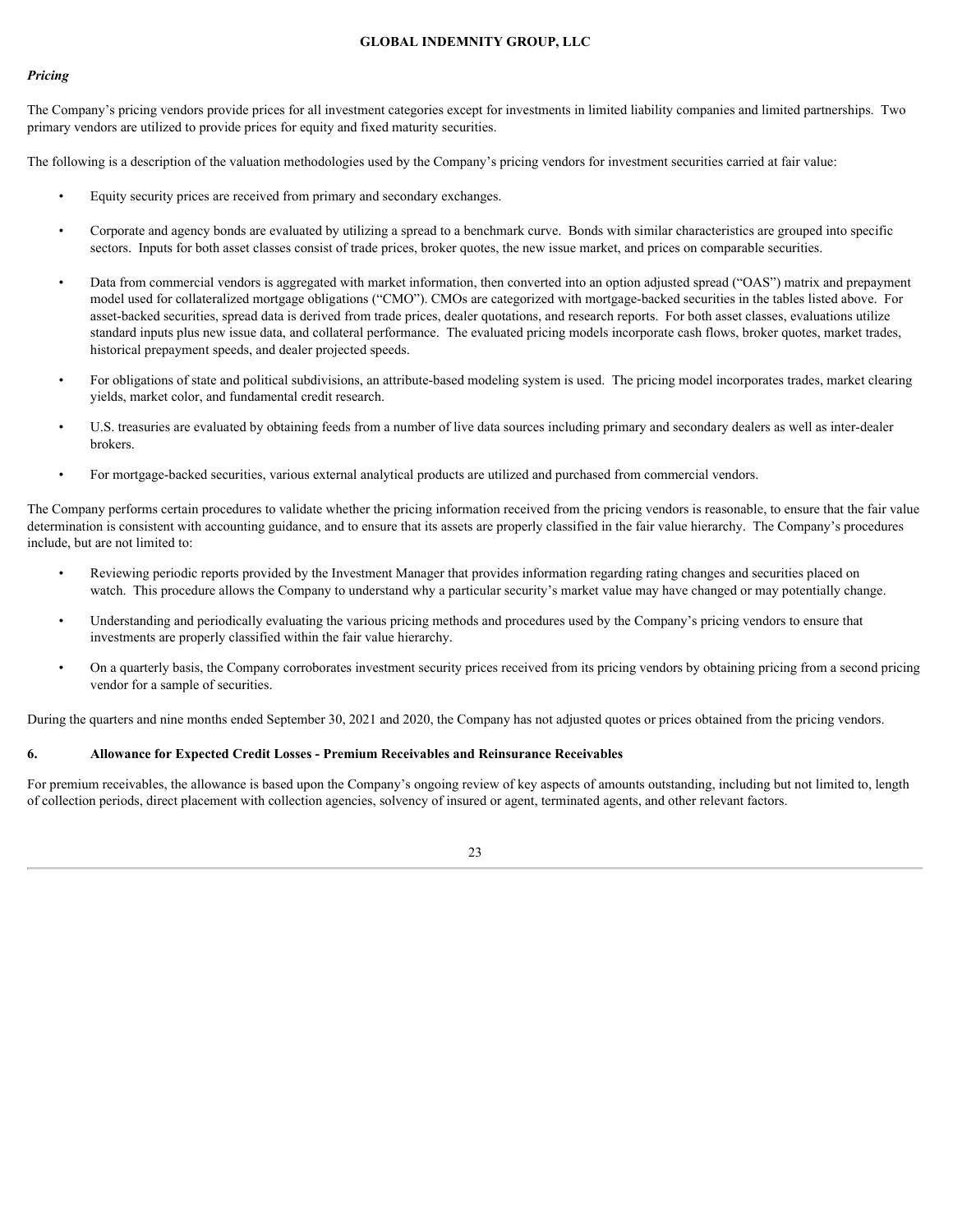## *Pricing*

The Company's pricing vendors provide prices for all investment categories except for investments in limited liability companies and limited partnerships. Two primary vendors are utilized to provide prices for equity and fixed maturity securities.

The following is a description of the valuation methodologies used by the Company's pricing vendors for investment securities carried at fair value:

- Equity security prices are received from primary and secondary exchanges.
- Corporate and agency bonds are evaluated by utilizing a spread to a benchmark curve. Bonds with similar characteristics are grouped into specific sectors. Inputs for both asset classes consist of trade prices, broker quotes, the new issue market, and prices on comparable securities.
- Data from commercial vendors is aggregated with market information, then converted into an option adjusted spread ("OAS") matrix and prepayment model used for collateralized mortgage obligations ("CMO"). CMOs are categorized with mortgage-backed securities in the tables listed above. For asset-backed securities, spread data is derived from trade prices, dealer quotations, and research reports. For both asset classes, evaluations utilize standard inputs plus new issue data, and collateral performance. The evaluated pricing models incorporate cash flows, broker quotes, market trades, historical prepayment speeds, and dealer projected speeds.
- For obligations of state and political subdivisions, an attribute-based modeling system is used. The pricing model incorporates trades, market clearing yields, market color, and fundamental credit research.
- U.S. treasuries are evaluated by obtaining feeds from a number of live data sources including primary and secondary dealers as well as inter-dealer brokers.
- For mortgage-backed securities, various external analytical products are utilized and purchased from commercial vendors.

The Company performs certain procedures to validate whether the pricing information received from the pricing vendors is reasonable, to ensure that the fair value determination is consistent with accounting guidance, and to ensure that its assets are properly classified in the fair value hierarchy. The Company's procedures include, but are not limited to:

- Reviewing periodic reports provided by the Investment Manager that provides information regarding rating changes and securities placed on watch. This procedure allows the Company to understand why a particular security's market value may have changed or may potentially change.
- Understanding and periodically evaluating the various pricing methods and procedures used by the Company's pricing vendors to ensure that investments are properly classified within the fair value hierarchy.
- On a quarterly basis, the Company corroborates investment security prices received from its pricing vendors by obtaining pricing from a second pricing vendor for a sample of securities.

During the quarters and nine months ended September 30, 2021 and 2020, the Company has not adjusted quotes or prices obtained from the pricing vendors.

## **6. Allowance for Expected Credit Losses - Premium Receivables and Reinsurance Receivables**

For premium receivables, the allowance is based upon the Company's ongoing review of key aspects of amounts outstanding, including but not limited to, length of collection periods, direct placement with collection agencies, solvency of insured or agent, terminated agents, and other relevant factors.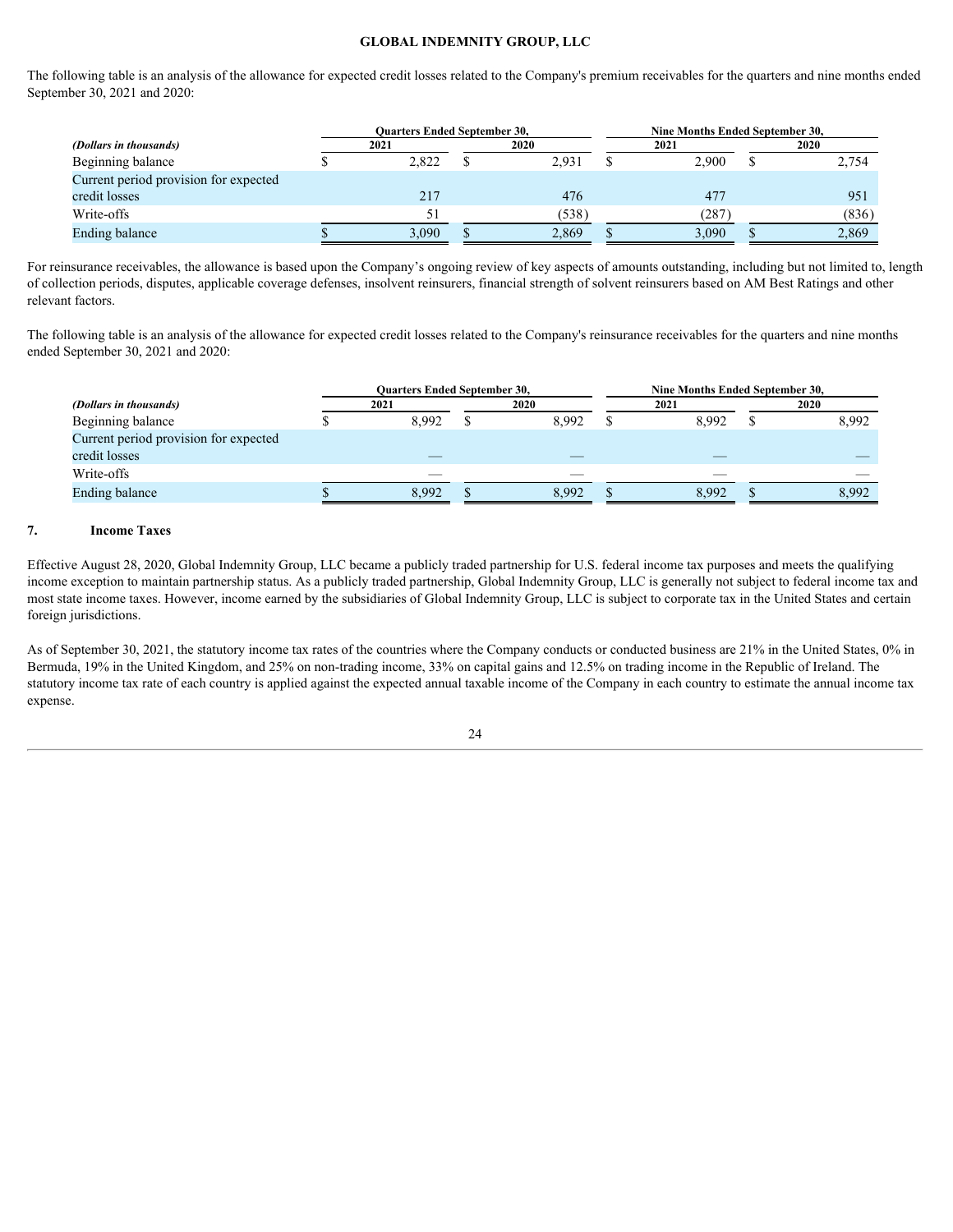The following table is an analysis of the allowance for expected credit losses related to the Company's premium receivables for the quarters and nine months ended September 30, 2021 and 2020:

|                                       | <b>Ouarters Ended September 30,</b> |  | Nine Months Ended September 30, |  |       |  |       |  |  |  |
|---------------------------------------|-------------------------------------|--|---------------------------------|--|-------|--|-------|--|--|--|
| (Dollars in thousands)                | 2021                                |  | 2020                            |  | 2021  |  | 2020  |  |  |  |
| Beginning balance                     | 2,822                               |  | 2,931                           |  | 2,900 |  | 2,754 |  |  |  |
| Current period provision for expected |                                     |  |                                 |  |       |  |       |  |  |  |
| credit losses                         | 217                                 |  | 476                             |  | 477   |  | 951   |  |  |  |
| Write-offs                            |                                     |  | (538)                           |  | (287) |  | (836) |  |  |  |
| Ending balance                        | 3,090                               |  | 2,869                           |  | 3,090 |  | 2,869 |  |  |  |

For reinsurance receivables, the allowance is based upon the Company's ongoing review of key aspects of amounts outstanding, including but not limited to, length of collection periods, disputes, applicable coverage defenses, insolvent reinsurers, financial strength of solvent reinsurers based on AM Best Ratings and other relevant factors.

The following table is an analysis of the allowance for expected credit losses related to the Company's reinsurance receivables for the quarters and nine months ended September 30, 2021 and 2020:

|                                       | Quarters Ended September 30, |                               | Nine Months Ended September 30, |                                |
|---------------------------------------|------------------------------|-------------------------------|---------------------------------|--------------------------------|
| (Dollars in thousands)                | 2021                         | 2020                          | 2021                            | 2020                           |
| Beginning balance                     | 8,992                        | 8,992                         | 8,992                           | 8,992                          |
| Current period provision for expected |                              |                               |                                 |                                |
| credit losses                         | __                           | $\overbrace{\phantom{aaaaa}}$ |                                 |                                |
| Write-offs                            |                              | $\overline{\phantom{a}}$      | $\overbrace{\hspace{25mm}}^{}$  | $\overbrace{\hspace{25mm}}^{}$ |
| <b>Ending balance</b>                 | 8,992                        | 8,992                         | 8,992                           | 8,992                          |

## **7. Income Taxes**

Effective August 28, 2020, Global Indemnity Group, LLC became a publicly traded partnership for U.S. federal income tax purposes and meets the qualifying income exception to maintain partnership status. As a publicly traded partnership, Global Indemnity Group, LLC is generally not subject to federal income tax and most state income taxes. However, income earned by the subsidiaries of Global Indemnity Group, LLC is subject to corporate tax in the United States and certain foreign jurisdictions.

As of September 30, 2021, the statutory income tax rates of the countries where the Company conducts or conducted business are 21% in the United States, 0% in Bermuda, 19% in the United Kingdom, and 25% on non-trading income, 33% on capital gains and 12.5% on trading income in the Republic of Ireland. The statutory income tax rate of each country is applied against the expected annual taxable income of the Company in each country to estimate the annual income tax expense.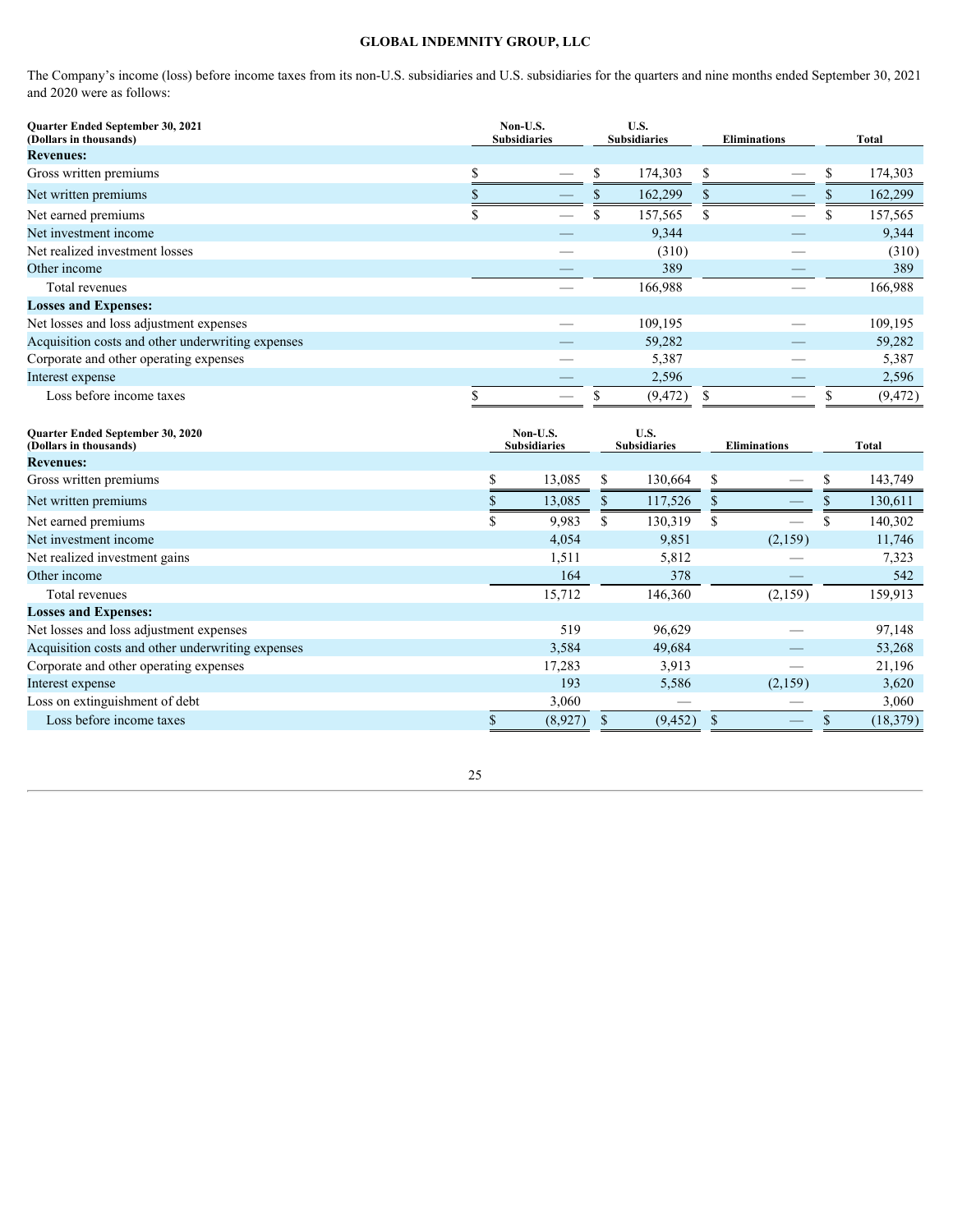The Company's income (loss) before income taxes from its non-U.S. subsidiaries and U.S. subsidiaries for the quarters and nine months ended September 30, 2021 and 2020 were as follows:

| Quarter Ended September 30, 2021                  | Non-U.S.            |                               | U.S.                |                                 |          |
|---------------------------------------------------|---------------------|-------------------------------|---------------------|---------------------------------|----------|
| (Dollars in thousands)                            | <b>Subsidiaries</b> |                               | <b>Subsidiaries</b> | <b>Eliminations</b>             | Total    |
| <b>Revenues:</b>                                  |                     |                               |                     |                                 |          |
| Gross written premiums                            |                     | $\overline{\phantom{m}}$      | 174,303             | $\overline{\phantom{a}}$        | 174,303  |
| Net written premiums                              |                     |                               | 162,299             |                                 | 162,299  |
| Net earned premiums                               |                     | $\overbrace{\phantom{13333}}$ | 157,565             | $\overline{\phantom{a}}$        | 157,565  |
| Net investment income                             |                     | $\hspace{0.05cm}$             | 9,344               | $\overline{\phantom{a}}$        | 9,344    |
| Net realized investment losses                    |                     | $\overbrace{\phantom{13333}}$ | (310)               | $\overline{\phantom{a}}$        | (310)    |
| Other income                                      |                     |                               | 389                 |                                 | 389      |
| Total revenues                                    |                     | $\overbrace{\phantom{13333}}$ | 166,988             | $\overbrace{\hspace{25mm}}^{}$  | 166,988  |
| <b>Losses and Expenses:</b>                       |                     |                               |                     |                                 |          |
| Net losses and loss adjustment expenses           |                     | $\hspace{0.05cm}$             | 109,195             | $\hspace{0.1mm}-\hspace{0.1mm}$ | 109,195  |
| Acquisition costs and other underwriting expenses |                     | $\hspace{0.05cm}$             | 59,282              | $\overline{\phantom{a}}$        | 59,282   |
| Corporate and other operating expenses            |                     | $\hspace{0.05cm}$             | 5,387               | $\hspace{0.1mm}-\hspace{0.1mm}$ | 5,387    |
| Interest expense                                  |                     |                               | 2,596               | $\overbrace{\phantom{aaaaa}}$   | 2,596    |
| Loss before income taxes                          |                     | $\overline{\phantom{m}}$      | $(9,472)$ \$        |                                 | (9, 472) |

| Quarter Ended September 30, 2020<br>(Dollars in thousands) | Non-U.S.<br><b>Subsidiaries</b> | U.S.<br><b>Subsidiaries</b>    | <b>Eliminations</b>      |  | Total     |  |
|------------------------------------------------------------|---------------------------------|--------------------------------|--------------------------|--|-----------|--|
| <b>Revenues:</b>                                           |                                 |                                |                          |  |           |  |
| Gross written premiums                                     | 13,085                          | 130,664                        | $\overline{\phantom{m}}$ |  | 143,749   |  |
| Net written premiums                                       | 13,085                          | 117,526                        |                          |  | 130,611   |  |
| Net earned premiums                                        | 9,983                           | 130,319                        |                          |  | 140,302   |  |
| Net investment income                                      | 4,054                           | 9,851                          | (2,159)                  |  | 11,746    |  |
| Net realized investment gains                              | 1,511                           | 5,812                          |                          |  | 7,323     |  |
| Other income                                               | 164                             | 378                            |                          |  | 542       |  |
| Total revenues                                             | 15,712                          | 146,360                        | (2,159)                  |  | 159,913   |  |
| <b>Losses and Expenses:</b>                                |                                 |                                |                          |  |           |  |
| Net losses and loss adjustment expenses                    | 519                             | 96,629                         |                          |  | 97,148    |  |
| Acquisition costs and other underwriting expenses          | 3,584                           | 49,684                         | $\overline{\phantom{a}}$ |  | 53,268    |  |
| Corporate and other operating expenses                     | 17,283                          | 3,913                          |                          |  | 21,196    |  |
| Interest expense                                           | 193                             | 5,586                          | (2,159)                  |  | 3,620     |  |
| Loss on extinguishment of debt                             | 3,060                           | $\overbrace{\hspace{25mm}}^{}$ |                          |  | 3,060     |  |
| Loss before income taxes                                   | (8,927)                         | (9, 452)                       |                          |  | (18, 379) |  |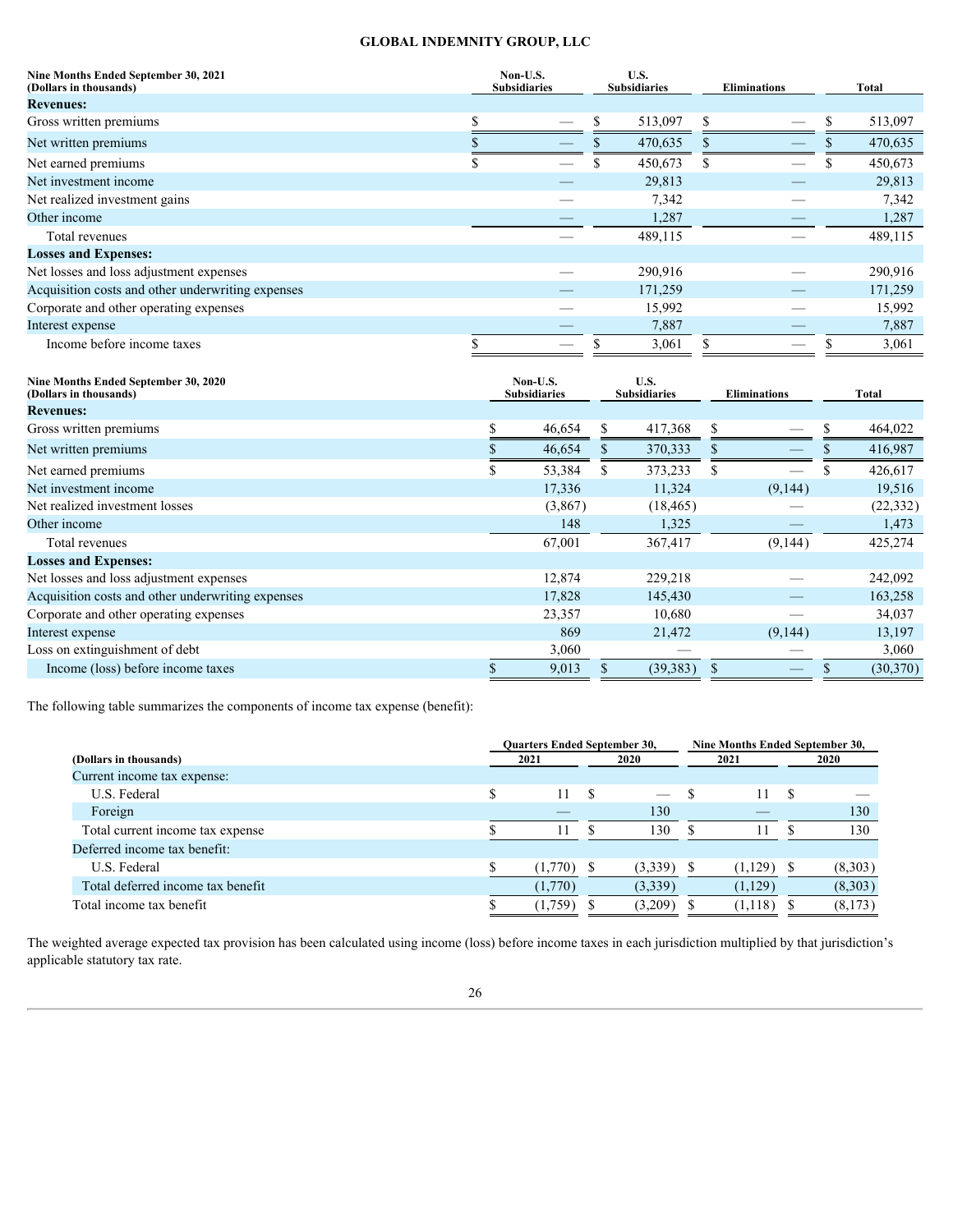| Nine Months Ended September 30, 2021<br>(Dollars in thousands) | Non-U.S.<br><b>Subsidiaries</b> | U.S.<br><b>Subsidiaries</b> | <b>Eliminations</b>             | <b>Total</b> |
|----------------------------------------------------------------|---------------------------------|-----------------------------|---------------------------------|--------------|
| <b>Revenues:</b>                                               |                                 |                             |                                 |              |
| Gross written premiums                                         | $\overline{\phantom{m}}$        | 513,097                     | $\overline{\phantom{0}}$        | 513,097      |
| Net written premiums                                           | $\overbrace{\phantom{12333}}$   | 470,635                     | $\overline{\phantom{a}}$        | 470,635      |
| Net earned premiums                                            | $\overline{\phantom{m}}$        | 450,673                     |                                 | 450,673      |
| Net investment income                                          | $\overbrace{\phantom{aaaaa}}$   | 29,813                      | $\overline{\phantom{a}}$        | 29,813       |
| Net realized investment gains                                  | $\overbrace{\hspace{25mm}}^{}$  | 7,342                       |                                 | 7,342        |
| Other income                                                   | $\overbrace{\phantom{12333}}$   | 1,287                       |                                 | 1,287        |
| Total revenues                                                 | $\overbrace{\phantom{aaaaa}}$   | 489,115                     | $\overline{\phantom{a}}$        | 489,115      |
| <b>Losses and Expenses:</b>                                    |                                 |                             |                                 |              |
| Net losses and loss adjustment expenses                        | $\hspace{0.05cm}$               | 290,916                     | $\hspace{0.1mm}-\hspace{0.1mm}$ | 290,916      |
| Acquisition costs and other underwriting expenses              | $\hspace{0.05cm}$               | 171,259                     | $\overline{\phantom{a}}$        | 171,259      |
| Corporate and other operating expenses                         | $\overbrace{\phantom{13333}}$   | 15,992                      | $\hspace{0.1mm}-\hspace{0.1mm}$ | 15,992       |
| Interest expense                                               | $-$                             | 7,887                       | $\overline{\phantom{a}}$        | 7,887        |
| Income before income taxes                                     | $\overbrace{\phantom{13333}}$   | 3,061                       | $\overline{\phantom{a}}$        | 3,061        |

| Nine Months Ended September 30, 2020<br>(Dollars in thousands) | Non-U.S.<br><b>Subsidiaries</b> | U.S.<br><b>Subsidiaries</b> | <b>Eliminations</b>             |  | <b>Total</b> |  |
|----------------------------------------------------------------|---------------------------------|-----------------------------|---------------------------------|--|--------------|--|
| <b>Revenues:</b>                                               |                                 |                             |                                 |  |              |  |
| Gross written premiums                                         | 46,654                          | 417,368                     | $\overline{\phantom{a}}$        |  | 464,022      |  |
| Net written premiums                                           | 46,654                          | 370,333                     |                                 |  | 416,987      |  |
| Net earned premiums                                            | 53,384                          | 373,233                     |                                 |  | 426,617      |  |
| Net investment income                                          | 17,336                          | 11,324                      | (9,144)                         |  | 19,516       |  |
| Net realized investment losses                                 | (3,867)                         | (18, 465)                   | $\overbrace{\phantom{13333}}$   |  | (22, 332)    |  |
| Other income                                                   | 148                             | 1,325                       | $\overline{\phantom{a}}$        |  | 1,473        |  |
| Total revenues                                                 | 67,001                          | 367,417                     | (9,144)                         |  | 425,274      |  |
| <b>Losses and Expenses:</b>                                    |                                 |                             |                                 |  |              |  |
| Net losses and loss adjustment expenses                        | 12,874                          | 229,218                     | $\hspace{0.1mm}-\hspace{0.1mm}$ |  | 242,092      |  |
| Acquisition costs and other underwriting expenses              | 17,828                          | 145,430                     | $\hspace{0.1mm}-\hspace{0.1mm}$ |  | 163,258      |  |
| Corporate and other operating expenses                         | 23,357                          | 10,680                      | $\overbrace{\phantom{13333}}$   |  | 34,037       |  |
| Interest expense                                               | 869                             | 21,472                      | (9,144)                         |  | 13,197       |  |
| Loss on extinguishment of debt                                 | 3,060                           |                             |                                 |  | 3,060        |  |
| Income (loss) before income taxes                              | 9,013                           | (39, 383)                   |                                 |  | (30, 370)    |  |
|                                                                |                                 |                             |                                 |  |              |  |

The following table summarizes the components of income tax expense (benefit):

|                                   | <b>Ouarters Ended September 30,</b> |                          | Nine Months Ended September 30, |                                |
|-----------------------------------|-------------------------------------|--------------------------|---------------------------------|--------------------------------|
| (Dollars in thousands)            | 2021                                | 2020                     | 2021                            | 2020                           |
| Current income tax expense:       |                                     |                          |                                 |                                |
| U.S. Federal                      |                                     | $\overline{\phantom{0}}$ | 11.                             | $\overbrace{\hspace{25mm}}^{}$ |
| Foreign                           |                                     | 130                      |                                 | 130                            |
| Total current income tax expense  |                                     | 130-                     |                                 | 130                            |
| Deferred income tax benefit:      |                                     |                          |                                 |                                |
| U.S. Federal                      | $(1,770)$ \$                        | $(3,339)$ \$             | $(1,129)$ \$                    | (8,303)                        |
| Total deferred income tax benefit | (1,770)                             | (3,339)                  | (1,129)                         | (8,303)                        |
| Total income tax benefit          | $(1,759)$ \$                        | $(3,209)$ \$             | $(1,118)$ \;                    | (8,173)                        |

The weighted average expected tax provision has been calculated using income (loss) before income taxes in each jurisdiction multiplied by that jurisdiction's applicable statutory tax rate.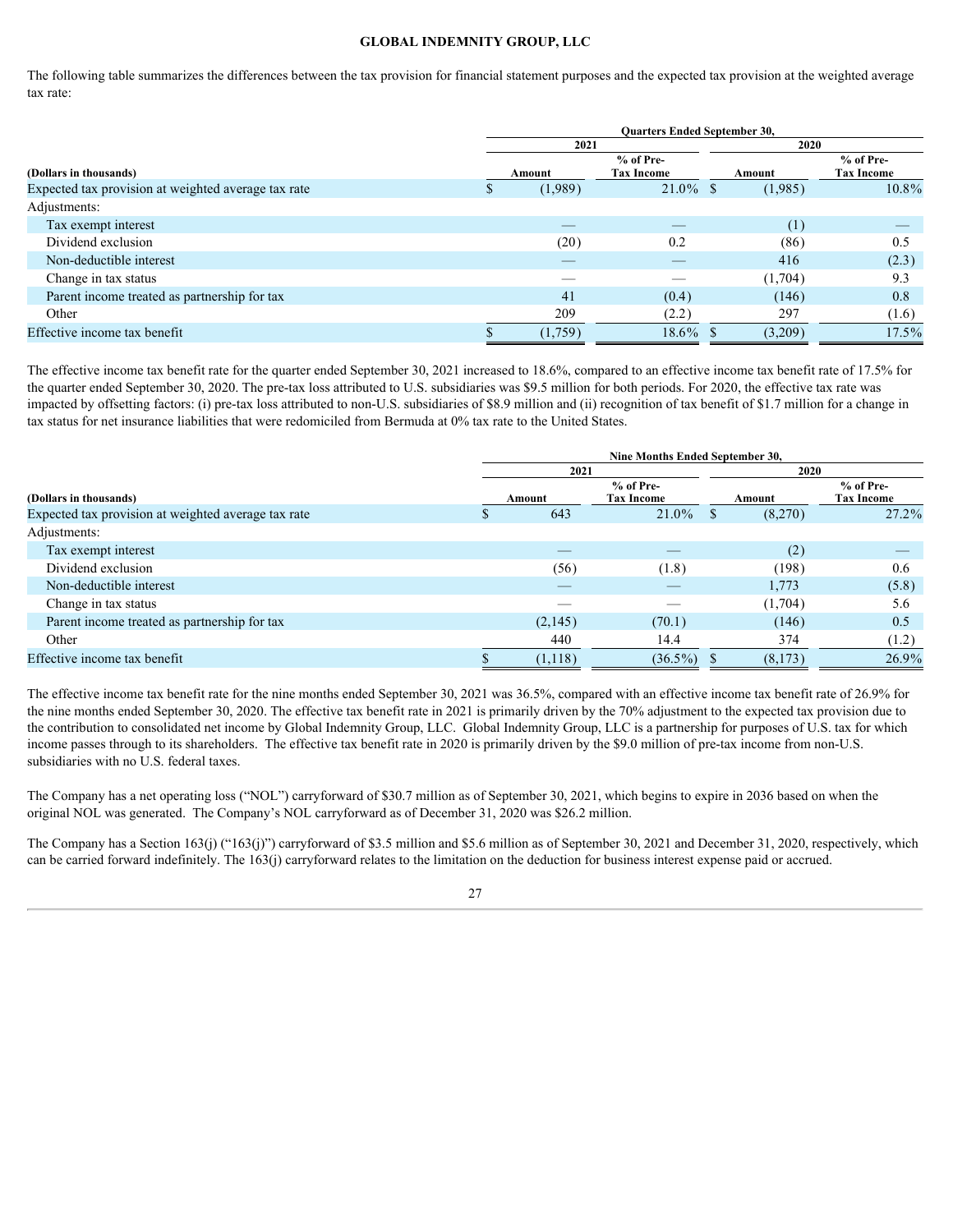The following table summarizes the differences between the tax provision for financial statement purposes and the expected tax provision at the weighted average tax rate:

|                                                     |                               | <b>Ouarters Ended September 30,</b> |         |                   |
|-----------------------------------------------------|-------------------------------|-------------------------------------|---------|-------------------|
|                                                     | 2021                          |                                     | 2020    |                   |
|                                                     |                               | $%$ of Pre-                         |         | $%$ of Pre-       |
| (Dollars in thousands)                              | Amount                        | <b>Tax Income</b>                   | Amount  | <b>Tax Income</b> |
| Expected tax provision at weighted average tax rate | (1,989)                       | $21.0\%$ \$                         | (1,985) | 10.8%             |
| Adjustments:                                        |                               |                                     |         |                   |
| Tax exempt interest                                 | $\overbrace{\phantom{12333}}$ | $\hspace{0.05cm}$                   | (1)     |                   |
| Dividend exclusion                                  | (20)                          | 0.2                                 | (86)    | 0.5               |
| Non-deductible interest                             | $\overline{\phantom{a}}$      | $\qquad \qquad -$                   | 416     | (2.3)             |
| Change in tax status                                |                               |                                     | (1,704) | 9.3               |
| Parent income treated as partnership for tax        | 41                            | (0.4)                               | (146)   | 0.8               |
| Other                                               | 209                           | (2.2)                               | 297     | (1.6)             |
| Effective income tax benefit                        | (1,759)                       | $18.6\%$                            | (3,209) | 17.5%             |

The effective income tax benefit rate for the quarter ended September 30, 2021 increased to 18.6%, compared to an effective income tax benefit rate of 17.5% for the quarter ended September 30, 2020. The pre-tax loss attributed to U.S. subsidiaries was \$9.5 million for both periods. For 2020, the effective tax rate was impacted by offsetting factors: (i) pre-tax loss attributed to non-U.S. subsidiaries of \$8.9 million and (ii) recognition of tax benefit of \$1.7 million for a change in tax status for net insurance liabilities that were redomiciled from Bermuda at 0% tax rate to the United States.

|                                                     |                                | Nine Months Ended September 30, |         |                   |
|-----------------------------------------------------|--------------------------------|---------------------------------|---------|-------------------|
|                                                     | 2021                           |                                 | 2020    |                   |
|                                                     |                                | $%$ of Pre-                     |         | $%$ of Pre-       |
| (Dollars in thousands)                              | Amount                         | <b>Tax Income</b>               | Amount  | <b>Tax Income</b> |
| Expected tax provision at weighted average tax rate | 643                            | 21.0%                           | (8,270) | 27.2%             |
| Adjustments:                                        |                                |                                 |         |                   |
| Tax exempt interest                                 | $\overbrace{\hspace{25mm}}^{}$ |                                 | (2)     |                   |
| Dividend exclusion                                  | (56)                           | (1.8)                           | (198)   | 0.6               |
| Non-deductible interest                             | $\overbrace{\hspace{25mm}}^{}$ |                                 | 1,773   | (5.8)             |
| Change in tax status                                | $\overbrace{\hspace{25mm}}^{}$ | $\overbrace{\phantom{aaaaa}}$   | (1,704) | 5.6               |
| Parent income treated as partnership for tax        | (2,145)                        | (70.1)                          | (146)   | 0.5               |
| Other                                               | 440                            | 14.4                            | 374     | (1.2)             |
| Effective income tax benefit                        | (1,118)                        | $(36.5\%)$ \;                   | (8,173) | 26.9%             |

The effective income tax benefit rate for the nine months ended September 30, 2021 was 36.5%, compared with an effective income tax benefit rate of 26.9% for the nine months ended September 30, 2020. The effective tax benefit rate in 2021 is primarily driven by the 70% adjustment to the expected tax provision due to the contribution to consolidated net income by Global Indemnity Group, LLC. Global Indemnity Group, LLC is a partnership for purposes of U.S. tax for which income passes through to its shareholders. The effective tax benefit rate in 2020 is primarily driven by the \$9.0 million of pre-tax income from non-U.S. subsidiaries with no U.S. federal taxes.

The Company has a net operating loss ("NOL") carryforward of \$30.7 million as of September 30, 2021, which begins to expire in 2036 based on when the original NOL was generated. The Company's NOL carryforward as of December 31, 2020 was \$26.2 million.

The Company has a Section 163(j) ("163(j)") carryforward of \$3.5 million and \$5.6 million as of September 30, 2021 and December 31, 2020, respectively, which can be carried forward indefinitely. The 163(j) carryforward relates to the limitation on the deduction for business interest expense paid or accrued.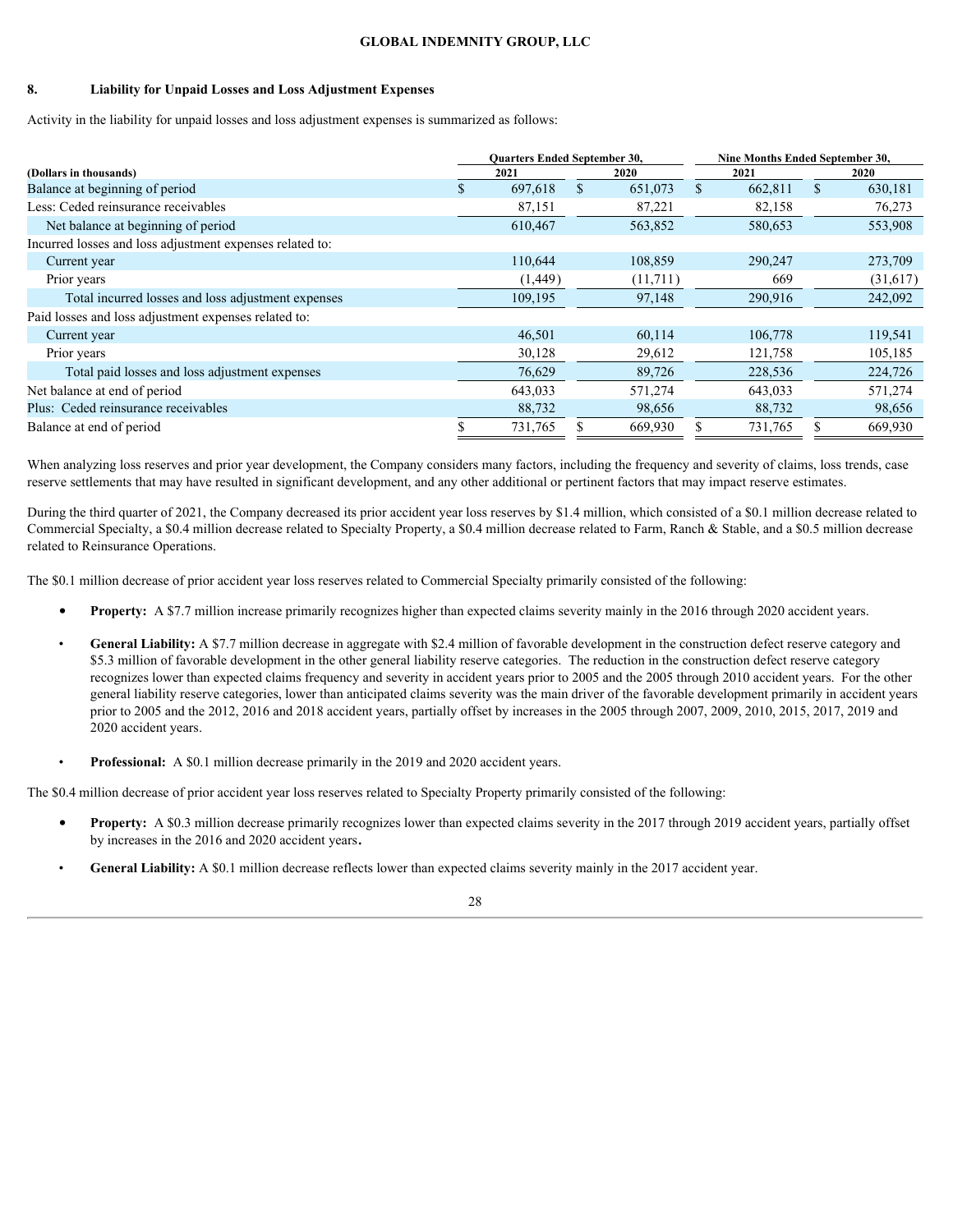## **8. Liability for Unpaid Losses and Loss Adjustment Expenses**

Activity in the liability for unpaid losses and loss adjustment expenses is summarized as follows:

|                                                          | <b>Ouarters Ended September 30,</b> |          | Nine Months Ended September 30, |             |
|----------------------------------------------------------|-------------------------------------|----------|---------------------------------|-------------|
| (Dollars in thousands)                                   | 2021                                | 2020     | 2021                            | <b>2020</b> |
| Balance at beginning of period                           | 697.618                             | 651,073  | 662,811                         | 630,181     |
| Less: Ceded reinsurance receivables                      | 87,151                              | 87,221   | 82,158                          | 76,273      |
| Net balance at beginning of period                       | 610,467                             | 563,852  | 580,653                         | 553,908     |
| Incurred losses and loss adjustment expenses related to: |                                     |          |                                 |             |
| Current year                                             | 110,644                             | 108,859  | 290,247                         | 273,709     |
| Prior years                                              | (1, 449)                            | (11,711) | 669                             | (31,617)    |
| Total incurred losses and loss adjustment expenses       | 109,195                             | 97,148   | 290,916                         | 242,092     |
| Paid losses and loss adjustment expenses related to:     |                                     |          |                                 |             |
| Current year                                             | 46,501                              | 60,114   | 106,778                         | 119,541     |
| Prior years                                              | 30,128                              | 29,612   | 121,758                         | 105,185     |
| Total paid losses and loss adjustment expenses           | 76,629                              | 89,726   | 228,536                         | 224,726     |
| Net balance at end of period                             | 643,033                             | 571,274  | 643,033                         | 571,274     |
| Plus: Ceded reinsurance receivables                      | 88,732                              | 98,656   | 88,732                          | 98,656      |
| Balance at end of period                                 | 731,765                             | 669,930  | 731,765                         | 669,930     |

When analyzing loss reserves and prior year development, the Company considers many factors, including the frequency and severity of claims, loss trends, case reserve settlements that may have resulted in significant development, and any other additional or pertinent factors that may impact reserve estimates.

During the third quarter of 2021, the Company decreased its prior accident year loss reserves by \$1.4 million, which consisted of a \$0.1 million decrease related to Commercial Specialty, a \$0.4 million decrease related to Specialty Property, a \$0.4 million decrease related to Farm, Ranch & Stable, and a \$0.5 million decrease related to Reinsurance Operations.

The \$0.1 million decrease of prior accident year loss reserves related to Commercial Specialty primarily consisted of the following:

- **Property:** A \$7.7 million increase primarily recognizes higher than expected claims severity mainly in the 2016 through 2020 accident years.
- **General Liability:** A \$7.7 million decrease in aggregate with \$2.4 million of favorable development in the construction defect reserve category and \$5.3 million of favorable development in the other general liability reserve categories. The reduction in the construction defect reserve category recognizes lower than expected claims frequency and severity in accident years prior to 2005 and the 2005 through 2010 accident years. For the other general liability reserve categories, lower than anticipated claims severity was the main driver of the favorable development primarily in accident years prior to 2005 and the 2012, 2016 and 2018 accident years, partially offset by increases in the 2005 through 2007, 2009, 2010, 2015, 2017, 2019 and 2020 accident years.
- **Professional:** A \$0.1 million decrease primarily in the 2019 and 2020 accident years.

The \$0.4 million decrease of prior accident year loss reserves related to Specialty Property primarily consisted of the following:

- **Property:** A \$0.3 million decrease primarily recognizes lower than expected claims severity in the 2017 through 2019 accident years, partially offset by increases in the 2016 and 2020 accident years.
- General Liability: A \$0.1 million decrease reflects lower than expected claims severity mainly in the 2017 accident year.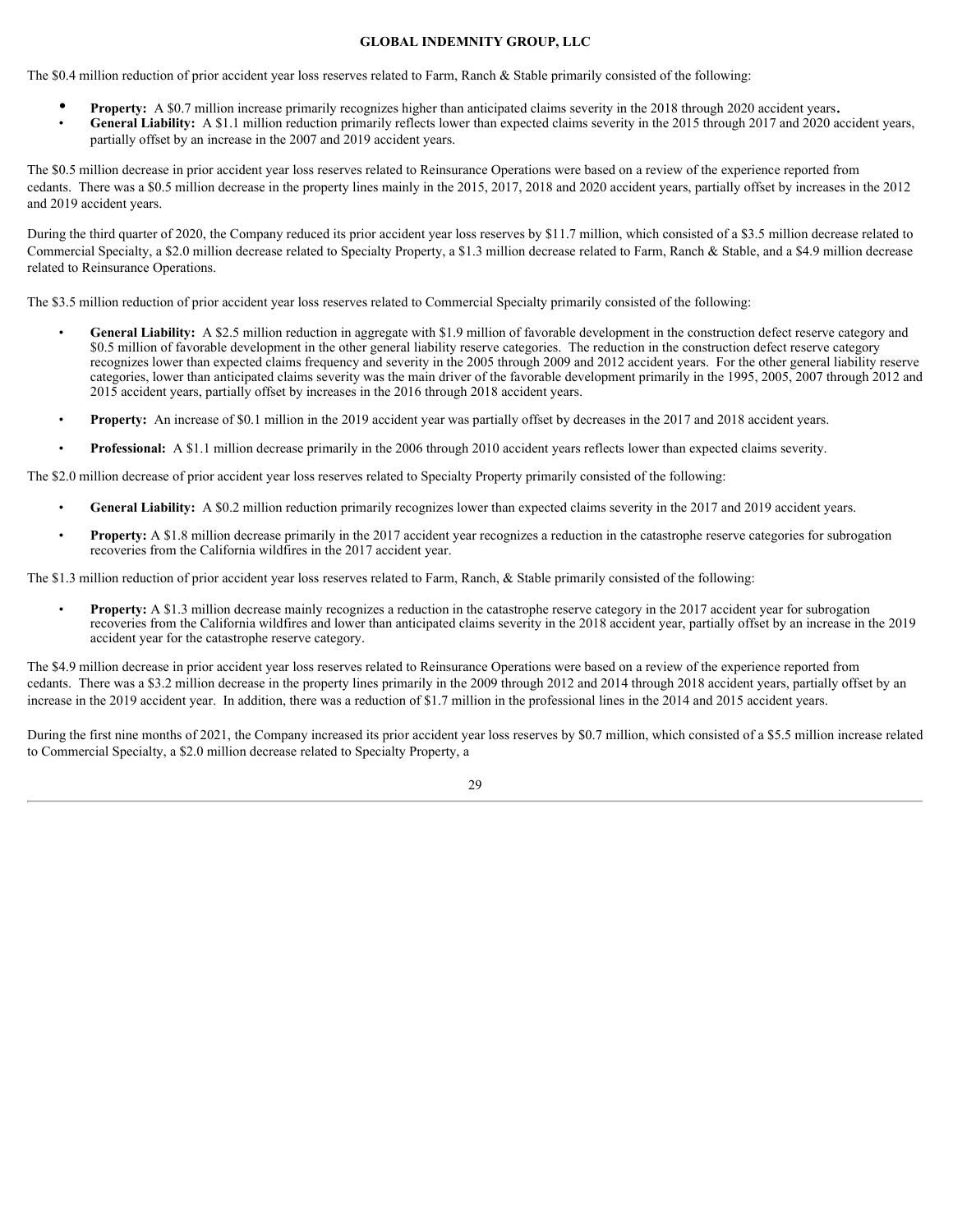The \$0.4 million reduction of prior accident year loss reserves related to Farm, Ranch & Stable primarily consisted of the following:

- **Property:** A \$0.7 million increase primarily recognizes higher than anticipated claims severity in the 2018 through 2020 accident years.
- **General Liability:** A \$1.1 million reduction primarily reflects lower than expected claims severity in the 2015 through 2017 and 2020 accident years, partially offset by an increase in the 2007 and 2019 accident years.

The \$0.5 million decrease in prior accident year loss reserves related to Reinsurance Operations were based on a review of the experience reported from cedants. There was a \$0.5 million decrease in the property lines mainly in the 2015, 2017, 2018 and 2020 accident years, partially offset by increases in the 2012 and 2019 accident years.

During the third quarter of 2020, the Company reduced its prior accident year loss reserves by \$11.7 million, which consisted of a \$3.5 million decrease related to Commercial Specialty, a \$2.0 million decrease related to Specialty Property, a \$1.3 million decrease related to Farm, Ranch & Stable, and a \$4.9 million decrease related to Reinsurance Operations.

The \$3.5 million reduction of prior accident year loss reserves related to Commercial Specialty primarily consisted of the following:

- **General Liability:** A \$2.5 million reduction in aggregate with \$1.9 million of favorable development in the construction defect reserve category and \$0.5 million of favorable development in the other general liability reserve categories. The reduction in the construction defect reserve category recognizes lower than expected claims frequency and severity in the 2005 through 2009 and 2012 accident years. For the other general liability reserve categories, lower than anticipated claims severity was the main driver of the favorable development primarily in the 1995, 2005, 2007 through 2012 and 2015 accident years, partially offset by increases in the 2016 through 2018 accident years.
- **Property:** An increase of \$0.1 million in the 2019 accident year was partially offset by decreases in the 2017 and 2018 accident years.
- **Professional:** A \$1.1 million decrease primarily in the 2006 through 2010 accident years reflects lower than expected claims severity.

The \$2.0 million decrease of prior accident year loss reserves related to Specialty Property primarily consisted of the following:

- General Liability: A \$0.2 million reduction primarily recognizes lower than expected claims severity in the 2017 and 2019 accident years.
- **Property:** A \$1.8 million decrease primarily in the 2017 accident year recognizes a reduction in the catastrophe reserve categories for subrogation recoveries from the California wildfires in the 2017 accident year.

The \$1.3 million reduction of prior accident year loss reserves related to Farm, Ranch, & Stable primarily consisted of the following:

**Property:** A \$1.3 million decrease mainly recognizes a reduction in the catastrophe reserve category in the 2017 accident year for subrogation recoveries from the California wildfires and lower than anticipated claims severity in the 2018 accident year, partially offset by an increase in the 2019 accident year for the catastrophe reserve category.

The \$4.9 million decrease in prior accident year loss reserves related to Reinsurance Operations were based on a review of the experience reported from cedants. There was a \$3.2 million decrease in the property lines primarily in the 2009 through 2012 and 2014 through 2018 accident years, partially offset by an increase in the 2019 accident year. In addition, there was a reduction of \$1.7 million in the professional lines in the 2014 and 2015 accident years.

During the first nine months of 2021, the Company increased its prior accident year loss reserves by \$0.7 million, which consisted of a \$5.5 million increase related to Commercial Specialty, a \$2.0 million decrease related to Specialty Property, a

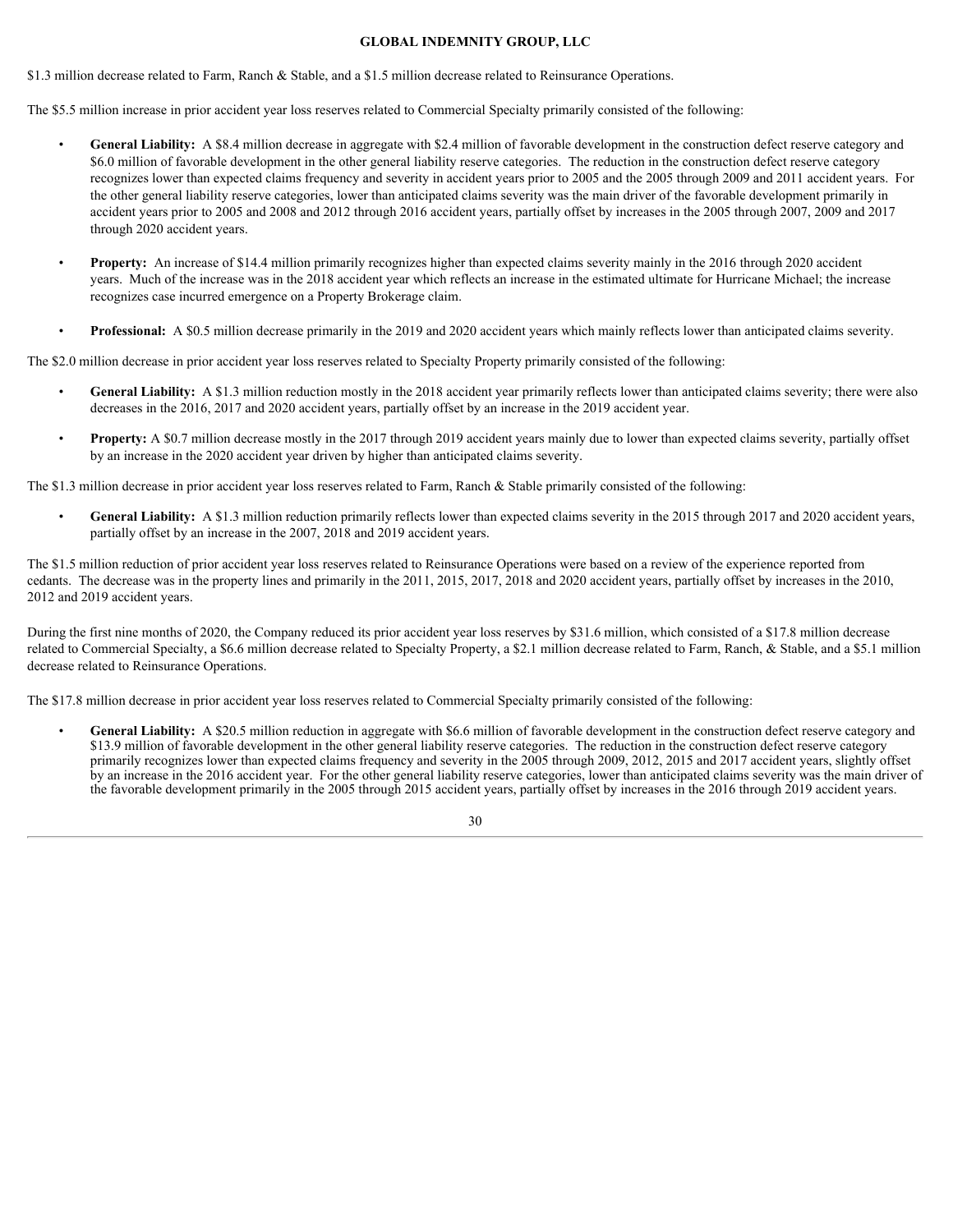\$1.3 million decrease related to Farm, Ranch & Stable, and a \$1.5 million decrease related to Reinsurance Operations.

The \$5.5 million increase in prior accident year loss reserves related to Commercial Specialty primarily consisted of the following:

- **General Liability:** A \$8.4 million decrease in aggregate with \$2.4 million of favorable development in the construction defect reserve category and \$6.0 million of favorable development in the other general liability reserve categories. The reduction in the construction defect reserve category recognizes lower than expected claims frequency and severity in accident years prior to 2005 and the 2005 through 2009 and 2011 accident years. For the other general liability reserve categories, lower than anticipated claims severity was the main driver of the favorable development primarily in accident years prior to 2005 and 2008 and 2012 through 2016 accident years, partially offset by increases in the 2005 through 2007, 2009 and 2017 through 2020 accident years.
- **Property:** An increase of \$14.4 million primarily recognizes higher than expected claims severity mainly in the 2016 through 2020 accident years. Much of the increase was in the 2018 accident year which reflects an increase in the estimated ultimate for Hurricane Michael; the increase recognizes case incurred emergence on a Property Brokerage claim.
- **Professional:** A \$0.5 million decrease primarily in the 2019 and 2020 accident years which mainly reflects lower than anticipated claims severity.

The \$2.0 million decrease in prior accident year loss reserves related to Specialty Property primarily consisted of the following:

- **General Liability:** A \$1.3 million reduction mostly in the 2018 accident year primarily reflects lower than anticipated claims severity; there were also decreases in the 2016, 2017 and 2020 accident years, partially offset by an increase in the 2019 accident year.
- **Property:** A \$0.7 million decrease mostly in the 2017 through 2019 accident years mainly due to lower than expected claims severity, partially offset by an increase in the 2020 accident year driven by higher than anticipated claims severity.

The \$1.3 million decrease in prior accident year loss reserves related to Farm, Ranch & Stable primarily consisted of the following:

• **General Liability:** A \$1.3 million reduction primarily reflects lower than expected claims severity in the 2015 through 2017 and 2020 accident years, partially offset by an increase in the 2007, 2018 and 2019 accident years.

The \$1.5 million reduction of prior accident year loss reserves related to Reinsurance Operations were based on a review of the experience reported from cedants. The decrease was in the property lines and primarily in the 2011, 2015, 2017, 2018 and 2020 accident years, partially offset by increases in the 2010, 2012 and 2019 accident years.

During the first nine months of 2020, the Company reduced its prior accident year loss reserves by \$31.6 million, which consisted of a \$17.8 million decrease related to Commercial Specialty, a \$6.6 million decrease related to Specialty Property, a \$2.1 million decrease related to Farm, Ranch, & Stable, and a \$5.1 million decrease related to Reinsurance Operations.

The \$17.8 million decrease in prior accident year loss reserves related to Commercial Specialty primarily consisted of the following:

• **General Liability:** A \$20.5 million reduction in aggregate with \$6.6 million of favorable development in the construction defect reserve category and \$13.9 million of favorable development in the other general liability reserve categories. The reduction in the construction defect reserve category primarily recognizes lower than expected claims frequency and severity in the 2005 through 2009, 2012, 2015 and 2017 accident years, slightly offset by an increase in the 2016 accident year. For the other general liability reserve categories, lower than anticipated claims severity was the main driver of the favorable development primarily in the 2005 through 2015 accident years, partially offset by increases in the 2016 through 2019 accident years.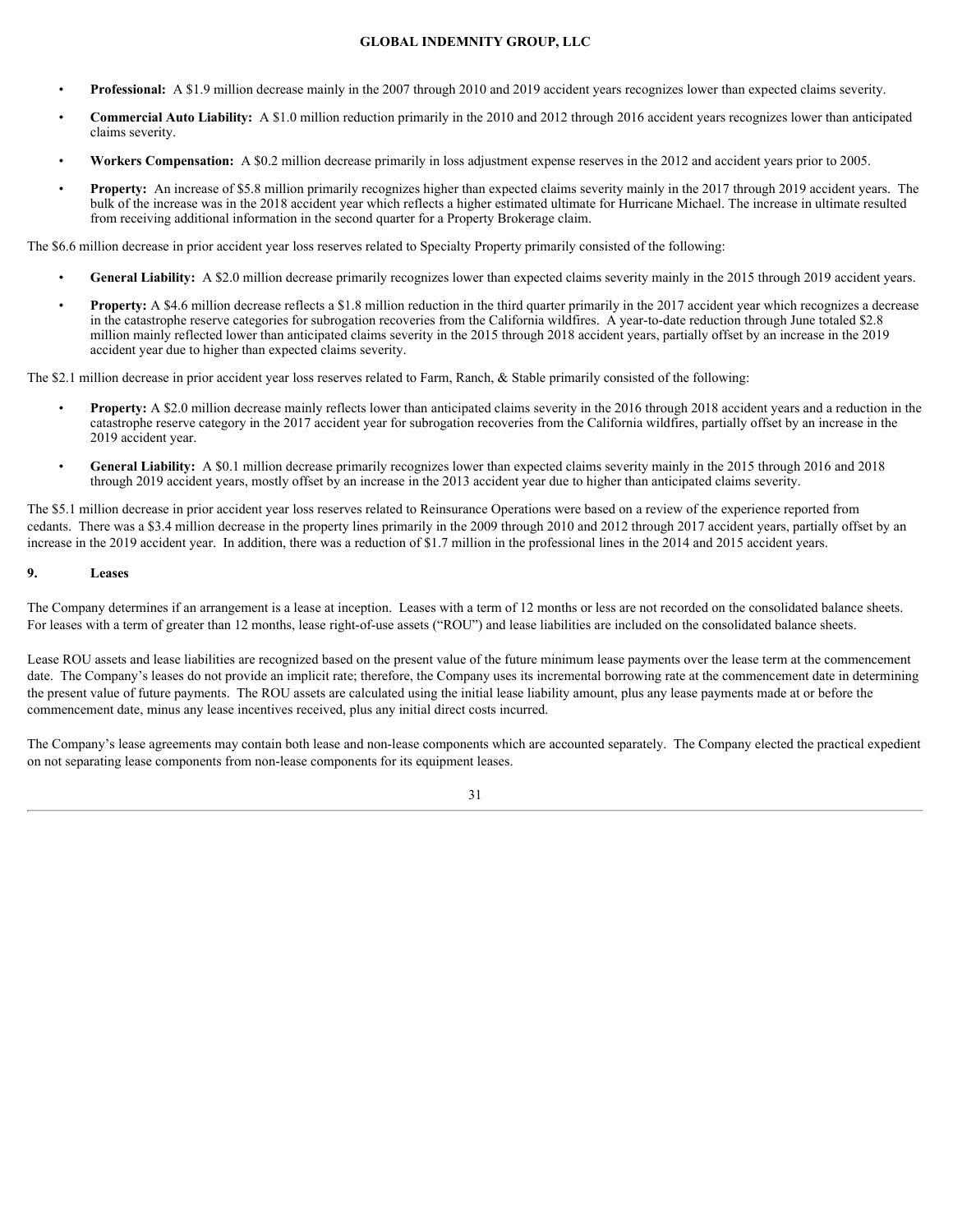- **Professional:** A \$1.9 million decrease mainly in the 2007 through 2010 and 2019 accident years recognizes lower than expected claims severity.
- **Commercial Auto Liability:** A \$1.0 million reduction primarily in the 2010 and 2012 through 2016 accident years recognizes lower than anticipated claims severity.
- **Workers Compensation:** A \$0.2 million decrease primarily in loss adjustment expense reserves in the 2012 and accident years prior to 2005.
- **Property:** An increase of \$5.8 million primarily recognizes higher than expected claims severity mainly in the 2017 through 2019 accident years. The bulk of the increase was in the 2018 accident year which reflects a higher estimated ultimate for Hurricane Michael. The increase in ultimate resulted from receiving additional information in the second quarter for a Property Brokerage claim.

The \$6.6 million decrease in prior accident year loss reserves related to Specialty Property primarily consisted of the following:

- **General Liability:** A \$2.0 million decrease primarily recognizes lower than expected claims severity mainly in the 2015 through 2019 accident years.
- **Property:** A \$4.6 million decrease reflects a \$1.8 million reduction in the third quarter primarily in the 2017 accident year which recognizes a decrease in the catastrophe reserve categories for subrogation recoveries from the California wildfires. A year-to-date reduction through June totaled \$2.8 million mainly reflected lower than anticipated claims severity in the 2015 through 2018 accident years, partially offset by an increase in the 2019 accident year due to higher than expected claims severity.

The \$2.1 million decrease in prior accident year loss reserves related to Farm, Ranch, & Stable primarily consisted of the following:

- **Property:** A \$2.0 million decrease mainly reflects lower than anticipated claims severity in the 2016 through 2018 accident years and a reduction in the catastrophe reserve category in the 2017 accident year for subrogation recoveries from the California wildfires, partially offset by an increase in the 2019 accident year.
- **General Liability:** A \$0.1 million decrease primarily recognizes lower than expected claims severity mainly in the 2015 through 2016 and 2018 through 2019 accident years, mostly offset by an increase in the 2013 accident year due to higher than anticipated claims severity.

The \$5.1 million decrease in prior accident year loss reserves related to Reinsurance Operations were based on a review of the experience reported from cedants. There was a \$3.4 million decrease in the property lines primarily in the 2009 through 2010 and 2012 through 2017 accident years, partially offset by an increase in the 2019 accident year. In addition, there was a reduction of \$1.7 million in the professional lines in the 2014 and 2015 accident years.

## **9. Leases**

The Company determines if an arrangement is a lease at inception. Leases with a term of 12 months or less are not recorded on the consolidated balance sheets. For leases with a term of greater than 12 months, lease right-of-use assets ("ROU") and lease liabilities are included on the consolidated balance sheets.

Lease ROU assets and lease liabilities are recognized based on the present value of the future minimum lease payments over the lease term at the commencement date. The Company's leases do not provide an implicit rate; therefore, the Company uses its incremental borrowing rate at the commencement date in determining the present value of future payments. The ROU assets are calculated using the initial lease liability amount, plus any lease payments made at or before the commencement date, minus any lease incentives received, plus any initial direct costs incurred.

The Company's lease agreements may contain both lease and non-lease components which are accounted separately. The Company elected the practical expedient on not separating lease components from non-lease components for its equipment leases.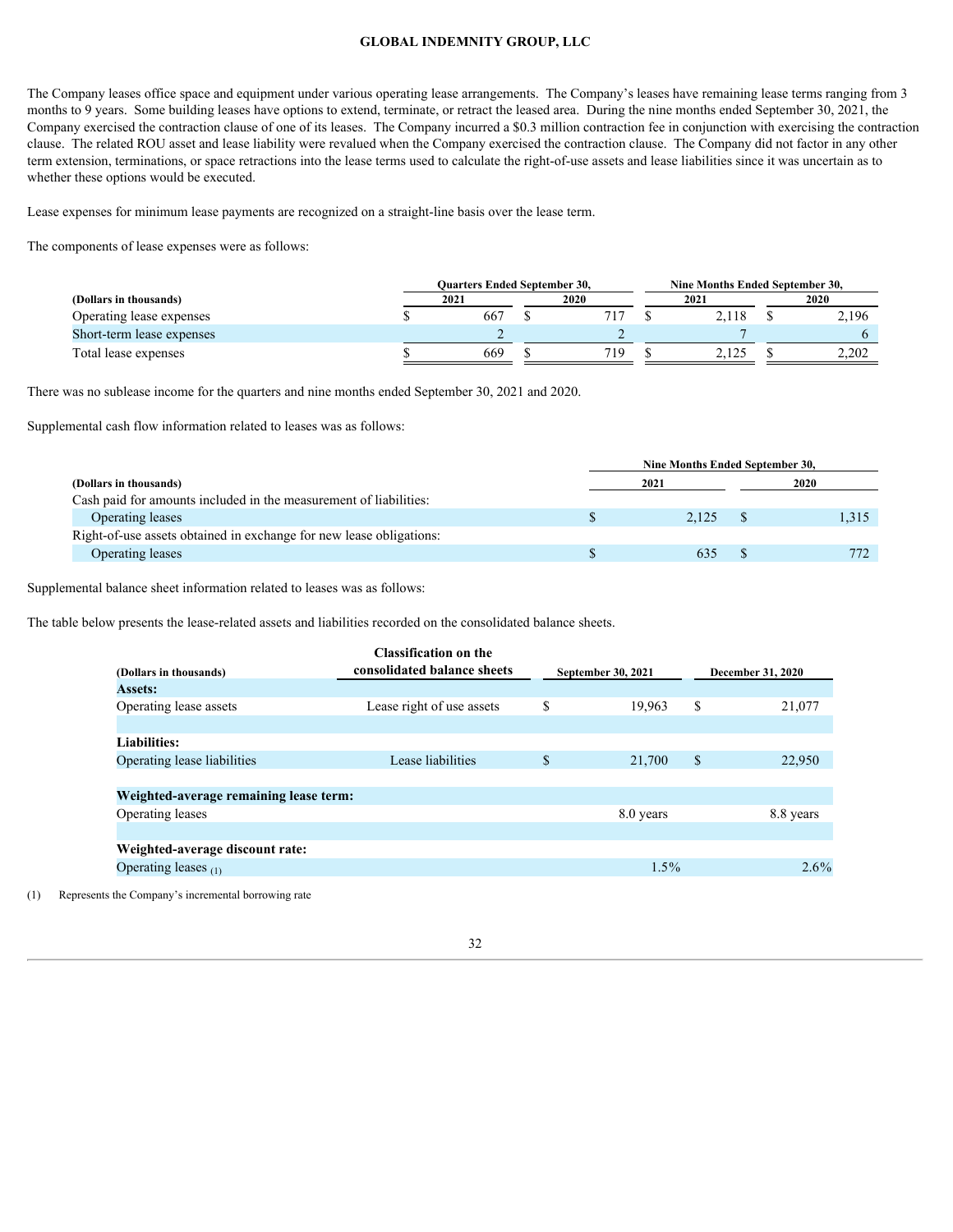The Company leases office space and equipment under various operating lease arrangements. The Company's leases have remaining lease terms ranging from 3 months to 9 years. Some building leases have options to extend, terminate, or retract the leased area. During the nine months ended September 30, 2021, the Company exercised the contraction clause of one of its leases. The Company incurred a \$0.3 million contraction fee in conjunction with exercising the contraction clause. The related ROU asset and lease liability were revalued when the Company exercised the contraction clause. The Company did not factor in any other term extension, terminations, or space retractions into the lease terms used to calculate the right-of-use assets and lease liabilities since it was uncertain as to whether these options would be executed.

Lease expenses for minimum lease payments are recognized on a straight-line basis over the lease term.

The components of lease expenses were as follows:

|                           |      | <b>Ouarters Ended September 30,</b> | Nine Months Ended September 30, |       |
|---------------------------|------|-------------------------------------|---------------------------------|-------|
| (Dollars in thousands)    | 2021 | 2020                                | 2021                            | 2020  |
| Operating lease expenses  | 667  | 717                                 | 2,118                           | 2,196 |
| Short-term lease expenses |      |                                     |                                 |       |
| Total lease expenses      | 669  | 719                                 | 2.12J                           | 2,202 |

There was no sublease income for the quarters and nine months ended September 30, 2021 and 2020.

Supplemental cash flow information related to leases was as follows:

| 2021  | 2020                            |
|-------|---------------------------------|
|       |                                 |
| 2.125 | 1,315                           |
|       |                                 |
| 635   | 772                             |
|       | Nine Months Ended September 30, |

Supplemental balance sheet information related to leases was as follows:

The table below presents the lease-related assets and liabilities recorded on the consolidated balance sheets.

|                                        | <b>Classification on the</b> |              |                    |      |                          |
|----------------------------------------|------------------------------|--------------|--------------------|------|--------------------------|
| (Dollars in thousands)                 | consolidated balance sheets  |              | September 30, 2021 |      | <b>December 31, 2020</b> |
| <b>Assets:</b>                         |                              |              |                    |      |                          |
| Operating lease assets                 | Lease right of use assets    | D.           | 19,963             | - 33 | 21,077                   |
|                                        |                              |              |                    |      |                          |
| <b>Liabilities:</b>                    |                              |              |                    |      |                          |
| Operating lease liabilities            | Lease liabilities            | $\mathbf{D}$ | 21,700             | Ъ.   | 22,950                   |
|                                        |                              |              |                    |      |                          |
| Weighted-average remaining lease term: |                              |              |                    |      |                          |
| Operating leases                       |                              |              | 8.0 years          |      | 8.8 years                |
|                                        |                              |              |                    |      |                          |
| Weighted-average discount rate:        |                              |              |                    |      |                          |
| Operating leases $_{(1)}$              |                              |              | 1.5%               |      | 2.6%                     |
|                                        |                              |              |                    |      |                          |

(1) Represents the Company's incremental borrowing rate

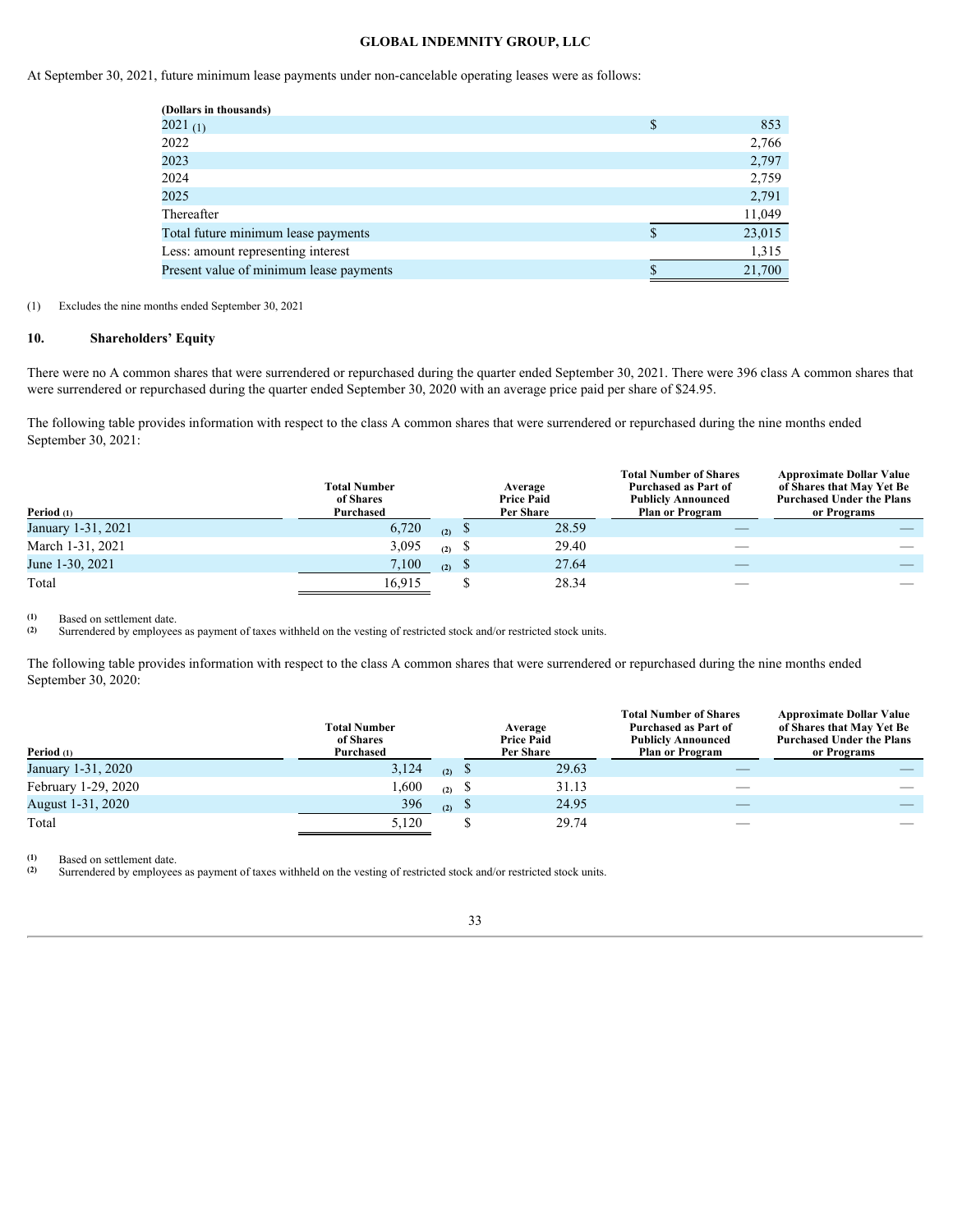At September 30, 2021, future minimum lease payments under non-cancelable operating leases were as follows:

| (Dollars in thousands)                  |        |
|-----------------------------------------|--------|
| $2021_{(1)}$                            | 853    |
| 2022                                    | 2,766  |
| 2023                                    | 2,797  |
| 2024                                    | 2,759  |
| 2025                                    | 2,791  |
| Thereafter                              | 11,049 |
| Total future minimum lease payments     | 23,015 |
| Less: amount representing interest      | 1,315  |
| Present value of minimum lease payments | 21,700 |

(1) Excludes the nine months ended September 30, 2021

## **10. Shareholders' Equity**

There were no A common shares that were surrendered or repurchased during the quarter ended September 30, 2021. There were 396 class A common shares that were surrendered or repurchased during the quarter ended September 30, 2020 with an average price paid per share of \$24.95.

The following table provides information with respect to the class A common shares that were surrendered or repurchased during the nine months ended September 30, 2021:

| Period (1)         | <b>Total Number</b><br>of Shares<br>Purchased | Average<br><b>Price Paid</b><br>Per Share | <b>Total Number of Shares</b><br><b>Purchased as Part of</b><br><b>Publicly Announced</b><br>Plan or Program | <b>Approximate Dollar Value</b><br>of Shares that May Yet Be<br><b>Purchased Under the Plans</b><br>or Programs |
|--------------------|-----------------------------------------------|-------------------------------------------|--------------------------------------------------------------------------------------------------------------|-----------------------------------------------------------------------------------------------------------------|
| January 1-31, 2021 | 6,720<br>(2)                                  | 28.59                                     |                                                                                                              |                                                                                                                 |
| March 1-31, 2021   | 3,095<br>$(2)$ $\sqrt{2}$                     | 29.40                                     | $\overbrace{\hspace{25mm}}^{}$                                                                               | $\overline{\phantom{a}}$                                                                                        |
| June 1-30, 2021    | 7,100<br>(2)                                  | 27.64                                     |                                                                                                              |                                                                                                                 |
| Total              | 16,915                                        | 28.34                                     | $\overbrace{\hspace{25mm}}^{}$                                                                               | $\overline{\phantom{a}}$                                                                                        |

**(1)** Based on settlement date.

Surrendered by employees as payment of taxes withheld on the vesting of restricted stock and/or restricted stock units.

The following table provides information with respect to the class A common shares that were surrendered or repurchased during the nine months ended September 30, 2020:

| Period (1)          | <b>Total Number</b><br>of Shares<br>Purchased | Average<br><b>Price Paid</b><br>Per Share | <b>Total Number of Shares</b><br><b>Purchased as Part of</b><br><b>Publicly Announced</b><br>Plan or Program | <b>Approximate Dollar Value</b><br>of Shares that May Yet Be<br><b>Purchased Under the Plans</b><br>or Programs |
|---------------------|-----------------------------------------------|-------------------------------------------|--------------------------------------------------------------------------------------------------------------|-----------------------------------------------------------------------------------------------------------------|
| January 1-31, 2020  | 3,124<br>(2)                                  | 29.63                                     |                                                                                                              |                                                                                                                 |
| February 1-29, 2020 | 1,600<br>(2)                                  | 31.13                                     | $\overbrace{\hspace{25mm}}^{}$                                                                               | $\hspace{0.1mm}-\hspace{0.1mm}$                                                                                 |
| August 1-31, 2020   | 396<br>(2)                                    | 24.95                                     | $\hspace{0.1mm}-\hspace{0.1mm}$                                                                              | $\overbrace{\phantom{aaaaa}}$                                                                                   |
| Total               | 5,120                                         | 29.74                                     | $\overbrace{\phantom{13333}}$                                                                                | $\hspace{0.1mm}-\hspace{0.1mm}$                                                                                 |

**(1)** Based on settlement date.

Surrendered by employees as payment of taxes withheld on the vesting of restricted stock and/or restricted stock units.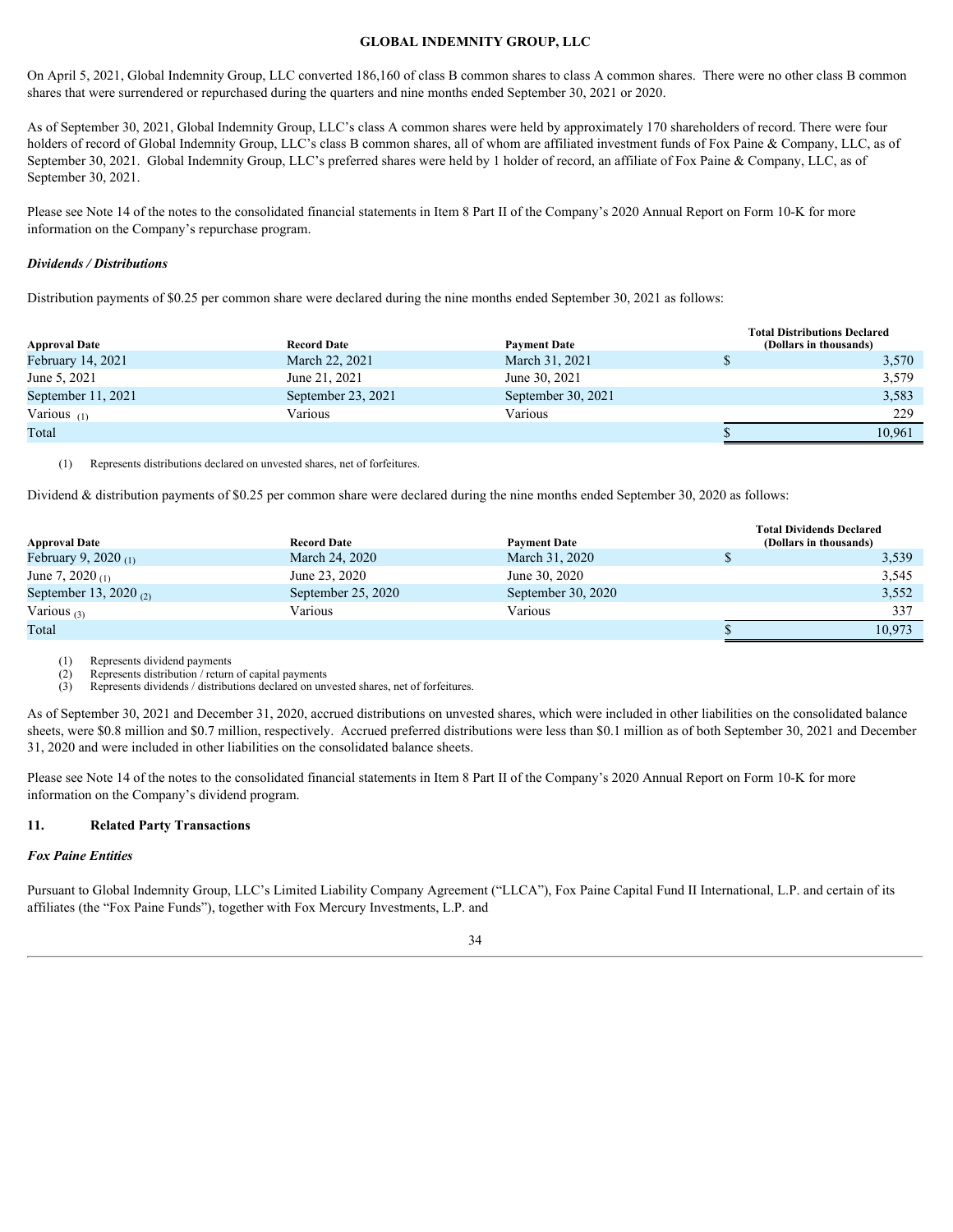On April 5, 2021, Global Indemnity Group, LLC converted 186,160 of class B common shares to class A common shares. There were no other class B common shares that were surrendered or repurchased during the quarters and nine months ended September 30, 2021 or 2020.

As of September 30, 2021, Global Indemnity Group, LLC's class A common shares were held by approximately 170 shareholders of record. There were four holders of record of Global Indemnity Group, LLC's class B common shares, all of whom are affiliated investment funds of Fox Paine & Company, LLC, as of September 30, 2021. Global Indemnity Group, LLC's preferred shares were held by 1 holder of record, an affiliate of Fox Paine & Company, LLC, as of September 30, 2021.

Please see Note 14 of the notes to the consolidated financial statements in Item 8 Part II of the Company's 2020 Annual Report on Form 10-K for more information on the Company's repurchase program.

## *Dividends / Distributions*

Distribution payments of \$0.25 per common share were declared during the nine months ended September 30, 2021 as follows:

| <b>Approval Date</b> | <b>Record Date</b> | <b>Payment Date</b> | <b>Total Distributions Declared</b><br>(Dollars in thousands) |        |  |
|----------------------|--------------------|---------------------|---------------------------------------------------------------|--------|--|
| February 14, 2021    | March 22, 2021     | March 31, 2021      |                                                               | 3,570  |  |
| June 5, 2021         | June 21, 2021      | June 30, 2021       |                                                               | 3,579  |  |
| September $11, 2021$ | September 23, 2021 | September 30, 2021  |                                                               | 3,583  |  |
| Various $(1)$        | Various            | Various             |                                                               | 229    |  |
| Total                |                    |                     |                                                               | 10,961 |  |

(1) Represents distributions declared on unvested shares, net of forfeitures.

Dividend & distribution payments of \$0.25 per common share were declared during the nine months ended September 30, 2020 as follows:

|                           |                      |                     | <b>Total Dividends Declared</b><br>(Dollars in thousands) |        |  |
|---------------------------|----------------------|---------------------|-----------------------------------------------------------|--------|--|
| <b>Approval Date</b>      | <b>Record Date</b>   | <b>Payment Date</b> |                                                           |        |  |
| February 9, 2020 $\alpha$ | March 24, 2020       | March 31, 2020      |                                                           | 3,539  |  |
| June 7, 2020 $_{(1)}$     | June 23, 2020        | June 30, 2020       |                                                           | 3,545  |  |
| September 13, 2020 $(2)$  | September $25, 2020$ | September 30, 2020  |                                                           | 3,552  |  |
| Various $(3)$             | Various              | Various             |                                                           | 337    |  |
| Total                     |                      |                     |                                                           | 10,973 |  |
|                           |                      |                     |                                                           |        |  |

<sup>(1)</sup> Represents dividend payments

- (2) Represents distribution / return of capital payments
- (3) Represents dividends / distributions declared on unvested shares, net of forfeitures.

As of September 30, 2021 and December 31, 2020, accrued distributions on unvested shares, which were included in other liabilities on the consolidated balance sheets, were \$0.8 million and \$0.7 million, respectively. Accrued preferred distributions were less than \$0.1 million as of both September 30, 2021 and December 31, 2020 and were included in other liabilities on the consolidated balance sheets.

Please see Note 14 of the notes to the consolidated financial statements in Item 8 Part II of the Company's 2020 Annual Report on Form 10-K for more information on the Company's dividend program.

#### **11. Related Party Transactions**

## *Fox Paine Entities*

Pursuant to Global Indemnity Group, LLC's Limited Liability Company Agreement ("LLCA"), Fox Paine Capital Fund II International, L.P. and certain of its affiliates (the "Fox Paine Funds"), together with Fox Mercury Investments, L.P. and

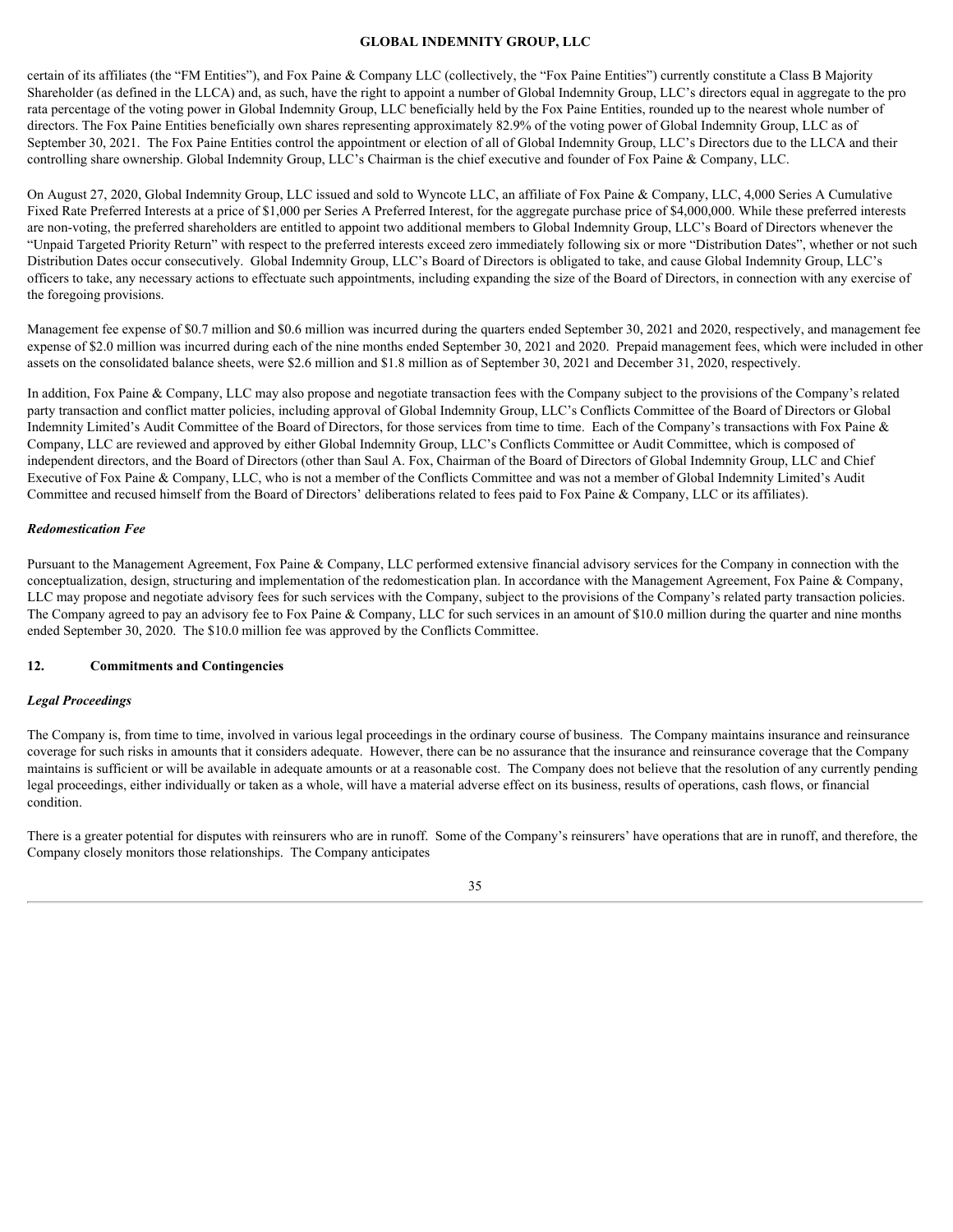certain of its affiliates (the "FM Entities"), and Fox Paine & Company LLC (collectively, the "Fox Paine Entities") currently constitute a Class B Majority Shareholder (as defined in the LLCA) and, as such, have the right to appoint a number of Global Indemnity Group, LLC's directors equal in aggregate to the pro rata percentage of the voting power in Global Indemnity Group, LLC beneficially held by the Fox Paine Entities, rounded up to the nearest whole number of directors. The Fox Paine Entities beneficially own shares representing approximately 82.9% of the voting power of Global Indemnity Group, LLC as of September 30, 2021. The Fox Paine Entities control the appointment or election of all of Global Indemnity Group, LLC's Directors due to the LLCA and their controlling share ownership. Global Indemnity Group, LLC's Chairman is the chief executive and founder of Fox Paine & Company, LLC.

On August 27, 2020, Global Indemnity Group, LLC issued and sold to Wyncote LLC, an affiliate of Fox Paine & Company, LLC, 4,000 Series A Cumulative Fixed Rate Preferred Interests at a price of \$1,000 per Series A Preferred Interest, for the aggregate purchase price of \$4,000,000. While these preferred interests are non-voting, the preferred shareholders are entitled to appoint two additional members to Global Indemnity Group, LLC's Board of Directors whenever the "Unpaid Targeted Priority Return" with respect to the preferred interests exceed zero immediately following six or more "Distribution Dates", whether or not such Distribution Dates occur consecutively. Global Indemnity Group, LLC's Board of Directors is obligated to take, and cause Global Indemnity Group, LLC's officers to take, any necessary actions to effectuate such appointments, including expanding the size of the Board of Directors, in connection with any exercise of the foregoing provisions.

Management fee expense of \$0.7 million and \$0.6 million was incurred during the quarters ended September 30, 2021 and 2020, respectively, and management fee expense of \$2.0 million was incurred during each of the nine months ended September 30, 2021 and 2020. Prepaid management fees, which were included in other assets on the consolidated balance sheets, were \$2.6 million and \$1.8 million as of September 30, 2021 and December 31, 2020, respectively.

In addition, Fox Paine & Company, LLC may also propose and negotiate transaction fees with the Company subject to the provisions of the Company's related party transaction and conflict matter policies, including approval of Global Indemnity Group, LLC's Conflicts Committee of the Board of Directors or Global Indemnity Limited's Audit Committee of the Board of Directors, for those services from time to time. Each of the Company's transactions with Fox Paine & Company, LLC are reviewed and approved by either Global Indemnity Group, LLC's Conflicts Committee or Audit Committee, which is composed of independent directors, and the Board of Directors (other than Saul A. Fox, Chairman of the Board of Directors of Global Indemnity Group, LLC and Chief Executive of Fox Paine & Company, LLC, who is not a member of the Conflicts Committee and was not a member of Global Indemnity Limited's Audit Committee and recused himself from the Board of Directors' deliberations related to fees paid to Fox Paine & Company, LLC or its affiliates).

## *Redomestication Fee*

Pursuant to the Management Agreement, Fox Paine & Company, LLC performed extensive financial advisory services for the Company in connection with the conceptualization, design, structuring and implementation of the redomestication plan. In accordance with the Management Agreement, Fox Paine & Company, LLC may propose and negotiate advisory fees for such services with the Company, subject to the provisions of the Company's related party transaction policies. The Company agreed to pay an advisory fee to Fox Paine & Company, LLC for such services in an amount of \$10.0 million during the quarter and nine months ended September 30, 2020. The \$10.0 million fee was approved by the Conflicts Committee.

## **12. Commitments and Contingencies**

## *Legal Proceedings*

The Company is, from time to time, involved in various legal proceedings in the ordinary course of business. The Company maintains insurance and reinsurance coverage for such risks in amounts that it considers adequate. However, there can be no assurance that the insurance and reinsurance coverage that the Company maintains is sufficient or will be available in adequate amounts or at a reasonable cost. The Company does not believe that the resolution of any currently pending legal proceedings, either individually or taken as a whole, will have a material adverse effect on its business, results of operations, cash flows, or financial condition.

There is a greater potential for disputes with reinsurers who are in runoff. Some of the Company's reinsurers' have operations that are in runoff, and therefore, the Company closely monitors those relationships. The Company anticipates

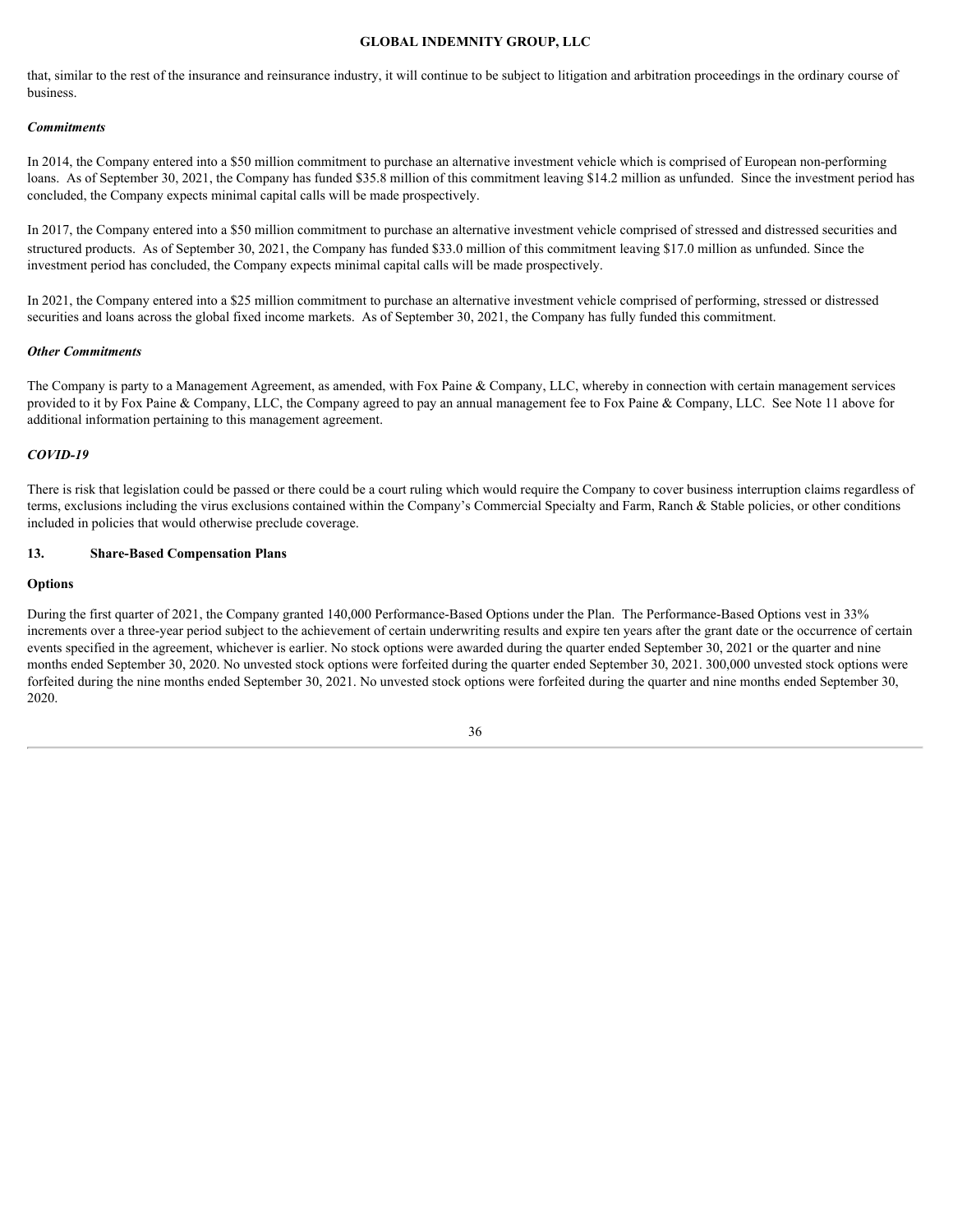that, similar to the rest of the insurance and reinsurance industry, it will continue to be subject to litigation and arbitration proceedings in the ordinary course of business.

#### *Commitments*

In 2014, the Company entered into a \$50 million commitment to purchase an alternative investment vehicle which is comprised of European non-performing loans. As of September 30, 2021, the Company has funded \$35.8 million of this commitment leaving \$14.2 million as unfunded. Since the investment period has concluded, the Company expects minimal capital calls will be made prospectively.

In 2017, the Company entered into a \$50 million commitment to purchase an alternative investment vehicle comprised of stressed and distressed securities and structured products. As of September 30, 2021, the Company has funded \$33.0 million of this commitment leaving \$17.0 million as unfunded. Since the investment period has concluded, the Company expects minimal capital calls will be made prospectively.

In 2021, the Company entered into a \$25 million commitment to purchase an alternative investment vehicle comprised of performing, stressed or distressed securities and loans across the global fixed income markets. As of September 30, 2021, the Company has fully funded this commitment.

#### *Other Commitments*

The Company is party to a Management Agreement, as amended, with Fox Paine & Company, LLC, whereby in connection with certain management services provided to it by Fox Paine & Company, LLC, the Company agreed to pay an annual management fee to Fox Paine & Company, LLC. See Note 11 above for additional information pertaining to this management agreement.

#### *COVID-19*

There is risk that legislation could be passed or there could be a court ruling which would require the Company to cover business interruption claims regardless of terms, exclusions including the virus exclusions contained within the Company's Commercial Specialty and Farm, Ranch & Stable policies, or other conditions included in policies that would otherwise preclude coverage.

#### **13. Share-Based Compensation Plans**

#### **Options**

During the first quarter of 2021, the Company granted 140,000 Performance-Based Options under the Plan. The Performance-Based Options vest in 33% increments over a three-year period subject to the achievement of certain underwriting results and expire ten years after the grant date or the occurrence of certain events specified in the agreement, whichever is earlier. No stock options were awarded during the quarter ended September 30, 2021 or the quarter and nine months ended September 30, 2020. No unvested stock options were forfeited during the quarter ended September 30, 2021. 300,000 unvested stock options were forfeited during the nine months ended September 30, 2021. No unvested stock options were forfeited during the quarter and nine months ended September 30, 2020.

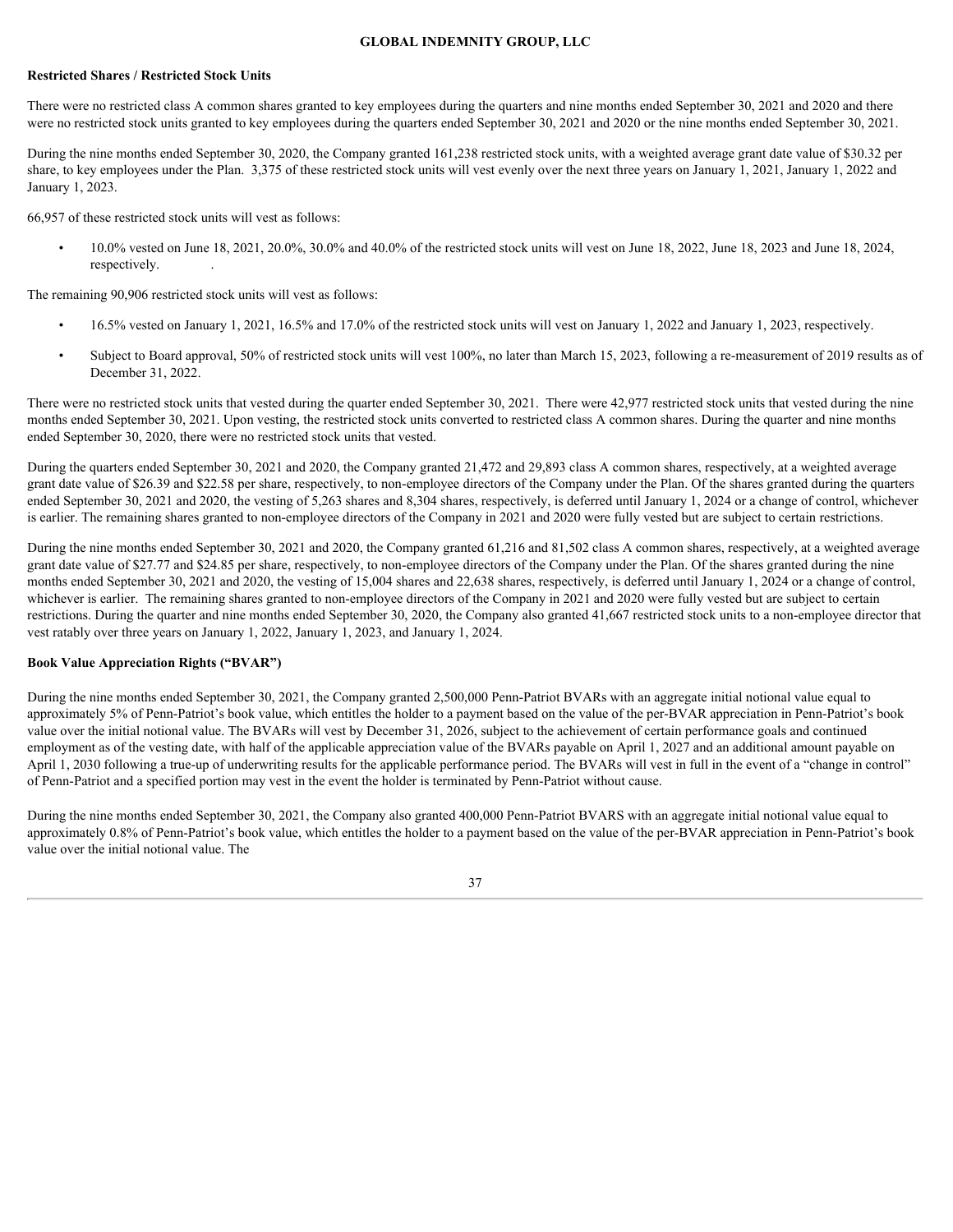### **Restricted Shares / Restricted Stock Units**

There were no restricted class A common shares granted to key employees during the quarters and nine months ended September 30, 2021 and 2020 and there were no restricted stock units granted to key employees during the quarters ended September 30, 2021 and 2020 or the nine months ended September 30, 2021.

During the nine months ended September 30, 2020, the Company granted 161,238 restricted stock units, with a weighted average grant date value of \$30.32 per share, to key employees under the Plan. 3,375 of these restricted stock units will vest evenly over the next three years on January 1, 2021, January 1, 2022 and January 1, 2023.

66,957 of these restricted stock units will vest as follows:

• 10.0% vested on June 18, 2021, 20.0%, 30.0% and 40.0% of the restricted stock units will vest on June 18, 2022, June 18, 2023 and June 18, 2024, respectively.

The remaining 90,906 restricted stock units will vest as follows:

- 16.5% vested on January 1, 2021, 16.5% and 17.0% of the restricted stock units will vest on January 1, 2022 and January 1, 2023, respectively.
- Subject to Board approval, 50% of restricted stock units will vest 100%, no later than March 15, 2023, following a re-measurement of 2019 results as of December 31, 2022.

There were no restricted stock units that vested during the quarter ended September 30, 2021. There were 42,977 restricted stock units that vested during the nine months ended September 30, 2021. Upon vesting, the restricted stock units converted to restricted class A common shares. During the quarter and nine months ended September 30, 2020, there were no restricted stock units that vested.

During the quarters ended September 30, 2021 and 2020, the Company granted 21,472 and 29,893 class A common shares, respectively, at a weighted average grant date value of \$26.39 and \$22.58 per share, respectively, to non-employee directors of the Company under the Plan. Of the shares granted during the quarters ended September 30, 2021 and 2020, the vesting of 5,263 shares and 8,304 shares, respectively, is deferred until January 1, 2024 or a change of control, whichever is earlier. The remaining shares granted to non-employee directors of the Company in 2021 and 2020 were fully vested but are subject to certain restrictions.

During the nine months ended September 30, 2021 and 2020, the Company granted 61,216 and 81,502 class A common shares, respectively, at a weighted average grant date value of \$27.77 and \$24.85 per share, respectively, to non-employee directors of the Company under the Plan. Of the shares granted during the nine months ended September 30, 2021 and 2020, the vesting of 15,004 shares and 22,638 shares, respectively, is deferred until January 1, 2024 or a change of control, whichever is earlier. The remaining shares granted to non-employee directors of the Company in 2021 and 2020 were fully vested but are subject to certain restrictions. During the quarter and nine months ended September 30, 2020, the Company also granted 41,667 restricted stock units to a non-employee director that vest ratably over three years on January 1, 2022, January 1, 2023, and January 1, 2024.

### **Book Value Appreciation Rights ("BVAR")**

During the nine months ended September 30, 2021, the Company granted 2,500,000 Penn-Patriot BVARs with an aggregate initial notional value equal to approximately 5% of Penn-Patriot's book value, which entitles the holder to a payment based on the value of the per-BVAR appreciation in Penn-Patriot's book value over the initial notional value. The BVARs will vest by December 31, 2026, subject to the achievement of certain performance goals and continued employment as of the vesting date, with half of the applicable appreciation value of the BVARs payable on April 1, 2027 and an additional amount payable on April 1, 2030 following a true-up of underwriting results for the applicable performance period. The BVARs will vest in full in the event of a "change in control" of Penn-Patriot and a specified portion may vest in the event the holder is terminated by Penn-Patriot without cause.

During the nine months ended September 30, 2021, the Company also granted 400,000 Penn-Patriot BVARS with an aggregate initial notional value equal to approximately 0.8% of Penn-Patriot's book value, which entitles the holder to a payment based on the value of the per-BVAR appreciation in Penn-Patriot's book value over the initial notional value. The

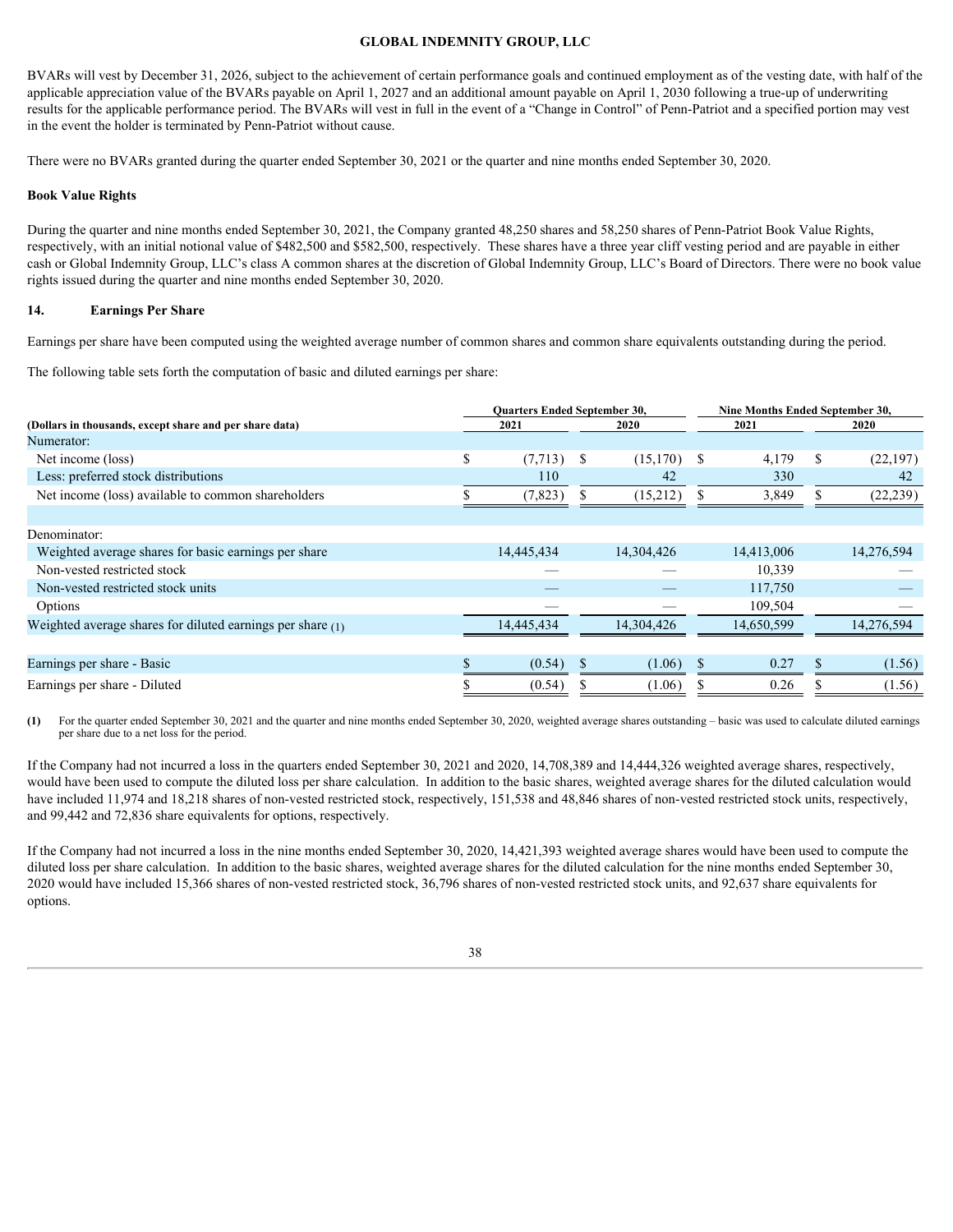BVARs will vest by December 31, 2026, subject to the achievement of certain performance goals and continued employment as of the vesting date, with half of the applicable appreciation value of the BVARs payable on April 1, 2027 and an additional amount payable on April 1, 2030 following a true-up of underwriting results for the applicable performance period. The BVARs will vest in full in the event of a "Change in Control" of Penn-Patriot and a specified portion may vest in the event the holder is terminated by Penn-Patriot without cause.

There were no BVARs granted during the quarter ended September 30, 2021 or the quarter and nine months ended September 30, 2020.

#### **Book Value Rights**

During the quarter and nine months ended September 30, 2021, the Company granted 48,250 shares and 58,250 shares of Penn-Patriot Book Value Rights, respectively, with an initial notional value of \$482,500 and \$582,500, respectively. These shares have a three year cliff vesting period and are payable in either cash or Global Indemnity Group, LLC's class A common shares at the discretion of Global Indemnity Group, LLC's Board of Directors. There were no book value rights issued during the quarter and nine months ended September 30, 2020.

## **14. Earnings Per Share**

Earnings per share have been computed using the weighted average number of common shares and common share equivalents outstanding during the period.

The following table sets forth the computation of basic and diluted earnings per share:

|                                                              | <b>Ouarters Ended September 30.</b> |     |                                 |      | Nine Months Ended September 30, |     |            |  |
|--------------------------------------------------------------|-------------------------------------|-----|---------------------------------|------|---------------------------------|-----|------------|--|
| (Dollars in thousands, except share and per share data)      | 2021                                |     | 2020                            |      | 2021                            |     | 2020       |  |
| Numerator:                                                   |                                     |     |                                 |      |                                 |     |            |  |
| Net income (loss)                                            | (7, 713)                            | - S | $(15,170)$ \$                   |      | 4,179                           | - 8 | (22, 197)  |  |
| Less: preferred stock distributions                          | 110                                 |     | 42                              |      | 330                             |     | 42         |  |
| Net income (loss) available to common shareholders           | (7, 823)                            |     | (15,212)                        |      | 3,849                           |     | (22, 239)  |  |
|                                                              |                                     |     |                                 |      |                                 |     |            |  |
| Denominator:                                                 |                                     |     |                                 |      |                                 |     |            |  |
| Weighted average shares for basic earnings per share         | 14,445,434                          |     | 14,304,426                      |      | 14,413,006                      |     | 14,276,594 |  |
| Non-vested restricted stock                                  |                                     |     | $\hspace{0.1mm}-\hspace{0.1mm}$ |      | 10,339                          |     |            |  |
| Non-vested restricted stock units                            |                                     |     | $\hspace{0.1mm}-\hspace{0.1mm}$ |      | 117,750                         |     |            |  |
| Options                                                      |                                     |     | $\hspace{0.1mm}-\hspace{0.1mm}$ |      | 109,504                         |     |            |  |
| Weighted average shares for diluted earnings per share $(1)$ | 14,445,434                          |     | 14,304,426                      |      | 14,650,599                      |     | 14,276,594 |  |
|                                                              |                                     |     |                                 |      |                                 |     |            |  |
| Earnings per share - Basic                                   | (0.54)                              | - 8 | (1.06)                          | - 55 | 0.27                            |     | (1.56)     |  |
| Earnings per share - Diluted                                 | (0.54)                              |     | (1.06)                          |      | 0.26                            |     | (1.56)     |  |

**(1)** For the quarter ended September 30, 2021 and the quarter and nine months ended September 30, 2020, weighted average shares outstanding – basic was used to calculate diluted earnings per share due to a net loss for the period.

If the Company had not incurred a loss in the quarters ended September 30, 2021 and 2020, 14,708,389 and 14,444,326 weighted average shares, respectively, would have been used to compute the diluted loss per share calculation. In addition to the basic shares, weighted average shares for the diluted calculation would have included 11,974 and 18,218 shares of non-vested restricted stock, respectively, 151,538 and 48,846 shares of non-vested restricted stock units, respectively, and 99,442 and 72,836 share equivalents for options, respectively.

If the Company had not incurred a loss in the nine months ended September 30, 2020, 14,421,393 weighted average shares would have been used to compute the diluted loss per share calculation. In addition to the basic shares, weighted average shares for the diluted calculation for the nine months ended September 30, 2020 would have included 15,366 shares of non-vested restricted stock, 36,796 shares of non-vested restricted stock units, and 92,637 share equivalents for options.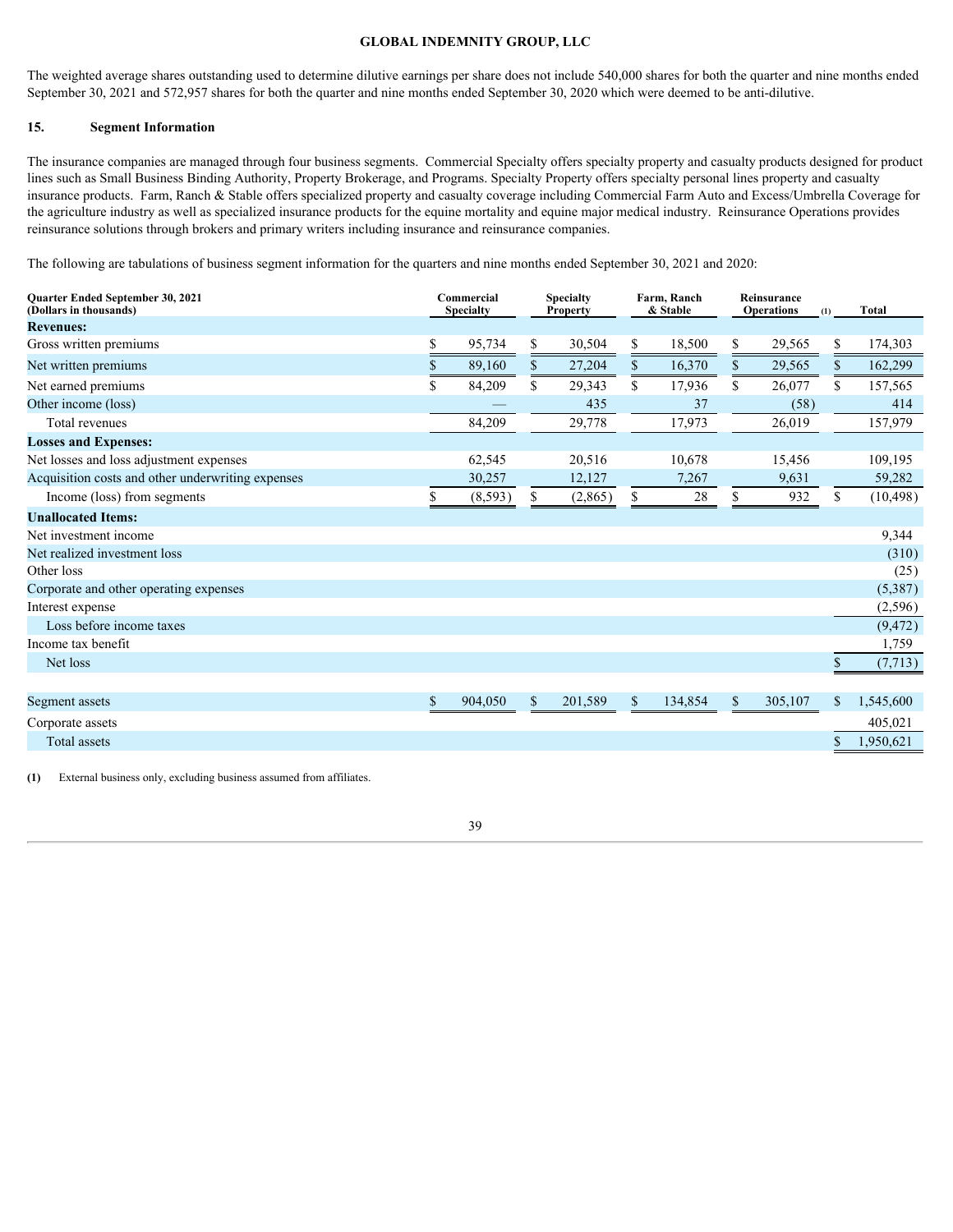The weighted average shares outstanding used to determine dilutive earnings per share does not include 540,000 shares for both the quarter and nine months ended September 30, 2021 and 572,957 shares for both the quarter and nine months ended September 30, 2020 which were deemed to be anti-dilutive.

## **15. Segment Information**

The insurance companies are managed through four business segments. Commercial Specialty offers specialty property and casualty products designed for product lines such as Small Business Binding Authority, Property Brokerage, and Programs. Specialty Property offers specialty personal lines property and casualty insurance products. Farm, Ranch & Stable offers specialized property and casualty coverage including Commercial Farm Auto and Excess/Umbrella Coverage for the agriculture industry as well as specialized insurance products for the equine mortality and equine major medical industry. Reinsurance Operations provides reinsurance solutions through brokers and primary writers including insurance and reinsurance companies.

The following are tabulations of business segment information for the quarters and nine months ended September 30, 2021 and 2020:

| Quarter Ended September 30, 2021<br>(Dollars in thousands) |          | Commercial<br><b>Specialty</b> |               | <b>Specialty</b><br>Property | Farm, Ranch<br>& Stable | Reinsurance<br><b>Operations</b> | (1)          | <b>Total</b> |
|------------------------------------------------------------|----------|--------------------------------|---------------|------------------------------|-------------------------|----------------------------------|--------------|--------------|
| <b>Revenues:</b>                                           |          |                                |               |                              |                         |                                  |              |              |
| Gross written premiums                                     | S        | 95,734                         | \$            | 30,504                       | 18,500                  | 29,565                           |              | 174,303      |
| Net written premiums                                       |          | 89,160                         |               | 27,204                       | 16,370                  | 29,565                           |              | 162,299      |
| Net earned premiums                                        |          | 84,209                         |               | 29,343                       | 17,936                  | 26,077                           |              | 157,565      |
| Other income (loss)                                        |          |                                |               | 435                          | 37                      | (58)                             |              | 414          |
| Total revenues                                             |          | 84,209                         |               | 29,778                       | 17,973                  | 26,019                           |              | 157,979      |
| <b>Losses and Expenses:</b>                                |          |                                |               |                              |                         |                                  |              |              |
| Net losses and loss adjustment expenses                    |          | 62,545                         |               | 20,516                       | 10,678                  | 15,456                           |              | 109,195      |
| Acquisition costs and other underwriting expenses          |          | 30,257                         |               | 12,127                       | 7,267                   | 9,631                            |              | 59,282       |
| Income (loss) from segments                                |          | (8, 593)                       | <sup>\$</sup> | (2,865)                      | \$<br>28                | 932                              | \$           | (10, 498)    |
| <b>Unallocated Items:</b>                                  |          |                                |               |                              |                         |                                  |              |              |
| Net investment income                                      |          |                                |               |                              |                         |                                  |              | 9,344        |
| Net realized investment loss                               |          |                                |               |                              |                         |                                  |              | (310)        |
| Other loss                                                 |          |                                |               |                              |                         |                                  |              | (25)         |
| Corporate and other operating expenses                     |          |                                |               |                              |                         |                                  |              | (5,387)      |
| Interest expense                                           |          |                                |               |                              |                         |                                  |              | (2, 596)     |
| Loss before income taxes                                   |          |                                |               |                              |                         |                                  |              | (9, 472)     |
| Income tax benefit                                         |          |                                |               |                              |                         |                                  |              | 1,759        |
| Net loss                                                   |          |                                |               |                              |                         |                                  |              | (7, 713)     |
|                                                            |          |                                |               |                              |                         |                                  |              |              |
| Segment assets                                             | <b>S</b> | 904,050                        | <sup>\$</sup> | 201,589                      | 134,854                 | 305,107                          | $\mathbb{S}$ | 1,545,600    |
| Corporate assets                                           |          |                                |               |                              |                         |                                  |              | 405,021      |
| Total assets                                               |          |                                |               |                              |                         |                                  |              | 1,950,621    |
|                                                            |          |                                |               |                              |                         |                                  |              |              |

**(1)** External business only, excluding business assumed from affiliates.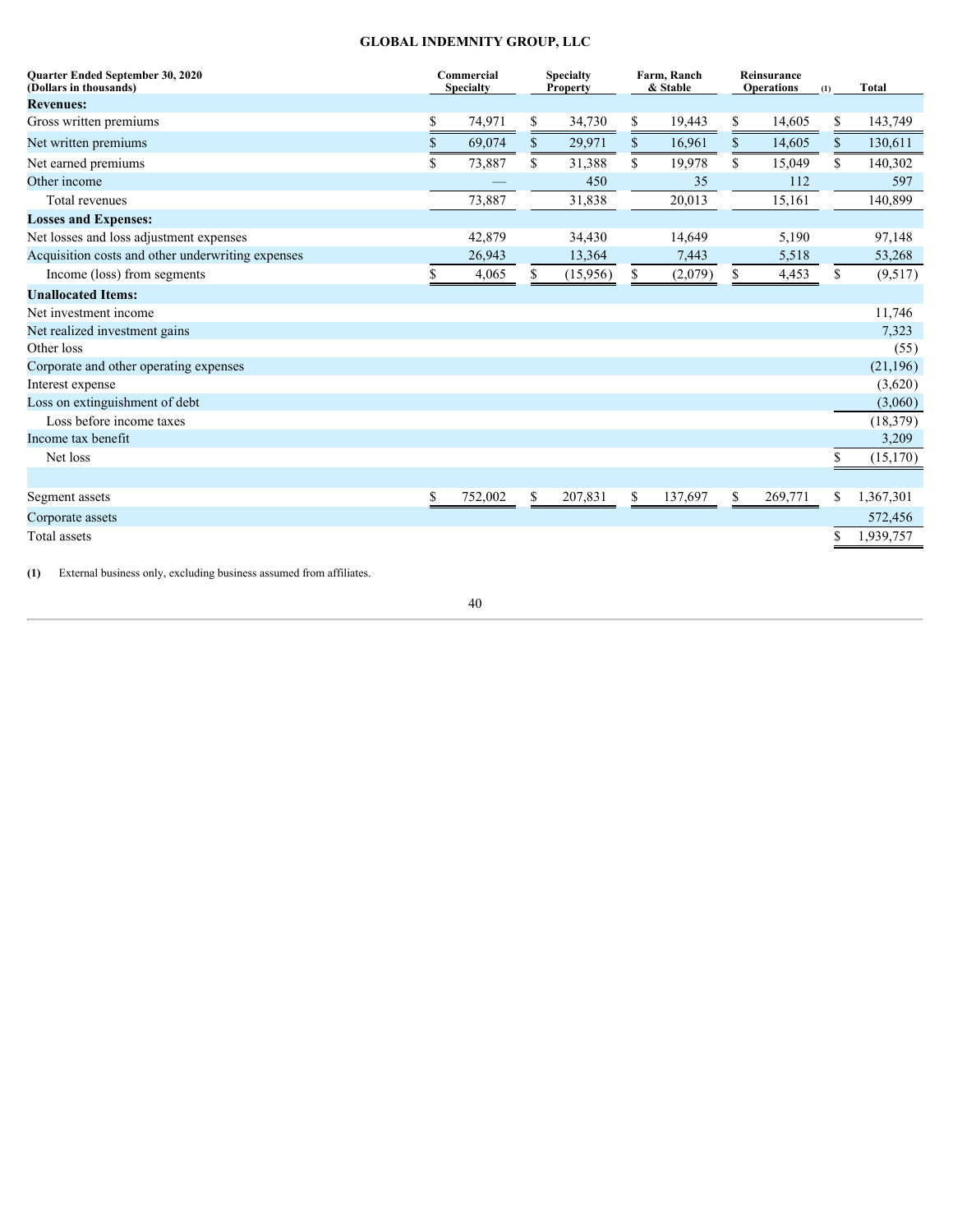| Quarter Ended September 30, 2020<br>(Dollars in thousands) |    | Commercial<br><b>Specialty</b> |               | <b>Specialty</b><br><b>Property</b> |    | Farm, Ranch<br>& Stable |               | Reinsurance<br><b>Operations</b> | (1) | <b>Total</b> |
|------------------------------------------------------------|----|--------------------------------|---------------|-------------------------------------|----|-------------------------|---------------|----------------------------------|-----|--------------|
| <b>Revenues:</b>                                           |    |                                |               |                                     |    |                         |               |                                  |     |              |
| Gross written premiums                                     | S  | 74,971                         | \$            | 34,730                              | -S | 19,443                  | S             | 14,605                           | S   | 143,749      |
| Net written premiums                                       |    | 69,074                         |               | 29,971                              |    | 16,961                  |               | 14,605                           |     | 130,611      |
| Net earned premiums                                        | \$ | 73,887                         | S             | 31,388                              | -S | 19,978                  | S             | 15,049                           | £.  | 140,302      |
| Other income                                               |    |                                |               | 450                                 |    | 35                      |               | 112                              |     | 597          |
| Total revenues                                             |    | 73,887                         |               | 31,838                              |    | 20,013                  |               | 15,161                           |     | 140,899      |
| <b>Losses and Expenses:</b>                                |    |                                |               |                                     |    |                         |               |                                  |     |              |
| Net losses and loss adjustment expenses                    |    | 42,879                         |               | 34,430                              |    | 14,649                  |               | 5,190                            |     | 97,148       |
| Acquisition costs and other underwriting expenses          |    | 26,943                         |               | 13,364                              |    | 7,443                   |               | 5,518                            |     | 53,268       |
| Income (loss) from segments                                |    | 4,065                          |               | (15,956)                            | -S | (2,079)                 | <sup>\$</sup> | 4,453                            | \$  | (9,517)      |
| <b>Unallocated Items:</b>                                  |    |                                |               |                                     |    |                         |               |                                  |     |              |
| Net investment income                                      |    |                                |               |                                     |    |                         |               |                                  |     | 11,746       |
| Net realized investment gains                              |    |                                |               |                                     |    |                         |               |                                  |     | 7,323        |
| Other loss                                                 |    |                                |               |                                     |    |                         |               |                                  |     | (55)         |
| Corporate and other operating expenses                     |    |                                |               |                                     |    |                         |               |                                  |     | (21, 196)    |
| Interest expense                                           |    |                                |               |                                     |    |                         |               |                                  |     | (3,620)      |
| Loss on extinguishment of debt                             |    |                                |               |                                     |    |                         |               |                                  |     | (3,060)      |
| Loss before income taxes                                   |    |                                |               |                                     |    |                         |               |                                  |     | (18, 379)    |
| Income tax benefit                                         |    |                                |               |                                     |    |                         |               |                                  |     | 3,209        |
| Net loss                                                   |    |                                |               |                                     |    |                         |               |                                  |     | (15, 170)    |
|                                                            |    |                                |               |                                     |    |                         |               |                                  |     |              |
| Segment assets                                             | S. | 752,002                        | <sup>\$</sup> | 207,831                             | \$ | 137,697                 | S             | 269,771                          | \$  | 1,367,301    |
| Corporate assets                                           |    |                                |               |                                     |    |                         |               |                                  |     | 572,456      |
| Total assets                                               |    |                                |               |                                     |    |                         |               |                                  |     | 1,939,757    |

**(1)** External business only, excluding business assumed from affiliates.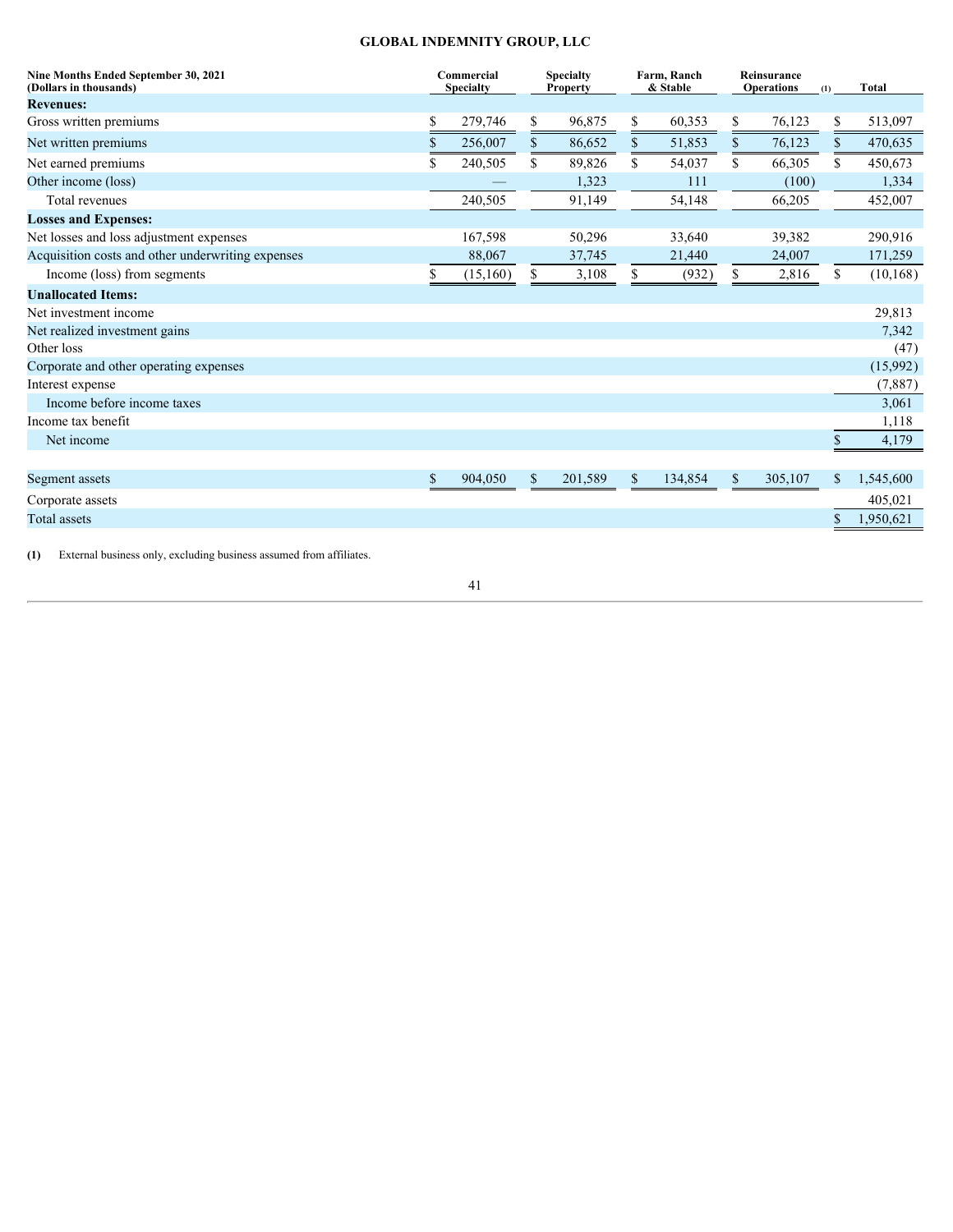| Nine Months Ended September 30, 2021<br>(Dollars in thousands) | Commercial<br><b>Specialty</b> |               | <b>Specialty</b><br><b>Property</b> |    | Farm, Ranch<br>& Stable |     | Reinsurance<br><b>Operations</b> | (1)           | <b>Total</b> |
|----------------------------------------------------------------|--------------------------------|---------------|-------------------------------------|----|-------------------------|-----|----------------------------------|---------------|--------------|
| <b>Revenues:</b>                                               |                                |               |                                     |    |                         |     |                                  |               |              |
| Gross written premiums                                         | 279,746                        | <sup>\$</sup> | 96,875                              |    | 60,353                  | \$. | 76,123                           |               | 513,097      |
| Net written premiums                                           | 256,007                        | S             | 86,652                              |    | 51,853                  |     | 76,123                           |               | 470,635      |
| Net earned premiums                                            | 240,505                        | S             | 89,826                              | -S | 54,037                  | \$. | 66,305                           |               | 450,673      |
| Other income (loss)                                            |                                |               | 1,323                               |    | 111                     |     | (100)                            |               | 1,334        |
| Total revenues                                                 | 240,505                        |               | 91,149                              |    | 54,148                  |     | 66,205                           |               | 452,007      |
| <b>Losses and Expenses:</b>                                    |                                |               |                                     |    |                         |     |                                  |               |              |
| Net losses and loss adjustment expenses                        | 167,598                        |               | 50,296                              |    | 33,640                  |     | 39,382                           |               | 290,916      |
| Acquisition costs and other underwriting expenses              | 88,067                         |               | 37,745                              |    | 21,440                  |     | 24,007                           |               | 171,259      |
| Income (loss) from segments                                    | (15,160)                       | <sup>S</sup>  | 3,108                               |    | (932)                   | -S  | 2,816                            | S             | (10, 168)    |
| <b>Unallocated Items:</b>                                      |                                |               |                                     |    |                         |     |                                  |               |              |
| Net investment income                                          |                                |               |                                     |    |                         |     |                                  |               | 29,813       |
| Net realized investment gains                                  |                                |               |                                     |    |                         |     |                                  |               | 7,342        |
| Other loss                                                     |                                |               |                                     |    |                         |     |                                  |               | (47)         |
| Corporate and other operating expenses                         |                                |               |                                     |    |                         |     |                                  |               | (15,992)     |
| Interest expense                                               |                                |               |                                     |    |                         |     |                                  |               | (7,887)      |
| Income before income taxes                                     |                                |               |                                     |    |                         |     |                                  |               | 3,061        |
| Income tax benefit                                             |                                |               |                                     |    |                         |     |                                  |               | 1,118        |
| Net income                                                     |                                |               |                                     |    |                         |     |                                  |               | 4,179        |
|                                                                |                                |               |                                     |    |                         |     |                                  |               |              |
| Segment assets                                                 | 904,050                        | <sup>S</sup>  | 201,589                             |    | 134,854                 |     | 305,107                          | <sup>\$</sup> | 1,545,600    |
| Corporate assets                                               |                                |               |                                     |    |                         |     |                                  |               | 405,021      |
| Total assets                                                   |                                |               |                                     |    |                         |     |                                  |               | 1,950,621    |
|                                                                |                                |               |                                     |    |                         |     |                                  |               |              |

**(1)** External business only, excluding business assumed from affiliates.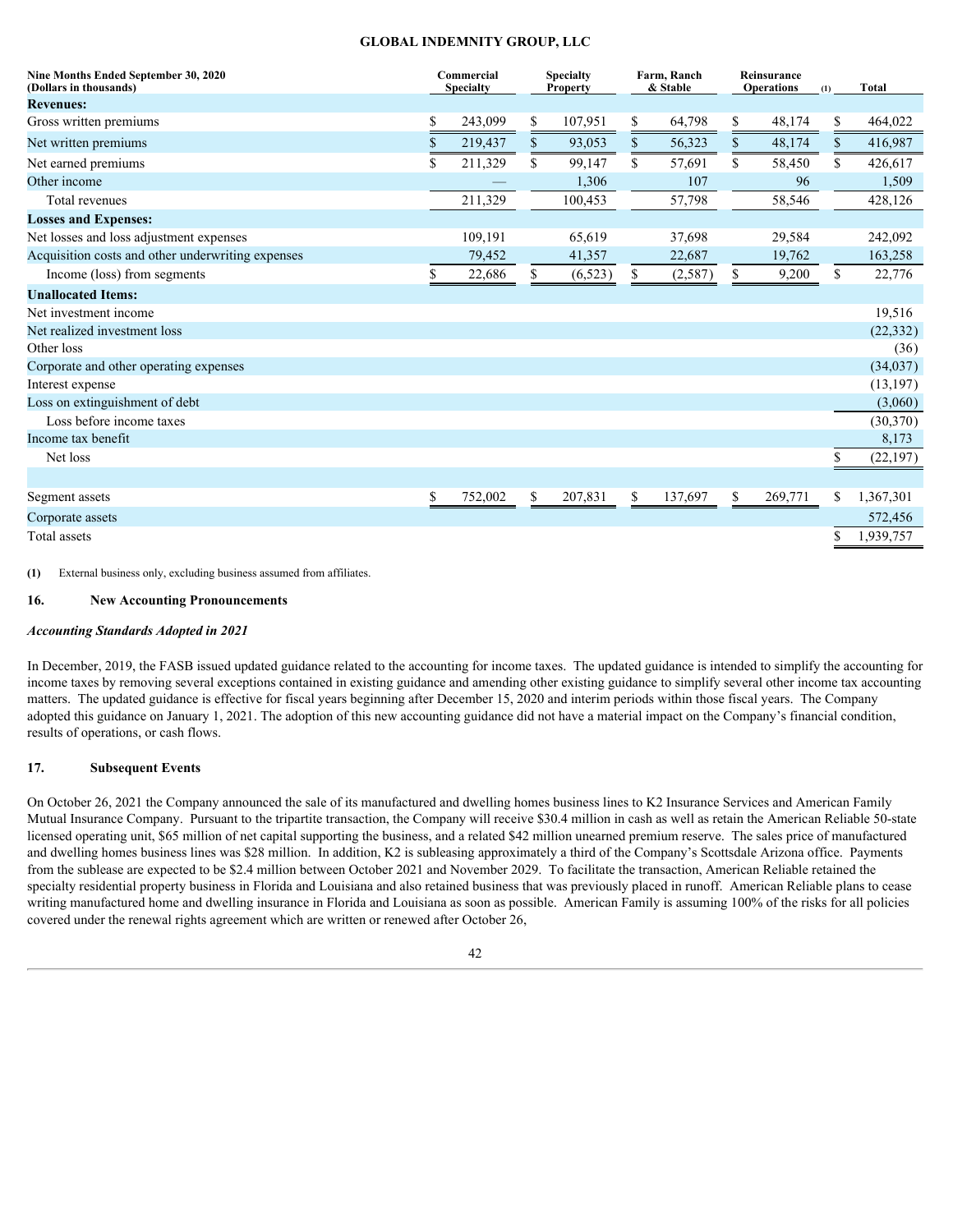| Nine Months Ended September 30, 2020<br>(Dollars in thousands) | Commercial<br><b>Specialty</b> |               | <b>Specialty</b><br><b>Property</b> |              | Farm, Ranch<br>& Stable |     | Reinsurance<br><b>Operations</b> | (1)           | Total     |
|----------------------------------------------------------------|--------------------------------|---------------|-------------------------------------|--------------|-------------------------|-----|----------------------------------|---------------|-----------|
| <b>Revenues:</b>                                               |                                |               |                                     |              |                         |     |                                  |               |           |
| Gross written premiums                                         | 243,099                        | \$            | 107,951                             | -8           | 64,798                  | \$  | 48,174                           | <sup>\$</sup> | 464,022   |
| Net written premiums                                           | 219,437                        | <sup>\$</sup> | 93,053                              |              | 56,323                  | \$  | 48,174                           |               | 416,987   |
| Net earned premiums                                            | 211,329                        | S             | 99,147                              |              | 57,691                  |     | 58,450                           |               | 426,617   |
| Other income                                                   |                                |               | 1,306                               |              | 107                     |     | 96                               |               | 1,509     |
| Total revenues                                                 | 211,329                        |               | 100,453                             |              | 57,798                  |     | 58,546                           |               | 428,126   |
| <b>Losses and Expenses:</b>                                    |                                |               |                                     |              |                         |     |                                  |               |           |
| Net losses and loss adjustment expenses                        | 109,191                        |               | 65,619                              |              | 37,698                  |     | 29,584                           |               | 242,092   |
| Acquisition costs and other underwriting expenses              | 79,452                         |               | 41,357                              |              | 22,687                  |     | 19,762                           |               | 163,258   |
| Income (loss) from segments                                    | 22,686                         | S.            | (6, 523)                            | <sup>S</sup> | (2,587)                 | S.  | 9,200                            | <sup>\$</sup> | 22,776    |
| <b>Unallocated Items:</b>                                      |                                |               |                                     |              |                         |     |                                  |               |           |
| Net investment income                                          |                                |               |                                     |              |                         |     |                                  |               | 19,516    |
| Net realized investment loss                                   |                                |               |                                     |              |                         |     |                                  |               | (22, 332) |
| Other loss                                                     |                                |               |                                     |              |                         |     |                                  |               | (36)      |
| Corporate and other operating expenses                         |                                |               |                                     |              |                         |     |                                  |               | (34,037)  |
| Interest expense                                               |                                |               |                                     |              |                         |     |                                  |               | (13, 197) |
| Loss on extinguishment of debt                                 |                                |               |                                     |              |                         |     |                                  |               | (3,060)   |
| Loss before income taxes                                       |                                |               |                                     |              |                         |     |                                  |               | (30, 370) |
| Income tax benefit                                             |                                |               |                                     |              |                         |     |                                  |               | 8,173     |
| Net loss                                                       |                                |               |                                     |              |                         |     |                                  |               | (22, 197) |
|                                                                |                                |               |                                     |              |                         |     |                                  |               |           |
| Segment assets                                                 | 752,002                        | \$            | 207,831                             |              | 137,697                 | \$. | 269,771                          | \$.           | 1,367,301 |
| Corporate assets                                               |                                |               |                                     |              |                         |     |                                  |               | 572,456   |
| Total assets                                                   |                                |               |                                     |              |                         |     |                                  |               | 1,939,757 |
|                                                                |                                |               |                                     |              |                         |     |                                  |               |           |

**(1)** External business only, excluding business assumed from affiliates.

#### **16. New Accounting Pronouncements**

#### *Accounting Standards Adopted in 2021*

In December, 2019, the FASB issued updated guidance related to the accounting for income taxes. The updated guidance is intended to simplify the accounting for income taxes by removing several exceptions contained in existing guidance and amending other existing guidance to simplify several other income tax accounting matters. The updated guidance is effective for fiscal years beginning after December 15, 2020 and interim periods within those fiscal years. The Company adopted this guidance on January 1, 2021. The adoption of this new accounting guidance did not have a material impact on the Company's financial condition, results of operations, or cash flows.

## **17. Subsequent Events**

On October 26, 2021 the Company announced the sale of its manufactured and dwelling homes business lines to K2 Insurance Services and American Family Mutual Insurance Company. Pursuant to the tripartite transaction, the Company will receive \$30.4 million in cash as well as retain the American Reliable 50-state licensed operating unit, \$65 million of net capital supporting the business, and a related \$42 million unearned premium reserve. The sales price of manufactured and dwelling homes business lines was \$28 million. In addition, K2 is subleasing approximately a third of the Company's Scottsdale Arizona office. Payments from the sublease are expected to be \$2.4 million between October 2021 and November 2029. To facilitate the transaction, American Reliable retained the specialty residential property business in Florida and Louisiana and also retained business that was previously placed in runoff. American Reliable plans to cease writing manufactured home and dwelling insurance in Florida and Louisiana as soon as possible. American Family is assuming 100% of the risks for all policies covered under the renewal rights agreement which are written or renewed after October 26,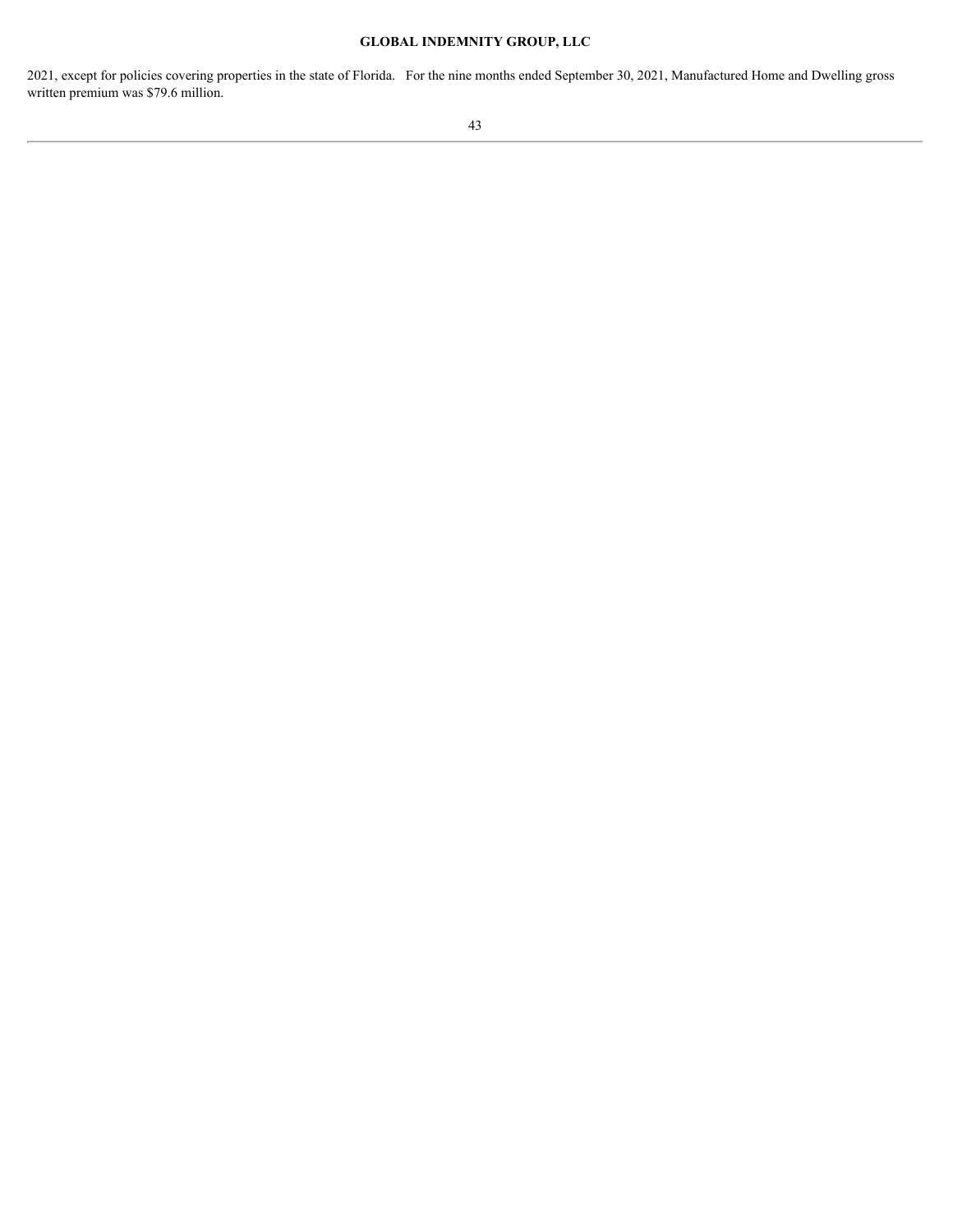2021, except for policies covering properties in the state of Florida. For the nine months ended September 30, 2021, Manufactured Home and Dwelling gross written premium was \$79.6 million.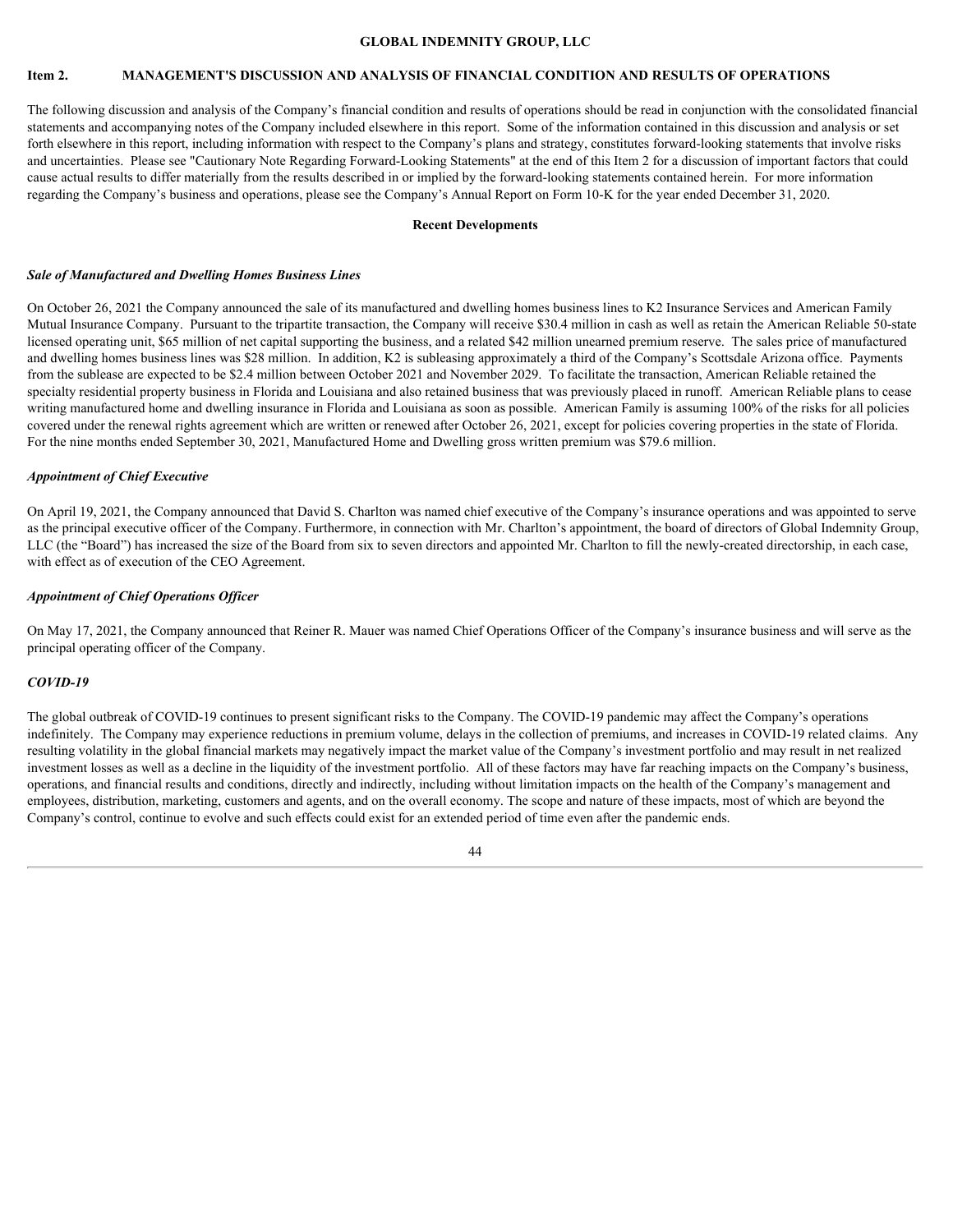# **Item 2. MANAGEMENT'S DISCUSSION AND ANALYSIS OF FINANCIAL CONDITION AND RESULTS OF OPERATIONS**

The following discussion and analysis of the Company's financial condition and results of operations should be read in conjunction with the consolidated financial statements and accompanying notes of the Company included elsewhere in this report. Some of the information contained in this discussion and analysis or set forth elsewhere in this report, including information with respect to the Company's plans and strategy, constitutes forward-looking statements that involve risks and uncertainties. Please see "Cautionary Note Regarding Forward-Looking Statements" at the end of this Item 2 for a discussion of important factors that could cause actual results to differ materially from the results described in or implied by the forward-looking statements contained herein. For more information regarding the Company's business and operations, please see the Company's Annual Report on Form 10-K for the year ended December 31, 2020.

#### **Recent Developments**

#### *Sale of Manufactured and Dwelling Homes Business Lines*

On October 26, 2021 the Company announced the sale of its manufactured and dwelling homes business lines to K2 Insurance Services and American Family Mutual Insurance Company. Pursuant to the tripartite transaction, the Company will receive \$30.4 million in cash as well as retain the American Reliable 50-state licensed operating unit, \$65 million of net capital supporting the business, and a related \$42 million unearned premium reserve. The sales price of manufactured and dwelling homes business lines was \$28 million. In addition, K2 is subleasing approximately a third of the Company's Scottsdale Arizona office. Payments from the sublease are expected to be \$2.4 million between October 2021 and November 2029. To facilitate the transaction, American Reliable retained the specialty residential property business in Florida and Louisiana and also retained business that was previously placed in runoff. American Reliable plans to cease writing manufactured home and dwelling insurance in Florida and Louisiana as soon as possible. American Family is assuming 100% of the risks for all policies covered under the renewal rights agreement which are written or renewed after October 26, 2021, except for policies covering properties in the state of Florida. For the nine months ended September 30, 2021, Manufactured Home and Dwelling gross written premium was \$79.6 million.

#### *Appointment of Chief Executive*

On April 19, 2021, the Company announced that David S. Charlton was named chief executive of the Company's insurance operations and was appointed to serve as the principal executive officer of the Company. Furthermore, in connection with Mr. Charlton's appointment, the board of directors of Global Indemnity Group, LLC (the "Board") has increased the size of the Board from six to seven directors and appointed Mr. Charlton to fill the newly-created directorship, in each case, with effect as of execution of the CEO Agreement.

#### *Appointment of Chief Operations Officer*

On May 17, 2021, the Company announced that Reiner R. Mauer was named Chief Operations Officer of the Company's insurance business and will serve as the principal operating officer of the Company.

#### *COVID-19*

The global outbreak of COVID-19 continues to present significant risks to the Company. The COVID-19 pandemic may affect the Company's operations indefinitely. The Company may experience reductions in premium volume, delays in the collection of premiums, and increases in COVID-19 related claims. Any resulting volatility in the global financial markets may negatively impact the market value of the Company's investment portfolio and may result in net realized investment losses as well as a decline in the liquidity of the investment portfolio. All of these factors may have far reaching impacts on the Company's business, operations, and financial results and conditions, directly and indirectly, including without limitation impacts on the health of the Company's management and employees, distribution, marketing, customers and agents, and on the overall economy. The scope and nature of these impacts, most of which are beyond the Company's control, continue to evolve and such effects could exist for an extended period of time even after the pandemic ends.

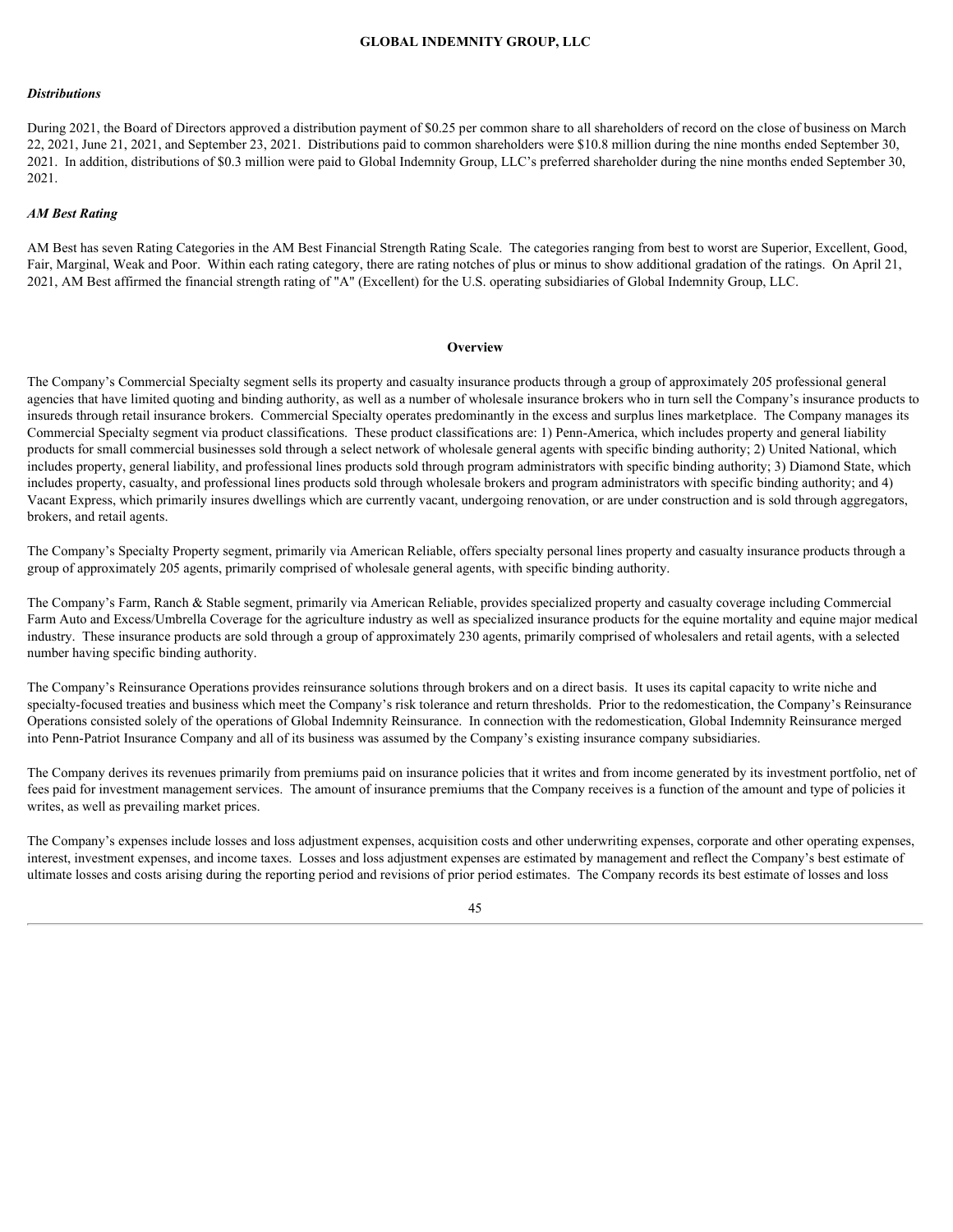#### *Distributions*

During 2021, the Board of Directors approved a distribution payment of \$0.25 per common share to all shareholders of record on the close of business on March 22, 2021, June 21, 2021, and September 23, 2021. Distributions paid to common shareholders were \$10.8 million during the nine months ended September 30, 2021. In addition, distributions of \$0.3 million were paid to Global Indemnity Group, LLC's preferred shareholder during the nine months ended September 30, 2021.

### *AM Best Rating*

AM Best has seven Rating Categories in the AM Best Financial Strength Rating Scale. The categories ranging from best to worst are Superior, Excellent, Good, Fair, Marginal, Weak and Poor. Within each rating category, there are rating notches of plus or minus to show additional gradation of the ratings. On April 21, 2021, AM Best affirmed the financial strength rating of "A" (Excellent) for the U.S. operating subsidiaries of Global Indemnity Group, LLC.

#### **Overview Overview** *Overview Overview*

The Company's Commercial Specialty segment sells its property and casualty insurance products through a group of approximately 205 professional general agencies that have limited quoting and binding authority, as well as a number of wholesale insurance brokers who in turn sell the Company's insurance products to insureds through retail insurance brokers. Commercial Specialty operates predominantly in the excess and surplus lines marketplace. The Company manages its Commercial Specialty segment via product classifications. These product classifications are: 1) Penn-America, which includes property and general liability products for small commercial businesses sold through a select network of wholesale general agents with specific binding authority; 2) United National, which includes property, general liability, and professional lines products sold through program administrators with specific binding authority; 3) Diamond State, which includes property, casualty, and professional lines products sold through wholesale brokers and program administrators with specific binding authority; and 4) Vacant Express, which primarily insures dwellings which are currently vacant, undergoing renovation, or are under construction and is sold through aggregators, brokers, and retail agents.

The Company's Specialty Property segment, primarily via American Reliable, offers specialty personal lines property and casualty insurance products through a group of approximately 205 agents, primarily comprised of wholesale general agents, with specific binding authority.

The Company's Farm, Ranch & Stable segment, primarily via American Reliable, provides specialized property and casualty coverage including Commercial Farm Auto and Excess/Umbrella Coverage for the agriculture industry as well as specialized insurance products for the equine mortality and equine major medical industry. These insurance products are sold through a group of approximately 230 agents, primarily comprised of wholesalers and retail agents, with a selected number having specific binding authority.

The Company's Reinsurance Operations provides reinsurance solutions through brokers and on a direct basis. It uses its capital capacity to write niche and specialty-focused treaties and business which meet the Company's risk tolerance and return thresholds. Prior to the redomestication, the Company's Reinsurance Operations consisted solely of the operations of Global Indemnity Reinsurance. In connection with the redomestication, Global Indemnity Reinsurance merged into Penn-Patriot Insurance Company and all of its business was assumed by the Company's existing insurance company subsidiaries.

The Company derives its revenues primarily from premiums paid on insurance policies that it writes and from income generated by its investment portfolio, net of fees paid for investment management services. The amount of insurance premiums that the Company receives is a function of the amount and type of policies it writes, as well as prevailing market prices.

The Company's expenses include losses and loss adjustment expenses, acquisition costs and other underwriting expenses, corporate and other operating expenses, interest, investment expenses, and income taxes. Losses and loss adjustment expenses are estimated by management and reflect the Company's best estimate of ultimate losses and costs arising during the reporting period and revisions of prior period estimates. The Company records its best estimate of losses and loss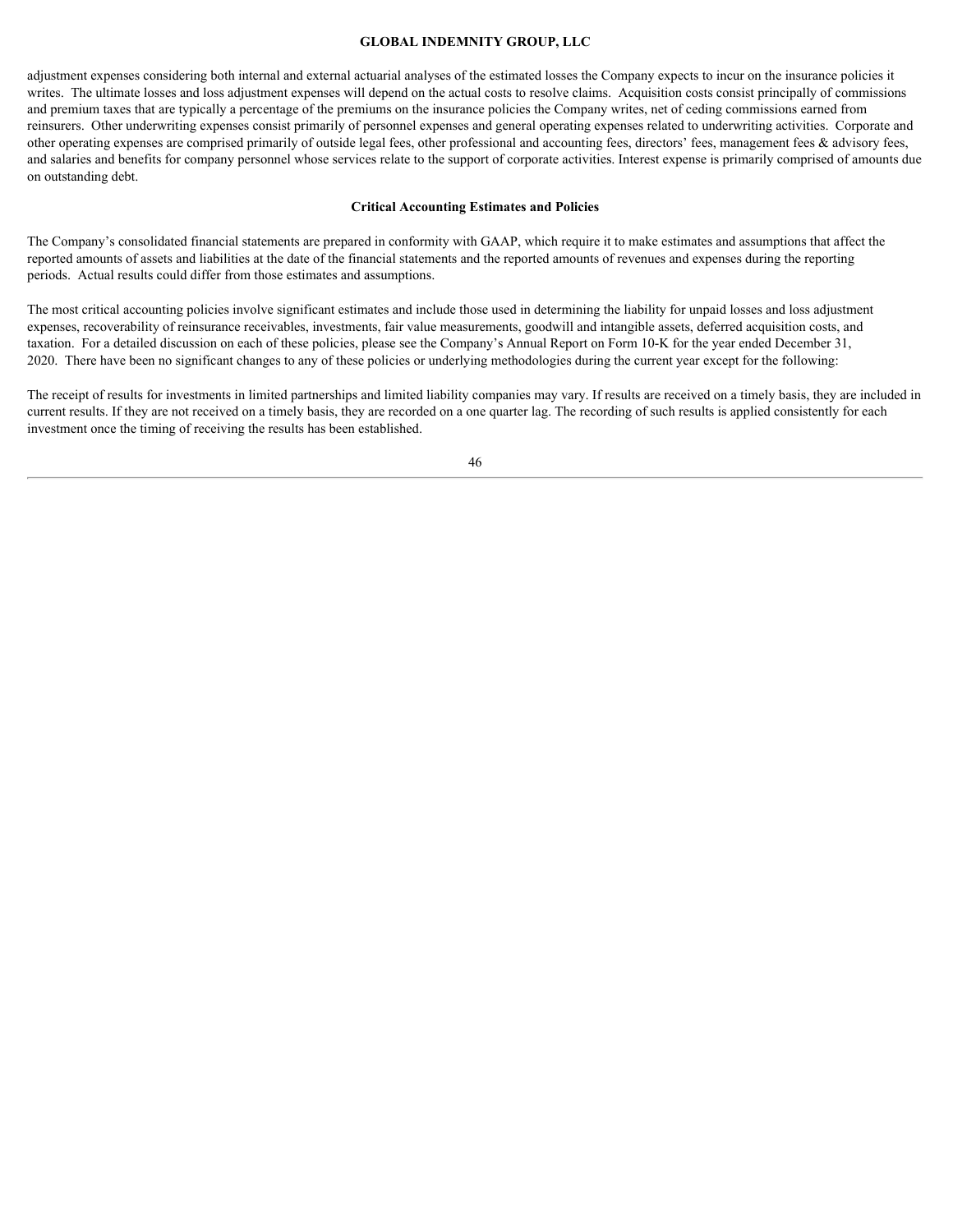adjustment expenses considering both internal and external actuarial analyses of the estimated losses the Company expects to incur on the insurance policies it writes. The ultimate losses and loss adjustment expenses will depend on the actual costs to resolve claims. Acquisition costs consist principally of commissions and premium taxes that are typically a percentage of the premiums on the insurance policies the Company writes, net of ceding commissions earned from reinsurers. Other underwriting expenses consist primarily of personnel expenses and general operating expenses related to underwriting activities. Corporate and other operating expenses are comprised primarily of outside legal fees, other professional and accounting fees, directors' fees, management fees & advisory fees, and salaries and benefits for company personnel whose services relate to the support of corporate activities. Interest expense is primarily comprised of amounts due on outstanding debt.

#### **Critical Accounting Estimates and Policies**

The Company's consolidated financial statements are prepared in conformity with GAAP, which require it to make estimates and assumptions that affect the reported amounts of assets and liabilities at the date of the financial statements and the reported amounts of revenues and expenses during the reporting periods. Actual results could differ from those estimates and assumptions.

The most critical accounting policies involve significant estimates and include those used in determining the liability for unpaid losses and loss adjustment expenses, recoverability of reinsurance receivables, investments, fair value measurements, goodwill and intangible assets, deferred acquisition costs, and taxation. For a detailed discussion on each of these policies, please see the Company's Annual Report on Form 10-K for the year ended December 31, 2020. There have been no significant changes to any of these policies or underlying methodologies during the current year except for the following:

The receipt of results for investments in limited partnerships and limited liability companies may vary. If results are received on a timely basis, they are included in current results. If they are not received on a timely basis, they are recorded on a one quarter lag. The recording of such results is applied consistently for each investment once the timing of receiving the results has been established.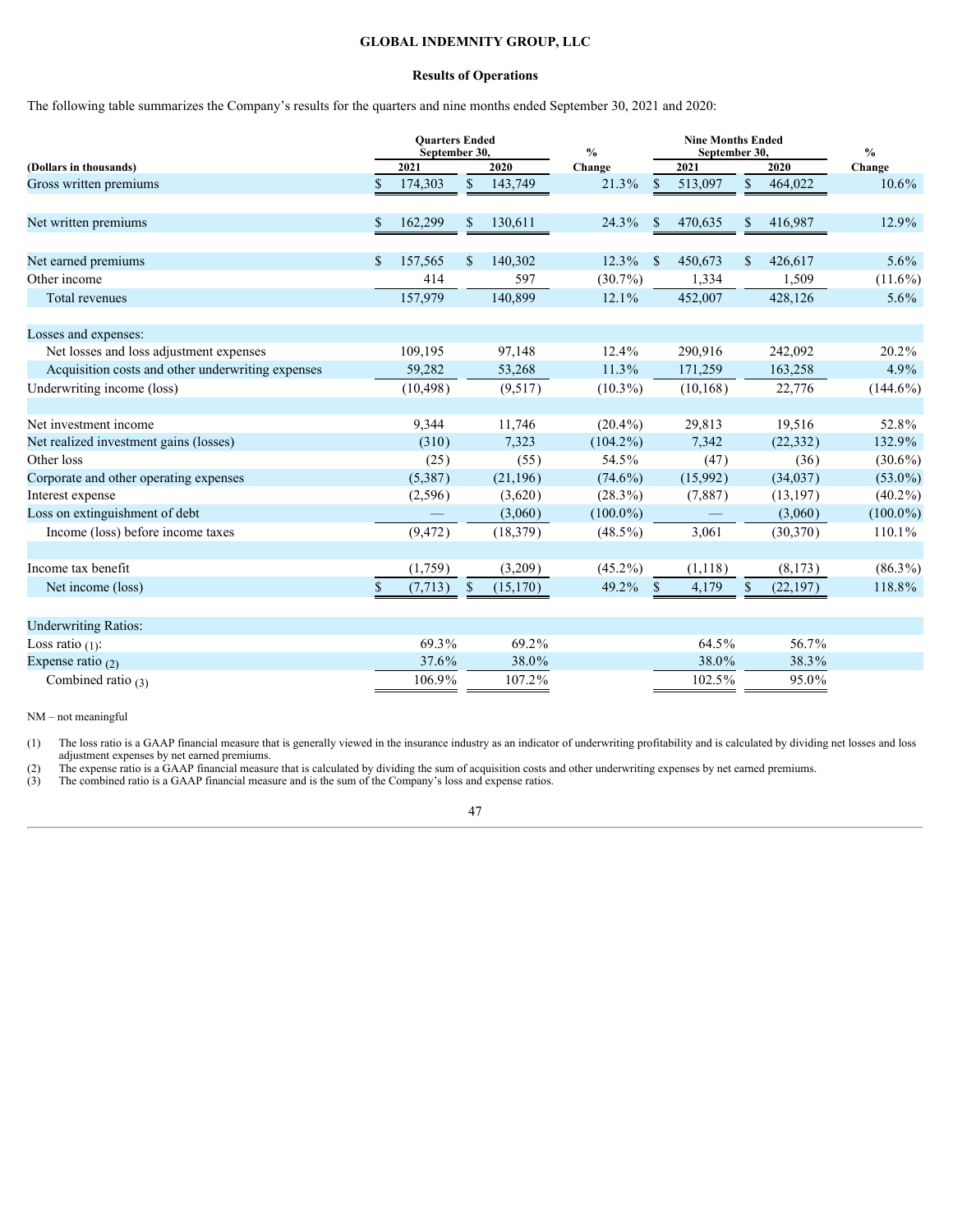# **Results of Operations**

The following table summarizes the Company's results for the quarters and nine months ended September 30, 2021 and 2020:

|                                                   | <b>Ouarters Ended</b><br>September 30, |                          | $\frac{6}{6}$ | <b>Nine Months Ended</b><br>September 30, |                          | $\frac{0}{0}$ |
|---------------------------------------------------|----------------------------------------|--------------------------|---------------|-------------------------------------------|--------------------------|---------------|
| (Dollars in thousands)                            | 2021                                   | 2020                     | Change        | 2021                                      | 2020                     | Change        |
| Gross written premiums                            | 174,303                                | 143,749<br><sup>\$</sup> | 21.3%         | 513,097                                   | 464,022<br>S             | $10.6\%$      |
| Net written premiums                              | 162,299                                | 130,611<br><sup>S</sup>  | 24.3%<br>-S   | 470,635                                   | 416,987<br>-S            | 12.9%         |
| Net earned premiums                               | \$.<br>157,565                         | 140,302<br>-S            | 12.3%<br>- S  | 450,673                                   | 426,617<br><sup>\$</sup> | $5.6\%$       |
| Other income                                      | 414                                    | 597                      | $(30.7\%)$    | 1,334                                     | 1,509                    | $(11.6\%)$    |
| Total revenues                                    | 157,979                                | 140,899                  | 12.1%         | 452,007                                   | 428,126                  | $5.6\%$       |
| Losses and expenses:                              |                                        |                          |               |                                           |                          |               |
| Net losses and loss adjustment expenses           | 109,195                                | 97,148                   | 12.4%         | 290,916                                   | 242,092                  | 20.2%         |
| Acquisition costs and other underwriting expenses | 59,282                                 | 53,268                   | 11.3%         | 171,259                                   | 163,258                  | 4.9%          |
| Underwriting income (loss)                        | (10, 498)                              | (9,517)                  | $(10.3\%)$    | (10, 168)                                 | 22,776                   | $(144.6\%)$   |
|                                                   |                                        |                          |               |                                           |                          |               |
| Net investment income                             | 9,344                                  | 11,746                   | $(20.4\%)$    | 29,813                                    | 19,516                   | 52.8%         |
| Net realized investment gains (losses)            | (310)                                  | 7,323                    | $(104.2\%)$   | 7,342                                     | (22, 332)                | 132.9%        |
| Other loss                                        | (25)                                   | (55)                     | 54.5%         | (47)                                      | (36)                     | $(30.6\%)$    |
| Corporate and other operating expenses            | (5,387)                                | (21,196)                 | $(74.6\%)$    | (15,992)                                  | (34,037)                 | $(53.0\%)$    |
| Interest expense                                  | (2,596)                                | (3,620)                  | $(28.3\%)$    | (7,887)                                   | (13, 197)                | $(40.2\%)$    |
| Loss on extinguishment of debt                    | $\hspace{0.05cm}$                      | (3,060)                  | $(100.0\%)$   | $\overline{\phantom{a}}$                  | (3,060)                  | $(100.0\%)$   |
| Income (loss) before income taxes                 | (9, 472)                               | (18, 379)                | $(48.5\%)$    | 3,061                                     | (30, 370)                | 110.1%        |
| Income tax benefit                                | (1,759)                                | (3,209)                  | $(45.2\%)$    | (1,118)                                   | (8,173)                  | $(86.3\%)$    |
| Net income (loss)                                 | (7,713)                                | (15,170)<br>-S           | 49.2%         | 4,179                                     | (22, 197)                | 118.8%        |
| <b>Underwriting Ratios:</b>                       |                                        |                          |               |                                           |                          |               |
| Loss ratio $(1)$ :                                | 69.3%                                  | 69.2%                    |               | 64.5%                                     | 56.7%                    |               |
| Expense ratio $(2)$                               | 37.6%                                  | 38.0%                    |               | 38.0%                                     | 38.3%                    |               |
| Combined ratio $(3)$                              | 106.9%                                 | 107.2%                   |               | 102.5%                                    | 95.0%                    |               |
|                                                   |                                        |                          |               |                                           |                          |               |

NM – not meaningful

(1) The loss ratio is a GAAP financial measure that is generally viewed in the insurance industry as an indicator of underwriting profitability and is calculated by dividing net losses and loss adjustment expenses by net earned premiums.

(2) The expense ratio is a GAAP financial measure that is calculated by dividing the sum of acquisition costs and other underwriting expenses by net earned premiums.

(3) The combined ratio is a GAAP financial measure and is the sum of the Company's loss and expense ratios.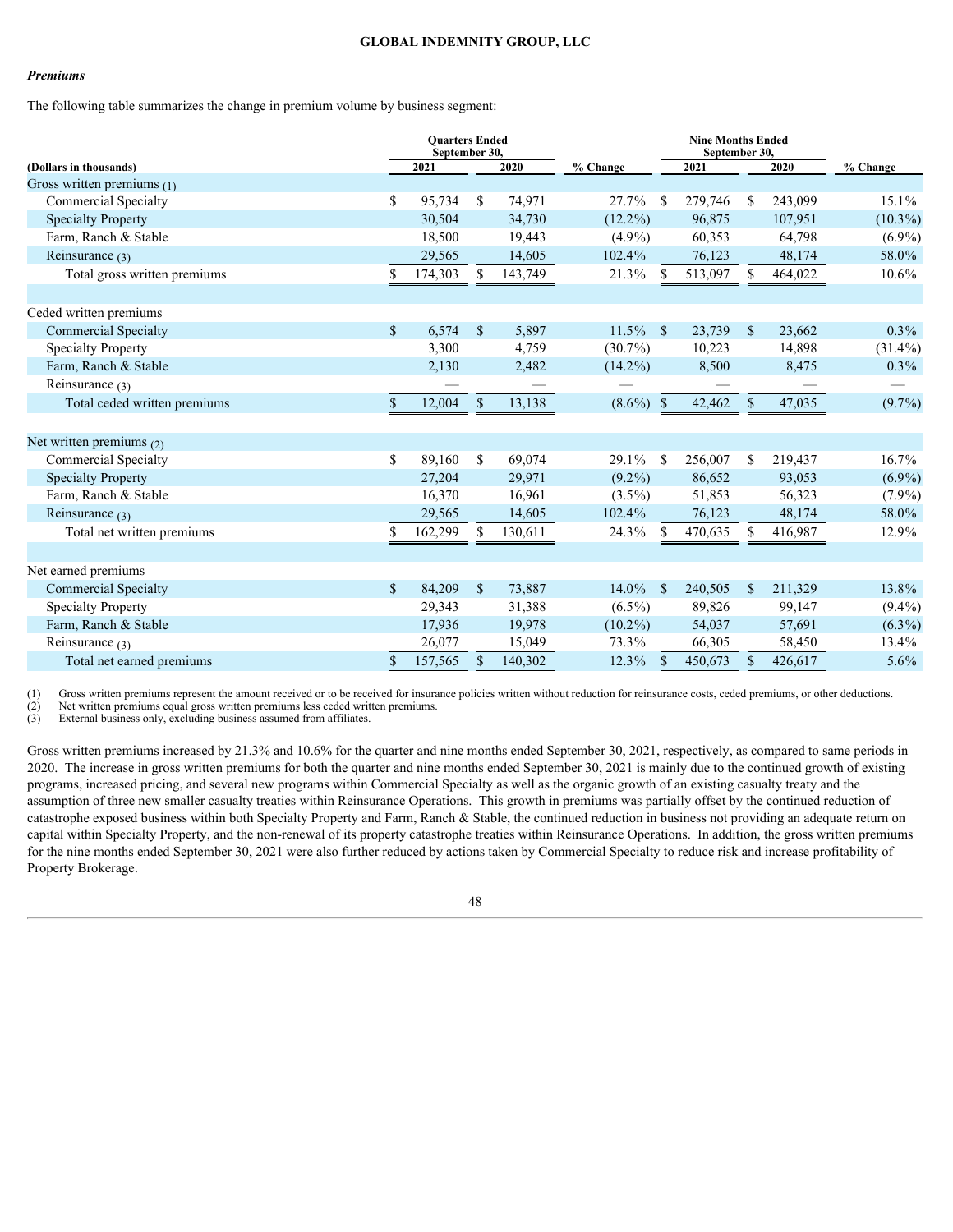# *Premiums*

The following table summarizes the change in premium volume by business segment:

|                              | <b>Ouarters Ended</b><br>September 30, |                   |                       | <b>Nine Months Ended</b><br>September 30, |         |            |
|------------------------------|----------------------------------------|-------------------|-----------------------|-------------------------------------------|---------|------------|
| (Dollars in thousands)       | 2021                                   | 2020              | % Change              | 2021                                      | 2020    | % Change   |
| Gross written premiums $(1)$ |                                        |                   |                       |                                           |         |            |
| Commercial Specialty         | 95,734<br>-S                           | 74,971            | $27.7\%$ \$           | 279,746 \$                                | 243,099 | 15.1%      |
| <b>Specialty Property</b>    | 30,504                                 | 34,730            | $(12.2\%)$            | 96,875                                    | 107,951 | $(10.3\%)$ |
| Farm, Ranch & Stable         | 18,500                                 | 19,443            | $(4.9\%)$             | 60,353                                    | 64,798  | $(6.9\%)$  |
| Reinsurance $(3)$            | 29,565                                 | 14,605            | 102.4%                | 76,123                                    | 48,174  | 58.0%      |
| Total gross written premiums | 174,303<br><sup>S</sup>                | 143,749           | 21.3%<br><sup>S</sup> | 513,097<br>$\mathbf{s}$                   | 464,022 | 10.6%      |
|                              |                                        |                   |                       |                                           |         |            |
| Ceded written premiums       |                                        |                   |                       |                                           |         |            |
| <b>Commercial Specialty</b>  | 6,574<br>- \$<br><sup>S</sup>          | 5,897             | $11.5\%$ \$           | 23,739<br>- \$                            | 23,662  | $0.3\%$    |
| <b>Specialty Property</b>    | 3,300                                  | 4,759             | $(30.7\%)$            | 10,223                                    | 14,898  | $(31.4\%)$ |
| Farm, Ranch & Stable         | 2,130                                  | 2,482             | $(14.2\%)$            | 8,500                                     | 8,475   | $0.3\%$    |
| Reinsurance $(3)$            |                                        | $\hspace{0.05cm}$ | $\hspace{0.05cm}$     |                                           |         |            |
| Total ceded written premiums | 12,004                                 | 13,138            | $(8.6\%)$<br>\$.      | 42,462                                    | 47,035  | $(9.7\%)$  |
|                              |                                        |                   |                       |                                           |         |            |
| Net written premiums $(2)$   |                                        |                   |                       |                                           |         |            |
| Commercial Specialty         | 89,160<br>- \$                         | 69,074            | $29.1\%$ \$           | 256,007                                   | 219,437 | 16.7%      |
| <b>Specialty Property</b>    | 27,204                                 | 29,971            | $(9.2\%)$             | 86,652                                    | 93,053  | $(6.9\%)$  |
| Farm, Ranch & Stable         | 16,370                                 | 16,961            | $(3.5\%)$             | 51,853                                    | 56,323  | $(7.9\%)$  |
| Reinsurance $(3)$            | 29,565                                 | 14,605            | 102.4%                | 76,123                                    | 48,174  | 58.0%      |
| Total net written premiums   | 162,299<br><sup>S</sup>                | 130,611           | 24.3%<br>-S           | 470,635<br>-S                             | 416,987 | 12.9%      |
|                              |                                        |                   |                       |                                           |         |            |
| Net earned premiums          |                                        |                   |                       |                                           |         |            |
| <b>Commercial Specialty</b>  | 84,209<br>$\mathcal{S}$                | 73,887            | $14.0\%$<br>- \$      | 240,505<br>-8                             | 211,329 | 13.8%      |
| <b>Specialty Property</b>    | 29,343                                 | 31,388            | $(6.5\%)$             | 89,826                                    | 99,147  | $(9.4\%)$  |
| Farm, Ranch & Stable         | 17,936                                 | 19,978            | $(10.2\%)$            | 54,037                                    | 57,691  | $(6.3\%)$  |
| Reinsurance $(3)$            | 26,077                                 | 15,049            | 73.3%                 | 66,305                                    | 58,450  | 13.4%      |
| Total net earned premiums    | 157,565                                | 140,302           | 12.3%                 | 450,673                                   | 426,617 | $5.6\%$    |
|                              |                                        |                   |                       |                                           |         |            |

(1) Gross written premiums represent the amount received or to be received for insurance policies written without reduction for reinsurance costs, ceded premiums, or other deductions.

(2) Net written premiums equal gross written premiums less ceded written premiums.

External business only, excluding business assumed from affiliates.

Gross written premiums increased by 21.3% and 10.6% for the quarter and nine months ended September 30, 2021, respectively, as compared to same periods in 2020. The increase in gross written premiums for both the quarter and nine months ended September 30, 2021 is mainly due to the continued growth of existing programs, increased pricing, and several new programs within Commercial Specialty as well as the organic growth of an existing casualty treaty and the assumption of three new smaller casualty treaties within Reinsurance Operations. This growth in premiums was partially offset by the continued reduction of catastrophe exposed business within both Specialty Property and Farm, Ranch & Stable, the continued reduction in business not providing an adequate return on capital within Specialty Property, and the non-renewal of its property catastrophe treaties within Reinsurance Operations. In addition, the gross written premiums for the nine months ended September 30, 2021 were also further reduced by actions taken by Commercial Specialty to reduce risk and increase profitability of Property Brokerage.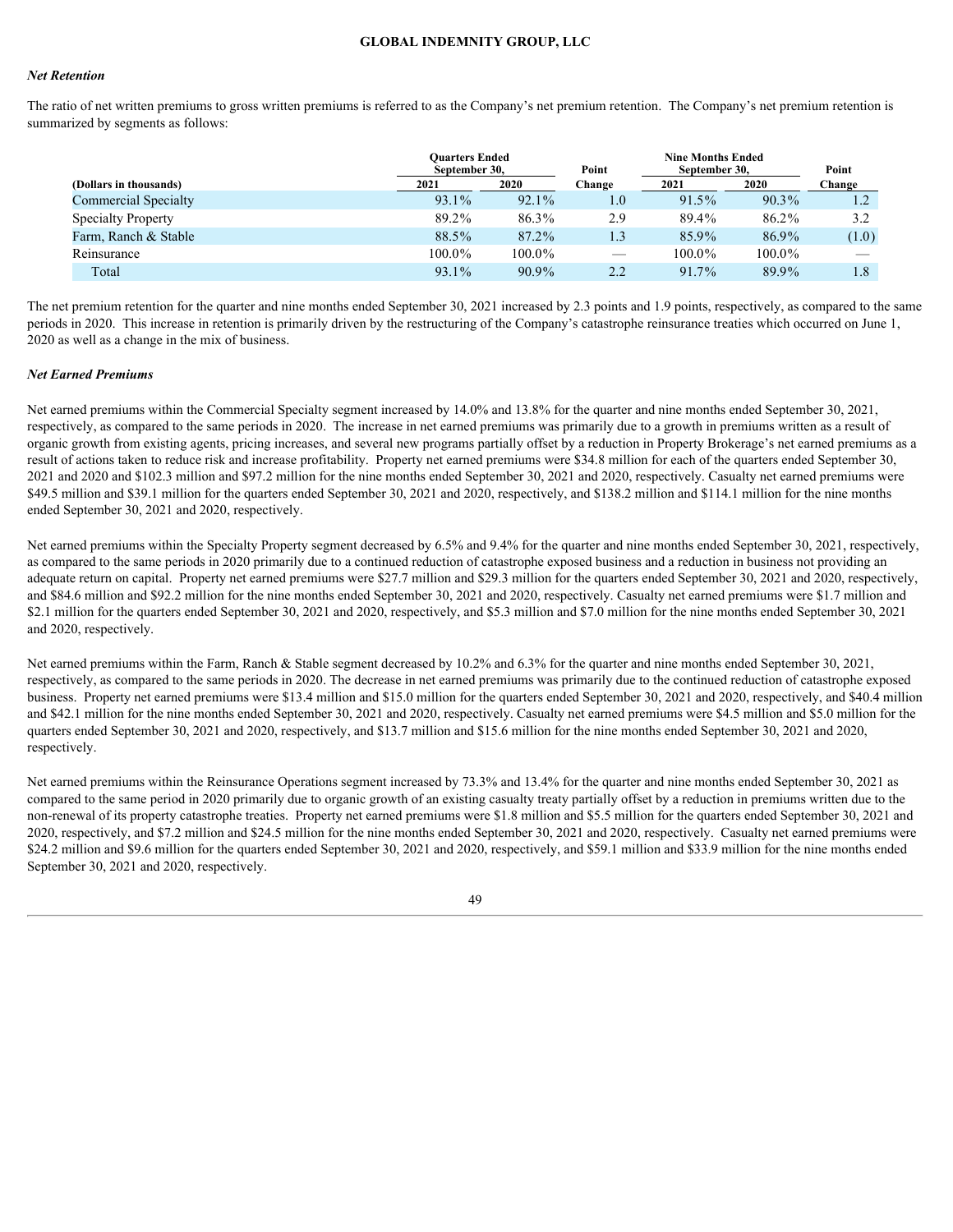### *Net Retention*

The ratio of net written premiums to gross written premiums is referred to as the Company's net premium retention. The Company's net premium retention is summarized by segments as follows:

|        |          | Point                                  |           | Point  |                                           |
|--------|----------|----------------------------------------|-----------|--------|-------------------------------------------|
| 2021   | 2020     | Change                                 | 2021      | 2020   | Change                                    |
| 93.1%  | $92.1\%$ | $1.0\,$                                | 91.5%     | 90.3%  | 1.2                                       |
| 89.2%  | 86.3%    | 2.9                                    | 89.4%     | 86.2%  | 3.2                                       |
| 88.5%  | 87.2%    | 1.3                                    | 85.9%     | 86.9%  | (1.0)                                     |
| 100.0% | 100.0%   | $\overbrace{\phantom{13333}}$          | $100.0\%$ | 100.0% | $\hspace{0.05cm}$                         |
| 93.1%  | 90.9%    | 2.2                                    | 91.7%     | 89.9%  | 1.8                                       |
|        |          | <b>Ouarters Ended</b><br>September 30, |           |        | <b>Nine Months Ended</b><br>September 30, |

The net premium retention for the quarter and nine months ended September 30, 2021 increased by 2.3 points and 1.9 points, respectively, as compared to the same periods in 2020. This increase in retention is primarily driven by the restructuring of the Company's catastrophe reinsurance treaties which occurred on June 1, 2020 as well as a change in the mix of business.

## *Net Earned Premiums*

Net earned premiums within the Commercial Specialty segment increased by 14.0% and 13.8% for the quarter and nine months ended September 30, 2021, respectively, as compared to the same periods in 2020. The increase in net earned premiums was primarily due to a growth in premiums written as a result of organic growth from existing agents, pricing increases, and several new programs partially offset by a reduction in Property Brokerage's net earned premiums as a result of actions taken to reduce risk and increase profitability. Property net earned premiums were \$34.8 million for each of the quarters ended September 30, 2021 and 2020 and \$102.3 million and \$97.2 million for the nine months ended September 30, 2021 and 2020, respectively. Casualty net earned premiums were \$49.5 million and \$39.1 million for the quarters ended September 30, 2021 and 2020, respectively, and \$138.2 million and \$114.1 million for the nine months ended September 30, 2021 and 2020, respectively.

Net earned premiums within the Specialty Property segment decreased by 6.5% and 9.4% for the quarter and nine months ended September 30, 2021, respectively, as compared to the same periods in 2020 primarily due to a continued reduction of catastrophe exposed business and a reduction in business not providing an adequate return on capital. Property net earned premiums were \$27.7 million and \$29.3 million for the quarters ended September 30, 2021 and 2020, respectively, and \$84.6 million and \$92.2 million for the nine months ended September 30, 2021 and 2020, respectively. Casualty net earned premiums were \$1.7 million and \$2.1 million for the quarters ended September 30, 2021 and 2020, respectively, and \$5.3 million and \$7.0 million for the nine months ended September 30, 2021 and 2020, respectively.

Net earned premiums within the Farm, Ranch & Stable segment decreased by 10.2% and 6.3% for the quarter and nine months ended September 30, 2021, respectively, as compared to the same periods in 2020. The decrease in net earned premiums was primarily due to the continued reduction of catastrophe exposed business. Property net earned premiums were \$13.4 million and \$15.0 million for the quarters ended September 30, 2021 and 2020, respectively, and \$40.4 million and \$42.1 million for the nine months ended September 30, 2021 and 2020, respectively. Casualty net earned premiums were \$4.5 million and \$5.0 million for the quarters ended September 30, 2021 and 2020, respectively, and \$13.7 million and \$15.6 million for the nine months ended September 30, 2021 and 2020, respectively.

Net earned premiums within the Reinsurance Operations segment increased by 73.3% and 13.4% for the quarter and nine months ended September 30, 2021 as compared to the same period in 2020 primarily due to organic growth of an existing casualty treaty partially offset by a reduction in premiums written due to the non-renewal of its property catastrophe treaties. Property net earned premiums were \$1.8 million and \$5.5 million for the quarters ended September 30, 2021 and 2020, respectively, and \$7.2 million and \$24.5 million for the nine months ended September 30, 2021 and 2020, respectively. Casualty net earned premiums were \$24.2 million and \$9.6 million for the quarters ended September 30, 2021 and 2020, respectively, and \$59.1 million and \$33.9 million for the nine months ended September 30, 2021 and 2020, respectively.

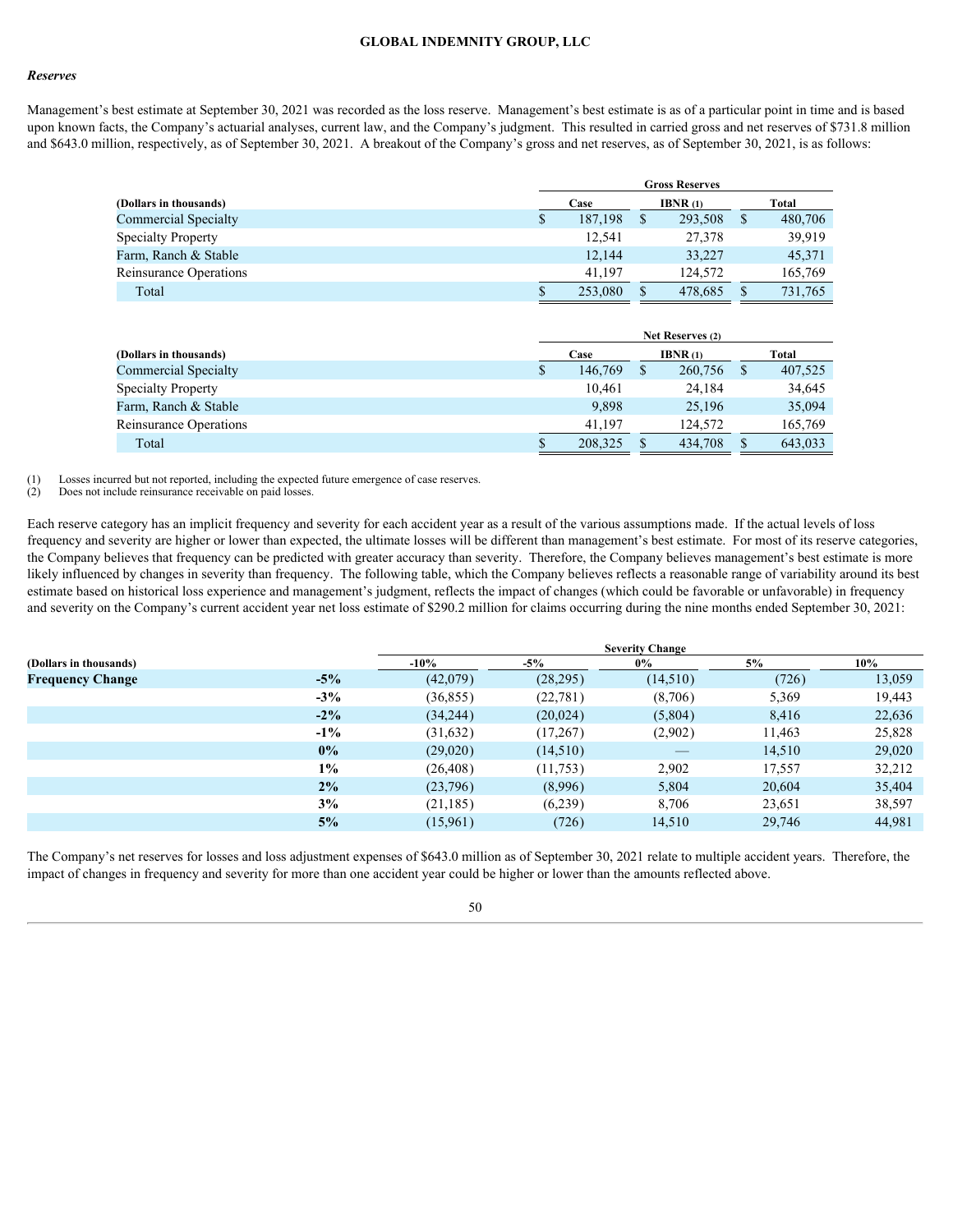## *Reserves*

Management's best estimate at September 30, 2021 was recorded as the loss reserve. Management's best estimate is as of a particular point in time and is based upon known facts, the Company's actuarial analyses, current law, and the Company's judgment. This resulted in carried gross and net reserves of \$731.8 million and \$643.0 million, respectively, as of September 30, 2021. A breakout of the Company's gross and net reserves, as of September 30, 2021, is as follows:

|                               | <b>Gross Reserves</b> |         |  |            |  |         |  |  |  |
|-------------------------------|-----------------------|---------|--|------------|--|---------|--|--|--|
| (Dollars in thousands)        |                       | Case    |  | IBNR $(1)$ |  | Total   |  |  |  |
| Commercial Specialty          |                       | 187,198 |  | 293,508 \$ |  | 480,706 |  |  |  |
| <b>Specialty Property</b>     |                       | 12,541  |  | 27,378     |  | 39,919  |  |  |  |
| Farm, Ranch & Stable          |                       | 12,144  |  | 33,227     |  | 45,371  |  |  |  |
| <b>Reinsurance Operations</b> |                       | 41,197  |  | 124.572    |  | 165,769 |  |  |  |
| Total                         |                       | 253,080 |  | 478,685    |  | 731,765 |  |  |  |

|                           | Net Reserves (2) |         |  |         |  |         |  |  |  |
|---------------------------|------------------|---------|--|---------|--|---------|--|--|--|
| (Dollars in thousands)    |                  | Case    |  | IBNR(1) |  | Total   |  |  |  |
| Commercial Specialty      |                  | 146,769 |  | 260,756 |  | 407,525 |  |  |  |
| <b>Specialty Property</b> |                  | 10,461  |  | 24,184  |  | 34,645  |  |  |  |
| Farm, Ranch & Stable      |                  | 9,898   |  | 25,196  |  | 35,094  |  |  |  |
| Reinsurance Operations    |                  | 41,197  |  | 124.572 |  | 165,769 |  |  |  |
| Total                     |                  | 208,325 |  | 434,708 |  | 643,033 |  |  |  |

(1) Losses incurred but not reported, including the expected future emergence of case reserves.

(2) Does not include reinsurance receivable on paid losses.

Each reserve category has an implicit frequency and severity for each accident year as a result of the various assumptions made. If the actual levels of loss frequency and severity are higher or lower than expected, the ultimate losses will be different than management's best estimate. For most of its reserve categories, the Company believes that frequency can be predicted with greater accuracy than severity. Therefore, the Company believes management's best estimate is more likely influenced by changes in severity than frequency. The following table, which the Company believes reflects a reasonable range of variability around its best estimate based on historical loss experience and management's judgment, reflects the impact of changes (which could be favorable or unfavorable) in frequency and severity on the Company's current accident year net loss estimate of \$290.2 million for claims occurring during the nine months ended September 30, 2021:

|                         |        |           |           | <b>Severity Change</b> |        |        |
|-------------------------|--------|-----------|-----------|------------------------|--------|--------|
| (Dollars in thousands)  |        | $-10%$    | $-5%$     | $0\%$                  | 5%     | 10%    |
| <b>Frequency Change</b> | $-5%$  | (42,079)  | (28, 295) | (14,510)               | (726)  | 13,059 |
|                         | $-3%$  | (36, 855) | (22, 781) | (8,706)                | 5,369  | 19,443 |
|                         | $-2\%$ | (34, 244) | (20, 024) | (5,804)                | 8,416  | 22,636 |
|                         | $-1\%$ | (31, 632) | (17,267)  | (2,902)                | 11,463 | 25,828 |
|                         | $0\%$  | (29,020)  | (14, 510) | $\hspace{0.05cm}$      | 14,510 | 29,020 |
|                         | $1\%$  | (26, 408) | (11, 753) | 2,902                  | 17,557 | 32,212 |
|                         | $2\%$  | (23,796)  | (8,996)   | 5,804                  | 20,604 | 35,404 |
|                         | 3%     | (21, 185) | (6,239)   | 8,706                  | 23,651 | 38,597 |
|                         | 5%     | (15,961)  | (726)     | 14,510                 | 29,746 | 44,981 |

The Company's net reserves for losses and loss adjustment expenses of \$643.0 million as of September 30, 2021 relate to multiple accident years. Therefore, the impact of changes in frequency and severity for more than one accident year could be higher or lower than the amounts reflected above.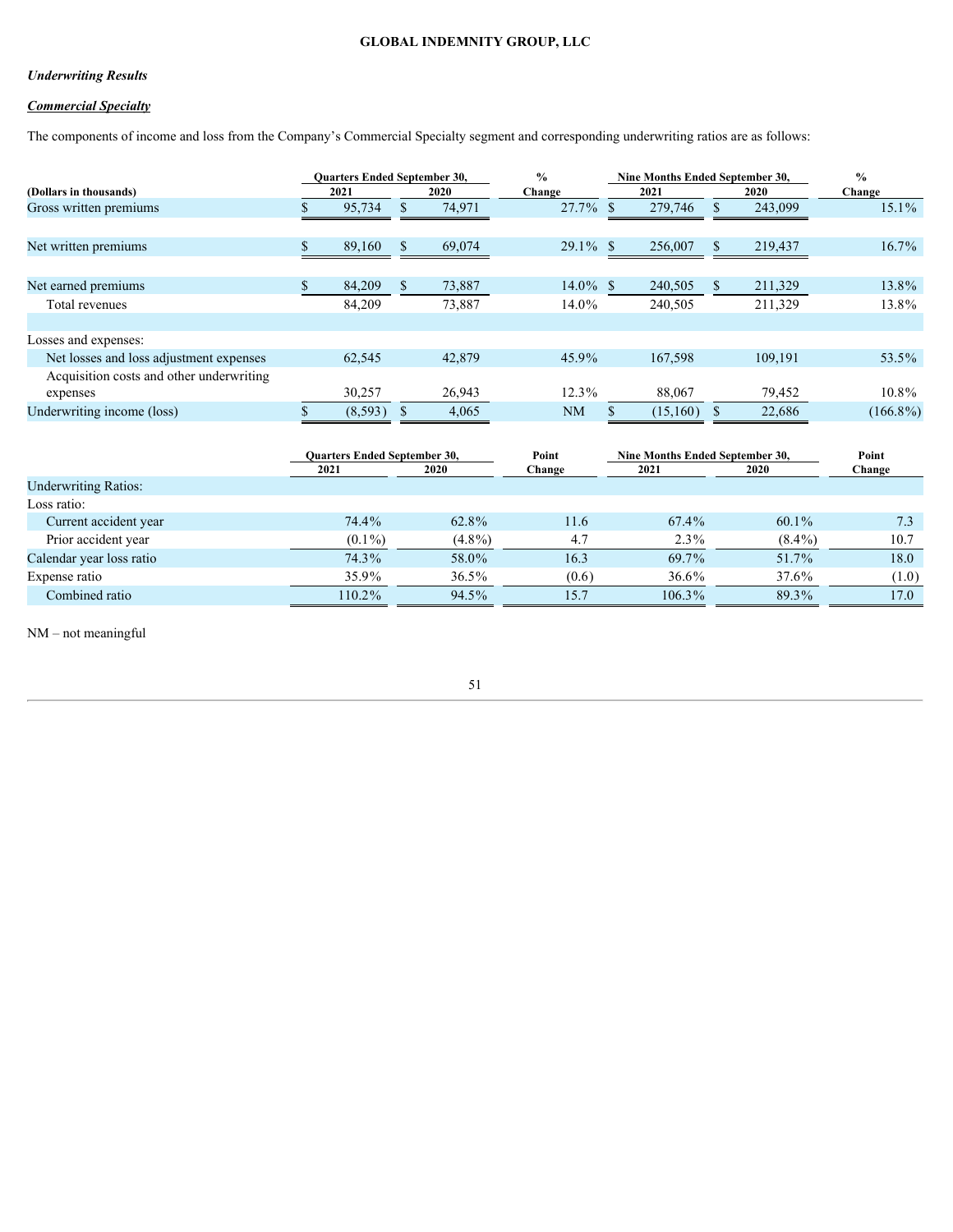# *Underwriting Results*

# *Commercial Specialty*

The components of income and loss from the Company's Commercial Specialty segment and corresponding underwriting ratios are as follows:

|                                          | <b>Ouarters Ended September 30,</b> |        | $\frac{0}{0}$ |             | Nine Months Ended September 30, |         | $\frac{6}{9}$ |
|------------------------------------------|-------------------------------------|--------|---------------|-------------|---------------------------------|---------|---------------|
| (Dollars in thousands)                   | 2021                                | 2020   | Change        |             | 2021                            | 2020    | Change        |
| Gross written premiums                   | 95,734                              | 74,971 |               | $27.7\%$ \$ | 279,746                         | 243,099 | $15.1\%$      |
|                                          |                                     |        |               |             |                                 |         |               |
| Net written premiums                     | 89,160                              | 69,074 |               | $29.1\%$ \$ | 256,007                         | 219,437 | $16.7\%$      |
|                                          |                                     |        |               |             |                                 |         |               |
| Net earned premiums                      | 84,209                              | 73,887 |               | $14.0\%$ \$ | 240,505                         | 211,329 | 13.8%         |
| Total revenues                           | 84,209                              | 73,887 | 14.0%         |             | 240,505                         | 211,329 | 13.8%         |
|                                          |                                     |        |               |             |                                 |         |               |
| Losses and expenses:                     |                                     |        |               |             |                                 |         |               |
| Net losses and loss adjustment expenses  | 62,545                              | 42,879 | 45.9%         |             | 167,598                         | 109,191 | 53.5%         |
| Acquisition costs and other underwriting |                                     |        |               |             |                                 |         |               |
| expenses                                 | 30,257                              | 26,943 | 12.3%         |             | 88,067                          | 79,452  | $10.8\%$      |
| Underwriting income (loss)               | (8,593)                             | 4,065  | <b>NM</b>     |             | (15,160)                        | 22,686  | $(166.8\%)$   |

|                             |           | Quarters Ended September 30, |        | Nine Months Ended September 30, |           | Point  |
|-----------------------------|-----------|------------------------------|--------|---------------------------------|-----------|--------|
|                             | 2021      | <b>2020</b>                  | Change | 2021                            | 2020      | Change |
| <b>Underwriting Ratios:</b> |           |                              |        |                                 |           |        |
| Loss ratio:                 |           |                              |        |                                 |           |        |
| Current accident year       | 74.4%     | 62.8%                        | 11.6   | 67.4%                           | $60.1\%$  | 7.3    |
| Prior accident year         | $(0.1\%)$ | $(4.8\%)$                    | 4.7    | $2.3\%$                         | $(8.4\%)$ | 10.7   |
| Calendar year loss ratio    | 74.3%     | 58.0%                        | 16.3   | 69.7%                           | 51.7%     | 18.0   |
| Expense ratio               | 35.9%     | 36.5%                        | (0.6)  | $36.6\%$                        | 37.6%     | (1.0)  |
| Combined ratio              | 110.2%    | 94.5%                        | 15.7   | 106.3%                          | 89.3%     | 17.0   |
|                             |           |                              |        |                                 |           |        |

NM – not meaningful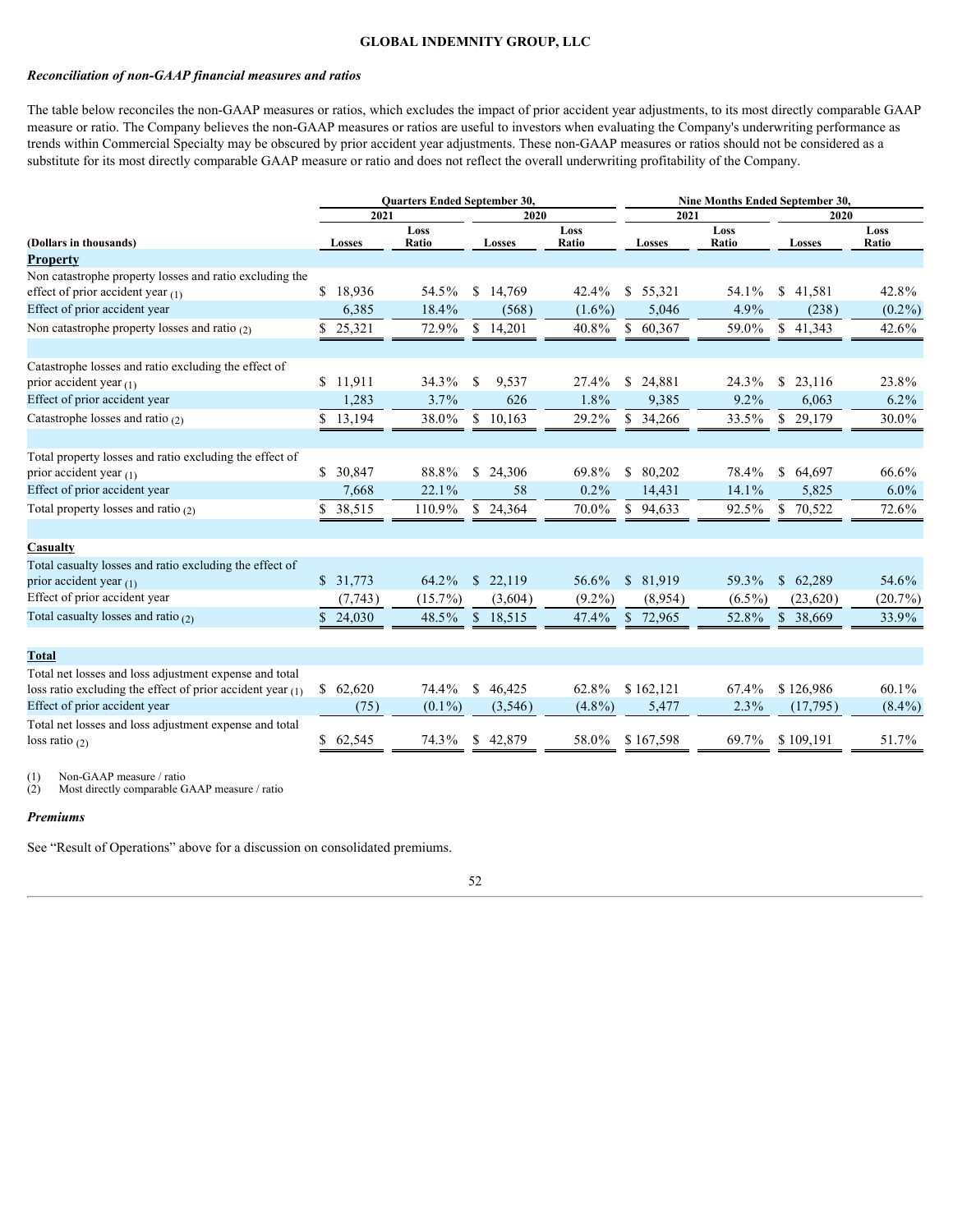## *Reconciliation of non-GAAP financial measures and ratios*

The table below reconciles the non-GAAP measures or ratios, which excludes the impact of prior accident year adjustments, to its most directly comparable GAAP measure or ratio. The Company believes the non-GAAP measures or ratios are useful to investors when evaluating the Company's underwriting performance as trends within Commercial Specialty may be obscured by prior accident year adjustments. These non-GAAP measures or ratios should not be considered as a substitute for its most directly comparable GAAP measure or ratio and does not reflect the overall underwriting profitability of the Company.

| 2020<br>2021<br>2020<br>2021<br>Loss<br>Loss<br>Loss<br>Loss<br>Ratio<br>Ratio<br>Ratio<br>Ratio<br>Losses<br>Losses<br>Losses<br><b>Losses</b><br>\$18,936<br>54.5% \$ 14,769<br>42.4%<br>42.8%<br>-S<br>55,321<br>54.1%<br><sup>S</sup><br>41,581<br>18.4%<br>$(1.6\%)$<br>4.9%<br>(238)<br>6,385<br>(568)<br>5,046<br>\$25,321<br>72.9%<br>\$14,201<br>\$60,367<br>59.0%<br>\$41,343<br>40.8%<br>42.6% |
|-----------------------------------------------------------------------------------------------------------------------------------------------------------------------------------------------------------------------------------------------------------------------------------------------------------------------------------------------------------------------------------------------------------|
| (Dollars in thousands)                                                                                                                                                                                                                                                                                                                                                                                    |
| <b>Property</b><br>Non catastrophe property losses and ratio excluding the<br>effect of prior accident year $(1)$<br>Non catastrophe property losses and ratio $(2)$<br>Catastrophe losses and ratio excluding the effect of                                                                                                                                                                              |
| Effect of prior accident year                                                                                                                                                                                                                                                                                                                                                                             |
| $(0.2\%)$                                                                                                                                                                                                                                                                                                                                                                                                 |
|                                                                                                                                                                                                                                                                                                                                                                                                           |
|                                                                                                                                                                                                                                                                                                                                                                                                           |
|                                                                                                                                                                                                                                                                                                                                                                                                           |
|                                                                                                                                                                                                                                                                                                                                                                                                           |
|                                                                                                                                                                                                                                                                                                                                                                                                           |
| \$11,911<br>$34.3\%$<br>9,537<br>27.4%<br>24,881<br>$24.3\%$<br>23,116<br>- \$<br>- S<br>- S<br>23.8%<br>prior accident year $(1)$                                                                                                                                                                                                                                                                        |
| Effect of prior accident year<br>3.7%<br>$9.2\%$<br>1,283<br>626<br>$1.8\%$<br>9,385<br>6,063<br>$6.2\%$                                                                                                                                                                                                                                                                                                  |
| Catastrophe losses and ratio $(2)$<br>38.0%<br>\$10,163<br>29.2%<br>\$34,266<br>33.5%<br>\$29,179<br>\$13,194<br>30.0%                                                                                                                                                                                                                                                                                    |
|                                                                                                                                                                                                                                                                                                                                                                                                           |
| Total property losses and ratio excluding the effect of                                                                                                                                                                                                                                                                                                                                                   |
| \$ 30,847<br>88.8% \$ 24,306<br>69.8%<br>\$ 80,202<br>78.4%<br>64,697<br>66.6%<br>-S<br>prior accident year $(1)$                                                                                                                                                                                                                                                                                         |
| Effect of prior accident year<br>22.1%<br>$0.2\%$<br>14.1%<br>$6.0\%$<br>7,668<br>58<br>14,431<br>5,825                                                                                                                                                                                                                                                                                                   |
| Total property losses and ratio $(2)$<br>\$38,515<br>110.9% \$ 24,364<br>70.0%<br>92.5%<br>\$ 70,522<br>72.6%<br>\$94,633                                                                                                                                                                                                                                                                                 |
|                                                                                                                                                                                                                                                                                                                                                                                                           |
| Casualty                                                                                                                                                                                                                                                                                                                                                                                                  |
| Total casualty losses and ratio excluding the effect of                                                                                                                                                                                                                                                                                                                                                   |
| \$31,773<br>64.2% \$ 22,119<br>56.6% \$ 81,919<br>59.3% \$ 62,289<br>54.6%<br>prior accident year $(1)$                                                                                                                                                                                                                                                                                                   |
| Effect of prior accident year<br>(7, 743)<br>$(15.7\%)$<br>(3,604)<br>$(9.2\%)$<br>(8,954)<br>$(6.5\%)$<br>(23,620)<br>$(20.7\%)$                                                                                                                                                                                                                                                                         |
| Total casualty losses and ratio $(2)$<br>48.5%<br>18,515<br>47.4%<br>72,965<br>52.8%<br>38,669<br>33.9%<br>24,030<br>-S<br><b>S</b><br><sup>\$</sup>                                                                                                                                                                                                                                                      |
|                                                                                                                                                                                                                                                                                                                                                                                                           |
| <b>Total</b>                                                                                                                                                                                                                                                                                                                                                                                              |
| Total net losses and loss adjustment expense and total                                                                                                                                                                                                                                                                                                                                                    |
| 74.4% \$<br>\$162.121<br>\$126,986<br>$60.1\%$<br>loss ratio excluding the effect of prior accident year $(1)$<br>\$62,620<br>46,425<br>62.8%<br>67.4%                                                                                                                                                                                                                                                    |
| Effect of prior accident year<br>$(4.8\%)$<br>5,477<br>(75)<br>$(0.1\%)$<br>(3, 546)<br>2.3%<br>(17,795)<br>$(8.4\%)$                                                                                                                                                                                                                                                                                     |
| Total net losses and loss adjustment expense and total                                                                                                                                                                                                                                                                                                                                                    |
| \$167,598<br>51.7%<br>\$62,545<br>74.3%<br>\$42,879<br>69.7%<br>\$109,191<br>58.0%<br>loss ratio $(2)$                                                                                                                                                                                                                                                                                                    |

(1) Non-GAAP measure / ratio<br>(2) Most directly comparable G

Most directly comparable GAAP measure / ratio

#### *Premiums*

See "Result of Operations" above for a discussion on consolidated premiums.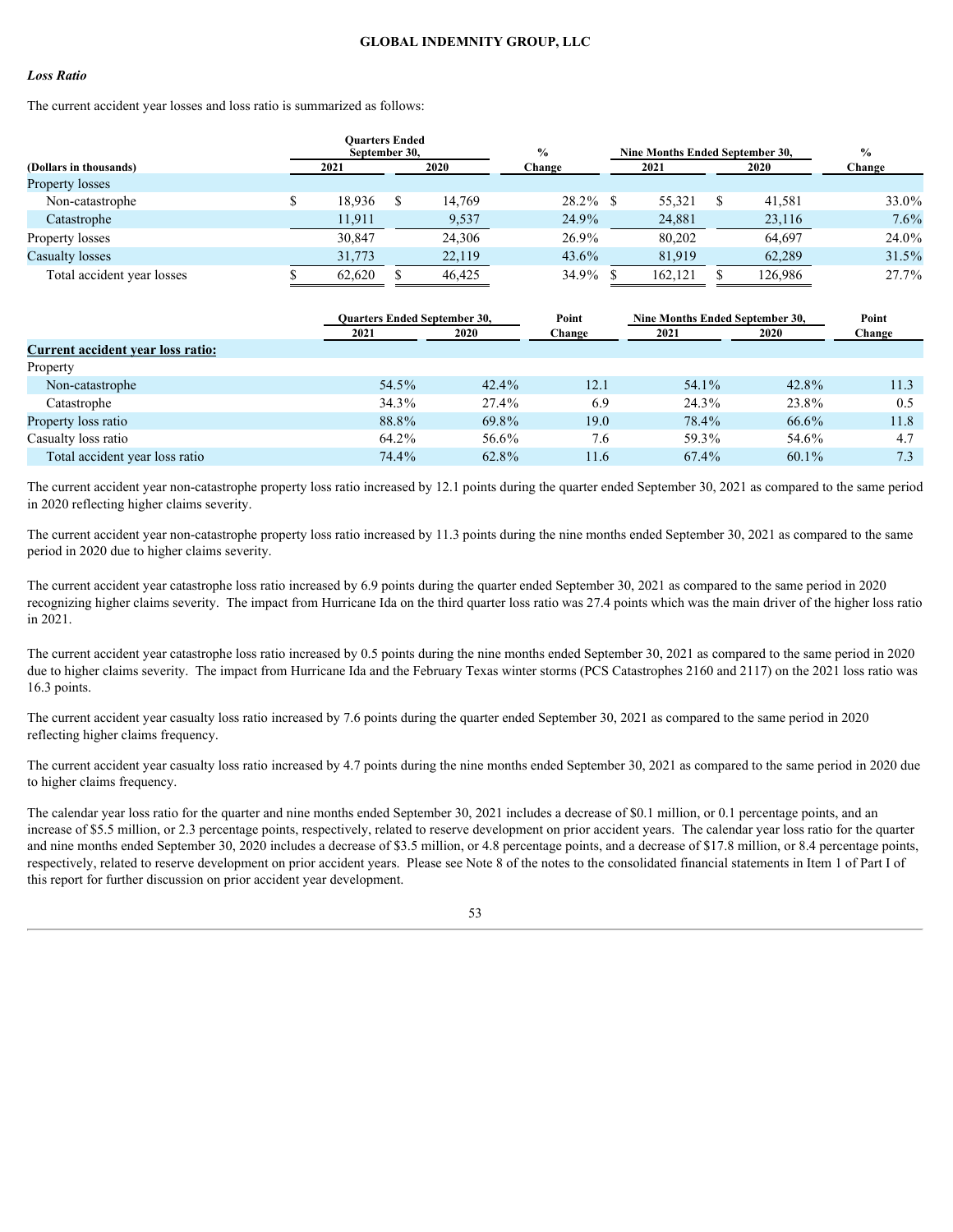# *Loss Ratio*

The current accident year losses and loss ratio is summarized as follows:

|                            | <b>Ouarters Ended</b><br>September 30, |  |        | $\frac{6}{9}$ | Nine Months Ended September 30, |        | $\%$  |
|----------------------------|----------------------------------------|--|--------|---------------|---------------------------------|--------|-------|
| (Dollars in thousands)     | 2020<br>2021                           |  | Change | 2021          | 2020                            | Change |       |
| <b>Property losses</b>     |                                        |  |        |               |                                 |        |       |
| Non-catastrophe            | 18,936                                 |  | 14,769 | $28.2\%$ \$   | 55,321                          | 41,581 | 33.0% |
| Catastrophe                | 11,911                                 |  | 9,537  | 24.9%         | 24,881                          | 23,116 | 7.6%  |
| Property losses            | 30,847                                 |  | 24,306 | 26.9%         | 80,202                          | 64,697 | 24.0% |
| Casualty losses            | 31,773                                 |  | 22,119 | 43.6%         | 81,919                          | 62,289 | 31.5% |
| Total accident year losses | 62,620                                 |  | 46,425 | 34.9% \$      | 162,121                         | 26,986 | 27.7% |
|                            |                                        |  |        |               |                                 |        |       |

|                                          | <b>Ouarters Ended September 30,</b> |       | Point  | Nine Months Ended September 30, |          | Point  |
|------------------------------------------|-------------------------------------|-------|--------|---------------------------------|----------|--------|
|                                          | 2021                                | 2020  | Change | 2021                            | 2020     | Change |
| <b>Current accident year loss ratio:</b> |                                     |       |        |                                 |          |        |
| Property                                 |                                     |       |        |                                 |          |        |
| Non-catastrophe                          | 54.5%                               | 42.4% | 12.1   | $54.1\%$                        | 42.8%    | 11.3   |
| Catastrophe                              | 34.3%                               | 27.4% | 6.9    | 24.3%                           | 23.8%    | 0.5    |
| Property loss ratio                      | 88.8%                               | 69.8% | 19.0   | 78.4%                           | 66.6%    | 11.8   |
| Casualty loss ratio                      | 64.2%                               | 56.6% | 7.6    | 59.3%                           | 54.6%    | 4.7    |
| Total accident year loss ratio           | 74.4%                               | 62.8% | 11.6   | $67.4\%$                        | $60.1\%$ | 7.3    |

The current accident year non-catastrophe property loss ratio increased by 12.1 points during the quarter ended September 30, 2021 as compared to the same period in 2020 reflecting higher claims severity.

The current accident year non-catastrophe property loss ratio increased by 11.3 points during the nine months ended September 30, 2021 as compared to the same period in 2020 due to higher claims severity.

The current accident year catastrophe loss ratio increased by 6.9 points during the quarter ended September 30, 2021 as compared to the same period in 2020 recognizing higher claims severity. The impact from Hurricane Ida on the third quarter loss ratio was 27.4 points which was the main driver of the higher loss ratio in 2021.

The current accident year catastrophe loss ratio increased by 0.5 points during the nine months ended September 30, 2021 as compared to the same period in 2020 due to higher claims severity. The impact from Hurricane Ida and the February Texas winter storms (PCS Catastrophes 2160 and 2117) on the 2021 loss ratio was 16.3 points.

The current accident year casualty loss ratio increased by 7.6 points during the quarter ended September 30, 2021 as compared to the same period in 2020 reflecting higher claims frequency.

The current accident year casualty loss ratio increased by 4.7 points during the nine months ended September 30, 2021 as compared to the same period in 2020 due to higher claims frequency.

The calendar year loss ratio for the quarter and nine months ended September 30, 2021 includes a decrease of \$0.1 million, or 0.1 percentage points, and an increase of \$5.5 million, or 2.3 percentage points, respectively, related to reserve development on prior accident years. The calendar year loss ratio for the quarter and nine months ended September 30, 2020 includes a decrease of \$3.5 million, or 4.8 percentage points, and a decrease of \$17.8 million, or 8.4 percentage points, respectively, related to reserve development on prior accident years. Please see Note 8 of the notes to the consolidated financial statements in Item 1 of Part I of this report for further discussion on prior accident year development.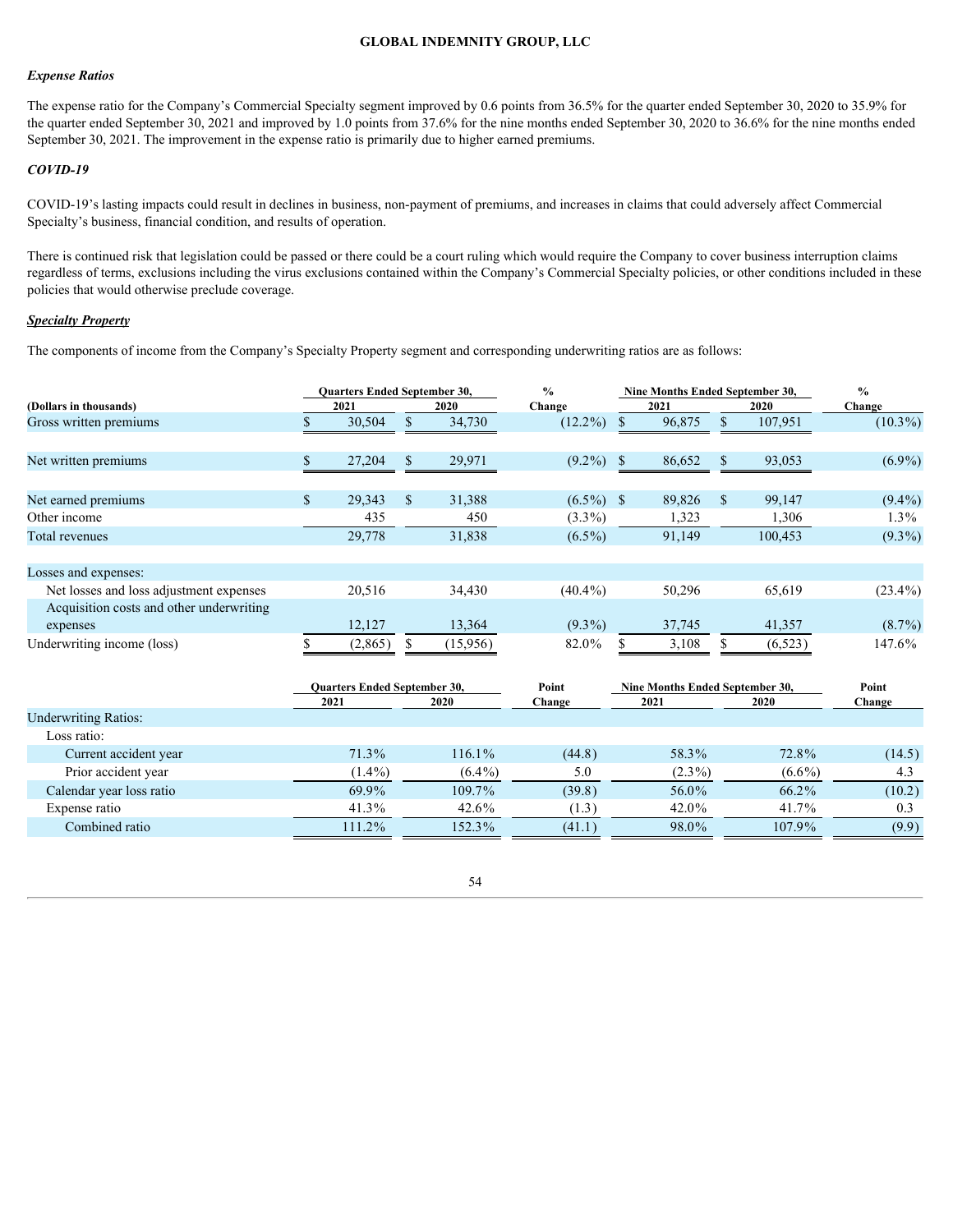### *Expense Ratios*

The expense ratio for the Company's Commercial Specialty segment improved by 0.6 points from 36.5% for the quarter ended September 30, 2020 to 35.9% for the quarter ended September 30, 2021 and improved by 1.0 points from 37.6% for the nine months ended September 30, 2020 to 36.6% for the nine months ended September 30, 2021. The improvement in the expense ratio is primarily due to higher earned premiums.

## *COVID-19*

COVID-19's lasting impacts could result in declines in business, non-payment of premiums, and increases in claims that could adversely affect Commercial Specialty's business, financial condition, and results of operation.

There is continued risk that legislation could be passed or there could be a court ruling which would require the Company to cover business interruption claims regardless of terms, exclusions including the virus exclusions contained within the Company's Commercial Specialty policies, or other conditions included in these policies that would otherwise preclude coverage.

### *Specialty Property*

The components of income from the Company's Specialty Property segment and corresponding underwriting ratios are as follows:

|                                          | Quarters Ended September 30, |          | $\frac{0}{0}$ |                         | Nine Months Ended September 30, |          |          | $\%$       |
|------------------------------------------|------------------------------|----------|---------------|-------------------------|---------------------------------|----------|----------|------------|
| (Dollars in thousands)                   | 2021                         | 2020     | Change        |                         | 2021                            |          | 2020     | Change     |
| Gross written premiums                   | 30,504                       | 34,730   | $(12.2\%)$    |                         | 96,875                          |          | 107,951  | $(10.3\%)$ |
|                                          |                              |          |               |                         |                                 |          |          |            |
| Net written premiums                     | 27,204                       | 29,971   | $(9.2\%)$     | $\overline{\mathbf{s}}$ | 86,652                          |          | 93,053   | $(6.9\%)$  |
|                                          |                              |          |               |                         |                                 |          |          |            |
| Net earned premiums                      | 29,343                       | 31,388   | $(6.5\%)$ \$  |                         | 89,826                          | $\sim$ 5 | 99,147   | $(9.4\%)$  |
| Other income                             | 435                          | 450      | $(3.3\%)$     |                         | 1,323                           |          | 1,306    | $1.3\%$    |
| Total revenues                           | 29,778                       | 31,838   | $(6.5\%)$     |                         | 91,149                          |          | 100,453  | $(9.3\%)$  |
|                                          |                              |          |               |                         |                                 |          |          |            |
| Losses and expenses:                     |                              |          |               |                         |                                 |          |          |            |
| Net losses and loss adjustment expenses  | 20,516                       | 34,430   | $(40.4\%)$    |                         | 50,296                          |          | 65,619   | $(23.4\%)$ |
| Acquisition costs and other underwriting |                              |          |               |                         |                                 |          |          |            |
| expenses                                 | 12,127                       | 13,364   | $(9.3\%)$     |                         | 37,745                          |          | 41,357   | $(8.7\%)$  |
| Underwriting income (loss)               | (2,865)                      | (15,956) | 82.0%         |                         | 3,108                           |          | (6, 523) | 147.6%     |

|                             | <b>Ouarters Ended September 30,</b> |           | Point  | Nine Months Ended September 30, |           | Point  |
|-----------------------------|-------------------------------------|-----------|--------|---------------------------------|-----------|--------|
|                             | 2021                                | 2020      | Change | 2021                            | 2020      | Change |
| <b>Underwriting Ratios:</b> |                                     |           |        |                                 |           |        |
| Loss ratio:                 |                                     |           |        |                                 |           |        |
| Current accident year       | $71.3\%$                            | 116.1%    | (44.8) | 58.3%                           | 72.8%     | (14.5) |
| Prior accident year         | $(1.4\%)$                           | $(6.4\%)$ | 5.0    | $(2.3\%)$                       | $(6.6\%)$ | 4.3    |
| Calendar year loss ratio    | 69.9%                               | 109.7%    | (39.8) | 56.0%                           | 66.2%     | (10.2) |
| Expense ratio               | 41.3%                               | 42.6%     | (1.3)  | 42.0%                           | 41.7%     | 0.3    |
| Combined ratio              | 111.2%                              | 152.3%    | (41.1) | 98.0%                           | 107.9%    | (9.9)  |
|                             |                                     |           |        |                                 |           |        |

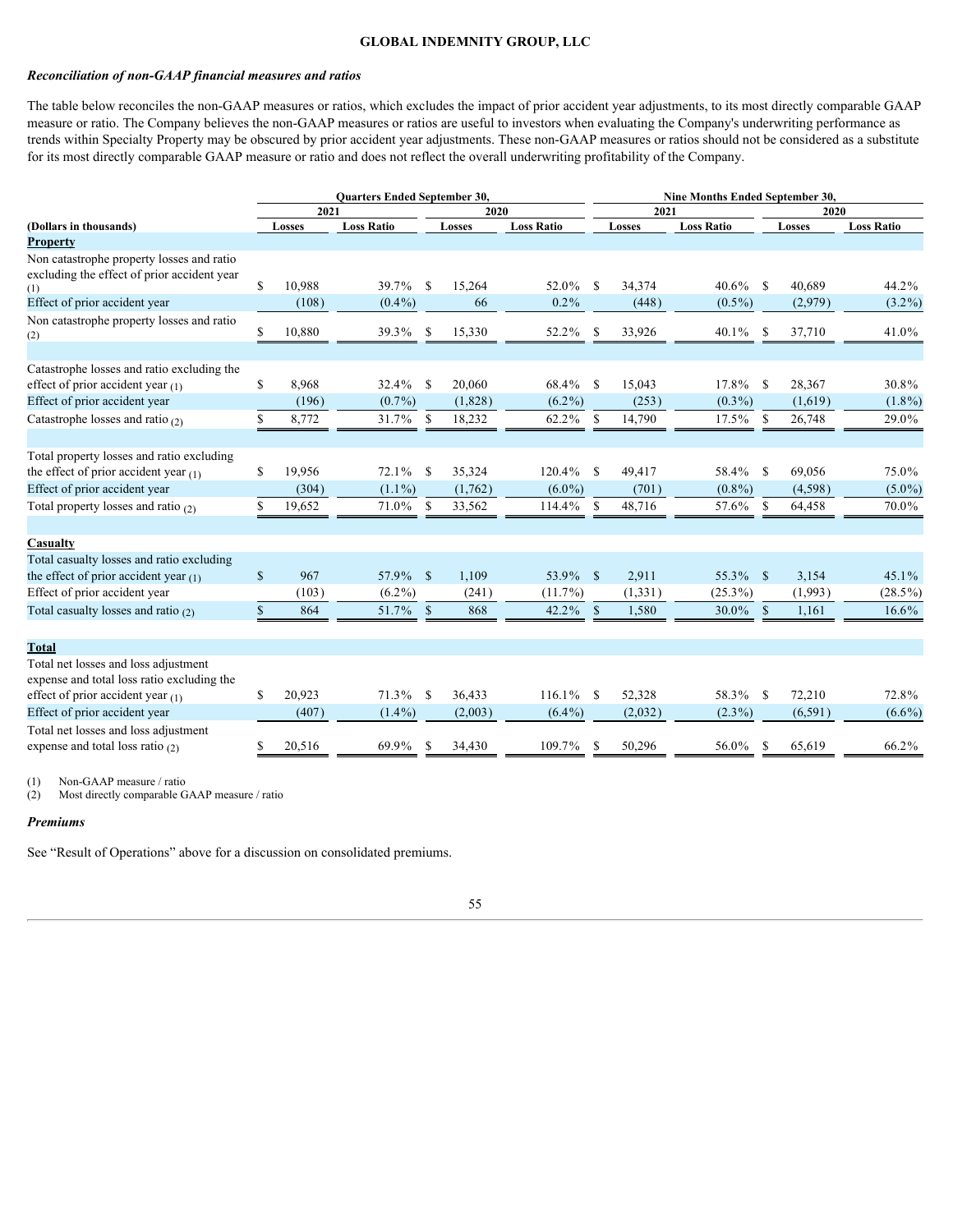# *Reconciliation of non-GAAP financial measures and ratios*

The table below reconciles the non-GAAP measures or ratios, which excludes the impact of prior accident year adjustments, to its most directly comparable GAAP measure or ratio. The Company believes the non-GAAP measures or ratios are useful to investors when evaluating the Company's underwriting performance as trends within Specialty Property may be obscured by prior accident year adjustments. These non-GAAP measures or ratios should not be considered as a substitute for its most directly comparable GAAP measure or ratio and does not reflect the overall underwriting profitability of the Company.

|                                                                            |               |        | Quarters Ended September 30, |              |         |                   |                        | Nine Months Ended September 30, |              |          |                   |
|----------------------------------------------------------------------------|---------------|--------|------------------------------|--------------|---------|-------------------|------------------------|---------------------------------|--------------|----------|-------------------|
|                                                                            |               | 2021   |                              |              | 2020    |                   |                        | 2021                            |              | 2020     |                   |
| (Dollars in thousands)                                                     |               | Losses | <b>Loss Ratio</b>            |              | Losses  | <b>Loss Ratio</b> | Losses                 | <b>Loss Ratio</b>               |              | Losses   | <b>Loss Ratio</b> |
| <b>Property</b>                                                            |               |        |                              |              |         |                   |                        |                                 |              |          |                   |
| Non catastrophe property losses and ratio                                  |               |        |                              |              |         |                   |                        |                                 |              |          |                   |
| excluding the effect of prior accident year                                | <sup>S</sup>  | 10,988 | 39.7%                        | - S          | 15,264  | 52.0%             | 34,374<br>-S           | $40.6\%$                        | -S           | 40,689   | 44.2%             |
| (1)<br>Effect of prior accident year                                       |               | (108)  | $(0.4\%)$                    |              | 66      | $0.2\%$           | (448)                  | $(0.5\%)$                       |              | (2,979)  | $(3.2\%)$         |
| Non catastrophe property losses and ratio                                  |               |        |                              |              |         |                   |                        |                                 |              |          |                   |
| (2)                                                                        | \$.           | 10,880 | 39.3% \$                     |              | 15,330  | 52.2%             | <sup>S</sup><br>33,926 | $40.1\%$                        | -S           | 37,710   | 41.0%             |
|                                                                            |               |        |                              |              |         |                   |                        |                                 |              |          |                   |
| Catastrophe losses and ratio excluding the                                 |               |        |                              |              |         |                   |                        |                                 |              |          |                   |
| effect of prior accident year $(1)$                                        | <sup>S</sup>  | 8,968  | $32.4\%$ \$                  |              | 20,060  | $68.4\%$ \$       | 15,043                 | $17.8\%$ \$                     |              | 28,367   | 30.8%             |
| Effect of prior accident year                                              |               | (196)  | $(0.7\%)$                    |              | (1,828) | $(6.2\%)$         | (253)                  | $(0.3\%)$                       |              | (1,619)  | $(1.8\%)$         |
| Catastrophe losses and ratio $(2)$                                         |               | 8,772  | 31.7%                        | <sup>S</sup> | 18,232  | $62.2\%$ \$       | 14,790                 | $17.5\%$                        | <sup>S</sup> | 26,748   | 29.0%             |
|                                                                            |               |        |                              |              |         |                   |                        |                                 |              |          |                   |
| Total property losses and ratio excluding                                  |               |        |                              |              |         |                   |                        |                                 |              |          |                   |
| the effect of prior accident year $(1)$                                    | $\mathbf{s}$  | 19,956 | $72.1\%$ \$                  |              | 35,324  | $120.4\%$ \$      | 49,417                 | 58.4% \$                        |              | 69,056   | 75.0%             |
| Effect of prior accident year                                              |               | (304)  | $(1.1\%)$                    |              | (1,762) | $(6.0\%)$         | (701)                  | $(0.8\%)$                       |              | (4,598)  | $(5.0\%)$         |
| Total property losses and ratio $(2)$                                      | -S            | 19,652 | 71.0%                        | -S           | 33,562  | 114.4%            | 48,716<br><sup>S</sup> | 57.6%                           |              | 64,458   | 70.0%             |
|                                                                            |               |        |                              |              |         |                   |                        |                                 |              |          |                   |
| Casualty                                                                   |               |        |                              |              |         |                   |                        |                                 |              |          |                   |
| Total casualty losses and ratio excluding                                  |               |        |                              |              |         |                   |                        |                                 |              |          |                   |
| the effect of prior accident year $(1)$                                    | $\mathcal{S}$ | 967    | 57.9% \$                     |              | 1,109   | 53.9% \$          | 2,911                  | 55.3% \$                        |              | 3,154    | 45.1%             |
| Effect of prior accident year                                              |               | (103)  | $(6.2\%)$                    |              | (241)   | $(11.7\%)$        | (1,331)                | $(25.3\%)$                      |              | (1,993)  | $(28.5\%)$        |
| Total casualty losses and ratio $(2)$                                      |               | 864    | 51.7%                        |              | 868     | $42.2\%$<br>- S   | 1,580                  | 30.0%                           |              | 1,161    | $16.6\%$          |
|                                                                            |               |        |                              |              |         |                   |                        |                                 |              |          |                   |
| <b>Total</b>                                                               |               |        |                              |              |         |                   |                        |                                 |              |          |                   |
| Total net losses and loss adjustment                                       |               |        |                              |              |         |                   |                        |                                 |              |          |                   |
| expense and total loss ratio excluding the                                 |               |        |                              |              |         |                   |                        |                                 |              |          |                   |
| effect of prior accident year $(1)$                                        |               | 20,923 | $71.3\%$ \$                  |              | 36,433  | $116.1\%$ \$      | 52,328                 | 58.3% \$                        |              | 72,210   | 72.8%             |
| Effect of prior accident year                                              |               | (407)  | $(1.4\%)$                    |              | (2,003) | $(6.4\%)$         | (2,032)                | $(2.3\%)$                       |              | (6, 591) | $(6.6\%)$         |
| Total net losses and loss adjustment<br>expense and total loss ratio $(2)$ | -S            | 20,516 | 69.9%                        | - \$         | 34,430  | 109.7%<br>-S      | 50,296                 | 56.0%                           | -8           | 65,619   | 66.2%             |

(1) Non-GAAP measure / ratio<br>(2) Most directly comparable G

Most directly comparable GAAP measure / ratio

### *Premiums*

See "Result of Operations" above for a discussion on consolidated premiums.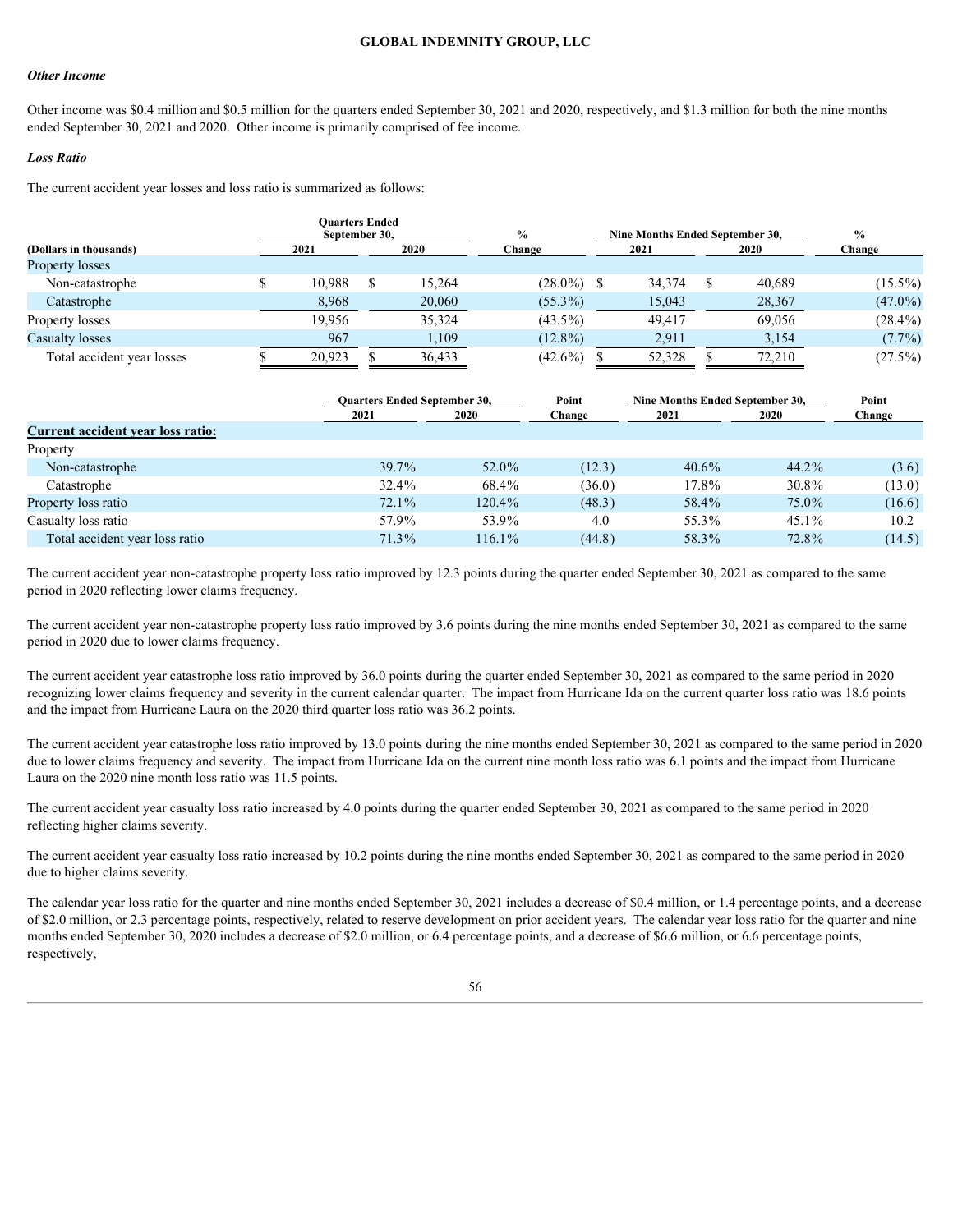#### *Other Income*

Other income was \$0.4 million and \$0.5 million for the quarters ended September 30, 2021 and 2020, respectively, and \$1.3 million for both the nine months ended September 30, 2021 and 2020. Other income is primarily comprised of fee income.

### *Loss Ratio*

The current accident year losses and loss ratio is summarized as follows:

| Change<br>2020<br>(Dollars in thousands)<br>2020<br>Change<br>2021<br>2021                        |
|---------------------------------------------------------------------------------------------------|
|                                                                                                   |
| <b>Property losses</b>                                                                            |
| 10,988<br>$(15.5\%)$<br>15,264<br>40,689<br>$(28.0\%)$ \$<br>34,374<br>Non-catastrophe            |
| $(47.0\%)$<br>8,968<br>28,367<br>20,060<br>$(55.3\%)$<br>15,043<br>Catastrophe                    |
| 19,956<br>35,324<br>49,417<br>$(28.4\%)$<br>69,056<br>$(43.5\%)$<br>Property losses               |
| $(7.7\%)$<br>$(12.8\%)$<br>2,911<br>967<br>1,109<br>3,154<br>Casualty losses                      |
| $(27.5\%)$<br>Total accident year losses<br>20,923<br>72,210<br>36,433<br>$(42.6\%)$ \$<br>52,328 |

|                                   | <b>Ouarters Ended September 30,</b> |        | Point  | Nine Months Ended September 30, |          | Point  |
|-----------------------------------|-------------------------------------|--------|--------|---------------------------------|----------|--------|
|                                   | 2021                                | 2020   | Change | 2021                            | 2020     | Change |
| Current accident year loss ratio: |                                     |        |        |                                 |          |        |
| Property                          |                                     |        |        |                                 |          |        |
| Non-catastrophe                   | 39.7%                               | 52.0%  | (12.3) | 40.6%                           | 44.2%    | (3.6)  |
| Catastrophe                       | 32.4%                               | 68.4%  | (36.0) | 17.8%                           | 30.8%    | (13.0) |
| Property loss ratio               | 72.1%                               | 120.4% | (48.3) | 58.4%                           | 75.0%    | (16.6) |
| Casualty loss ratio               | 57.9%                               | 53.9%  | 4.0    | 55.3%                           | $45.1\%$ | 10.2   |
| Total accident year loss ratio    | $71.3\%$                            | 116.1% | (44.8) | 58.3%                           | 72.8%    | (14.5) |

The current accident year non-catastrophe property loss ratio improved by 12.3 points during the quarter ended September 30, 2021 as compared to the same period in 2020 reflecting lower claims frequency.

The current accident year non-catastrophe property loss ratio improved by 3.6 points during the nine months ended September 30, 2021 as compared to the same period in 2020 due to lower claims frequency.

The current accident year catastrophe loss ratio improved by 36.0 points during the quarter ended September 30, 2021 as compared to the same period in 2020 recognizing lower claims frequency and severity in the current calendar quarter. The impact from Hurricane Ida on the current quarter loss ratio was 18.6 points and the impact from Hurricane Laura on the 2020 third quarter loss ratio was 36.2 points.

The current accident year catastrophe loss ratio improved by 13.0 points during the nine months ended September 30, 2021 as compared to the same period in 2020 due to lower claims frequency and severity. The impact from Hurricane Ida on the current nine month loss ratio was 6.1 points and the impact from Hurricane Laura on the 2020 nine month loss ratio was 11.5 points.

The current accident year casualty loss ratio increased by 4.0 points during the quarter ended September 30, 2021 as compared to the same period in 2020 reflecting higher claims severity.

The current accident year casualty loss ratio increased by 10.2 points during the nine months ended September 30, 2021 as compared to the same period in 2020 due to higher claims severity.

The calendar year loss ratio for the quarter and nine months ended September 30, 2021 includes a decrease of \$0.4 million, or 1.4 percentage points, and a decrease of \$2.0 million, or 2.3 percentage points, respectively, related to reserve development on prior accident years. The calendar year loss ratio for the quarter and nine months ended September 30, 2020 includes a decrease of \$2.0 million, or 6.4 percentage points, and a decrease of \$6.6 million, or 6.6 percentage points, respectively,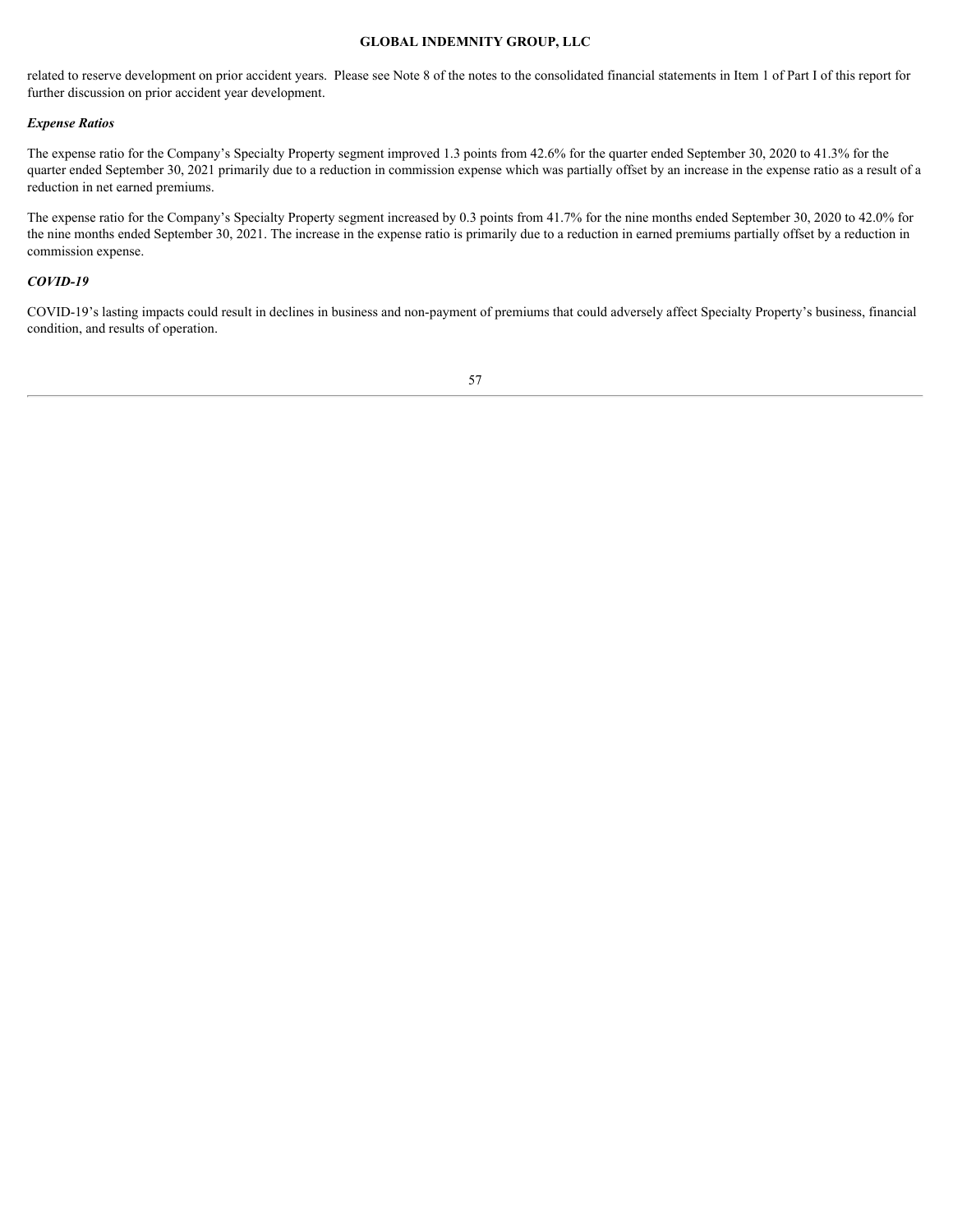related to reserve development on prior accident years. Please see Note 8 of the notes to the consolidated financial statements in Item 1 of Part I of this report for further discussion on prior accident year development.

## *Expense Ratios*

The expense ratio for the Company's Specialty Property segment improved 1.3 points from 42.6% for the quarter ended September 30, 2020 to 41.3% for the quarter ended September 30, 2021 primarily due to a reduction in commission expense which was partially offset by an increase in the expense ratio as a result of a reduction in net earned premiums.

The expense ratio for the Company's Specialty Property segment increased by 0.3 points from 41.7% for the nine months ended September 30, 2020 to 42.0% for the nine months ended September 30, 2021. The increase in the expense ratio is primarily due to a reduction in earned premiums partially offset by a reduction in commission expense.

# *COVID-19*

COVID-19's lasting impacts could result in declines in business and non-payment of premiums that could adversely affect Specialty Property's business, financial condition, and results of operation.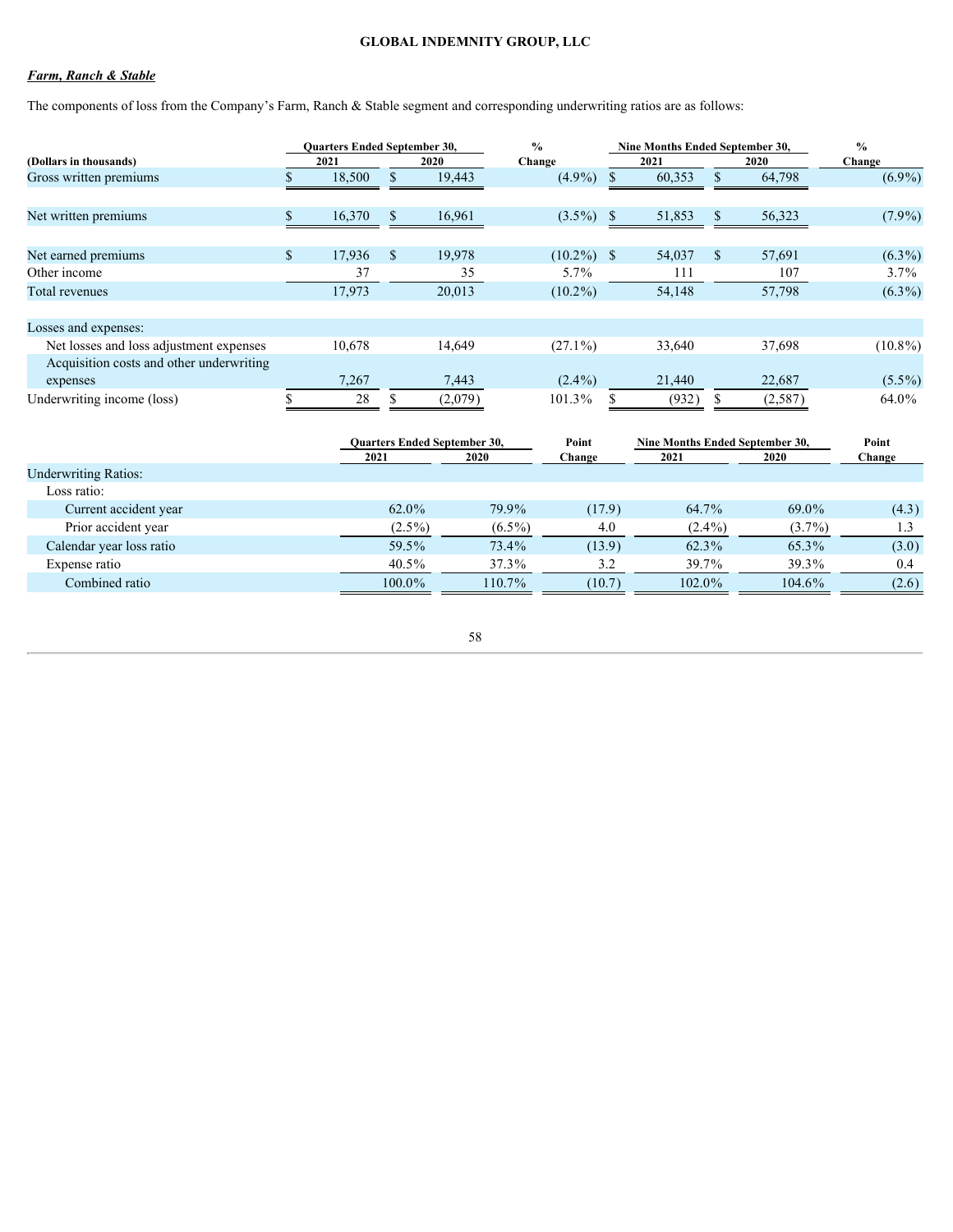# *Farm, Ranch & Stable*

The components of loss from the Company's Farm, Ranch & Stable segment and corresponding underwriting ratios are as follows:

|                                          | <b>Ouarters Ended September 30,</b> |        | $\%$         |         |               |  | Nine Months Ended September 30, | $\%$ |         |            |
|------------------------------------------|-------------------------------------|--------|--------------|---------|---------------|--|---------------------------------|------|---------|------------|
| (Dollars in thousands)                   |                                     | 2021   |              | 2020    | Change        |  | 2021                            |      | 2020    | Change     |
| Gross written premiums                   |                                     | 18,500 |              | 19,443  | $(4.9\%)$     |  | 60,353                          |      | 64,798  | $(6.9\%)$  |
|                                          |                                     |        |              |         |               |  |                                 |      |         |            |
| Net written premiums                     |                                     | 16,370 | - 25         | 16,961  | $(3.5\%)$ \$  |  | 51,853                          |      | 56,323  | $(7.9\%)$  |
|                                          |                                     |        |              |         |               |  |                                 |      |         |            |
| Net earned premiums                      |                                     | 17,936 | <sup>S</sup> | 19,978  | $(10.2\%)$ \$ |  | 54,037                          | - S  | 57,691  | $(6.3\%)$  |
| Other income                             |                                     | 27     |              | 35      | $5.7\%$       |  | 111                             |      | 107     | $3.7\%$    |
| Total revenues                           |                                     | 17,973 |              | 20,013  | $(10.2\%)$    |  | 54,148                          |      | 57,798  | $(6.3\%)$  |
|                                          |                                     |        |              |         |               |  |                                 |      |         |            |
| Losses and expenses:                     |                                     |        |              |         |               |  |                                 |      |         |            |
| Net losses and loss adjustment expenses  |                                     | 10,678 |              | 14,649  | $(27.1\%)$    |  | 33,640                          |      | 37,698  | $(10.8\%)$ |
| Acquisition costs and other underwriting |                                     |        |              |         |               |  |                                 |      |         |            |
| expenses                                 |                                     | 7,267  |              | 7,443   | $(2.4\%)$     |  | 21,440                          |      | 22,687  | $(5.5\%)$  |
| Underwriting income (loss)               |                                     | 28     | - 35         | (2,079) | 101.3%        |  | (932)                           |      | (2,587) | 64.0%      |

|                             | <b>Ouarters Ended September 30,</b> |           | Point  | Nine Months Ended September 30, |             | Point  |
|-----------------------------|-------------------------------------|-----------|--------|---------------------------------|-------------|--------|
|                             | 2021                                | 2020      | Change | 2021                            | <b>2020</b> | Change |
| <b>Underwriting Ratios:</b> |                                     |           |        |                                 |             |        |
| Loss ratio:                 |                                     |           |        |                                 |             |        |
| Current accident year       | 62.0%                               | 79.9%     | (17.9) | 64.7%                           | 69.0%       | (4.3)  |
| Prior accident year         | $(2.5\%)$                           | $(6.5\%)$ | 4.0    | $(2.4\%)$                       | $(3.7\%)$   |        |
| Calendar year loss ratio    | 59.5%                               | 73.4%     | (13.9) | 62.3%                           | 65.3%       | (3.0)  |
| Expense ratio               | 40.5%                               | 37.3%     | ے.د    | 39.7%                           | 39.3%       | 0.4    |
| Combined ratio              | 100.0%                              | 110.7%    | (10.7) | 102.0%                          | 104.6%      | (2.6)  |
|                             |                                     |           |        |                                 |             |        |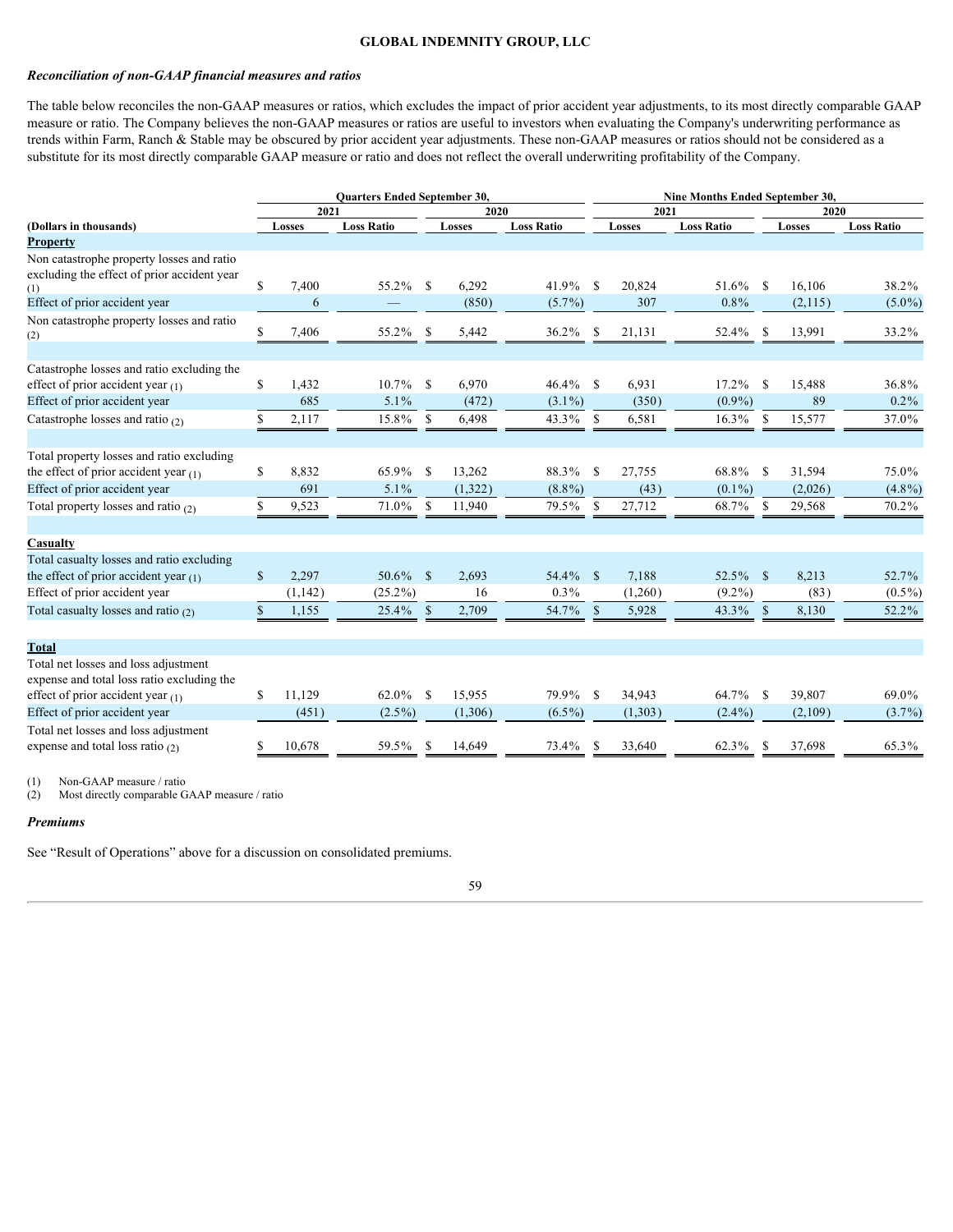# *Reconciliation of non-GAAP financial measures and ratios*

The table below reconciles the non-GAAP measures or ratios, which excludes the impact of prior accident year adjustments, to its most directly comparable GAAP measure or ratio. The Company believes the non-GAAP measures or ratios are useful to investors when evaluating the Company's underwriting performance as trends within Farm, Ranch & Stable may be obscured by prior accident year adjustments. These non-GAAP measures or ratios should not be considered as a substitute for its most directly comparable GAAP measure or ratio and does not reflect the overall underwriting profitability of the Company.

|                                                  |             |             | Quarters Ended September 30,  |               |         |                    |                        | Nine Months Ended September 30, |              |         |                   |
|--------------------------------------------------|-------------|-------------|-------------------------------|---------------|---------|--------------------|------------------------|---------------------------------|--------------|---------|-------------------|
|                                                  |             | 2021        |                               |               | 2020    |                    |                        | 2021                            |              | 2020    |                   |
| (Dollars in thousands)                           |             | Losses      | <b>Loss Ratio</b>             |               | Losses  | <b>Loss Ratio</b>  | Losses                 | <b>Loss Ratio</b>               |              | Losses  | <b>Loss Ratio</b> |
| <b>Property</b>                                  |             |             |                               |               |         |                    |                        |                                 |              |         |                   |
| Non catastrophe property losses and ratio        |             |             |                               |               |         |                    |                        |                                 |              |         |                   |
| excluding the effect of prior accident year      |             |             | 55.2% \$                      |               |         |                    |                        |                                 |              |         |                   |
| (1)                                              | -S          | 7,400<br>-6 |                               |               | 6,292   | 41.9%<br>$(5.7\%)$ | 20,824<br>-S<br>307    | 51.6%<br>$0.8\%$                | <sup>S</sup> | 16,106  | 38.2%             |
| Effect of prior accident year                    |             |             | $\overbrace{\phantom{13333}}$ |               | (850)   |                    |                        |                                 |              | (2,115) | $(5.0\%)$         |
| Non catastrophe property losses and ratio<br>(2) | S.          | 7,406       | 55.2%                         | - \$          | 5,442   | $36.2\%$ \$        | 21,131                 | 52.4% \$                        |              | 13,991  | 33.2%             |
|                                                  |             |             |                               |               |         |                    |                        |                                 |              |         |                   |
| Catastrophe losses and ratio excluding the       |             |             |                               |               |         |                    |                        |                                 |              |         |                   |
| effect of prior accident year $(1)$              | -S          | 1,432       | $10.7\%$ \$                   |               | 6,970   | $46.4\%$ \$        | 6,931                  | $17.2\%$                        | -S           | 15,488  | 36.8%             |
| Effect of prior accident year                    |             | 685         | 5.1%                          |               | (472)   | $(3.1\%)$          | (350)                  | $(0.9\%)$                       |              | 89      | $0.2\%$           |
| Catastrophe losses and ratio $(2)$               | S.          | 2,117       | 15.8%                         | - \$          | 6,498   | $43.3\%$ \$        | 6,581                  | $16.3\%$                        | <sup>S</sup> | 15,577  | 37.0%             |
|                                                  |             |             |                               |               |         |                    |                        |                                 |              |         |                   |
| Total property losses and ratio excluding        |             |             |                               |               |         |                    |                        |                                 |              |         |                   |
| the effect of prior accident year $(1)$          | \$.         | 8,832       | $65.9\%$ \$                   |               | 13,262  | 88.3% \$           | 27,755                 | 68.8% \$                        |              | 31,594  | 75.0%             |
| Effect of prior accident year                    |             | 691         | 5.1%                          |               | (1,322) | $(8.8\%)$          | (43)                   | $(0.1\%)$                       |              | (2,026) | $(4.8\%)$         |
| Total property losses and ratio $(2)$            |             | 9,523       | 71.0%                         | <sup>\$</sup> | 11,940  | 79.5%              | 27,712<br>-S           | 68.7%                           | <sup>S</sup> | 29,568  | 70.2%             |
|                                                  |             |             |                               |               |         |                    |                        |                                 |              |         |                   |
| Casualty                                         |             |             |                               |               |         |                    |                        |                                 |              |         |                   |
| Total casualty losses and ratio excluding        |             |             |                               |               |         |                    |                        |                                 |              |         |                   |
| the effect of prior accident year $(1)$          |             | 2,297       | $50.6\%$ \$                   |               | 2,693   | $54.4\%$ \$        | 7,188                  | $52.5\%$ \$                     |              | 8,213   | 52.7%             |
| Effect of prior accident year                    |             | (1,142)     | $(25.2\%)$                    |               | 16      | $0.3\%$            | (1,260)                | $(9.2\%)$                       |              | (83)    | $(0.5\%)$         |
| Total casualty losses and ratio $(2)$            |             | 1,155       | 25.4%                         |               | 2,709   | 54.7%<br>- S       | 5,928                  | 43.3%                           | -8           | 8,130   | 52.2%             |
|                                                  |             |             |                               |               |         |                    |                        |                                 |              |         |                   |
| <b>Total</b>                                     |             |             |                               |               |         |                    |                        |                                 |              |         |                   |
| Total net losses and loss adjustment             |             |             |                               |               |         |                    |                        |                                 |              |         |                   |
| expense and total loss ratio excluding the       |             |             |                               |               |         |                    |                        |                                 |              |         |                   |
| effect of prior accident year $(1)$              | $\mathbf S$ | 11,129      | $62.0\%$ \$                   |               | 15,955  | 79.9% \$           | 34,943                 | 64.7%                           | -S           | 39,807  | 69.0%             |
| Effect of prior accident year                    |             | (451)       | $(2.5\%)$                     |               | (1,306) | $(6.5\%)$          | (1,303)                | $(2.4\%)$                       |              | (2,109) | $(3.7\%)$         |
| Total net losses and loss adjustment             |             |             |                               |               |         |                    |                        |                                 |              |         |                   |
| expense and total loss ratio $(2)$               | \$.         | 10,678      | 59.5% \$                      |               | 14,649  | 73.4%              | 33,640<br><sup>S</sup> | 62.3%                           | -S           | 37,698  | 65.3%             |

(1) Non-GAAP measure / ratio<br>(2) Most directly comparable G

Most directly comparable GAAP measure / ratio

### *Premiums*

See "Result of Operations" above for a discussion on consolidated premiums.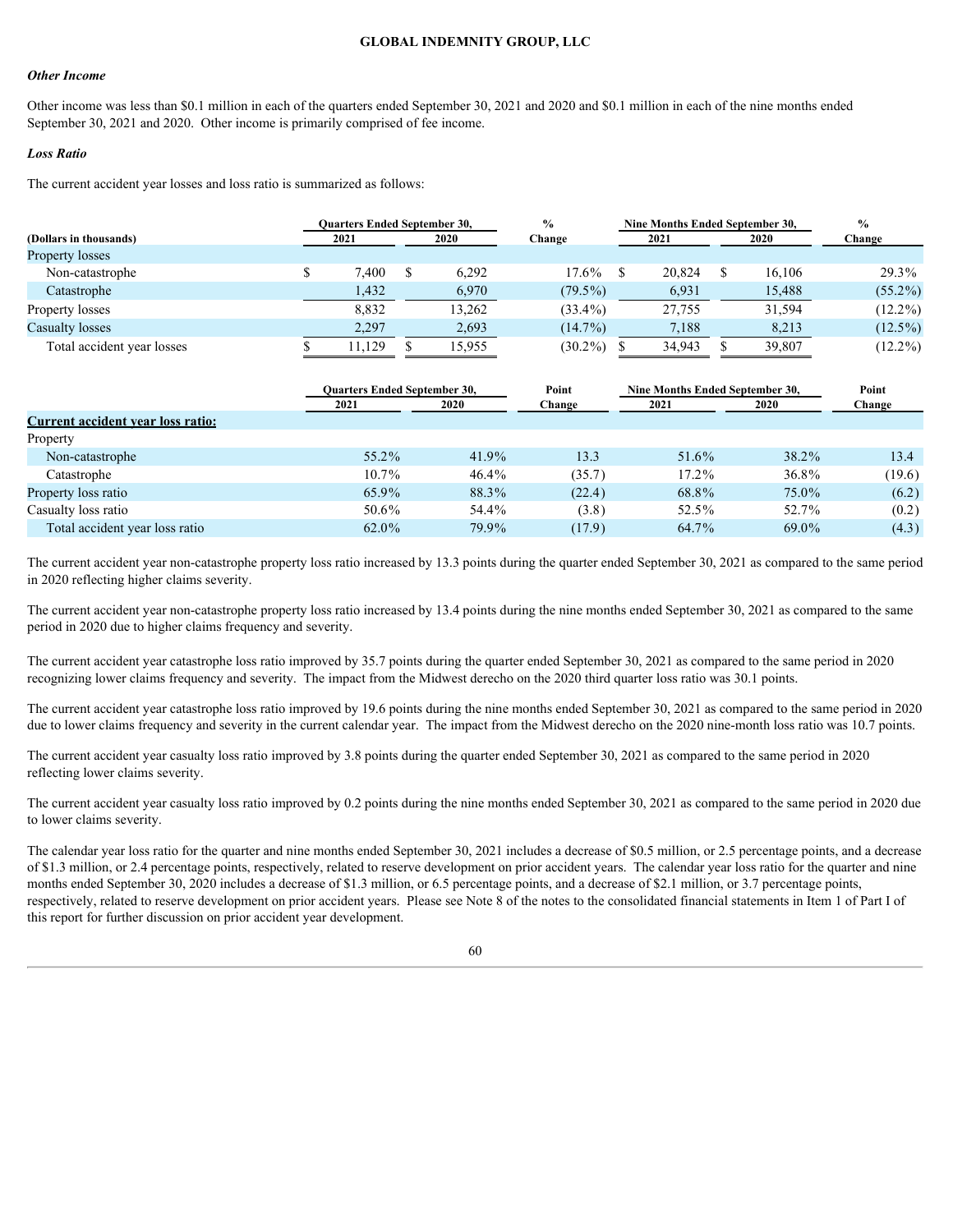### *Other Income*

Other income was less than \$0.1 million in each of the quarters ended September 30, 2021 and 2020 and \$0.1 million in each of the nine months ended September 30, 2021 and 2020. Other income is primarily comprised of fee income.

### *Loss Ratio*

The current accident year losses and loss ratio is summarized as follows:

|                            |  | <b>Ouarters Ended September 30,</b> |  |             |            | Nine Months Ended September 30, |        |  | $\%$   |            |  |
|----------------------------|--|-------------------------------------|--|-------------|------------|---------------------------------|--------|--|--------|------------|--|
| (Dollars in thousands)     |  |                                     |  | <b>2020</b> | Change     |                                 | 2021   |  | 2020   | Change     |  |
| <b>Property losses</b>     |  |                                     |  |             |            |                                 |        |  |        |            |  |
| Non-catastrophe            |  | ,400                                |  | 6,292       | 17.6%      |                                 | 20,824 |  | 16,106 | 29.3%      |  |
| Catastrophe                |  | 1,432                               |  | 6,970       | $(79.5\%)$ |                                 | 6,931  |  | 15,488 | $(55.2\%)$ |  |
| Property losses            |  | 8,832                               |  | 13,262      | $(33.4\%)$ |                                 | 27,755 |  | 31,594 | $(12.2\%)$ |  |
| Casualty losses            |  | 2,297                               |  | 2,693       | $(14.7\%)$ |                                 | 7,188  |  | 8,213  | $(12.5\%)$ |  |
| Total accident year losses |  | .129                                |  | 15,955      | $(30.2\%)$ |                                 | 34,943 |  | 39,807 | $(12.2\%)$ |  |

|                                   | <b>Quarters Ended September 30,</b> |       | Point  | Nine Months Ended September 30, |       | Point  |
|-----------------------------------|-------------------------------------|-------|--------|---------------------------------|-------|--------|
|                                   | 2021                                | 2020  | Change | 2021                            | 2020  | Change |
| Current accident year loss ratio: |                                     |       |        |                                 |       |        |
| Property                          |                                     |       |        |                                 |       |        |
| Non-catastrophe                   | 55.2%                               | 41.9% | 13.3   | 51.6%                           | 38.2% | 13.4   |
| Catastrophe                       | $10.7\%$                            | 46.4% | (35.7) | 17.2%                           | 36.8% | (19.6) |
| Property loss ratio               | 65.9%                               | 88.3% | (22.4) | 68.8%                           | 75.0% | (6.2)  |
| Casualty loss ratio               | 50.6%                               | 54.4% | (3.8)  | 52.5%                           | 52.7% | (0.2)  |
| Total accident year loss ratio    | 62.0%                               | 79.9% | (17.9) | 64.7%                           | 69.0% | (4.3)  |
|                                   |                                     |       |        |                                 |       |        |

The current accident year non-catastrophe property loss ratio increased by 13.3 points during the quarter ended September 30, 2021 as compared to the same period in 2020 reflecting higher claims severity.

The current accident year non-catastrophe property loss ratio increased by 13.4 points during the nine months ended September 30, 2021 as compared to the same period in 2020 due to higher claims frequency and severity.

The current accident year catastrophe loss ratio improved by 35.7 points during the quarter ended September 30, 2021 as compared to the same period in 2020 recognizing lower claims frequency and severity. The impact from the Midwest derecho on the 2020 third quarter loss ratio was 30.1 points.

The current accident year catastrophe loss ratio improved by 19.6 points during the nine months ended September 30, 2021 as compared to the same period in 2020 due to lower claims frequency and severity in the current calendar year. The impact from the Midwest derecho on the 2020 nine-month loss ratio was 10.7 points.

The current accident year casualty loss ratio improved by 3.8 points during the quarter ended September 30, 2021 as compared to the same period in 2020 reflecting lower claims severity.

The current accident year casualty loss ratio improved by 0.2 points during the nine months ended September 30, 2021 as compared to the same period in 2020 due to lower claims severity.

The calendar year loss ratio for the quarter and nine months ended September 30, 2021 includes a decrease of \$0.5 million, or 2.5 percentage points, and a decrease of \$1.3 million, or 2.4 percentage points, respectively, related to reserve development on prior accident years. The calendar year loss ratio for the quarter and nine months ended September 30, 2020 includes a decrease of \$1.3 million, or 6.5 percentage points, and a decrease of \$2.1 million, or 3.7 percentage points, respectively, related to reserve development on prior accident years. Please see Note 8 of the notes to the consolidated financial statements in Item 1 of Part I of this report for further discussion on prior accident year development.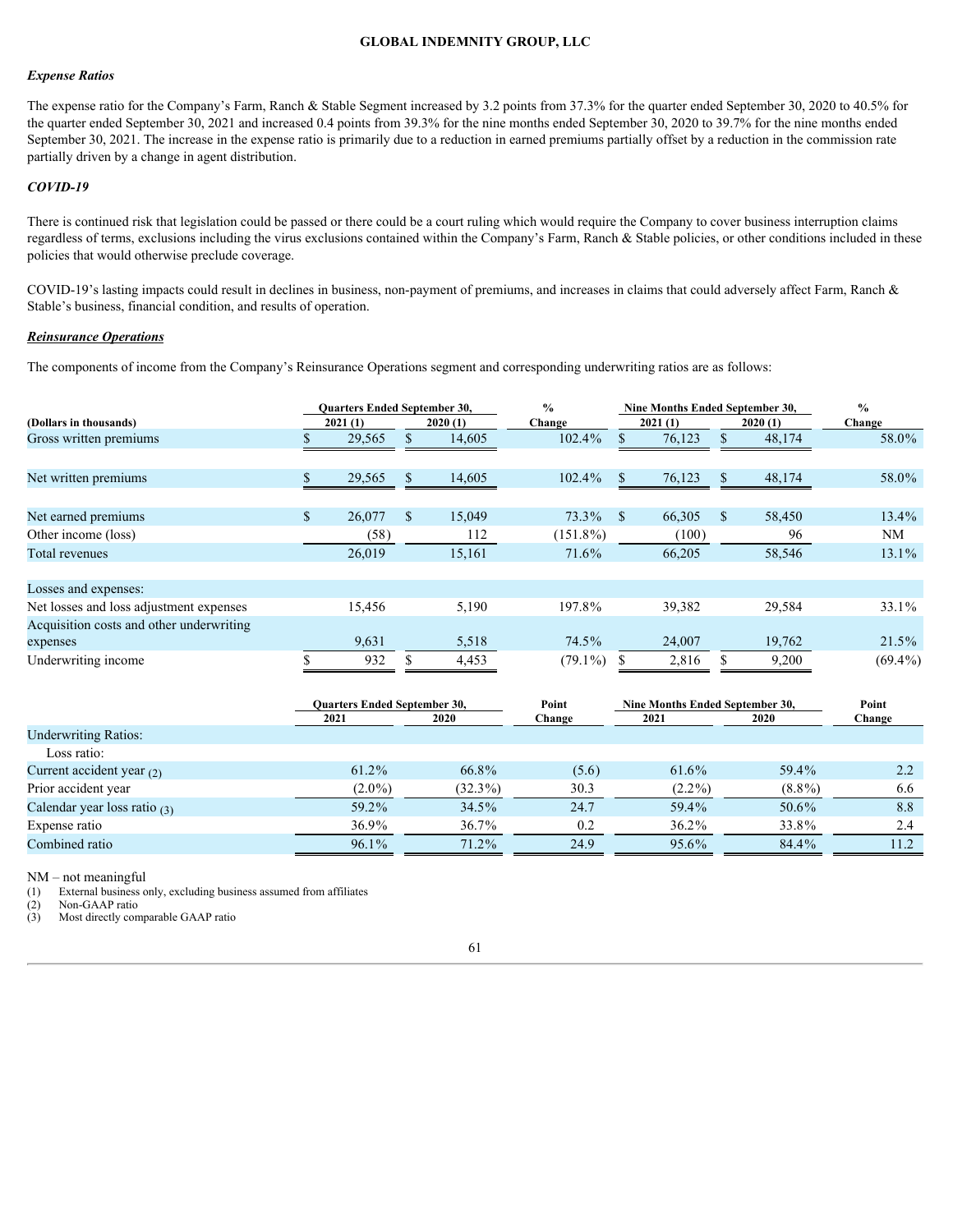#### *Expense Ratios*

The expense ratio for the Company's Farm, Ranch & Stable Segment increased by 3.2 points from 37.3% for the quarter ended September 30, 2020 to 40.5% for the quarter ended September 30, 2021 and increased 0.4 points from 39.3% for the nine months ended September 30, 2020 to 39.7% for the nine months ended September 30, 2021. The increase in the expense ratio is primarily due to a reduction in earned premiums partially offset by a reduction in the commission rate partially driven by a change in agent distribution.

### *COVID-19*

There is continued risk that legislation could be passed or there could be a court ruling which would require the Company to cover business interruption claims regardless of terms, exclusions including the virus exclusions contained within the Company's Farm, Ranch & Stable policies, or other conditions included in these policies that would otherwise preclude coverage.

COVID-19's lasting impacts could result in declines in business, non-payment of premiums, and increases in claims that could adversely affect Farm, Ranch & Stable's business, financial condition, and results of operation.

### *Reinsurance Operations*

The components of income from the Company's Reinsurance Operations segment and corresponding underwriting ratios are as follows:

|                                          | <b>Ouarters Ended September 30,</b> |         | $\frac{0}{0}$ |     | Nine Months Ended September 30, |    |         | $\frac{0}{0}$ |  |
|------------------------------------------|-------------------------------------|---------|---------------|-----|---------------------------------|----|---------|---------------|--|
| (Dollars in thousands)                   | 2021(1)                             | 2020(1) | Change        |     | 2021(1)                         |    | 2020(1) | Change        |  |
| Gross written premiums                   | 29,565                              | 14,605  | 102.4%        |     | 76,123                          |    | 48,174  | 58.0%         |  |
|                                          |                                     |         |               |     |                                 |    |         |               |  |
| Net written premiums                     | 29,565                              | 14,605  | 102.4%        |     | 76,123                          |    | 48,174  | 58.0%         |  |
|                                          |                                     |         |               |     |                                 |    |         |               |  |
| Net earned premiums                      | 26,077                              | 15,049  | $73.3\%$ \$   |     | 66,305                          | -8 | 58,450  | 13.4%         |  |
| Other income (loss)                      | (58)                                | 112     | $(151.8\%)$   |     | (100)                           |    | 96      | NM            |  |
| Total revenues                           | 26,019                              | 15,161  | 71.6%         |     | 66,205                          |    | 58,546  | 13.1%         |  |
|                                          |                                     |         |               |     |                                 |    |         |               |  |
| Losses and expenses:                     |                                     |         |               |     |                                 |    |         |               |  |
| Net losses and loss adjustment expenses  | 15,456                              | 5,190   | 197.8%        |     | 39,382                          |    | 29,584  | 33.1%         |  |
| Acquisition costs and other underwriting |                                     |         |               |     |                                 |    |         |               |  |
| expenses                                 | 9,631                               | 5,518   | 74.5%         |     | 24,007                          |    | 19,762  | 21.5%         |  |
| Underwriting income                      | 932                                 | 4,453   | $(79.1\%)$    | - S | 2,816                           |    | 9,200   | $(69.4\%)$    |  |

|                                | <b>Ouarters Ended September 30,</b> |            | Point  | Nine Months Ended September 30, |             | Point         |  |
|--------------------------------|-------------------------------------|------------|--------|---------------------------------|-------------|---------------|--|
|                                | 2021                                | 2020       | Change | 2021                            | <b>2020</b> | Change        |  |
| <b>Underwriting Ratios:</b>    |                                     |            |        |                                 |             |               |  |
| Loss ratio:                    |                                     |            |        |                                 |             |               |  |
| Current accident year $(2)$    | 61.2%                               | 66.8%      | (5.6)  | 61.6%                           | 59.4%       | $2.2^{\circ}$ |  |
| Prior accident year            | $(2.0\%)$                           | $(32.3\%)$ | 30.3   | $(2.2\%)$                       | $(8.8\%)$   | 6.6           |  |
| Calendar year loss ratio $(3)$ | 59.2%                               | 34.5%      | 24.7   | 59.4%                           | 50.6%       | 8.8           |  |
| Expense ratio                  | 36.9%                               | 36.7%      | 0.2    | 36.2%                           | 33.8%       | 2.4           |  |
| Combined ratio                 | 96.1%                               | $71.2\%$   | 24.9   | 95.6%                           | 84.4%       |               |  |
|                                |                                     |            |        |                                 |             |               |  |

NM – not meaningful

(1) External business only, excluding business assumed from affiliates

(2) Non-GAAP ratio

(3) Most directly comparable GAAP ratio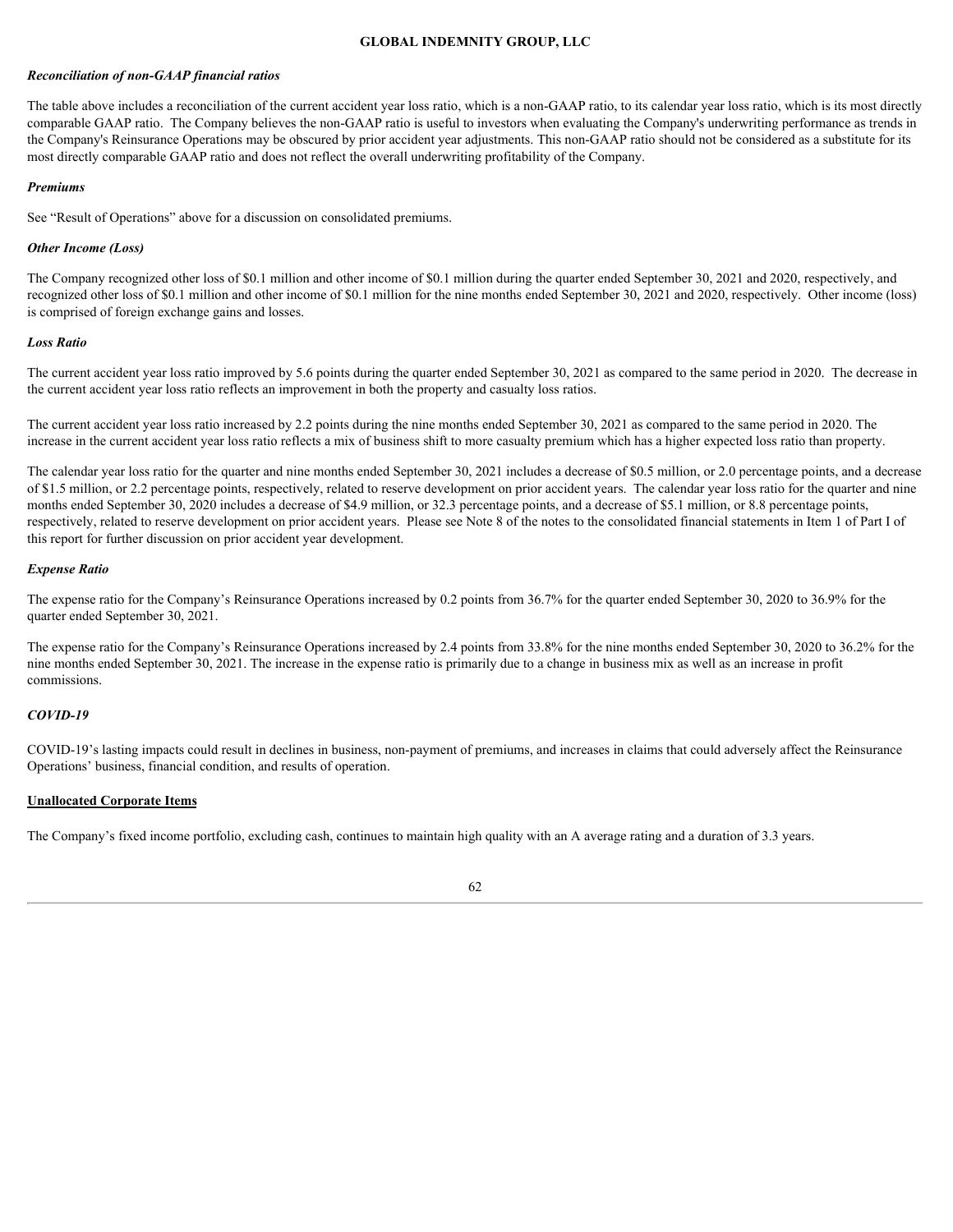## *Reconciliation of non-GAAP financial ratios*

The table above includes a reconciliation of the current accident year loss ratio, which is a non-GAAP ratio, to its calendar year loss ratio, which is its most directly comparable GAAP ratio. The Company believes the non-GAAP ratio is useful to investors when evaluating the Company's underwriting performance as trends in the Company's Reinsurance Operations may be obscured by prior accident year adjustments. This non-GAAP ratio should not be considered as a substitute for its most directly comparable GAAP ratio and does not reflect the overall underwriting profitability of the Company.

#### *Premiums*

See "Result of Operations" above for a discussion on consolidated premiums.

## *Other Income (Loss)*

The Company recognized other loss of \$0.1 million and other income of \$0.1 million during the quarter ended September 30, 2021 and 2020, respectively, and recognized other loss of \$0.1 million and other income of \$0.1 million for the nine months ended September 30, 2021 and 2020, respectively. Other income (loss) is comprised of foreign exchange gains and losses.

### *Loss Ratio*

The current accident year loss ratio improved by 5.6 points during the quarter ended September 30, 2021 as compared to the same period in 2020. The decrease in the current accident year loss ratio reflects an improvement in both the property and casualty loss ratios.

The current accident year loss ratio increased by 2.2 points during the nine months ended September 30, 2021 as compared to the same period in 2020. The increase in the current accident year loss ratio reflects a mix of business shift to more casualty premium which has a higher expected loss ratio than property.

The calendar year loss ratio for the quarter and nine months ended September 30, 2021 includes a decrease of \$0.5 million, or 2.0 percentage points, and a decrease of \$1.5 million, or 2.2 percentage points, respectively, related to reserve development on prior accident years. The calendar year loss ratio for the quarter and nine months ended September 30, 2020 includes a decrease of \$4.9 million, or 32.3 percentage points, and a decrease of \$5.1 million, or 8.8 percentage points, respectively, related to reserve development on prior accident years. Please see Note 8 of the notes to the consolidated financial statements in Item 1 of Part I of this report for further discussion on prior accident year development.

### *Expense Ratio*

The expense ratio for the Company's Reinsurance Operations increased by 0.2 points from 36.7% for the quarter ended September 30, 2020 to 36.9% for the quarter ended September 30, 2021.

The expense ratio for the Company's Reinsurance Operations increased by 2.4 points from 33.8% for the nine months ended September 30, 2020 to 36.2% for the nine months ended September 30, 2021. The increase in the expense ratio is primarily due to a change in business mix as well as an increase in profit commissions.

## *COVID-19*

COVID-19's lasting impacts could result in declines in business, non-payment of premiums, and increases in claims that could adversely affect the Reinsurance Operations' business, financial condition, and results of operation.

### **Unallocated Corporate Items**

The Company's fixed income portfolio, excluding cash, continues to maintain high quality with an A average rating and a duration of 3.3 years.

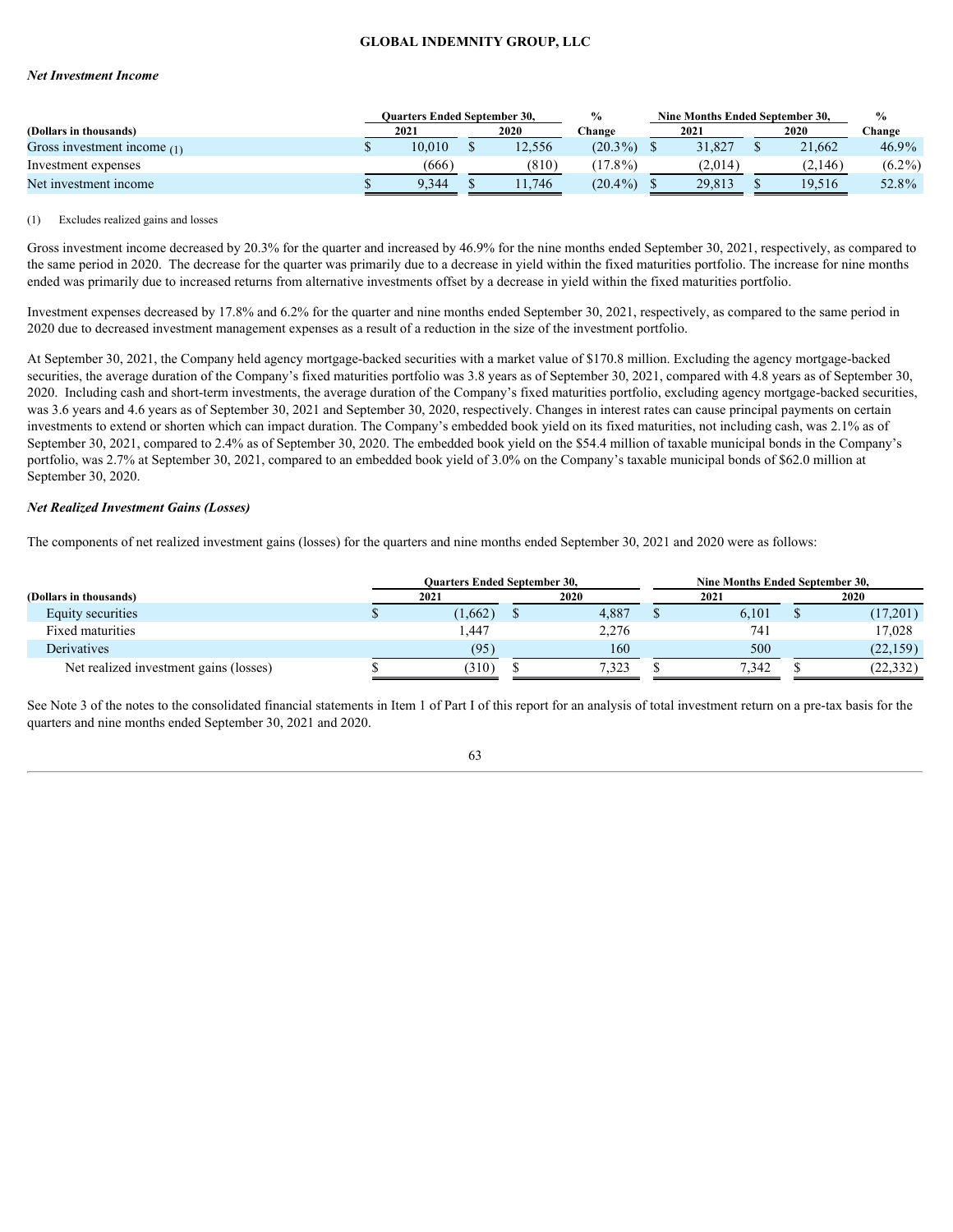#### *Net Investment Income*

|                               |      | <b>Ouarters Ended September 30,</b> |      |        |            | Nine Months Ended September 30, |         |  |         |           |  |  |
|-------------------------------|------|-------------------------------------|------|--------|------------|---------------------------------|---------|--|---------|-----------|--|--|
| (Dollars in thousands)        | 2021 |                                     | 2020 |        | Change     |                                 | 2021    |  | 2020    | Change    |  |  |
| Gross investment income $(1)$ |      | 10,010                              |      | 12,556 | $(20.3\%)$ |                                 | 31,827  |  | 21,662  | 46.9%     |  |  |
| Investment expenses           |      | (666)                               |      | (810)  | $(17.8\%)$ |                                 | (2,014) |  | (2,146) | $(6.2\%)$ |  |  |
| Net investment income         |      | 9,344                               |      | 11,746 | $(20.4\%)$ |                                 | 29,813  |  | 19,516  | 52.8%     |  |  |

#### (1) Excludes realized gains and losses

Gross investment income decreased by 20.3% for the quarter and increased by 46.9% for the nine months ended September 30, 2021, respectively, as compared to the same period in 2020. The decrease for the quarter was primarily due to a decrease in yield within the fixed maturities portfolio. The increase for nine months ended was primarily due to increased returns from alternative investments offset by a decrease in yield within the fixed maturities portfolio.

Investment expenses decreased by 17.8% and 6.2% for the quarter and nine months ended September 30, 2021, respectively, as compared to the same period in 2020 due to decreased investment management expenses as a result of a reduction in the size of the investment portfolio.

At September 30, 2021, the Company held agency mortgage-backed securities with a market value of \$170.8 million. Excluding the agency mortgage-backed securities, the average duration of the Company's fixed maturities portfolio was 3.8 years as of September 30, 2021, compared with 4.8 years as of September 30, 2020. Including cash and short-term investments, the average duration of the Company's fixed maturities portfolio, excluding agency mortgage-backed securities, was 3.6 years and 4.6 years as of September 30, 2021 and September 30, 2020, respectively. Changes in interest rates can cause principal payments on certain investments to extend or shorten which can impact duration. The Company's embedded book yield on its fixed maturities, not including cash, was 2.1% as of September 30, 2021, compared to 2.4% as of September 30, 2020. The embedded book yield on the \$54.4 million of taxable municipal bonds in the Company's portfolio, was 2.7% at September 30, 2021, compared to an embedded book yield of 3.0% on the Company's taxable municipal bonds of \$62.0 million at September 30, 2020.

### *Net Realized Investment Gains (Losses)*

The components of net realized investment gains (losses) for the quarters and nine months ended September 30, 2021 and 2020 were as follows:

|                                        | <b>Ouarters Ended September 30,</b> |       |      | Nine Months Ended September 30, |      |           |  |  |  |  |
|----------------------------------------|-------------------------------------|-------|------|---------------------------------|------|-----------|--|--|--|--|
| (Dollars in thousands)                 | 2021                                | 2020  | 2021 |                                 | 2020 |           |  |  |  |  |
| Equity securities                      | (1,662)                             | 4,887 |      | 6,101                           |      | (17,201)  |  |  |  |  |
| <b>Fixed maturities</b>                | 1,447                               | 2,276 |      | 741                             |      | 17,028    |  |  |  |  |
| Derivatives                            | (95)                                | 160   |      | 500                             |      | (22, 159) |  |  |  |  |
| Net realized investment gains (losses) | (310)                               | 7,323 |      | 7,342                           |      | (22, 332) |  |  |  |  |

See Note 3 of the notes to the consolidated financial statements in Item 1 of Part I of this report for an analysis of total investment return on a pre-tax basis for the quarters and nine months ended September 30, 2021 and 2020.

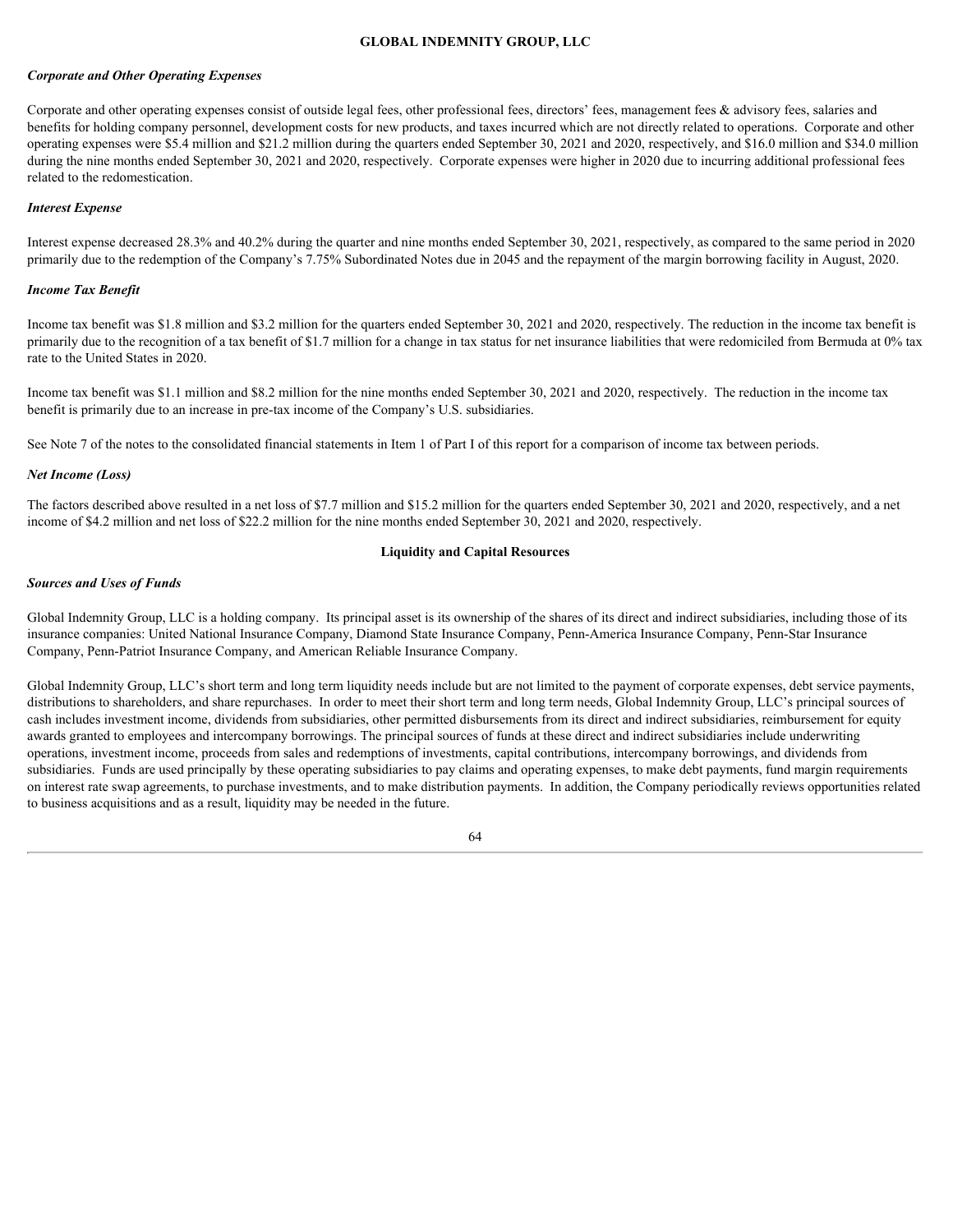#### *Corporate and Other Operating Expenses*

Corporate and other operating expenses consist of outside legal fees, other professional fees, directors' fees, management fees & advisory fees, salaries and benefits for holding company personnel, development costs for new products, and taxes incurred which are not directly related to operations. Corporate and other operating expenses were \$5.4 million and \$21.2 million during the quarters ended September 30, 2021 and 2020, respectively, and \$16.0 million and \$34.0 million during the nine months ended September 30, 2021 and 2020, respectively. Corporate expenses were higher in 2020 due to incurring additional professional fees related to the redomestication.

#### *Interest Expense*

Interest expense decreased 28.3% and 40.2% during the quarter and nine months ended September 30, 2021, respectively, as compared to the same period in 2020 primarily due to the redemption of the Company's 7.75% Subordinated Notes due in 2045 and the repayment of the margin borrowing facility in August, 2020.

#### *Income Tax Benefit*

Income tax benefit was \$1.8 million and \$3.2 million for the quarters ended September 30, 2021 and 2020, respectively. The reduction in the income tax benefit is primarily due to the recognition of a tax benefit of \$1.7 million for a change in tax status for net insurance liabilities that were redomiciled from Bermuda at 0% tax rate to the United States in 2020.

Income tax benefit was \$1.1 million and \$8.2 million for the nine months ended September 30, 2021 and 2020, respectively. The reduction in the income tax benefit is primarily due to an increase in pre-tax income of the Company's U.S. subsidiaries.

See Note 7 of the notes to the consolidated financial statements in Item 1 of Part I of this report for a comparison of income tax between periods.

#### *Net Income (Loss)*

The factors described above resulted in a net loss of \$7.7 million and \$15.2 million for the quarters ended September 30, 2021 and 2020, respectively, and a net income of \$4.2 million and net loss of \$22.2 million for the nine months ended September 30, 2021 and 2020, respectively.

#### **Liquidity and Capital Resources**

#### *Sources and Uses of Funds*

Global Indemnity Group, LLC is a holding company. Its principal asset is its ownership of the shares of its direct and indirect subsidiaries, including those of its insurance companies: United National Insurance Company, Diamond State Insurance Company, Penn-America Insurance Company, Penn-Star Insurance Company, Penn-Patriot Insurance Company, and American Reliable Insurance Company.

Global Indemnity Group, LLC's short term and long term liquidity needs include but are not limited to the payment of corporate expenses, debt service payments, distributions to shareholders, and share repurchases. In order to meet their short term and long term needs, Global Indemnity Group, LLC's principal sources of cash includes investment income, dividends from subsidiaries, other permitted disbursements from its direct and indirect subsidiaries, reimbursement for equity awards granted to employees and intercompany borrowings. The principal sources of funds at these direct and indirect subsidiaries include underwriting operations, investment income, proceeds from sales and redemptions of investments, capital contributions, intercompany borrowings, and dividends from subsidiaries. Funds are used principally by these operating subsidiaries to pay claims and operating expenses, to make debt payments, fund margin requirements on interest rate swap agreements, to purchase investments, and to make distribution payments. In addition, the Company periodically reviews opportunities related to business acquisitions and as a result, liquidity may be needed in the future.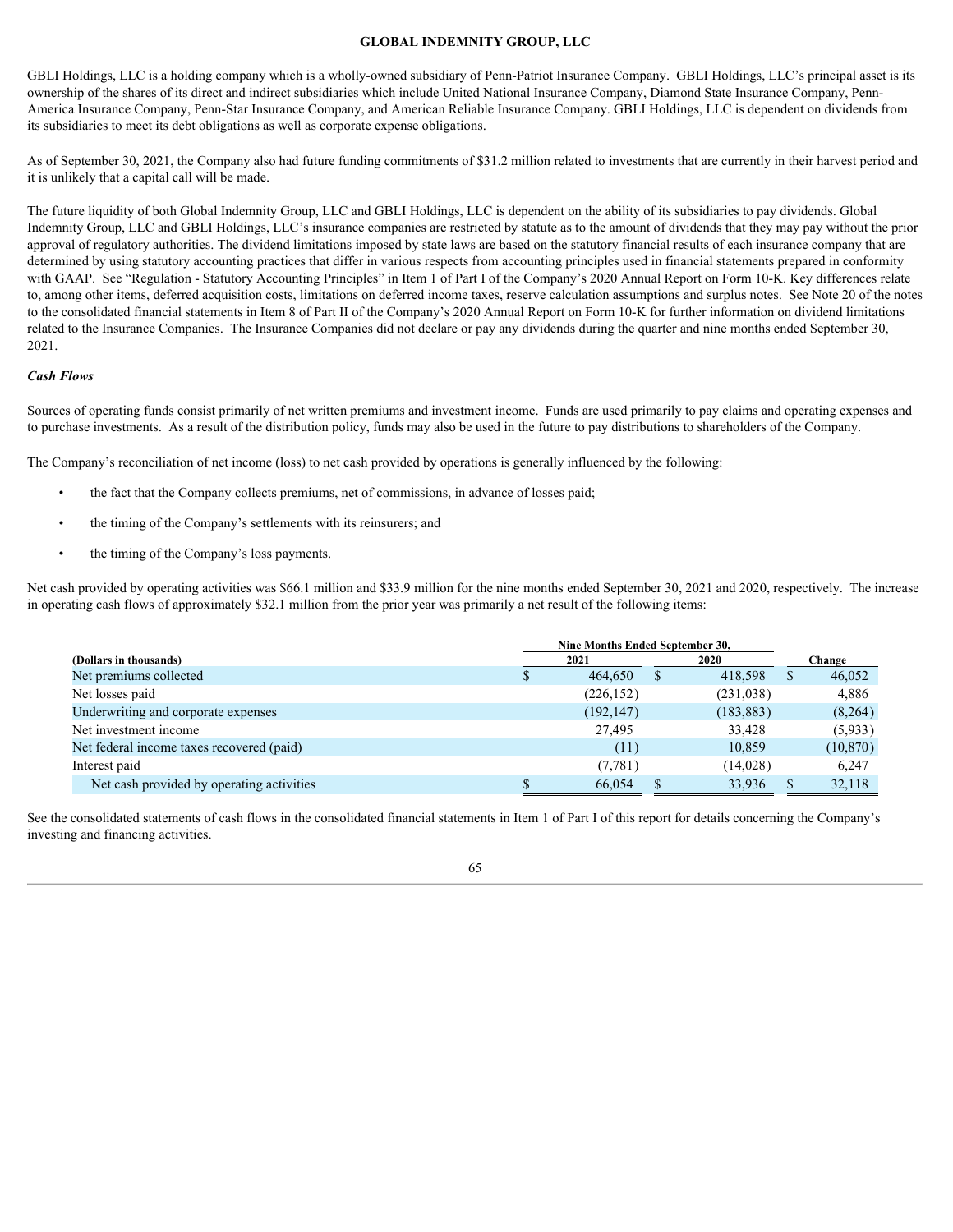GBLI Holdings, LLC is a holding company which is a wholly-owned subsidiary of Penn-Patriot Insurance Company. GBLI Holdings, LLC's principal asset is its ownership of the shares of its direct and indirect subsidiaries which include United National Insurance Company, Diamond State Insurance Company, Penn-America Insurance Company, Penn-Star Insurance Company, and American Reliable Insurance Company. GBLI Holdings, LLC is dependent on dividends from its subsidiaries to meet its debt obligations as well as corporate expense obligations.

As of September 30, 2021, the Company also had future funding commitments of \$31.2 million related to investments that are currently in their harvest period and it is unlikely that a capital call will be made.

The future liquidity of both Global Indemnity Group, LLC and GBLI Holdings, LLC is dependent on the ability of its subsidiaries to pay dividends. Global Indemnity Group, LLC and GBLI Holdings, LLC's insurance companies are restricted by statute as to the amount of dividends that they may pay without the prior approval of regulatory authorities. The dividend limitations imposed by state laws are based on the statutory financial results of each insurance company that are determined by using statutory accounting practices that differ in various respects from accounting principles used in financial statements prepared in conformity with GAAP. See "Regulation - Statutory Accounting Principles" in Item 1 of Part I of the Company's 2020 Annual Report on Form 10-K. Key differences relate to, among other items, deferred acquisition costs, limitations on deferred income taxes, reserve calculation assumptions and surplus notes. See Note 20 of the notes to the consolidated financial statements in Item 8 of Part II of the Company's 2020 Annual Report on Form 10-K for further information on dividend limitations related to the Insurance Companies. The Insurance Companies did not declare or pay any dividends during the quarter and nine months ended September 30, 2021.

## *Cash Flows*

Sources of operating funds consist primarily of net written premiums and investment income. Funds are used primarily to pay claims and operating expenses and to purchase investments. As a result of the distribution policy, funds may also be used in the future to pay distributions to shareholders of the Company.

The Company's reconciliation of net income (loss) to net cash provided by operations is generally influenced by the following:

- the fact that the Company collects premiums, net of commissions, in advance of losses paid;
- the timing of the Company's settlements with its reinsurers; and
- the timing of the Company's loss payments.

Net cash provided by operating activities was \$66.1 million and \$33.9 million for the nine months ended September 30, 2021 and 2020, respectively. The increase in operating cash flows of approximately \$32.1 million from the prior year was primarily a net result of the following items:

|                                           |      | Nine Months Ended September 30, |  |            |        |           |  |
|-------------------------------------------|------|---------------------------------|--|------------|--------|-----------|--|
| (Dollars in thousands)                    | 2021 |                                 |  | 2020       | Change |           |  |
| Net premiums collected                    |      | 464,650                         |  | 418,598    |        | 46,052    |  |
| Net losses paid                           |      | (226, 152)                      |  | (231,038)  |        | 4,886     |  |
| Underwriting and corporate expenses       |      | (192, 147)                      |  | (183, 883) |        | (8,264)   |  |
| Net investment income                     |      | 27,495                          |  | 33,428     |        | (5,933)   |  |
| Net federal income taxes recovered (paid) |      | (11)                            |  | 10,859     |        | (10, 870) |  |
| Interest paid                             |      | (7, 781)                        |  | (14,028)   |        | 6,247     |  |
| Net cash provided by operating activities |      | 66,054                          |  | 33,936     |        | 32,118    |  |

See the consolidated statements of cash flows in the consolidated financial statements in Item 1 of Part I of this report for details concerning the Company's investing and financing activities.

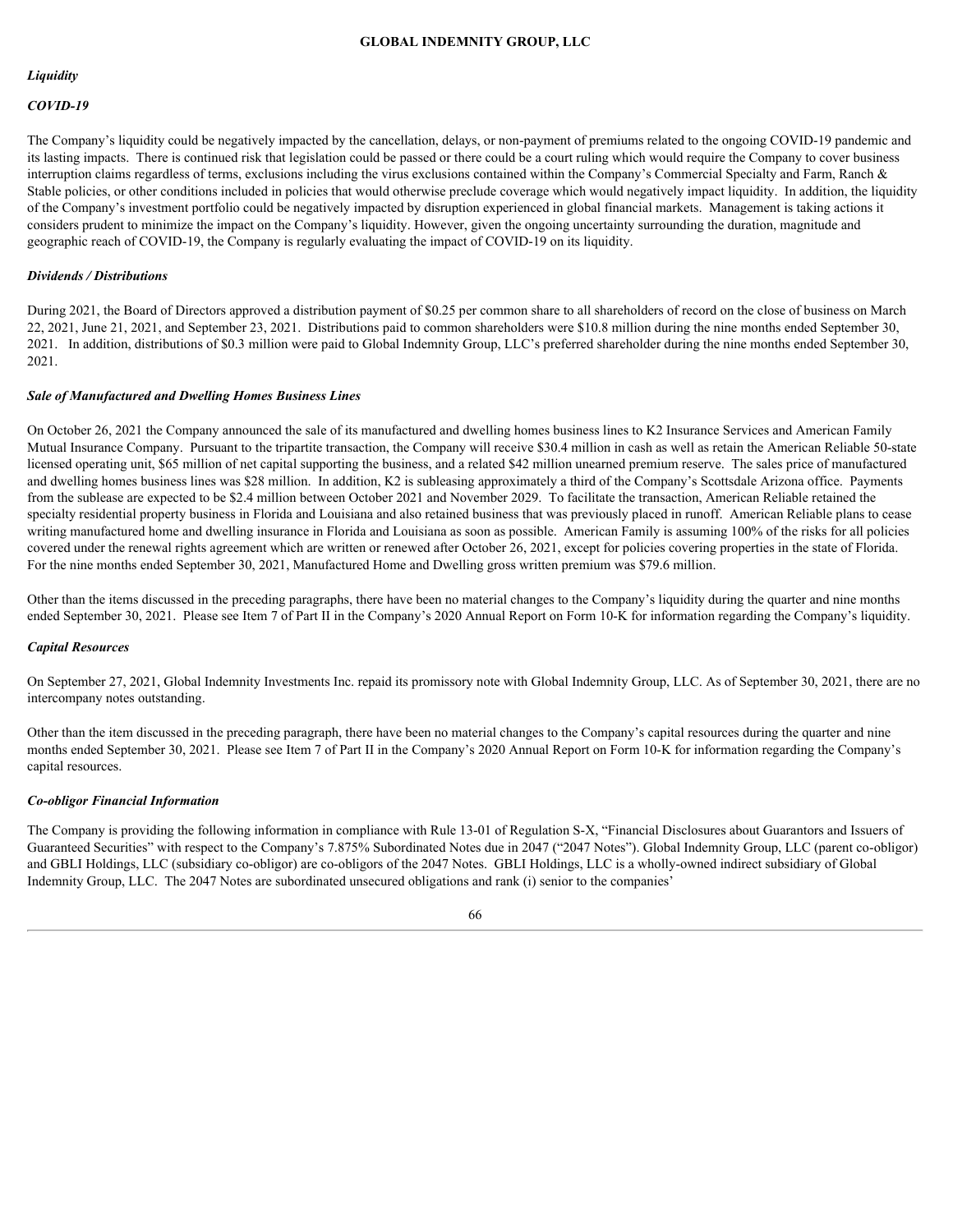#### *Liquidity*

#### *COVID-19*

The Company's liquidity could be negatively impacted by the cancellation, delays, or non-payment of premiums related to the ongoing COVID-19 pandemic and its lasting impacts. There is continued risk that legislation could be passed or there could be a court ruling which would require the Company to cover business interruption claims regardless of terms, exclusions including the virus exclusions contained within the Company's Commercial Specialty and Farm, Ranch & Stable policies, or other conditions included in policies that would otherwise preclude coverage which would negatively impact liquidity. In addition, the liquidity of the Company's investment portfolio could be negatively impacted by disruption experienced in global financial markets. Management is taking actions it considers prudent to minimize the impact on the Company's liquidity. However, given the ongoing uncertainty surrounding the duration, magnitude and geographic reach of COVID-19, the Company is regularly evaluating the impact of COVID-19 on its liquidity.

#### *Dividends / Distributions*

During 2021, the Board of Directors approved a distribution payment of \$0.25 per common share to all shareholders of record on the close of business on March 22, 2021, June 21, 2021, and September 23, 2021. Distributions paid to common shareholders were \$10.8 million during the nine months ended September 30, 2021. In addition, distributions of \$0.3 million were paid to Global Indemnity Group, LLC's preferred shareholder during the nine months ended September 30, 2021.

### *Sale of Manufactured and Dwelling Homes Business Lines*

On October 26, 2021 the Company announced the sale of its manufactured and dwelling homes business lines to K2 Insurance Services and American Family Mutual Insurance Company. Pursuant to the tripartite transaction, the Company will receive \$30.4 million in cash as well as retain the American Reliable 50-state licensed operating unit, \$65 million of net capital supporting the business, and a related \$42 million unearned premium reserve. The sales price of manufactured and dwelling homes business lines was \$28 million. In addition, K2 is subleasing approximately a third of the Company's Scottsdale Arizona office. Payments from the sublease are expected to be \$2.4 million between October 2021 and November 2029. To facilitate the transaction, American Reliable retained the specialty residential property business in Florida and Louisiana and also retained business that was previously placed in runoff. American Reliable plans to cease writing manufactured home and dwelling insurance in Florida and Louisiana as soon as possible. American Family is assuming 100% of the risks for all policies covered under the renewal rights agreement which are written or renewed after October 26, 2021, except for policies covering properties in the state of Florida. For the nine months ended September 30, 2021, Manufactured Home and Dwelling gross written premium was \$79.6 million.

Other than the items discussed in the preceding paragraphs, there have been no material changes to the Company's liquidity during the quarter and nine months ended September 30, 2021. Please see Item 7 of Part II in the Company's 2020 Annual Report on Form 10-K for information regarding the Company's liquidity.

### *Capital Resources*

On September 27, 2021, Global Indemnity Investments Inc. repaid its promissory note with Global Indemnity Group, LLC. As of September 30, 2021, there are no intercompany notes outstanding.

Other than the item discussed in the preceding paragraph, there have been no material changes to the Company's capital resources during the quarter and nine months ended September 30, 2021. Please see Item 7 of Part II in the Company's 2020 Annual Report on Form 10-K for information regarding the Company's capital resources.

#### *Co-obligor Financial Information*

The Company is providing the following information in compliance with Rule 13-01 of Regulation S-X, "Financial Disclosures about Guarantors and Issuers of Guaranteed Securities" with respect to the Company's 7.875% Subordinated Notes due in 2047 ("2047 Notes"). Global Indemnity Group, LLC (parent co-obligor) and GBLI Holdings, LLC (subsidiary co-obligor) are co-obligors of the 2047 Notes. GBLI Holdings, LLC is a wholly-owned indirect subsidiary of Global Indemnity Group, LLC. The 2047 Notes are subordinated unsecured obligations and rank (i) senior to the companies'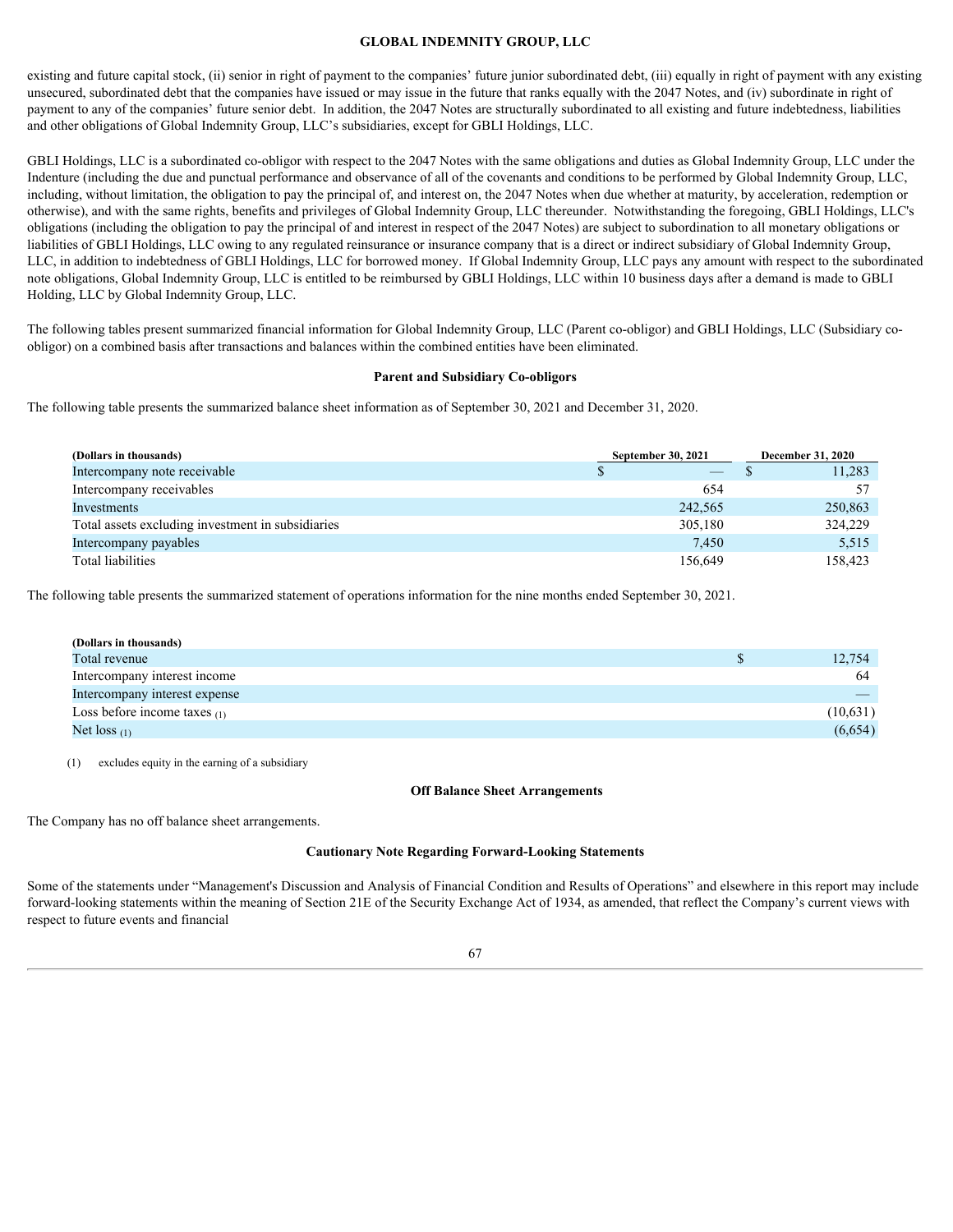existing and future capital stock, (ii) senior in right of payment to the companies' future junior subordinated debt, (iii) equally in right of payment with any existing unsecured, subordinated debt that the companies have issued or may issue in the future that ranks equally with the 2047 Notes, and (iv) subordinate in right of payment to any of the companies' future senior debt. In addition, the 2047 Notes are structurally subordinated to all existing and future indebtedness, liabilities and other obligations of Global Indemnity Group, LLC's subsidiaries, except for GBLI Holdings, LLC.

GBLI Holdings, LLC is a subordinated co-obligor with respect to the 2047 Notes with the same obligations and duties as Global Indemnity Group, LLC under the Indenture (including the due and punctual performance and observance of all of the covenants and conditions to be performed by Global Indemnity Group, LLC, including, without limitation, the obligation to pay the principal of, and interest on, the 2047 Notes when due whether at maturity, by acceleration, redemption or otherwise), and with the same rights, benefits and privileges of Global Indemnity Group, LLC thereunder. Notwithstanding the foregoing, GBLI Holdings, LLC's obligations (including the obligation to pay the principal of and interest in respect of the 2047 Notes) are subject to subordination to all monetary obligations or liabilities of GBLI Holdings, LLC owing to any regulated reinsurance or insurance company that is a direct or indirect subsidiary of Global Indemnity Group, LLC, in addition to indebtedness of GBLI Holdings, LLC for borrowed money. If Global Indemnity Group, LLC pays any amount with respect to the subordinated note obligations, Global Indemnity Group, LLC is entitled to be reimbursed by GBLI Holdings, LLC within 10 business days after a demand is made to GBLI Holding, LLC by Global Indemnity Group, LLC.

The following tables present summarized financial information for Global Indemnity Group, LLC (Parent co-obligor) and GBLI Holdings, LLC (Subsidiary coobligor) on a combined basis after transactions and balances within the combined entities have been eliminated.

#### **Parent and Subsidiary Co-obligors**

The following table presents the summarized balance sheet information as of September 30, 2021 and December 31, 2020.

| (Dollars in thousands)                            | <b>September 30, 2021</b>       | <b>December 31, 2020</b> |
|---------------------------------------------------|---------------------------------|--------------------------|
| Intercompany note receivable                      | $\hspace{0.1mm}-\hspace{0.1mm}$ | 1,283                    |
| Intercompany receivables                          | 654                             | 57                       |
| Investments                                       | 242,565                         | 250,863                  |
| Total assets excluding investment in subsidiaries | 305,180                         | 324,229                  |
| Intercompany payables                             | 7,450                           | 5,515                    |
| Total liabilities                                 | 156,649                         | 158,423                  |

The following table presents the summarized statement of operations information for the nine months ended September 30, 2021.

| (Dollars in thousands)            |                               |
|-----------------------------------|-------------------------------|
| Total revenue                     | 12,754                        |
| Intercompany interest income      |                               |
| Intercompany interest expense     | $\overbrace{\phantom{aaaaa}}$ |
| Loss before income taxes $_{(1)}$ | (10, 631)                     |
| Net loss $_{(1)}$                 | (6,654)                       |
|                                   |                               |

(1) excludes equity in the earning of a subsidiary

#### **Off Balance Sheet Arrangements**

The Company has no off balance sheet arrangements.

#### **Cautionary Note Regarding Forward-Looking Statements**

Some of the statements under "Management's Discussion and Analysis of Financial Condition and Results of Operations" and elsewhere in this report may include forward-looking statements within the meaning of Section 21E of the Security Exchange Act of 1934, as amended, that reflect the Company's current views with respect to future events and financial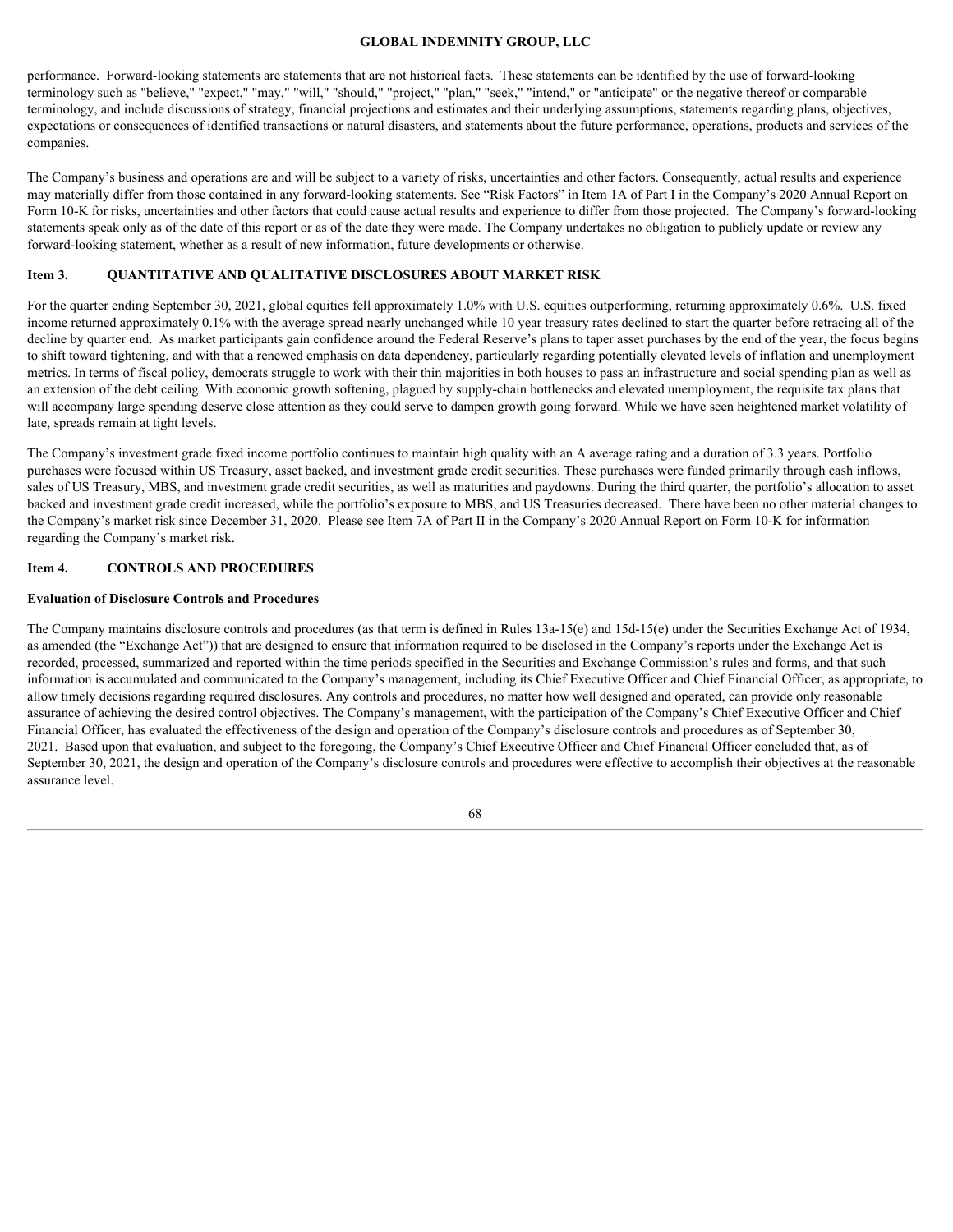performance. Forward-looking statements are statements that are not historical facts. These statements can be identified by the use of forward-looking terminology such as "believe," "expect," "may," "will," "should," "project," "plan," "seek," "intend," or "anticipate" or the negative thereof or comparable terminology, and include discussions of strategy, financial projections and estimates and their underlying assumptions, statements regarding plans, objectives, expectations or consequences of identified transactions or natural disasters, and statements about the future performance, operations, products and services of the companies.

The Company's business and operations are and will be subject to a variety of risks, uncertainties and other factors. Consequently, actual results and experience may materially differ from those contained in any forward-looking statements. See "Risk Factors" in Item 1A of Part I in the Company's 2020 Annual Report on Form 10-K for risks, uncertainties and other factors that could cause actual results and experience to differ from those projected. The Company's forward-looking statements speak only as of the date of this report or as of the date they were made. The Company undertakes no obligation to publicly update or review any forward-looking statement, whether as a result of new information, future developments or otherwise.

# **Item 3. QUANTITATIVE AND QUALITATIVE DISCLOSURES ABOUT MARKET RISK**

For the quarter ending September 30, 2021, global equities fell approximately 1.0% with U.S. equities outperforming, returning approximately 0.6%. U.S. fixed income returned approximately 0.1% with the average spread nearly unchanged while 10 year treasury rates declined to start the quarter before retracing all of the decline by quarter end. As market participants gain confidence around the Federal Reserve's plans to taper asset purchases by the end of the year, the focus begins to shift toward tightening, and with that a renewed emphasis on data dependency, particularly regarding potentially elevated levels of inflation and unemployment metrics. In terms of fiscal policy, democrats struggle to work with their thin majorities in both houses to pass an infrastructure and social spending plan as well as an extension of the debt ceiling. With economic growth softening, plagued by supply-chain bottlenecks and elevated unemployment, the requisite tax plans that will accompany large spending deserve close attention as they could serve to dampen growth going forward. While we have seen heightened market volatility of late, spreads remain at tight levels.

The Company's investment grade fixed income portfolio continues to maintain high quality with an A average rating and a duration of 3.3 years. Portfolio purchases were focused within US Treasury, asset backed, and investment grade credit securities. These purchases were funded primarily through cash inflows, sales of US Treasury, MBS, and investment grade credit securities, as well as maturities and paydowns. During the third quarter, the portfolio's allocation to asset backed and investment grade credit increased, while the portfolio's exposure to MBS, and US Treasuries decreased. There have been no other material changes to the Company's market risk since December 31, 2020. Please see Item 7A of Part II in the Company's 2020 Annual Report on Form 10-K for information regarding the Company's market risk.

## **Item 4. CONTROLS AND PROCEDURES**

## **Evaluation of Disclosure Controls and Procedures**

The Company maintains disclosure controls and procedures (as that term is defined in Rules 13a-15(e) and 15d-15(e) under the Securities Exchange Act of 1934, as amended (the "Exchange Act")) that are designed to ensure that information required to be disclosed in the Company's reports under the Exchange Act is recorded, processed, summarized and reported within the time periods specified in the Securities and Exchange Commission's rules and forms, and that such information is accumulated and communicated to the Company's management, including its Chief Executive Officer and Chief Financial Officer, as appropriate, to allow timely decisions regarding required disclosures. Any controls and procedures, no matter how well designed and operated, can provide only reasonable assurance of achieving the desired control objectives. The Company's management, with the participation of the Company's Chief Executive Officer and Chief Financial Officer, has evaluated the effectiveness of the design and operation of the Company's disclosure controls and procedures as of September 30, 2021. Based upon that evaluation, and subject to the foregoing, the Company's Chief Executive Officer and Chief Financial Officer concluded that, as of September 30, 2021, the design and operation of the Company's disclosure controls and procedures were effective to accomplish their objectives at the reasonable assurance level.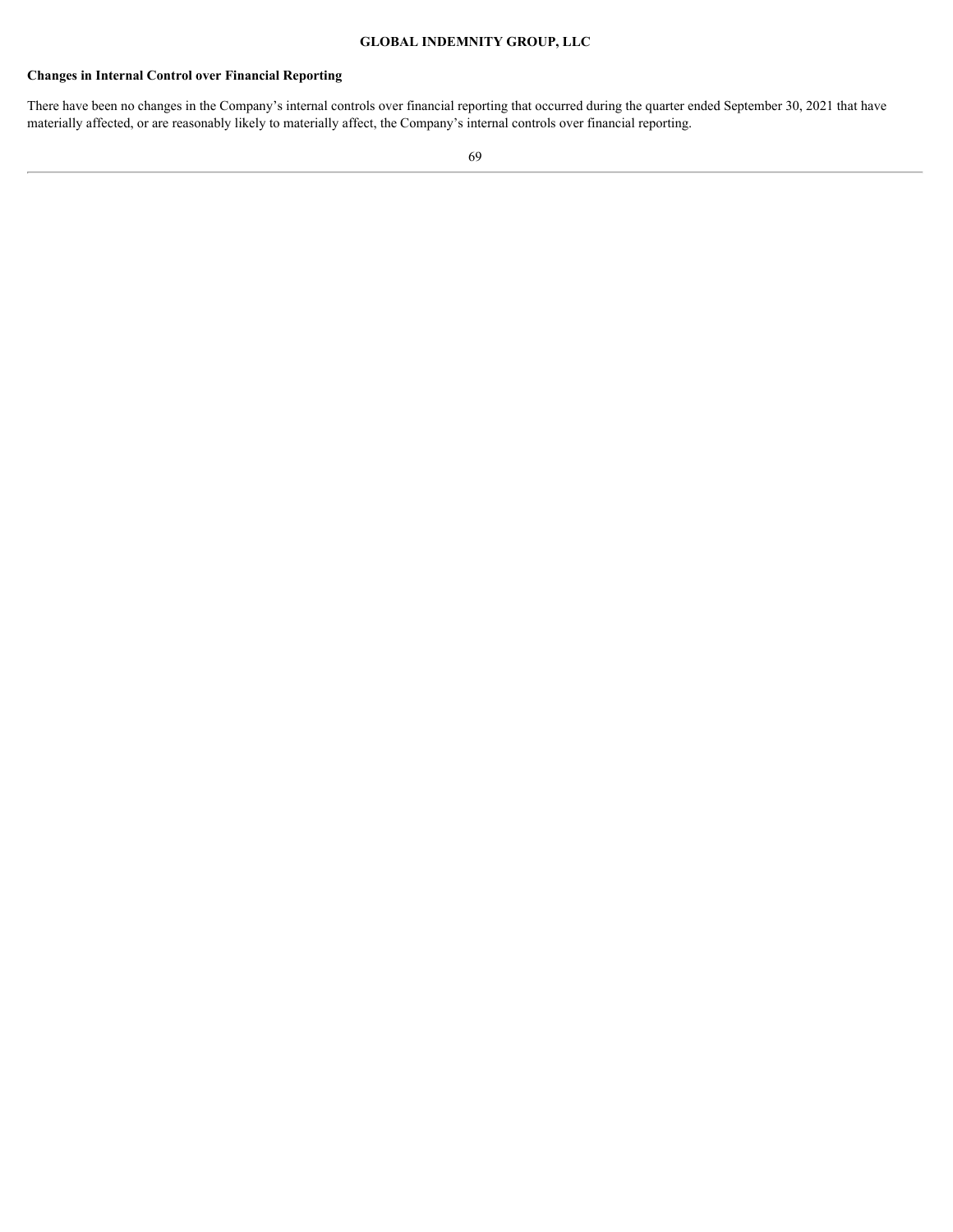# **Changes in Internal Control over Financial Reporting**

There have been no changes in the Company's internal controls over financial reporting that occurred during the quarter ended September 30, 2021 that have materially affected, or are reasonably likely to materially affect, the Company's internal controls over financial reporting.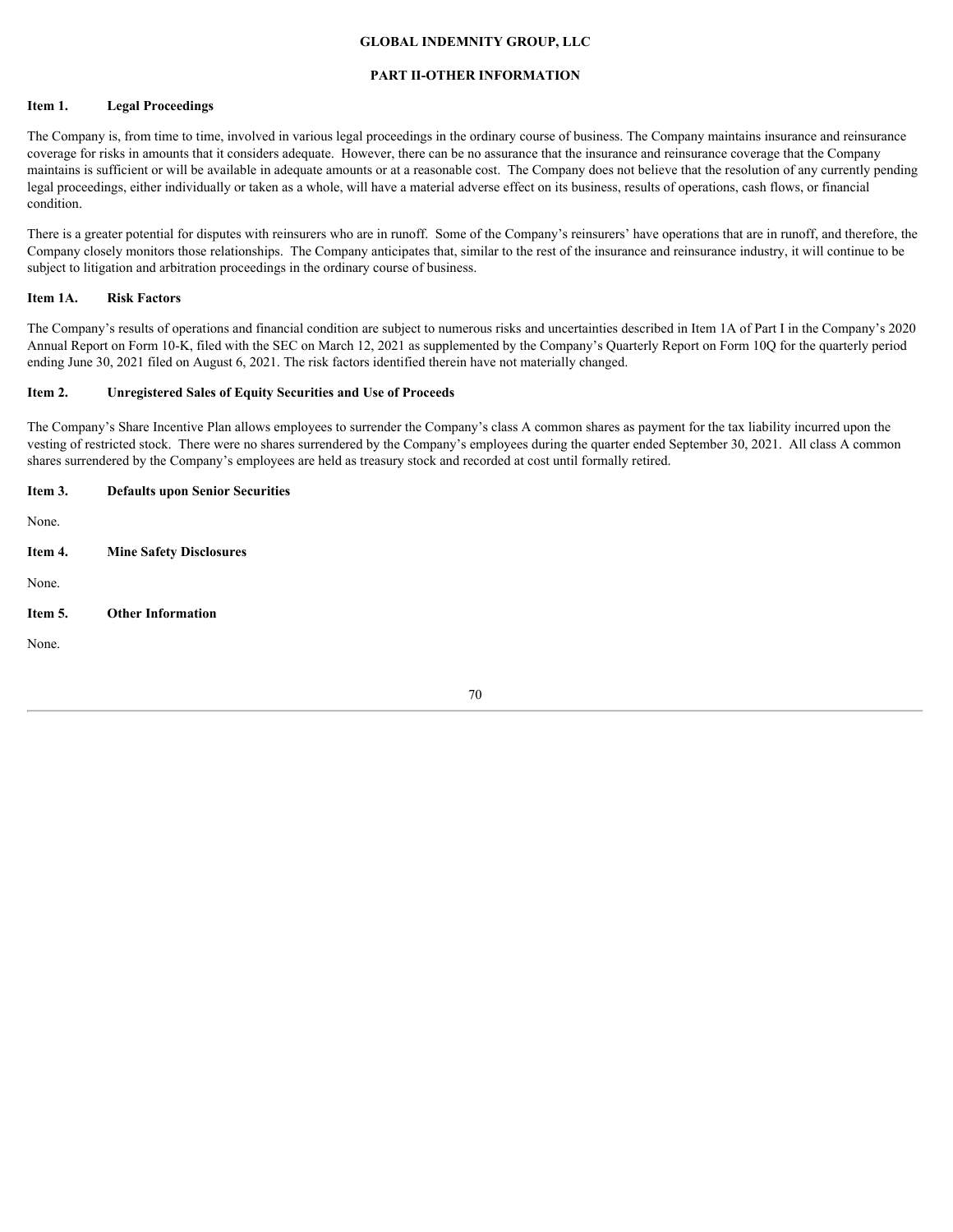# **PART II-OTHER INFORMATION**

### **Item 1. Legal Proceedings**

The Company is, from time to time, involved in various legal proceedings in the ordinary course of business. The Company maintains insurance and reinsurance coverage for risks in amounts that it considers adequate. However, there can be no assurance that the insurance and reinsurance coverage that the Company maintains is sufficient or will be available in adequate amounts or at a reasonable cost. The Company does not believe that the resolution of any currently pending legal proceedings, either individually or taken as a whole, will have a material adverse effect on its business, results of operations, cash flows, or financial condition.

There is a greater potential for disputes with reinsurers who are in runoff. Some of the Company's reinsurers' have operations that are in runoff, and therefore, the Company closely monitors those relationships. The Company anticipates that, similar to the rest of the insurance and reinsurance industry, it will continue to be subject to litigation and arbitration proceedings in the ordinary course of business.

## **Item 1A. Risk Factors**

The Company's results of operations and financial condition are subject to numerous risks and uncertainties described in Item 1A of Part I in the Company's 2020 Annual Report on Form 10-K, filed with the SEC on March 12, 2021 as supplemented by the Company's Quarterly Report on Form 10Q for the quarterly period ending June 30, 2021 filed on August 6, 2021. The risk factors identified therein have not materially changed.

## **Item 2. Unregistered Sales of Equity Securities and Use of Proceeds**

The Company's Share Incentive Plan allows employees to surrender the Company's class A common shares as payment for the tax liability incurred upon the vesting of restricted stock. There were no shares surrendered by the Company's employees during the quarter ended September 30, 2021. All class A common shares surrendered by the Company's employees are held as treasury stock and recorded at cost until formally retired.

### **Item 3. Defaults upon Senior Securities**

None.

| Item 4. | <b>Mine Safety Disclosures</b> |
|---------|--------------------------------|
| None.   |                                |

**Item 5. Other Information**

None.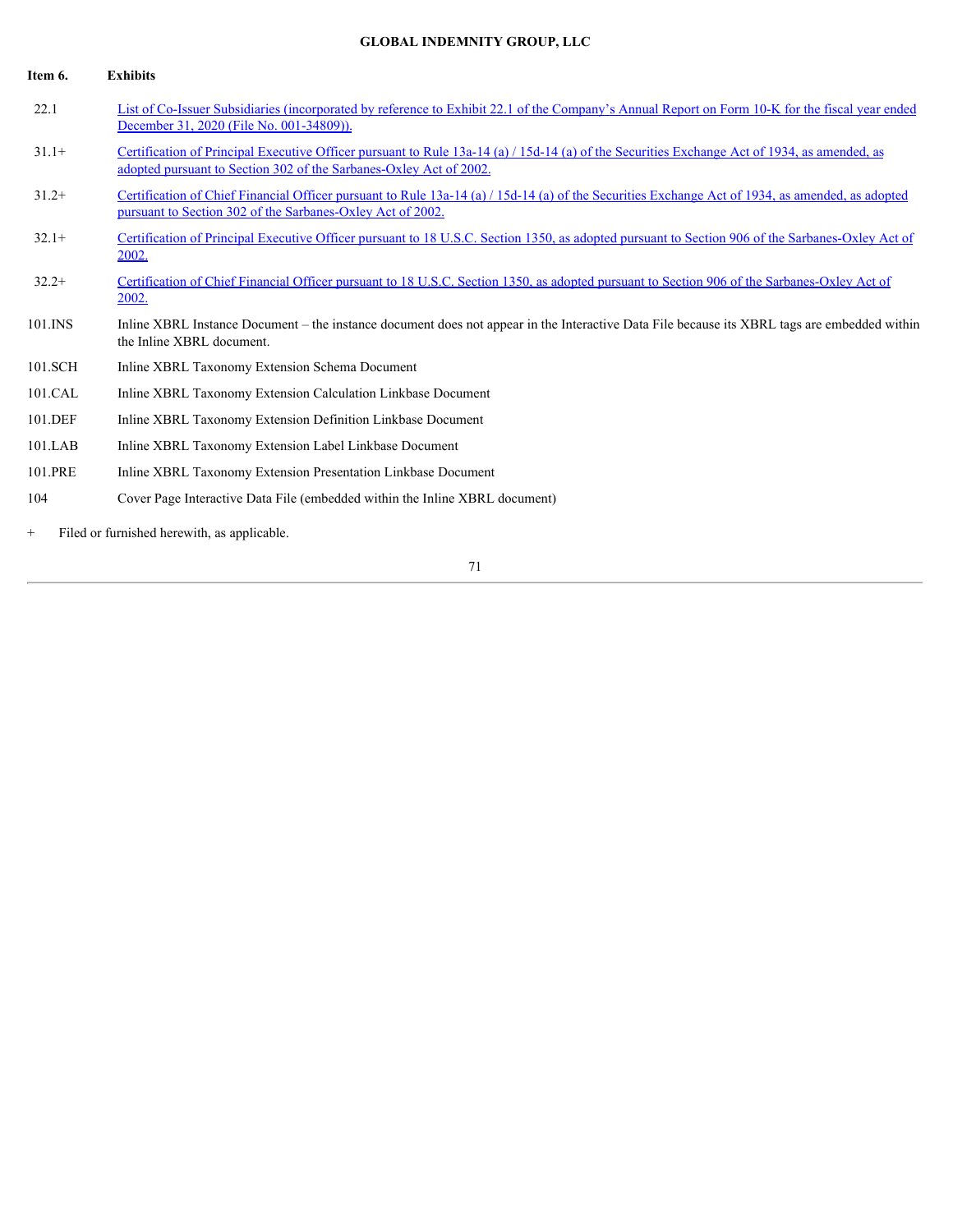| Item 6. | <b>Exhibits</b>                                                                                                                                                                                                    |
|---------|--------------------------------------------------------------------------------------------------------------------------------------------------------------------------------------------------------------------|
| 22.1    | List of Co-Issuer Subsidiaries (incorporated by reference to Exhibit 22.1 of the Company's Annual Report on Form 10-K for the fiscal year ended<br>December 31, 2020 (File No. 001-34809)).                        |
| $31.1+$ | Certification of Principal Executive Officer pursuant to Rule 13a-14 (a) / 15d-14 (a) of the Securities Exchange Act of 1934, as amended, as<br>adopted pursuant to Section 302 of the Sarbanes-Oxley Act of 2002. |
| $31.2+$ | Certification of Chief Financial Officer pursuant to Rule 13a-14 (a) / 15d-14 (a) of the Securities Exchange Act of 1934, as amended, as adopted<br>pursuant to Section 302 of the Sarbanes-Oxley Act of 2002.     |
| $32.1+$ | Certification of Principal Executive Officer pursuant to 18 U.S.C. Section 1350, as adopted pursuant to Section 906 of the Sarbanes-Oxley Act of<br>2002.                                                          |
| $32.2+$ | Certification of Chief Financial Officer pursuant to 18 U.S.C. Section 1350, as adopted pursuant to Section 906 of the Sarbanes-Oxley Act of<br><u>2002.</u>                                                       |
| 101.INS | Inline XBRL Instance Document – the instance document does not appear in the Interactive Data File because its XBRL tags are embedded within<br>the Inline XBRL document.                                          |
| 101.SCH | Inline XBRL Taxonomy Extension Schema Document                                                                                                                                                                     |
| 101.CAL | Inline XBRL Taxonomy Extension Calculation Linkbase Document                                                                                                                                                       |
| 101.DEF | Inline XBRL Taxonomy Extension Definition Linkbase Document                                                                                                                                                        |
| 101.LAB | Inline XBRL Taxonomy Extension Label Linkbase Document                                                                                                                                                             |
| 101.PRE | Inline XBRL Taxonomy Extension Presentation Linkbase Document                                                                                                                                                      |
| 104     | Cover Page Interactive Data File (embedded within the Inline XBRL document)                                                                                                                                        |
| $^{+}$  | Filed or furnished herewith, as applicable.                                                                                                                                                                        |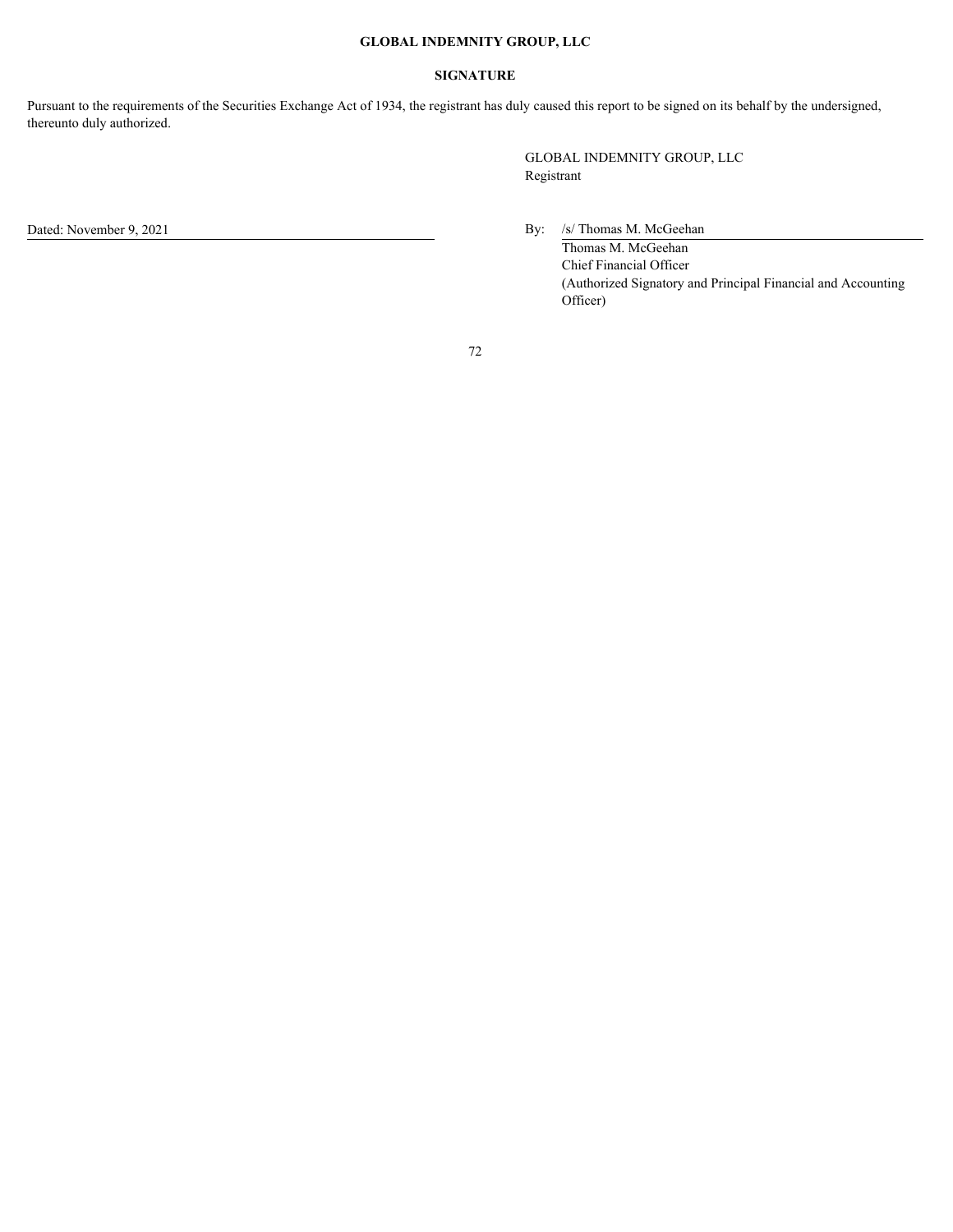# **SIGNATURE**

Pursuant to the requirements of the Securities Exchange Act of 1934, the registrant has duly caused this report to be signed on its behalf by the undersigned, thereunto duly authorized.

> GLOBAL INDEMNITY GROUP, LLC Registrant

Dated: November 9, 2021 By: /s/ Thomas M. McGeehan

Thomas M. McGeehan Chief Financial Officer (Authorized Signatory and Principal Financial and Accounting Officer)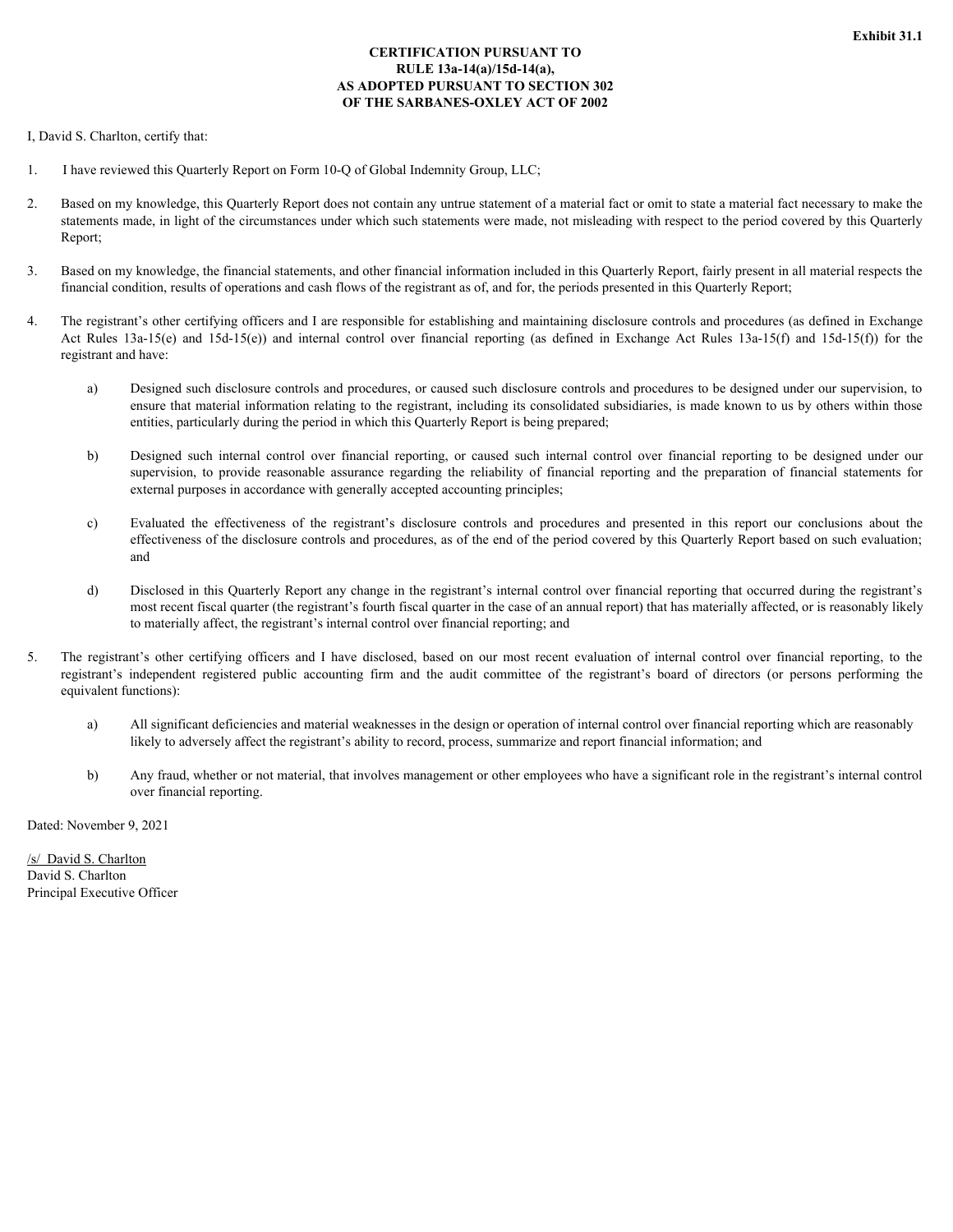## **CERTIFICATION PURSUANT TO RULE 13a-14(a)/15d-14(a), AS ADOPTED PURSUANT TO SECTION 302 OF THE SARBANES-OXLEY ACT OF 2002**

I, David S. Charlton, certify that:

- 1. I have reviewed this Quarterly Report on Form 10-Q of Global Indemnity Group, LLC;
- 2. Based on my knowledge, this Quarterly Report does not contain any untrue statement of a material fact or omit to state a material fact necessary to make the statements made, in light of the circumstances under which such statements were made, not misleading with respect to the period covered by this Quarterly Report; Exhibit 31.1<br>
AS Charlon, certify that:<br>
ACULE 13a-14(e)/188-14(a), TO SECTION 302<br>
OF THE SARBANES-OXLEY ACT OF 2002<br>
OF THE SARBANES-OXLEY ACT OF 2002<br>
Have reviewed this Quarterly Report on Form 10-Q of Global Indemnity **Exhibit 31.1**<br> **AS ADOPTED PURSUANT TO SECTION 302**<br> **OF THE SARRANES OXLEY ACT TO EXCITON 302**<br> **OF THE SARRANES OXLEY ACT OF 2002**<br> **OF THE SARRANES OXLEY ACT OF 2002**<br> **OF THE SARRANES OXLEY ACT OF 2002**<br> **OF THE SARR EXTIPE ATION PURSUANT TO**<br> **SULTE 13x-14(4)/155-14(4),**<br>
AS ADOPTED PURSUANT TO SECTION 302<br>
OF THE SARBANES-OXLEY ACT OF 2002<br>
For the Variative form in the Constant Case of the Constant Case of the Constant Case and the **CERTIFICATION PURSUANT TO**<br> **Charlenge registral control to the Example Propose CNT CONSECTION AND TO SECTION AND TO SECTION AND TO SECTION AND TO SECTION AND TO SECTION AND THE SAME CONSECTION AND THE CONSECTION AND THE**
- 3. Based on my knowledge, the financial statements, and other financial information included in this Quarterly Report, fairly present in all material respects the financial condition, results of operations and cash flows of the registrant as of, and for, the periods presented in this Quarterly Report;
- 4. The registrant's other certifying officers and I are responsible for establishing and maintaining disclosure controls and procedures (as defined in Exchange registrant and have:
	- a) Designed such disclosure controls and procedures, or caused such disclosure controls and procedures to be designed under our supervision, to ensure that material information relating to the registrant, including its consolidated subsidiaries, is made known to us by others within those entities, particularly during the period in which this Quarterly Report is being prepared;
	- external purposes in accordance with generally accepted accounting principles;
	- effectiveness of the disclosure controls and procedures, as of the end of the period covered by this Quarterly Report based on such evaluation; and
	- d) Disclosed in this Quarterly Report any change in the registrant's internal control over financial reporting that occurred during the registrant's most recent fiscal quarter (the registrant's fourth fiscal quarter in the case of an annual report) that has materially affected, or is reasonably likely to materially affect, the registrant's internal control over financial reporting; and
- 3. These existened this Quanterly Report at Tom 10-Q of Global Indentury Group, 11.C;<br>
2. Buest of any knowledge, this Quanterly Report does not contain any untrac statement of a material fact consider a material fact two I have reviewed this Quarterly Report on Form 10-Q of Global Indemnity Group, LLC:<br>
Has due may kenochege, the Quarterly Harel show with stand and unstand in a registered in the registered by this Quarterly Report<br>
Regist equivalent functions):
	- a) All significant deficiencies and material weaknesses in the design or operation of internal control over financial reporting which are reasonably likely to adversely affect the registrant's ability to record, process, summarize and report financial information; and
	- b) Any fraud, whether or not material, that involves management or other employees who have a significant role in the registrant's internal control over financial reporting.

Dated: November 9, 2021

/s/ David S. Charlton David S. Charlton Principal Executive Officer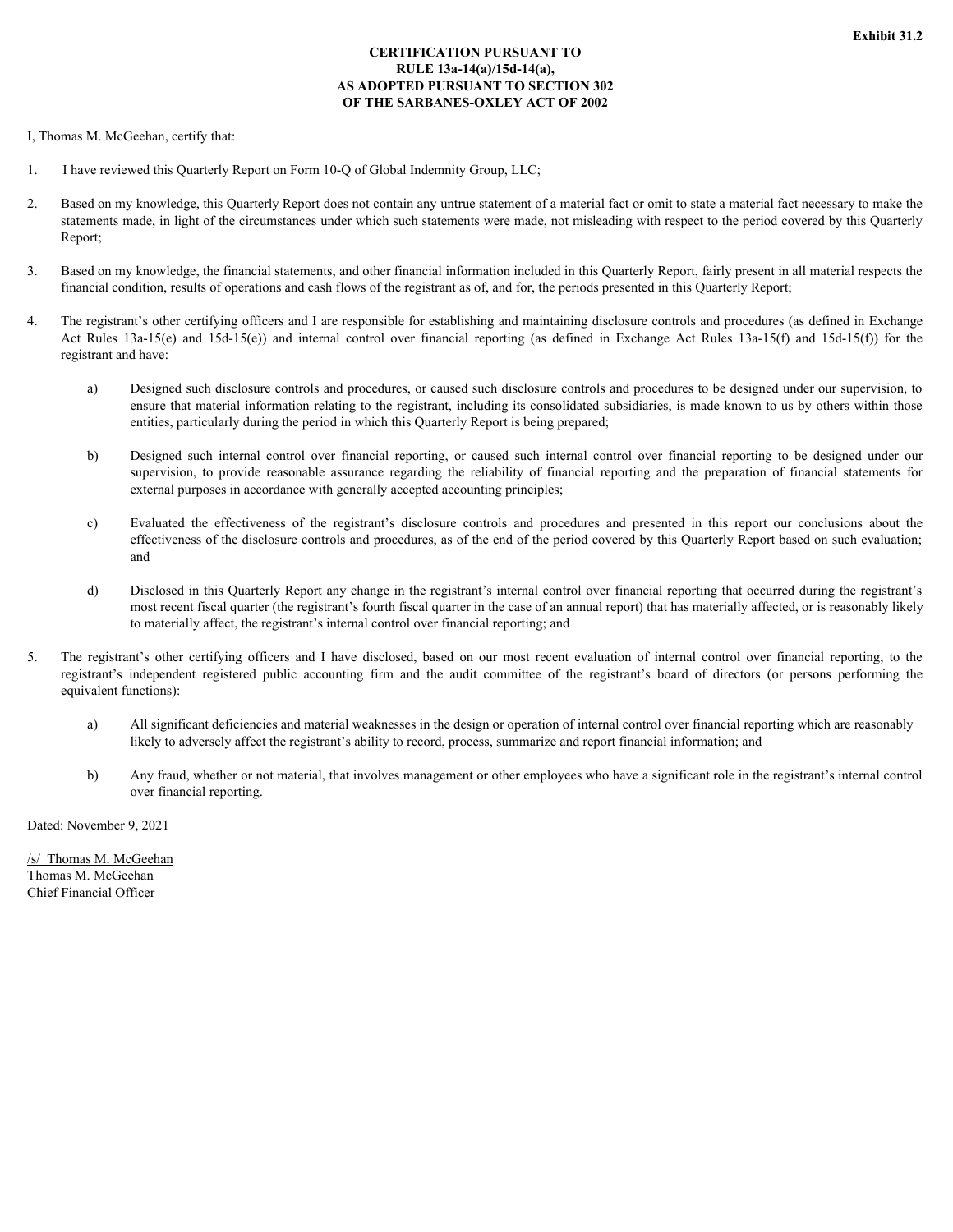## **CERTIFICATION PURSUANT TO RULE 13a-14(a)/15d-14(a), AS ADOPTED PURSUANT TO SECTION 302 OF THE SARBANES-OXLEY ACT OF 2002**

I, Thomas M. McGeehan, certify that:

- 1. I have reviewed this Quarterly Report on Form 10-Q of Global Indemnity Group, LLC;
- 2. Based on my knowledge, this Quarterly Report does not contain any untrue statement of a material fact or omit to state a material fact necessary to make the statements made, in light of the circumstances under which such statements were made, not misleading with respect to the period covered by this Quarterly Report; Exhibit 31.2<br>
AS ADOPTED PURSUANT-TO SECTION 302<br>
ACTLE 13a-14(e)/185-14(a), TO SECTION 302<br>
OF THE SARBANES-OXLEY ACT OF 2002<br>
The Mechanism credity that<br>
Have reviewed this Quarterly Report on Form 10-Q of Giobal Indemni **EXAMPLE CATON PURSUANT TO**<br> **AS ADOPTED PURSUANT TO SECTION 302**<br> **AS ADOPTED PURSUANT TO SECTION 302**<br> **OF THE SARRANES OXLEY ACT OP 2002**<br> **EXARRANES OXLEY ACT OP 2002**<br> **EXARRANES OXLEY ACT OP 2002**<br> **OF THE SARRANES EXTIPE ATION PURSUANT TO**<br> **SULTE 13x-14(4)/155-14(4),**<br> **AS ADOPTED PURSUANT TO SECTION 302**<br> **OF THE SARBANES-OXLEY ACT OF 2002**<br> **SUCH AS ADOPTED PURSUANT TO SECTION 302**<br> **SUCH AS ADOPTED PURSUANT TO SECTION 302**<br> **EV CERTIFICATION PURSUANT TO**<br> **CONSECTIVE AND THE VALUATE AND TO SECULATE AND THE CONSECT ON A CONSECT ON A CONSECT ON A CONSECT ON A CONSECT ON A CONSECT ON A CONSECT ON A CONSECT ON A CONSECT ON A CONSECT ON A CONSECT ON**
- 3. Based on my knowledge, the financial statements, and other financial information included in this Quarterly Report, fairly present in all material respects the financial condition, results of operations and cash flows of the registrant as of, and for, the periods presented in this Quarterly Report;
- 4. The registrant's other certifying officers and I are responsible for establishing and maintaining disclosure controls and procedures (as defined in Exchange registrant and have:
	- a) Designed such disclosure controls and procedures, or caused such disclosure controls and procedures to be designed under our supervision, to ensure that material information relating to the registrant, including its consolidated subsidiaries, is made known to us by others within those entities, particularly during the period in which this Quarterly Report is being prepared;
	- external purposes in accordance with generally accepted accounting principles;
	- effectiveness of the disclosure controls and procedures, as of the end of the period covered by this Quarterly Report based on such evaluation; and
	- d) Disclosed in this Quarterly Report any change in the registrant's internal control over financial reporting that occurred during the registrant's most recent fiscal quarter (the registrant's fourth fiscal quarter in the case of an annual report) that has materially affected, or is reasonably likely to materially affect, the registrant's internal control over financial reporting; and
- 3. These existened this Quanterly Report does not could indentury Group. I.L.C;<br>
2. Buest of any knowledge, this Quanterly Report does not could indenture over ranks, not material fact control to the person covered by the I have reviewed this Quarterly Report on Form 10-Q of Global Indemnity Group, LLC:<br>
Has due may kenochege, the Quarterly Harel show with stand and unstand in a registered in the registered by this Quarterly Report<br>
Regist equivalent functions):
	- a) All significant deficiencies and material weaknesses in the design or operation of internal control over financial reporting which are reasonably likely to adversely affect the registrant's ability to record, process, summarize and report financial information; and
	- b) Any fraud, whether or not material, that involves management or other employees who have a significant role in the registrant's internal control over financial reporting.

Dated: November 9, 2021

/s/ Thomas M. McGeehan Thomas M. McGeehan Chief Financial Officer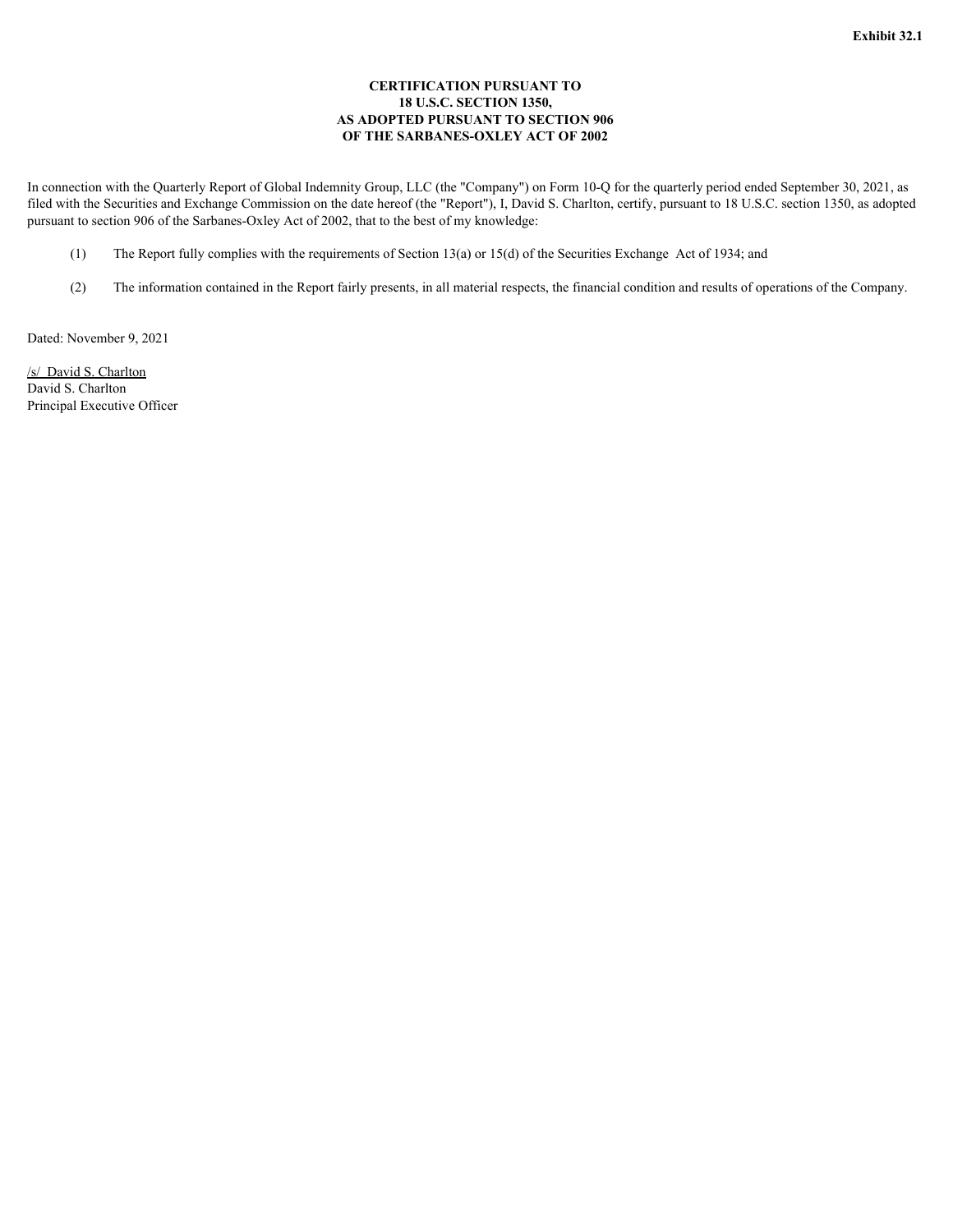## **CERTIFICATION PURSUANT TO 18 U.S.C. SECTION 1350, AS ADOPTED PURSUANT TO SECTION 906 OF THE SARBANES-OXLEY ACT OF 2002**

In connection with the Quarterly Report of Global Indemnity Group, LLC (the "Company") on Form 10-Q for the quarterly period ended September 30, 2021, as filed with the Securities and Exchange Commission on the date hereof (the "Report"), I, David S. Charlton, certify, pursuant to 18 U.S.C. section 1350, as adopted pursuant to section 906 of the Sarbanes-Oxley Act of 2002, that to the best of my knowledge:

- (1) The Report fully complies with the requirements of Section 13(a) or 15(d) of the Securities Exchange Act of 1934; and
- (2) The information contained in the Report fairly presents, in all material respects, the financial condition and results of operations of the Company.

Dated: November 9, 2021

/s/ David S. Charlton David S. Charlton Principal Executive Officer